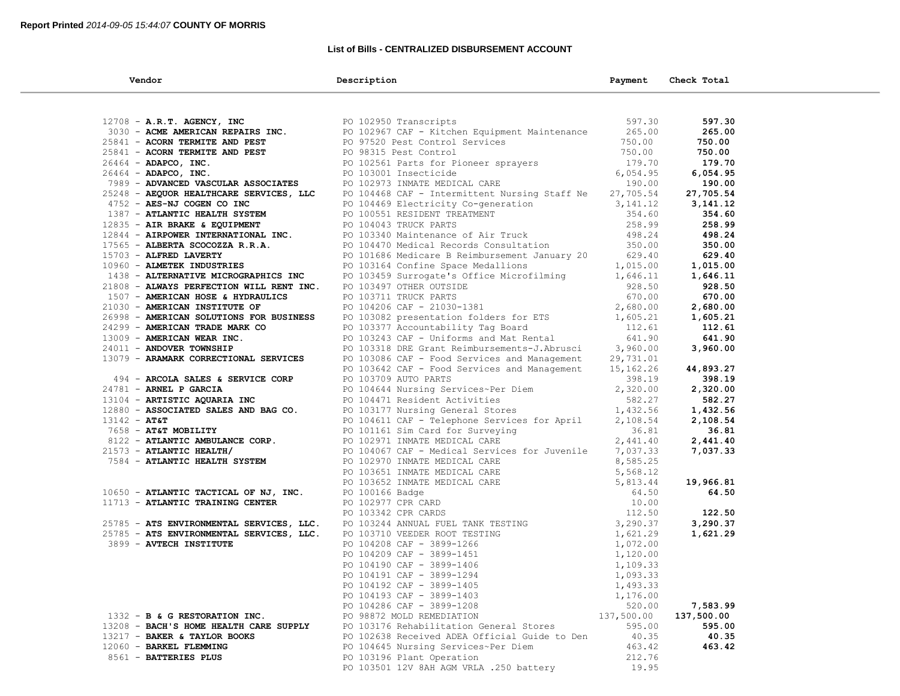# **List of Bills - CENTRALIZED DISBURSEMENT ACCOUNT**

| Vendor                                                                                    | Description                                                                                                                                                                                                                              | Payment    | Check Total           |  |
|-------------------------------------------------------------------------------------------|------------------------------------------------------------------------------------------------------------------------------------------------------------------------------------------------------------------------------------------|------------|-----------------------|--|
|                                                                                           |                                                                                                                                                                                                                                          |            |                       |  |
| $12708$ - A.R.T. AGENCY, INC                                                              |                                                                                                                                                                                                                                          | 597.30     | 597.30                |  |
| 12708 - A.R.T. AGENCY, INC<br>3030 - ACME AMERICAN REPAIRS INC.<br>PO 102967 CAF - Kitche | PO 102967 CAF - Kitchen Equipment Maintenance 265.00                                                                                                                                                                                     |            | 265.00                |  |
| 25841 - ACORN TERMITE AND PEST                                                            |                                                                                                                                                                                                                                          | 750.00     | 750.00                |  |
| 25841 - ACORN TERMITE AND PEST                                                            | PO 97520 Pest Control Services<br>PO 98315 Pest Control<br>PO 98315 Pest Control                                                                                                                                                         | 750.00     | 750.00                |  |
| 26464 - ADAPCO, INC.                                                                      |                                                                                                                                                                                                                                          |            | 179.70                |  |
|                                                                                           | PO 102561 Parts for Pioneer sprayers<br>PO 103001 Insecticide<br>PO 103001 Insecticide                                                                                                                                                   | 6,054.95   | 6,054.95              |  |
| $26464$ - ADAPCO, INC.<br>7989 - ADVANCED VASCULAR ASSOCIATES                             | CARE                                                                                                                                                                                                                                     | 190.00     |                       |  |
|                                                                                           | PO 102973 INMATE MEDICAL CARE                                                                                                                                                                                                            |            | 190.00                |  |
| 25248 - AEQUOR HEALTHCARE SERVICES, LLC                                                   | PO 104468 CAF - Intermittent Nursing Staff Ne 27,705.54                                                                                                                                                                                  |            | 27,705.54<br>3,141.12 |  |
| 4752 - AES-NJ COGEN CO INC<br>1387 - ATLANTIC HEALTH SYSTEM                               |                                                                                                                                                                                                                                          |            | 354.60                |  |
|                                                                                           | PO 104469 Electricity Co-generation 3,141.12<br>PO 104469 Electricity Co-generation 3,141.12<br>PO 106551 RESIDENT TREATMENT 354.60<br>PO 104043 TRUCK PARTS 258.99<br>PO 104470 Medical Records Consultation 350.00<br>PO 104470 Medica |            |                       |  |
| $12835$ - AIR BRAKE & EQUIPMENT                                                           |                                                                                                                                                                                                                                          |            | 258.99                |  |
| 12844 - AIRPOWER INTERNATIONAL INC.                                                       |                                                                                                                                                                                                                                          |            | 498.24<br>350.00      |  |
| 17565 - ALBERTA SCOCOZZA R.R.A.                                                           |                                                                                                                                                                                                                                          |            |                       |  |
| 15703 - ALFRED LAVERTY                                                                    | PO 101686 Medicare B Reimbursement January 20 629.40                                                                                                                                                                                     |            | 629.40                |  |
| 10960 - ALMETEK INDUSTRIES                                                                | PO 103164 Confine Space Medallions                                                                                                                                                                                                       | 1,015.00   | 1,015.00              |  |
| 1438 - ALTERNATIVE MICROGRAPHICS INC                                                      | PO 103459 Surrogate's Office Microfilming 1,646.11                                                                                                                                                                                       |            | 1,646.11              |  |
| 21808 - ALWAYS PERFECTION WILL RENT INC.                                                  | PO 103497 OTHER OUTSIDE<br>PO 103711 TRUCK PARTS<br>PO 104206 CAF - 21030-1381                                                                                                                                                           | 928.50     | 928.50                |  |
| 1507 - AMERICAN HOSE & HYDRAULICS                                                         |                                                                                                                                                                                                                                          | 670.00     | 670.00                |  |
| 21030 - AMERICAN INSTITUTE OF                                                             |                                                                                                                                                                                                                                          |            | 2,680.00              |  |
| 26998 - AMERICAN SOLUTIONS FOR BUSINESS                                                   |                                                                                                                                                                                                                                          |            | 1,605.21              |  |
| 24299 - AMERICAN TRADE MARK CO                                                            | $6/0.00$<br>PO 103082 presentation folders for ETS<br>PO 103377 Accountability Tag Board<br>PO 103317 Accountability Tag Board<br>PO 103318 DRE Grant Reimbursements-7 About 2013318 DRE Grant Reimbursements-7 About 201318 DRE Gran    |            | 112.61                |  |
| 13009 - AMERICAN WEAR INC.                                                                |                                                                                                                                                                                                                                          |            | 641.90                |  |
| 24011 - ANDOVER TOWNSHIP                                                                  |                                                                                                                                                                                                                                          |            | 3,960.00              |  |
| 13079 - ARAMARK CORRECTIONAL SERVICES                                                     | PO 103086 CAF - Food Services and Management 29,731.01                                                                                                                                                                                   |            |                       |  |
|                                                                                           | PO 103642 CAF - Food Services and Management                                                                                                                                                                                             | 15,162.26  | 44,893.27             |  |
| 494 - ARCOLA SALES & SERVICE CORP                                                         | PO 103709 AUTO PARTS                                                                                                                                                                                                                     | 398.19     | 398.19                |  |
| $24781$ - ARNEL P GARCIA                                                                  | PO 104644 Nursing Services~Per Diem<br>PO 104471 Resident Activities<br>PO 103177 Nursing General Stores<br>1,432.56                                                                                                                     |            | 2,320.00              |  |
| 13104 - ARTISTIC AQUARIA INC                                                              |                                                                                                                                                                                                                                          |            | 582.27                |  |
| 12880 - ASSOCIATED SALES AND BAG CO.                                                      |                                                                                                                                                                                                                                          |            | 1,432.56              |  |
| $13142 - AT&T$                                                                            | PO 104611 CAF - Telephone Services for April                                                                                                                                                                                             | 2,108.54   | 2,108.54              |  |
| 7658 - AT&T MOBILITY                                                                      | PO 101161 Sim Card for Surveying<br>PO 102971 INMATE MEDICAL CARE                                                                                                                                                                        | 36.81      | 36.81                 |  |
| $8122 -$ ATLANTIC AMBULANCE CORP.                                                         |                                                                                                                                                                                                                                          | 2,441.40   | 2,441.40              |  |
| $21573$ - ATLANTIC HEALTH/                                                                | PO 104067 CAF - Medical Services for Juvenile                                                                                                                                                                                            | 7,037.33   | 7,037.33              |  |
| 7584 - ATLANTIC HEALTH SYSTEM                                                             |                                                                                                                                                                                                                                          |            |                       |  |
|                                                                                           |                                                                                                                                                                                                                                          |            |                       |  |
|                                                                                           |                                                                                                                                                                                                                                          |            | 19,966.81             |  |
| 10650 - ATLANTIC TACTICAL OF NJ, INC.                                                     |                                                                                                                                                                                                                                          |            | 64.50                 |  |
| 11713 - ATLANTIC TRAINING CENTER                                                          |                                                                                                                                                                                                                                          |            |                       |  |
|                                                                                           | PO 104067 CAF - Medical Services for Juvenile 7,037.33<br>PO 102970 INMATE MEDICAL CARE 8,585.25<br>PO 103651 INMATE MEDICAL CARE 5,568.12<br>PO 103652 INMATE MEDICAL CARE 5,885.25<br>PO 100166 Badge 5,81.44<br>PO 100166 Badge 64.50 |            | 122.50                |  |
| 25785 - ATS ENVIRONMENTAL SERVICES, LLC.                                                  |                                                                                                                                                                                                                                          |            | 3,290.37              |  |
| 25785 - ATS ENVIRONMENTAL SERVICES, LLC.                                                  |                                                                                                                                                                                                                                          |            | 1,621.29              |  |
| 3899 - AVTECH INSTITUTE                                                                   |                                                                                                                                                                                                                                          |            |                       |  |
|                                                                                           |                                                                                                                                                                                                                                          |            |                       |  |
|                                                                                           |                                                                                                                                                                                                                                          |            |                       |  |
|                                                                                           |                                                                                                                                                                                                                                          |            |                       |  |
|                                                                                           | PO 104192 CAF - 3899-1405                                                                                                                                                                                                                | 1,493.33   |                       |  |
|                                                                                           | PO 104193 CAF - 3899-1403                                                                                                                                                                                                                | 1,176.00   |                       |  |
|                                                                                           | PO 104286 CAF - 3899-1208                                                                                                                                                                                                                | 520.00     | 7,583.99              |  |
| 1332 - B & G RESTORATION INC.                                                             | PO 98872 MOLD REMEDIATION                                                                                                                                                                                                                | 137,500.00 | 137,500.00            |  |
| 13208 - BACH'S HOME HEALTH CARE SUPPLY                                                    | PO 103176 Rehabilitation General Stores                                                                                                                                                                                                  | 595.00     | 595.00                |  |
| 13217 - BAKER & TAYLOR BOOKS                                                              | PO 102638 Received ADEA Official Guide to Den                                                                                                                                                                                            | 40.35      | 40.35                 |  |
| 12060 - BARKEL FLEMMING                                                                   | PO 104645 Nursing Services~Per Diem                                                                                                                                                                                                      | 463.42     | 463.42                |  |
| 8561 - BATTERIES PLUS                                                                     | PO 103196 Plant Operation                                                                                                                                                                                                                | 212.76     |                       |  |
|                                                                                           | PO 103501 12V 8AH AGM VRLA .250 battery                                                                                                                                                                                                  | 19.95      |                       |  |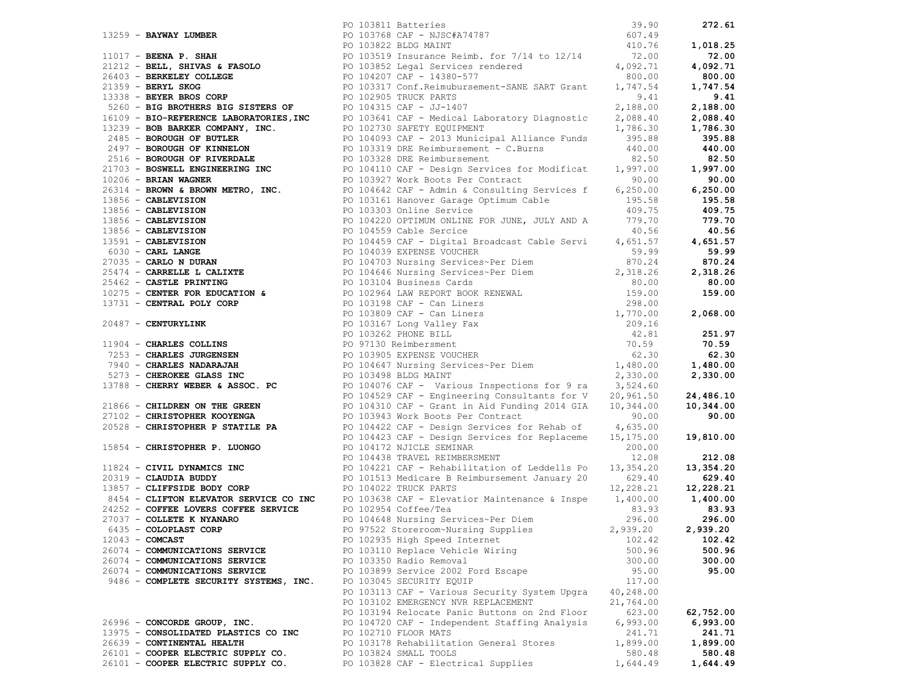|                                        | 1333 - ANYAN MAREA (1913) (1913) - 1913) (1913) (1913) - 1913) (1913) - 1922-1913 (1913) - 1922-1913 (1913) - 1922-1923 (1913) - 1922-1923 (1913) - 1922-1923 (1913) - 1922-1923 (1913) - 1922-1923 (1913) - 1922-1923 (1913) |                   |           |
|----------------------------------------|-------------------------------------------------------------------------------------------------------------------------------------------------------------------------------------------------------------------------------|-------------------|-----------|
|                                        |                                                                                                                                                                                                                               |                   |           |
|                                        |                                                                                                                                                                                                                               |                   |           |
|                                        |                                                                                                                                                                                                                               |                   |           |
|                                        |                                                                                                                                                                                                                               |                   |           |
| 6435 - COLOPLAST CORP                  | PO 97522 Storeroom~Nursing Supplies                                                                                                                                                                                           | 2,939.20 2,939.20 |           |
| $12043 - COMCAST$                      | PO 102935 High Speed Internet                                                                                                                                                                                                 | 102.42            | 102.42    |
| 26074 - COMMUNICATIONS SERVICE         | PO 103110 Replace Vehicle Wiring                                                                                                                                                                                              | 500.96            | 500.96    |
| 26074 - COMMUNICATIONS SERVICE         | PO 103350 Radio Removal                                                                                                                                                                                                       | 300.00            | 300.00    |
| 26074 - COMMUNICATIONS SERVICE         | PO 103899 Service 2002 Ford Escape                                                                                                                                                                                            | 95.00             | 95.00     |
| 9486 - COMPLETE SECURITY SYSTEMS, INC. | PO 103045 SECURITY EQUIP                                                                                                                                                                                                      | 117.00            |           |
|                                        | PO 103113 CAF - Various Security System Upgra 40,248.00                                                                                                                                                                       |                   |           |
|                                        | PO 103102 EMERGENCY NVR REPLACEMENT                                                                                                                                                                                           | 21,764.00         |           |
|                                        | PO 103194 Relocate Panic Buttons on 2nd Floor                                                                                                                                                                                 | 623.00            | 62,752.00 |
| 26996 - CONCORDE GROUP, INC.           | PO 104720 CAF - Independent Staffing Analysis                                                                                                                                                                                 | 6,993.00          | 6,993.00  |
| 13975 - CONSOLIDATED PLASTICS CO INC   | PO 102710 FLOOR MATS                                                                                                                                                                                                          | 241.71            | 241.71    |
| 26639 - CONTINENTAL HEALTH             | PO 103178 Rehabilitation General Stores                                                                                                                                                                                       | 1,899.00          | 1,899.00  |
| 26101 - COOPER ELECTRIC SUPPLY CO.     | PO 103824 SMALL TOOLS                                                                                                                                                                                                         | 580.48            | 580.48    |
| 26101 - COOPER ELECTRIC SUPPLY CO.     | PO 103828 CAF - Electrical Supplies                                                                                                                                                                                           | 1,644.49          | 1,644.49  |
|                                        |                                                                                                                                                                                                                               |                   |           |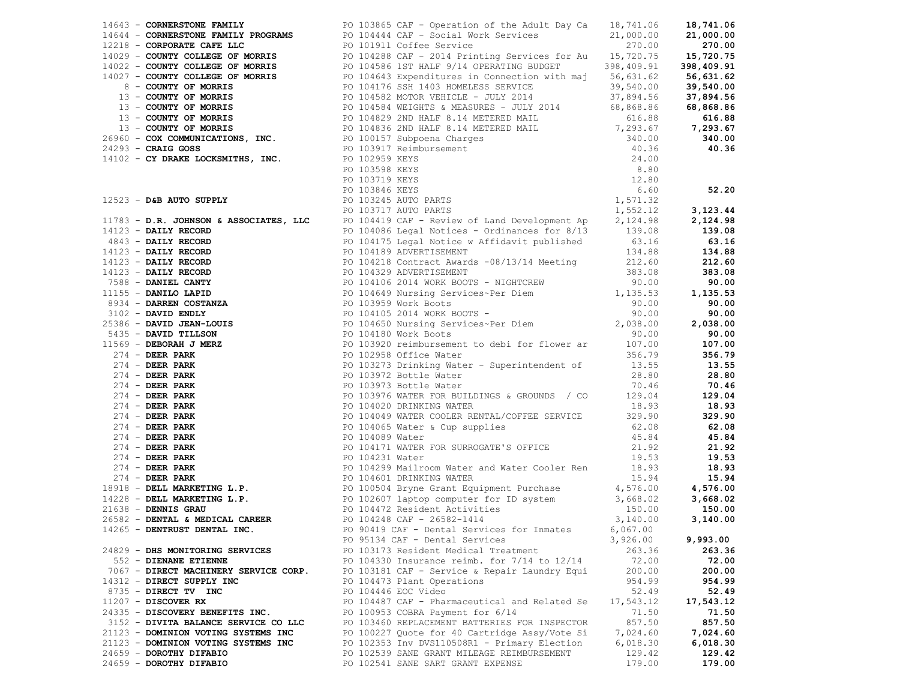|                                       |                                                                                                                                                                                                                               |           | 3,123.44  |
|---------------------------------------|-------------------------------------------------------------------------------------------------------------------------------------------------------------------------------------------------------------------------------|-----------|-----------|
|                                       |                                                                                                                                                                                                                               |           |           |
|                                       |                                                                                                                                                                                                                               |           |           |
|                                       |                                                                                                                                                                                                                               |           |           |
|                                       |                                                                                                                                                                                                                               |           |           |
|                                       |                                                                                                                                                                                                                               |           |           |
|                                       |                                                                                                                                                                                                                               |           |           |
|                                       |                                                                                                                                                                                                                               |           |           |
|                                       |                                                                                                                                                                                                                               |           |           |
|                                       |                                                                                                                                                                                                                               |           |           |
|                                       |                                                                                                                                                                                                                               |           |           |
|                                       |                                                                                                                                                                                                                               |           |           |
|                                       |                                                                                                                                                                                                                               |           |           |
|                                       |                                                                                                                                                                                                                               |           |           |
|                                       |                                                                                                                                                                                                                               |           |           |
|                                       |                                                                                                                                                                                                                               |           |           |
|                                       |                                                                                                                                                                                                                               |           |           |
|                                       |                                                                                                                                                                                                                               |           |           |
|                                       |                                                                                                                                                                                                                               |           |           |
|                                       |                                                                                                                                                                                                                               |           |           |
|                                       |                                                                                                                                                                                                                               |           |           |
|                                       |                                                                                                                                                                                                                               |           |           |
|                                       |                                                                                                                                                                                                                               |           |           |
|                                       |                                                                                                                                                                                                                               |           |           |
|                                       |                                                                                                                                                                                                                               |           |           |
|                                       |                                                                                                                                                                                                                               |           |           |
|                                       | 1631) - Commenter Mellin (1913) - Commenter of the State of School (1913) - Commenter of the State of School (1913) - Commenter of the State of the State of the State of the State of the State of the State of the State of |           |           |
|                                       |                                                                                                                                                                                                                               |           |           |
|                                       |                                                                                                                                                                                                                               |           |           |
|                                       |                                                                                                                                                                                                                               |           |           |
|                                       |                                                                                                                                                                                                                               |           |           |
|                                       |                                                                                                                                                                                                                               |           |           |
|                                       |                                                                                                                                                                                                                               |           |           |
|                                       | PO 95134 CAF - Dental Services                                                                                                                                                                                                | 3,926.00  | 9,993.00  |
| 24829 - DHS MONITORING SERVICES       | PO 103173 Resident Medical Treatment                                                                                                                                                                                          | 263.36    | 263.36    |
| 552 - DIENANE ETIENNE                 | PO 104330 Insurance reimb. for $7/14$ to $12/14$                                                                                                                                                                              | 72.00     | 72.00     |
| 7067 - DIRECT MACHINERY SERVICE CORP. | PO 103181 CAF - Service & Repair Laundry Equi                                                                                                                                                                                 | 200.00    | 200.00    |
| 14312 - DIRECT SUPPLY INC             | PO 104473 Plant Operations                                                                                                                                                                                                    | 954.99    | 954.99    |
| 8735 - DIRECT TV INC                  | PO 104446 EOC Video                                                                                                                                                                                                           | 52.49     | 52.49     |
| $11207$ - DISCOVER RX                 | PO 104487 CAF - Pharmaceutical and Related Se                                                                                                                                                                                 | 17,543.12 | 17,543.12 |
| 24335 - DISCOVERY BENEFITS INC.       | PO 100953 COBRA Payment for 6/14                                                                                                                                                                                              | 71.50     | 71.50     |
| 3152 - DIVITA BALANCE SERVICE CO LLC  | PO 103460 REPLACEMENT BATTERIES FOR INSPECTOR                                                                                                                                                                                 | 857.50    | 857.50    |
| 21123 - DOMINION VOTING SYSTEMS INC   | PO 100227 Quote for 40 Cartridge Assy/Vote Si                                                                                                                                                                                 | 7,024.60  | 7,024.60  |
| 21123 - DOMINION VOTING SYSTEMS INC   | PO 102353 Inv DVS110508R1 - Primary Election                                                                                                                                                                                  | 6,018.30  | 6,018.30  |
| 24659 - DOROTHY DIFABIO               | PO 102539 SANE GRANT MILEAGE REIMBURSEMENT                                                                                                                                                                                    | 129.42    | 129.42    |
| 24659 - DOROTHY DIFABIO               | PO 102541 SANE SART GRANT EXPENSE                                                                                                                                                                                             | 179.00    | 179.00    |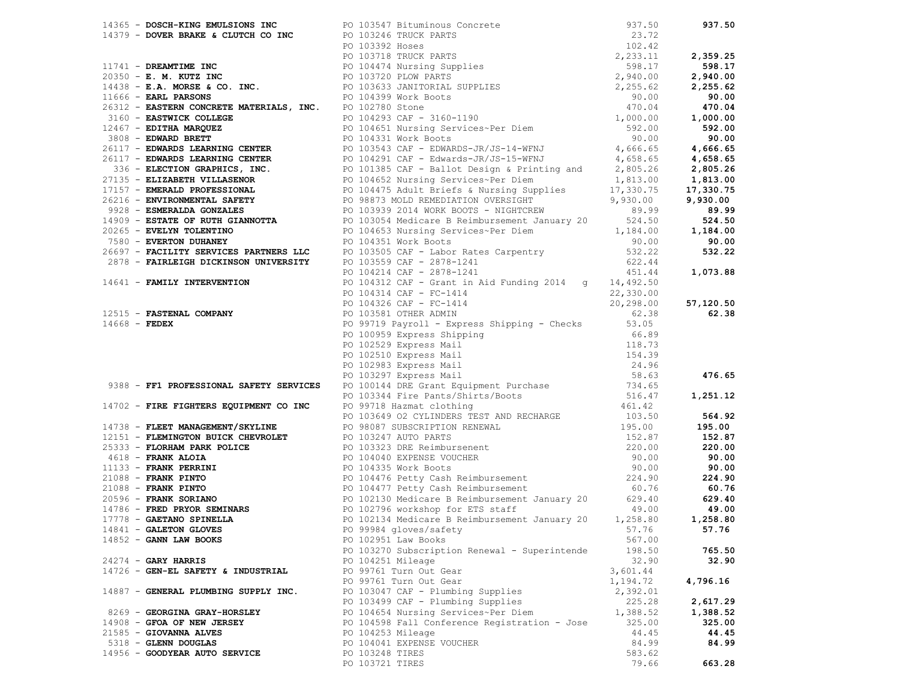|                                      | 17.0. - Doctor-The Berlington Inc. 2011-2013 Street Concerts<br>17.0. - Doctor Ante Description (17.0.1 Street Concerts)<br>17.0. - A street Street Concerts (17.0.1 Street Concerts)<br>17.0. - A street Street Concerts (17.0.1 S |          |          |
|--------------------------------------|-------------------------------------------------------------------------------------------------------------------------------------------------------------------------------------------------------------------------------------|----------|----------|
|                                      |                                                                                                                                                                                                                                     |          |          |
|                                      |                                                                                                                                                                                                                                     |          |          |
|                                      |                                                                                                                                                                                                                                     |          |          |
|                                      |                                                                                                                                                                                                                                     |          |          |
|                                      |                                                                                                                                                                                                                                     |          |          |
| $14852 - GANN$ LAW BOOKS             | PO 102951 Law Books                                                                                                                                                                                                                 | 567.00   |          |
|                                      | PO 103270 Subscription Renewal - Superintende                                                                                                                                                                                       | 198.50   | 765.50   |
| $24274$ - GARY HARRIS                | PO 104251 Mileage                                                                                                                                                                                                                   | 32.90    | 32.90    |
| 14726 - GEN-EL SAFETY & INDUSTRIAL   | PO 99761 Turn Out Gear                                                                                                                                                                                                              | 3,601.44 |          |
|                                      | PO 99761 Turn Out Gear                                                                                                                                                                                                              | 1,194.72 | 4,796.16 |
| 14887 - GENERAL PLUMBING SUPPLY INC. | PO 103047 CAF - Plumbing Supplies                                                                                                                                                                                                   | 2,392.01 |          |
|                                      | PO 103499 CAF - Plumbing Supplies                                                                                                                                                                                                   | 225.28   | 2,617.29 |
| 8269 - GEORGINA GRAY-HORSLEY         | PO 104654 Nursing Services~Per Diem                                                                                                                                                                                                 | 1,388.52 | 1,388.52 |
| 14908 - GFOA OF NEW JERSEY           | PO 104598 Fall Conference Registration - Jose                                                                                                                                                                                       | 325.00   | 325.00   |
| 21585 - GIOVANNA ALVES               | PO 104253 Mileage                                                                                                                                                                                                                   | 44.45    | 44.45    |
| 5318 - GLENN DOUGLAS                 | PO 104041 EXPENSE VOUCHER                                                                                                                                                                                                           | 84.99    | 84.99    |
| 14956 - GOODYEAR AUTO SERVICE        | PO 103248 TIRES                                                                                                                                                                                                                     | 583.62   |          |
|                                      | PO 103721 TIRES                                                                                                                                                                                                                     | 79.66    | 663.28   |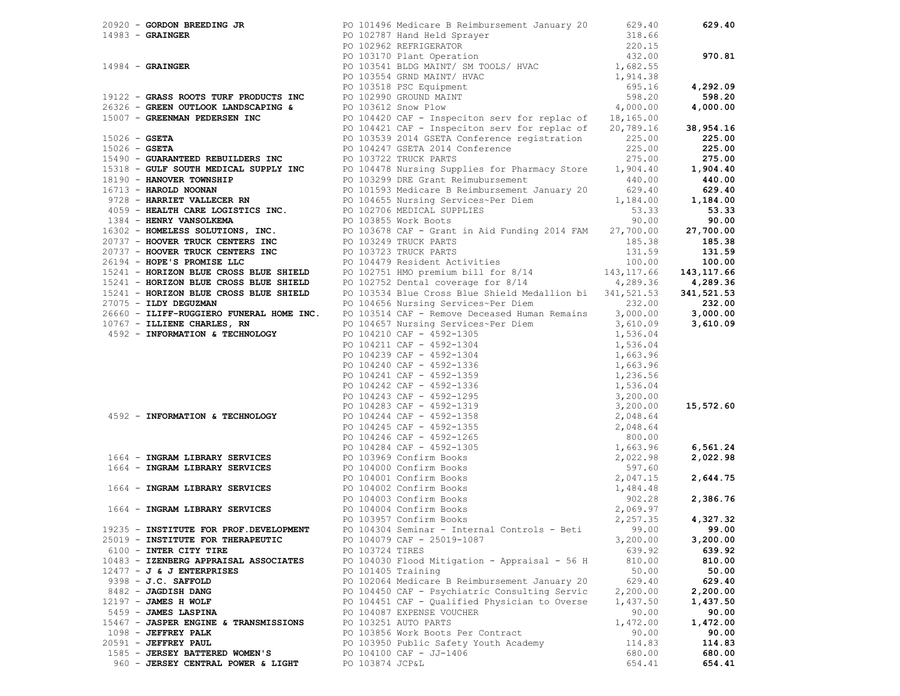|  |                                        |                    | 20920 <b>– GORDON BREEDING JR</b><br>14983 <b>– GRAINGER</b><br>14984 <b>– GRAINGER</b><br>14984 <b>– GRAINGER</b><br>14984 <b>– GRAINGER</b><br>14984 <b>– GRAINGER</b><br>14984 <b>– GRAINGER</b><br>14984 <b>– GRAINGER</b><br>16926 <b>– GRAINGER</b><br>16926 <b>– GRAINGER<br/> 19122 – GRAS</b> |          | 629.40      |
|--|----------------------------------------|--------------------|--------------------------------------------------------------------------------------------------------------------------------------------------------------------------------------------------------------------------------------------------------------------------------------------------------|----------|-------------|
|  |                                        |                    |                                                                                                                                                                                                                                                                                                        |          |             |
|  |                                        |                    |                                                                                                                                                                                                                                                                                                        |          |             |
|  |                                        |                    |                                                                                                                                                                                                                                                                                                        |          | 970.81      |
|  |                                        |                    |                                                                                                                                                                                                                                                                                                        |          |             |
|  |                                        |                    |                                                                                                                                                                                                                                                                                                        |          |             |
|  |                                        |                    |                                                                                                                                                                                                                                                                                                        |          | 4,292.09    |
|  |                                        |                    |                                                                                                                                                                                                                                                                                                        |          | 598.20      |
|  |                                        |                    |                                                                                                                                                                                                                                                                                                        |          | 4,000.00    |
|  |                                        |                    |                                                                                                                                                                                                                                                                                                        |          |             |
|  |                                        |                    |                                                                                                                                                                                                                                                                                                        |          | 38,954.16   |
|  |                                        |                    |                                                                                                                                                                                                                                                                                                        |          | 225.00      |
|  |                                        |                    |                                                                                                                                                                                                                                                                                                        |          | 225.00      |
|  |                                        |                    |                                                                                                                                                                                                                                                                                                        |          | 275.00      |
|  |                                        |                    |                                                                                                                                                                                                                                                                                                        |          | 1,904.40    |
|  |                                        |                    |                                                                                                                                                                                                                                                                                                        |          | 440.00      |
|  |                                        |                    |                                                                                                                                                                                                                                                                                                        |          | 629.40      |
|  |                                        |                    |                                                                                                                                                                                                                                                                                                        |          | 1,184.00    |
|  |                                        |                    |                                                                                                                                                                                                                                                                                                        |          | 53.33       |
|  |                                        |                    |                                                                                                                                                                                                                                                                                                        |          | 90.00       |
|  |                                        |                    |                                                                                                                                                                                                                                                                                                        |          |             |
|  |                                        |                    |                                                                                                                                                                                                                                                                                                        |          | 27,700.00   |
|  |                                        |                    |                                                                                                                                                                                                                                                                                                        |          | 185.38      |
|  |                                        |                    |                                                                                                                                                                                                                                                                                                        |          | 131.59      |
|  |                                        |                    |                                                                                                                                                                                                                                                                                                        |          | 100.00      |
|  |                                        |                    |                                                                                                                                                                                                                                                                                                        |          | 143, 117.66 |
|  |                                        |                    |                                                                                                                                                                                                                                                                                                        |          | 4,289.36    |
|  |                                        |                    |                                                                                                                                                                                                                                                                                                        |          | 341,521.53  |
|  |                                        |                    |                                                                                                                                                                                                                                                                                                        |          | 232.00      |
|  |                                        |                    |                                                                                                                                                                                                                                                                                                        |          | 3,000.00    |
|  |                                        |                    |                                                                                                                                                                                                                                                                                                        |          | 3,610.09    |
|  |                                        |                    |                                                                                                                                                                                                                                                                                                        |          |             |
|  |                                        |                    |                                                                                                                                                                                                                                                                                                        |          |             |
|  |                                        |                    |                                                                                                                                                                                                                                                                                                        |          |             |
|  |                                        |                    |                                                                                                                                                                                                                                                                                                        |          |             |
|  |                                        |                    |                                                                                                                                                                                                                                                                                                        |          |             |
|  |                                        |                    |                                                                                                                                                                                                                                                                                                        |          |             |
|  |                                        |                    |                                                                                                                                                                                                                                                                                                        |          |             |
|  |                                        |                    |                                                                                                                                                                                                                                                                                                        |          | 15,572.60   |
|  |                                        |                    |                                                                                                                                                                                                                                                                                                        |          |             |
|  |                                        |                    |                                                                                                                                                                                                                                                                                                        |          |             |
|  |                                        |                    |                                                                                                                                                                                                                                                                                                        |          |             |
|  |                                        |                    |                                                                                                                                                                                                                                                                                                        |          | 6,561.24    |
|  |                                        |                    |                                                                                                                                                                                                                                                                                                        |          | 2,022.98    |
|  |                                        |                    | 27075 - ILINER DEVELOPMENT DUE DES PROFIDENTS FOR DES PROFIDENT DES PROFIDENTS AND DES PROFIDENT DES PROPERTY OF 191354.04 CONTROLL ARE - 4592-1336<br>10767 - ILINER CHARLES, RN<br>10767 - ILINER CHARLES, RN<br>10767 - ILINER C                                                                    |          |             |
|  |                                        |                    |                                                                                                                                                                                                                                                                                                        |          | 2,644.75    |
|  |                                        |                    |                                                                                                                                                                                                                                                                                                        |          |             |
|  |                                        |                    |                                                                                                                                                                                                                                                                                                        |          | 2,386.76    |
|  |                                        |                    |                                                                                                                                                                                                                                                                                                        |          |             |
|  |                                        |                    |                                                                                                                                                                                                                                                                                                        |          | 4,327.32    |
|  | 19235 - INSTITUTE FOR PROF.DEVELOPMENT |                    | PO $104304$ Seminar - Internal Controls - Beti 99.00 99.00                                                                                                                                                                                                                                             |          |             |
|  | 25019 - INSTITUTE FOR THERAPEUTIC      |                    | PO 104079 CAF - 25019-1087                                                                                                                                                                                                                                                                             | 3,200.00 | 3,200.00    |
|  | 6100 - INTER CITY TIRE                 | PO 103724 TIRES    |                                                                                                                                                                                                                                                                                                        | 639.92   | 639.92      |
|  | 10483 - IZENBERG APPRAISAL ASSOCIATES  |                    | PO 104030 Flood Mitigation - Appraisal - 56 H                                                                                                                                                                                                                                                          | 810.00   | 810.00      |
|  | $12477 - J$ & J ENTERPRISES            | PO 101405 Training |                                                                                                                                                                                                                                                                                                        | 50.00    | 50.00       |
|  | 9398 - J.C. SAFFOLD                    |                    | PO 102064 Medicare B Reimbursement January 20                                                                                                                                                                                                                                                          | 629.40   | 629.40      |
|  | 8482 - JAGDISH DANG                    |                    | PO 104450 CAF - Psychiatric Consulting Servic                                                                                                                                                                                                                                                          | 2,200.00 | 2,200.00    |
|  | 12197 - JAMES H WOLF                   |                    | PO 104451 CAF - Qualified Physician to Overse                                                                                                                                                                                                                                                          | 1,437.50 | 1,437.50    |
|  | 5459 - JAMES LASPINA                   |                    | PO 104087 EXPENSE VOUCHER                                                                                                                                                                                                                                                                              | 90.00    | 90.00       |
|  | 15467 - JASPER ENGINE & TRANSMISSIONS  |                    | PO 103251 AUTO PARTS                                                                                                                                                                                                                                                                                   | 1,472.00 | 1,472.00    |
|  | 1098 - JEFFREY PALK                    |                    | PO 103856 Work Boots Per Contract                                                                                                                                                                                                                                                                      | 90.00    | 90.00       |
|  | 20591 - JEFFREY PAUL                   |                    | PO 103950 Public Safety Youth Academy                                                                                                                                                                                                                                                                  | 114.83   | 114.83      |
|  | 1585 - JERSEY BATTERED WOMEN'S         |                    | PO 104100 CAF - JJ-1406                                                                                                                                                                                                                                                                                | 680.00   | 680.00      |
|  | 960 - JERSEY CENTRAL POWER & LIGHT     | PO 103874 JCP&L    |                                                                                                                                                                                                                                                                                                        | 654.41   | 654.41      |
|  |                                        |                    |                                                                                                                                                                                                                                                                                                        |          |             |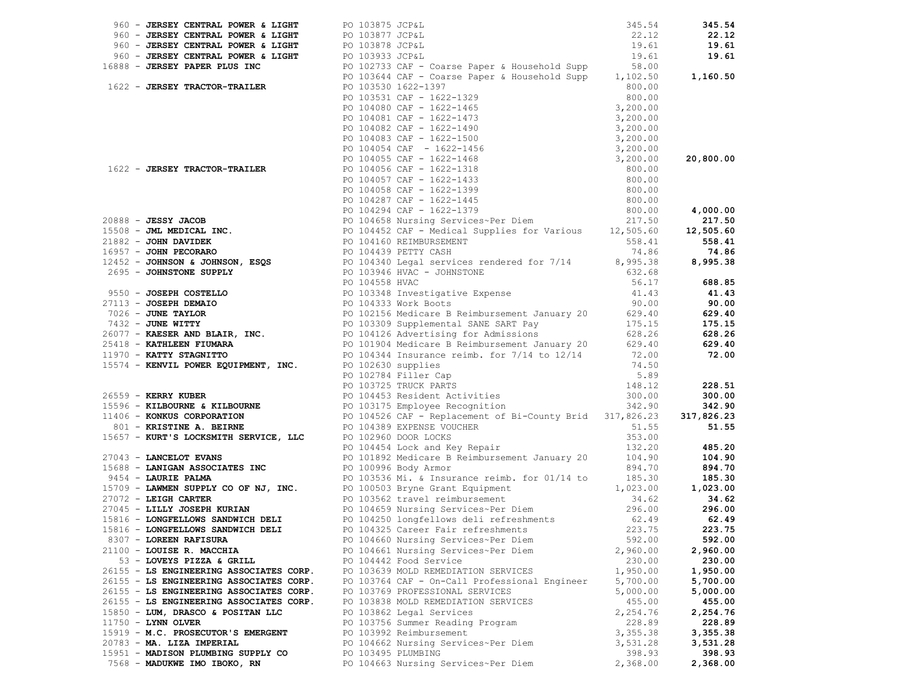|                           | 960 - JERSEY CENTRAL POWER & LIGHT                                           | PO 103875 JCP&L    |                                                                                                                                                                                                                                                                                                      | 345.54             | 345.54             |
|---------------------------|------------------------------------------------------------------------------|--------------------|------------------------------------------------------------------------------------------------------------------------------------------------------------------------------------------------------------------------------------------------------------------------------------------------------|--------------------|--------------------|
|                           |                                                                              |                    |                                                                                                                                                                                                                                                                                                      |                    | 22.12              |
|                           |                                                                              |                    |                                                                                                                                                                                                                                                                                                      |                    | 19.61              |
|                           |                                                                              |                    |                                                                                                                                                                                                                                                                                                      |                    | 19.61              |
|                           |                                                                              |                    | 960 – JERSEY CENTRAL POWER & LIGHT<br>960 – JERSEY CENTRAL POWER & LIGHT<br>960 – JERSEY CENTRAL POWER & LIGHT<br>960 – JERSEY CENTRAL POWER & LIGHT<br>960 – JERSEY CENTRAL POWER & LIGHT<br>960 – JERSEY CENTRAL POWER & LIGHT<br>960 –                                                            |                    |                    |
|                           |                                                                              |                    |                                                                                                                                                                                                                                                                                                      |                    | 1,160.50           |
|                           |                                                                              |                    |                                                                                                                                                                                                                                                                                                      |                    |                    |
|                           |                                                                              |                    |                                                                                                                                                                                                                                                                                                      |                    |                    |
|                           |                                                                              |                    |                                                                                                                                                                                                                                                                                                      |                    |                    |
|                           |                                                                              |                    |                                                                                                                                                                                                                                                                                                      |                    |                    |
|                           |                                                                              |                    |                                                                                                                                                                                                                                                                                                      |                    |                    |
|                           |                                                                              |                    |                                                                                                                                                                                                                                                                                                      |                    |                    |
|                           |                                                                              |                    |                                                                                                                                                                                                                                                                                                      |                    |                    |
|                           |                                                                              |                    |                                                                                                                                                                                                                                                                                                      |                    |                    |
|                           |                                                                              |                    |                                                                                                                                                                                                                                                                                                      |                    |                    |
|                           |                                                                              |                    |                                                                                                                                                                                                                                                                                                      |                    |                    |
|                           |                                                                              |                    |                                                                                                                                                                                                                                                                                                      |                    |                    |
|                           |                                                                              |                    |                                                                                                                                                                                                                                                                                                      |                    |                    |
|                           |                                                                              |                    |                                                                                                                                                                                                                                                                                                      |                    |                    |
|                           |                                                                              |                    |                                                                                                                                                                                                                                                                                                      |                    |                    |
|                           |                                                                              |                    |                                                                                                                                                                                                                                                                                                      |                    |                    |
|                           |                                                                              |                    |                                                                                                                                                                                                                                                                                                      |                    |                    |
|                           |                                                                              |                    |                                                                                                                                                                                                                                                                                                      |                    |                    |
|                           |                                                                              |                    |                                                                                                                                                                                                                                                                                                      |                    |                    |
|                           |                                                                              |                    |                                                                                                                                                                                                                                                                                                      |                    |                    |
|                           |                                                                              |                    |                                                                                                                                                                                                                                                                                                      |                    |                    |
|                           |                                                                              |                    |                                                                                                                                                                                                                                                                                                      |                    |                    |
|                           |                                                                              |                    |                                                                                                                                                                                                                                                                                                      |                    |                    |
|                           |                                                                              |                    |                                                                                                                                                                                                                                                                                                      |                    |                    |
|                           |                                                                              |                    |                                                                                                                                                                                                                                                                                                      |                    |                    |
|                           |                                                                              |                    |                                                                                                                                                                                                                                                                                                      |                    |                    |
|                           |                                                                              |                    |                                                                                                                                                                                                                                                                                                      |                    |                    |
|                           |                                                                              |                    |                                                                                                                                                                                                                                                                                                      |                    |                    |
|                           |                                                                              |                    |                                                                                                                                                                                                                                                                                                      |                    |                    |
|                           |                                                                              |                    |                                                                                                                                                                                                                                                                                                      |                    |                    |
|                           |                                                                              |                    | 1622 - JUESSY TRACTOR-TRAILER<br>2010101010127-139789 Paper & Bisuseblad Supp 1,163.50<br>20101010110127-139789 Paper & Bisuseblad Supp 1,163.50<br>2010101012102211273<br>201010222 - JUESSY TRACTOR-TRAILER<br>20101022 - JUESSY TRAC                                                              |                    | 228.51             |
|                           |                                                                              |                    | 26559 - <b>KERRY KUBER</b><br>26559 - <b>KERRY KUBER</b><br>26559 - <b>KERRY KUBER</b><br>26559 - <b>KERRY KUBER</b><br>26559 - <b>KILBOURNE &amp; KILBOURNE</b><br>26559 - <b>KILBOURNE &amp; KILBOURNE</b><br>26559 - <b>KILBOURNE &amp; KILBOURNE</b><br>26596 - <b>KILBOURNE &amp; KILBOURNE</b> |                    | 300.00             |
|                           |                                                                              |                    |                                                                                                                                                                                                                                                                                                      |                    | 342.90             |
|                           |                                                                              |                    |                                                                                                                                                                                                                                                                                                      |                    | 317,826.23         |
|                           |                                                                              |                    | 3801 - KINSUG CONFORMATION SALEMARY CONFINING PO 10439 EXPENSE VOUCHER<br>27043 - <b>KINSUG CONFINING A. BETRINE</b><br>27043 - <b>IANCELOT EVANS</b><br>27043 - <b>IANCELOT EVANS</b><br>27043 - <b>IANCELOT EVANS</b><br>27043 - <b>IANCELOT EVANS</b><br>27043 -                                  |                    |                    |
|                           |                                                                              |                    |                                                                                                                                                                                                                                                                                                      |                    |                    |
|                           |                                                                              |                    |                                                                                                                                                                                                                                                                                                      |                    |                    |
|                           |                                                                              |                    |                                                                                                                                                                                                                                                                                                      |                    |                    |
|                           |                                                                              |                    |                                                                                                                                                                                                                                                                                                      |                    |                    |
|                           |                                                                              |                    |                                                                                                                                                                                                                                                                                                      |                    |                    |
|                           |                                                                              |                    |                                                                                                                                                                                                                                                                                                      |                    |                    |
|                           |                                                                              |                    |                                                                                                                                                                                                                                                                                                      |                    |                    |
|                           |                                                                              |                    |                                                                                                                                                                                                                                                                                                      |                    |                    |
|                           |                                                                              |                    |                                                                                                                                                                                                                                                                                                      |                    |                    |
|                           |                                                                              |                    |                                                                                                                                                                                                                                                                                                      |                    |                    |
| 8307 - LOREEN RAFISURA    |                                                                              |                    | PO 104660 Nursing Services~Per Diem                                                                                                                                                                                                                                                                  | 592.00             | 592.00             |
|                           | 21100 - LOUISE R. MACCHIA                                                    |                    | PO 104661 Nursing Services~Per Diem                                                                                                                                                                                                                                                                  | 2,960.00           | 2,960.00           |
|                           | 53 - LOVEYS PIZZA & GRILL                                                    |                    | PO 104442 Food Service                                                                                                                                                                                                                                                                               | 230.00             | 230.00             |
|                           | 26155 - LS ENGINEERING ASSOCIATES CORP.                                      |                    | PO 103639 MOLD REMEDIATION SERVICES                                                                                                                                                                                                                                                                  | 1,950.00           | 1,950.00           |
|                           | 26155 - LS ENGINEERING ASSOCIATES CORP.                                      |                    | PO 103764 CAF - On-Call Professional Engineer                                                                                                                                                                                                                                                        | 5,700.00           | 5,700.00           |
|                           | 26155 - LS ENGINEERING ASSOCIATES CORP.                                      |                    | PO 103769 PROFESSIONAL SERVICES<br>PO 103838 MOLD REMEDIATION SERVICES                                                                                                                                                                                                                               | 5,000.00           | 5,000.00           |
|                           | 26155 - LS ENGINEERING ASSOCIATES CORP.<br>15850 - LUM, DRASCO & POSITAN LLC |                    |                                                                                                                                                                                                                                                                                                      | 455.00             | 455.00<br>2,254.76 |
| $11750 - LYNN$ OLVER      |                                                                              |                    | PO 103862 Legal Services<br>PO 103756 Summer Reading Program                                                                                                                                                                                                                                         | 2,254.76<br>228.89 | 228.89             |
|                           | 15919 - M.C. PROSECUTOR'S EMERGENT                                           |                    | PO 103992 Reimbursement                                                                                                                                                                                                                                                                              | 3,355.38           | 3,355.38           |
| 20783 - MA. LIZA IMPERIAL |                                                                              |                    | PO 104662 Nursing Services~Per Diem                                                                                                                                                                                                                                                                  | 3,531.28           | 3,531.28           |
|                           | 15951 - MADISON PLUMBING SUPPLY CO                                           | PO 103495 PLUMBING |                                                                                                                                                                                                                                                                                                      | 398.93             | 398.93             |
|                           | 7568 - MADUKWE IMO IBOKO, RN                                                 |                    | PO 104663 Nursing Services~Per Diem                                                                                                                                                                                                                                                                  | 2,368.00           | 2,368.00           |
|                           |                                                                              |                    |                                                                                                                                                                                                                                                                                                      |                    |                    |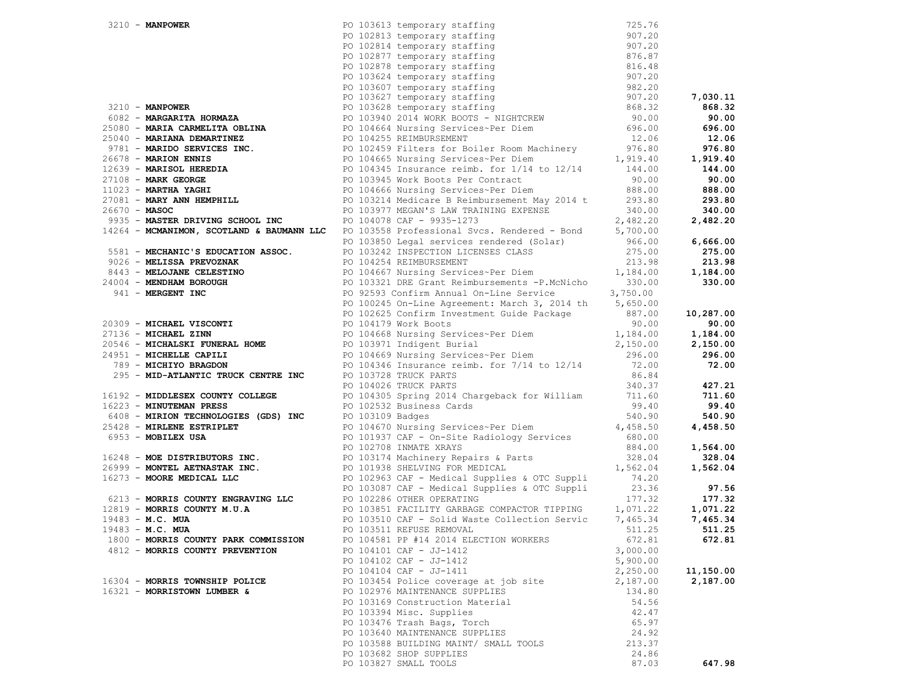|                                                              | 3210 <b>- MANPOWER</b><br>PO 102813 temporary staffing<br>PO 102813 temporary staffing<br>PO 102814 temporary staffing<br>PO 102817 temporary staffing<br>PO 102877 temporary staffing<br>PO 102877 temporary staffing<br>PO 102877 temporary st                                  |          |           |
|--------------------------------------------------------------|-----------------------------------------------------------------------------------------------------------------------------------------------------------------------------------------------------------------------------------------------------------------------------------|----------|-----------|
|                                                              |                                                                                                                                                                                                                                                                                   |          |           |
|                                                              |                                                                                                                                                                                                                                                                                   |          |           |
|                                                              |                                                                                                                                                                                                                                                                                   |          |           |
|                                                              |                                                                                                                                                                                                                                                                                   |          |           |
|                                                              |                                                                                                                                                                                                                                                                                   |          |           |
|                                                              |                                                                                                                                                                                                                                                                                   |          |           |
|                                                              |                                                                                                                                                                                                                                                                                   |          |           |
|                                                              |                                                                                                                                                                                                                                                                                   |          |           |
|                                                              |                                                                                                                                                                                                                                                                                   |          |           |
|                                                              |                                                                                                                                                                                                                                                                                   |          |           |
|                                                              |                                                                                                                                                                                                                                                                                   |          |           |
|                                                              |                                                                                                                                                                                                                                                                                   |          |           |
|                                                              |                                                                                                                                                                                                                                                                                   |          |           |
|                                                              |                                                                                                                                                                                                                                                                                   |          |           |
|                                                              |                                                                                                                                                                                                                                                                                   |          |           |
|                                                              |                                                                                                                                                                                                                                                                                   |          |           |
|                                                              |                                                                                                                                                                                                                                                                                   |          |           |
|                                                              |                                                                                                                                                                                                                                                                                   |          |           |
|                                                              |                                                                                                                                                                                                                                                                                   |          |           |
|                                                              |                                                                                                                                                                                                                                                                                   |          |           |
|                                                              |                                                                                                                                                                                                                                                                                   |          |           |
|                                                              |                                                                                                                                                                                                                                                                                   |          |           |
|                                                              |                                                                                                                                                                                                                                                                                   |          |           |
|                                                              |                                                                                                                                                                                                                                                                                   |          |           |
|                                                              |                                                                                                                                                                                                                                                                                   |          |           |
|                                                              |                                                                                                                                                                                                                                                                                   |          |           |
|                                                              |                                                                                                                                                                                                                                                                                   |          |           |
|                                                              |                                                                                                                                                                                                                                                                                   |          |           |
|                                                              |                                                                                                                                                                                                                                                                                   |          |           |
|                                                              |                                                                                                                                                                                                                                                                                   |          |           |
|                                                              |                                                                                                                                                                                                                                                                                   |          |           |
|                                                              | 9935 <b>- MASTER DRIVING SCHOOL INC</b><br>14264 <b>- MCMANIMON, SCOTLAND &amp; BAUMANN LLC</b> PO 103768 Professional Svcs. Rendered - Bond<br>51264 <b>- MCMANIMON, SCOTLAND &amp; BAUMANN LLC</b><br>275.00<br>5581 <b>- MELOJANE CELESTINO</b><br>275.00<br>275.              |          |           |
|                                                              |                                                                                                                                                                                                                                                                                   |          |           |
|                                                              |                                                                                                                                                                                                                                                                                   |          |           |
| 295 - MID-ATLANTIC TRUCK CENTRE INC<br>PO 103728 TRUCK PARTS |                                                                                                                                                                                                                                                                                   | 86.84    |           |
|                                                              | PO 104026 TRUCK PARTS                                                                                                                                                                                                                                                             | 340.37   | 427.21    |
|                                                              | 16192 - MIDDLESEX COUNTY COLLEGE<br>16223 - MINUTEMAN PRESS <b>Exercía Exploration Basemie</b> r PO 104305 Spring 2014 Chargeback for William 39.40<br>16223 - MINUTEMAN PRESS                                                                                                    |          | 711.60    |
|                                                              |                                                                                                                                                                                                                                                                                   |          | 99.40     |
|                                                              |                                                                                                                                                                                                                                                                                   |          | 540.90    |
|                                                              | 16223 <b>- MINUTEMAN PRESS</b><br>6408 <b>- MIRION TECHNOLOGIES (GDS) INC</b><br>PO 102510 Badges<br>25428 <b>- MIRIENE ESTRIPLET</b><br>8953 <b>- MOBILEX USA</b><br>895428 <b>- MIRIENE ESTRIPLET</b><br>8953 <b>- MOBILEX USA</b><br>8953 <b>- MOBILEX USA</b><br>PO 1019179 C |          | 4,458.50  |
|                                                              |                                                                                                                                                                                                                                                                                   |          |           |
|                                                              |                                                                                                                                                                                                                                                                                   |          | 1,564.00  |
|                                                              |                                                                                                                                                                                                                                                                                   |          | 328.04    |
|                                                              |                                                                                                                                                                                                                                                                                   |          | 1,562.04  |
|                                                              |                                                                                                                                                                                                                                                                                   |          |           |
|                                                              |                                                                                                                                                                                                                                                                                   |          | 97.56     |
|                                                              |                                                                                                                                                                                                                                                                                   |          | 177.32    |
|                                                              |                                                                                                                                                                                                                                                                                   |          | 1,071.22  |
|                                                              |                                                                                                                                                                                                                                                                                   |          | 7,465.34  |
|                                                              | PO 103511 REFUSE REMOVAL                                                                                                                                                                                                                                                          |          | 511.25    |
| 1800 - MORRIS COUNTY PARK COMMISSION                         | PO 104581 PP #14 2014 ELECTION WORKERS                                                                                                                                                                                                                                            | 672.81   | 672.81    |
| 4812 - MORRIS COUNTY PREVENTION                              | PO 104101 CAF - JJ-1412                                                                                                                                                                                                                                                           | 3,000.00 |           |
|                                                              | PO 104102 CAF - JJ-1412                                                                                                                                                                                                                                                           | 5,900.00 |           |
|                                                              | PO 104104 CAF - JJ-1411                                                                                                                                                                                                                                                           | 2,250.00 | 11,150.00 |
| 16304 - MORRIS TOWNSHIP POLICE                               | PO 103454 Police coverage at job site                                                                                                                                                                                                                                             | 2,187.00 | 2,187.00  |
| 16321 - MORRISTOWN LUMBER &                                  | PO 102976 MAINTENANCE SUPPLIES                                                                                                                                                                                                                                                    | 134.80   |           |
|                                                              | PO 103169 Construction Material                                                                                                                                                                                                                                                   | 54.56    |           |
|                                                              | PO 103394 Misc. Supplies                                                                                                                                                                                                                                                          | 42.47    |           |
|                                                              | PO 103476 Trash Bags, Torch                                                                                                                                                                                                                                                       | 65.97    |           |
|                                                              | PO 103640 MAINTENANCE SUPPLIES                                                                                                                                                                                                                                                    | 24.92    |           |
|                                                              | PO 103588 BUILDING MAINT/ SMALL TOOLS                                                                                                                                                                                                                                             | 213.37   |           |
|                                                              | PO 103682 SHOP SUPPLIES                                                                                                                                                                                                                                                           | 24.86    |           |
|                                                              | PO 103827 SMALL TOOLS                                                                                                                                                                                                                                                             | 87.03    | 647.98    |
|                                                              |                                                                                                                                                                                                                                                                                   |          |           |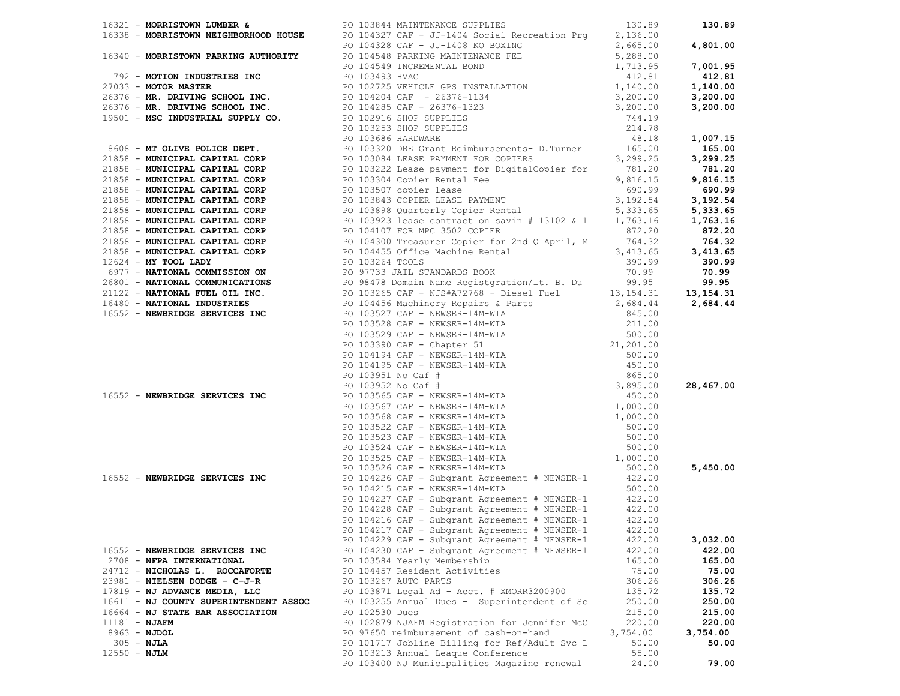|                                        | 16552 - NEWBRIDGE SERVICES INC<br>PO 104226 CAF - Subgrant Agreement # NEWSER-1 422.00<br>PO 104215 CAF - NEWSER-14M-WIA 500.00 |          |          |
|----------------------------------------|---------------------------------------------------------------------------------------------------------------------------------|----------|----------|
|                                        |                                                                                                                                 |          |          |
|                                        |                                                                                                                                 |          |          |
|                                        | PO 104227 CAF - Subgrant Agreement # NEWSER-1 422.00<br>PO 104228 CAF - Subgrant Agreement # NEWSER-1 422.00                    |          |          |
|                                        | PO 104216 CAF - Subgrant Agreement # NEWSER-1 $422.00$                                                                          |          |          |
|                                        | PO 104217 CAF - Subgrant Agreement # NEWSER-1 422.00                                                                            |          |          |
|                                        | PO 104229 CAF - Subgrant Agreement # NEWSER-1                                                                                   | 422.00   | 3,032.00 |
| 16552 - NEWBRIDGE SERVICES INC         | PO 104230 CAF - Subgrant Agreement # NEWSER-1                                                                                   | 422.00   | 422.00   |
| 2708 - NFPA INTERNATIONAL              | PO 103584 Yearly Membership                                                                                                     | 165.00   | 165.00   |
| 24712 - NICHOLAS L. ROCCAFORTE         | PO 104457 Resident Activities                                                                                                   | 75.00    | 75.00    |
| 23981 - NIELSEN DODGE - C-J-R          | PO 103267 AUTO PARTS                                                                                                            | 306.26   | 306.26   |
| 17819 - NJ ADVANCE MEDIA, LLC          | PO 103871 Legal Ad - Acct. # XMORR3200900                                                                                       | 135.72   | 135.72   |
| 16611 - NJ COUNTY SUPERINTENDENT ASSOC | PO 103255 Annual Dues - Superintendent of Sc                                                                                    | 250.00   | 250.00   |
|                                        | PO 102530 Dues                                                                                                                  | 215.00   | 215.00   |
| 16664 - NJ STATE BAR ASSOCIATION       |                                                                                                                                 |          |          |
| $11181 - NJAFM$                        | PO 102879 NJAFM Registration for Jennifer McC                                                                                   | 220.00   | 220.00   |
| $8963 - NJDOL$                         | PO 97650 reimbursement of cash-on-hand                                                                                          | 3,754.00 | 3,754.00 |
| $305 - NJLA$                           | PO 101717 Jobline Billing for Ref/Adult Svc L                                                                                   | 50.00    | 50.00    |
| $12550 - NJLM$                         | PO 103213 Annual Leaque Conference                                                                                              | 55.00    |          |
|                                        | PO 103400 NJ Municipalities Magazine renewal                                                                                    | 24.00    | 79.00    |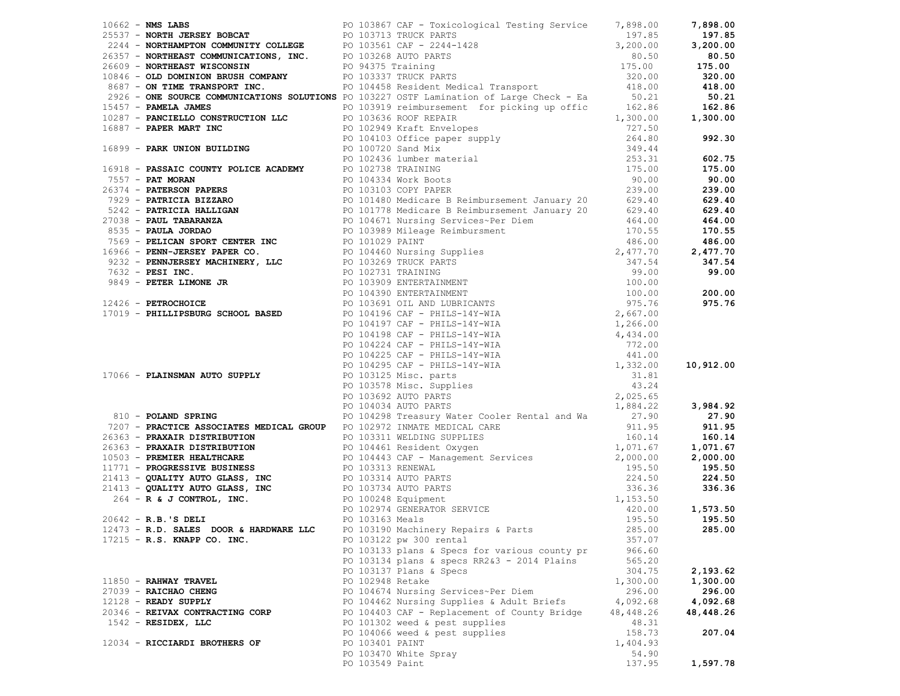|                       |                                 |                 | 1961 - Maria Demokratics Francisco Francisco (1972) (1972) - 1972)<br>2714 - Month Mondo Communications (1972) - 1972 - 1972 - 1972 - 1972 - 1972 - 1972 - 1972 - 1972 - 1972 - 1972 - 1972 - 1972 - 1972 - 1972 - 1972 - 1972 |           |           |
|-----------------------|---------------------------------|-----------------|--------------------------------------------------------------------------------------------------------------------------------------------------------------------------------------------------------------------------------|-----------|-----------|
|                       |                                 |                 |                                                                                                                                                                                                                                |           |           |
|                       |                                 |                 |                                                                                                                                                                                                                                |           |           |
|                       |                                 |                 |                                                                                                                                                                                                                                |           |           |
|                       |                                 |                 |                                                                                                                                                                                                                                |           |           |
|                       |                                 |                 |                                                                                                                                                                                                                                |           |           |
|                       | 17215 - R.S. KNAPP CO. INC.     |                 | PO 103122 pw 300 rental                                                                                                                                                                                                        | 357.07    |           |
|                       |                                 |                 | PO 103133 plans & Specs for various county pr                                                                                                                                                                                  | 966.60    |           |
|                       |                                 |                 | PO 103134 plans & specs RR2&3 - 2014 Plains                                                                                                                                                                                    | 565.20    |           |
|                       |                                 |                 | PO 103137 Plans & Specs                                                                                                                                                                                                        | 304.75    | 2,193.62  |
| 11850 - RAHWAY TRAVEL |                                 |                 | PO 102948 Retake                                                                                                                                                                                                               | 1,300.00  | 1,300.00  |
| 27039 - RAICHAO CHENG |                                 |                 | PO 104674 Nursing Services~Per Diem                                                                                                                                                                                            | 296.00    | 296.00    |
| 12128 - READY SUPPLY  |                                 |                 | PO 104462 Nursing Supplies & Adult Briefs                                                                                                                                                                                      | 4,092.68  | 4,092.68  |
|                       | 20346 - REIVAX CONTRACTING CORP |                 | PO 104403 CAF - Replacement of County Bridge                                                                                                                                                                                   | 48,448.26 | 48,448.26 |
| $1542$ - RESIDEX, LLC |                                 |                 | PO 101302 weed & pest supplies                                                                                                                                                                                                 | 48.31     |           |
|                       |                                 |                 | PO 104066 weed & pest supplies                                                                                                                                                                                                 | 158.73    | 207.04    |
|                       | 12034 - RICCIARDI BROTHERS OF   | PO 103401 PAINT |                                                                                                                                                                                                                                | 1,404.93  |           |
|                       |                                 |                 |                                                                                                                                                                                                                                |           |           |
|                       |                                 |                 | PO 103470 White Spray                                                                                                                                                                                                          | 54.90     |           |
|                       |                                 | PO 103549 Paint |                                                                                                                                                                                                                                | 137.95    | 1,597.78  |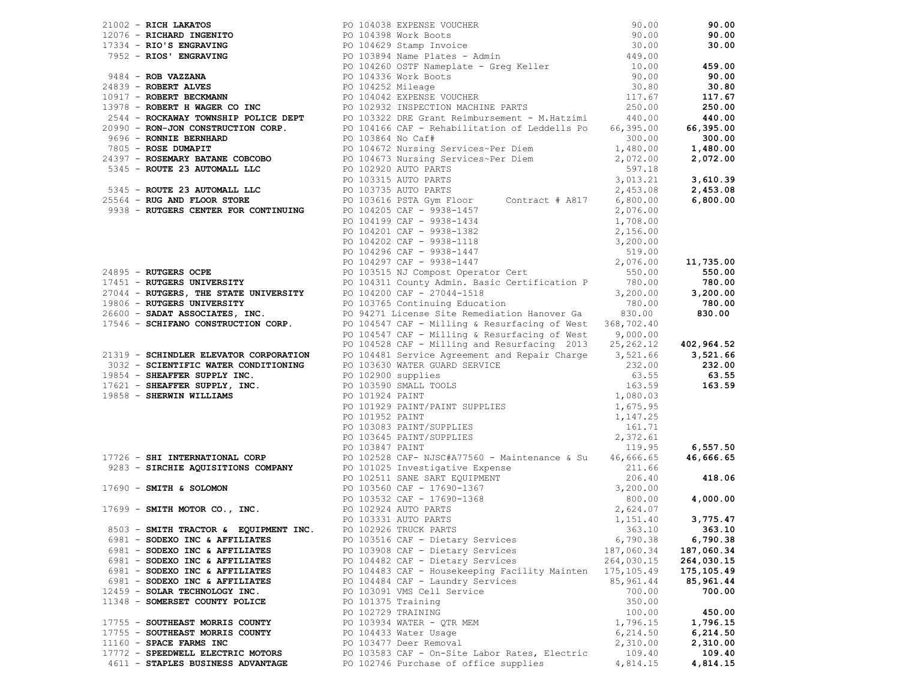|                                   |                    | 2013 - Maria Maria 1999<br>1993 - Maria Maria 1993 - Maria 1992, and a street of the street of the street of the street of the street of the street of the street of the street of the street of the street of the street of t |            |            |
|-----------------------------------|--------------------|--------------------------------------------------------------------------------------------------------------------------------------------------------------------------------------------------------------------------------|------------|------------|
|                                   |                    |                                                                                                                                                                                                                                |            |            |
|                                   |                    |                                                                                                                                                                                                                                |            |            |
|                                   |                    |                                                                                                                                                                                                                                |            |            |
|                                   |                    |                                                                                                                                                                                                                                |            |            |
| 6981 - SODEXO INC & AFFILIATES    |                    | PO 103516 CAF - Dietary Services                                                                                                                                                                                               | 6,790.38   | 6,790.38   |
| 6981 - SODEXO INC & AFFILIATES    |                    | PO 103908 CAF - Dietary Services                                                                                                                                                                                               | 187,060.34 | 187,060.34 |
| 6981 - SODEXO INC & AFFILIATES    |                    | PO 104482 CAF - Dietary Services<br>PO 104483 CAF - Dietary Services<br>PO 104483 CAF - Housekeeping Facility Mainten<br>PO 104484 CAF - Laundry Services<br>85,961.44<br>PO 103091 VMS Cell Service 700.00                    |            | 264,030.15 |
| 6981 - SODEXO INC & AFFILIATES    |                    |                                                                                                                                                                                                                                |            | 175,105.49 |
| 6981 - SODEXO INC & AFFILIATES    |                    |                                                                                                                                                                                                                                |            | 85,961.44  |
| 12459 - SOLAR TECHNOLOGY INC.     |                    |                                                                                                                                                                                                                                |            | 700.00     |
| 11348 - SOMERSET COUNTY POLICE    | PO 101375 Training |                                                                                                                                                                                                                                | 350.00     |            |
|                                   | PO 102729 TRAINING |                                                                                                                                                                                                                                | 100.00     | 450.00     |
| 17755 - SOUTHEAST MORRIS COUNTY   |                    | PO 103934 WATER - QTR MEM                                                                                                                                                                                                      | 1,796.15   | 1,796.15   |
| 17755 - SOUTHEAST MORRIS COUNTY   |                    | PO 104433 Water Usage                                                                                                                                                                                                          | 6, 214.50  | 6,214.50   |
| 11160 - SPACE FARMS INC           |                    | PO 103477 Deer Removal                                                                                                                                                                                                         | 2,310.00   | 2,310.00   |
| 17772 - SPEEDWELL ELECTRIC MOTORS |                    | PO 103583 CAF - On-Site Labor Rates, Electric                                                                                                                                                                                  | 109.40     | 109.40     |
| 4611 - STAPLES BUSINESS ADVANTAGE |                    | PO 102746 Purchase of office supplies                                                                                                                                                                                          | 4,814.15   | 4,814.15   |
|                                   |                    |                                                                                                                                                                                                                                |            |            |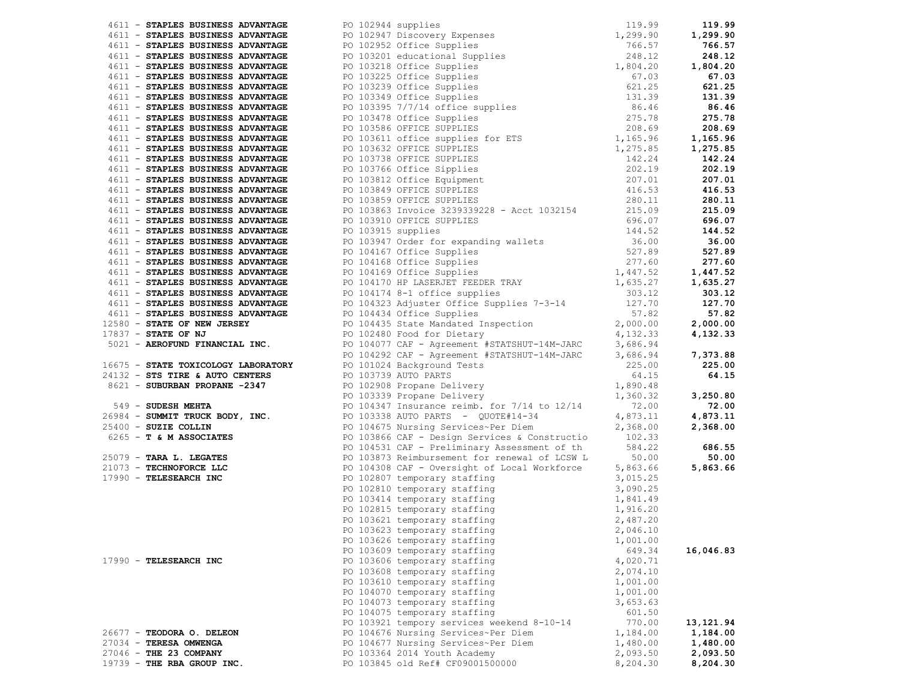| 2011 - ERAPHIS BUREAUM PROPERTIES - 2012 - 1914 - 1914 - 1922 - 1922 - 1922 - 1922 - 1922 - 1922 - 1922 - 1922 - 1922 - 1922 - 1922 - 1922 - 1922 - 1922 - 1922 - 1922 - 1922 - 1922 - 1922 - 1922 - 1922 - 1922 - 1922 - 1 |                                            |          |            |
|-----------------------------------------------------------------------------------------------------------------------------------------------------------------------------------------------------------------------------|--------------------------------------------|----------|------------|
|                                                                                                                                                                                                                             |                                            |          |            |
|                                                                                                                                                                                                                             |                                            |          |            |
|                                                                                                                                                                                                                             |                                            |          |            |
|                                                                                                                                                                                                                             |                                            |          |            |
|                                                                                                                                                                                                                             |                                            |          |            |
|                                                                                                                                                                                                                             |                                            |          |            |
|                                                                                                                                                                                                                             |                                            |          |            |
|                                                                                                                                                                                                                             |                                            |          |            |
|                                                                                                                                                                                                                             |                                            |          |            |
|                                                                                                                                                                                                                             |                                            |          |            |
|                                                                                                                                                                                                                             |                                            |          |            |
|                                                                                                                                                                                                                             |                                            |          |            |
|                                                                                                                                                                                                                             |                                            |          |            |
|                                                                                                                                                                                                                             |                                            |          |            |
|                                                                                                                                                                                                                             |                                            |          |            |
|                                                                                                                                                                                                                             |                                            |          |            |
|                                                                                                                                                                                                                             |                                            |          |            |
|                                                                                                                                                                                                                             |                                            |          |            |
|                                                                                                                                                                                                                             | PO 103626 temporary staffing               | 1,001.00 |            |
|                                                                                                                                                                                                                             | PO 103609 temporary staffing               | 649.34   | 16,046.83  |
| 17990 - TELESEARCH INC                                                                                                                                                                                                      | PO 103606 temporary staffing               | 4,020.71 |            |
|                                                                                                                                                                                                                             | PO 103608 temporary staffing               | 2,074.10 |            |
|                                                                                                                                                                                                                             | PO 103610 temporary staffing               | 1,001.00 |            |
|                                                                                                                                                                                                                             | PO 104070 temporary staffing               | 1,001.00 |            |
|                                                                                                                                                                                                                             | PO 104073 temporary staffing               | 3,653.63 |            |
|                                                                                                                                                                                                                             | PO 104075 temporary staffing               | 601.50   |            |
|                                                                                                                                                                                                                             | PO 103921 tempory services weekend 8-10-14 | 770.00   | 13, 121.94 |
| 26677 - TEODORA O. DELEON                                                                                                                                                                                                   | PO 104676 Nursing Services~Per Diem        | 1,184.00 | 1,184.00   |
| 27034 - TERESA OMWENGA                                                                                                                                                                                                      | PO 104677 Nursing Services~Per Diem        | 1,480.00 | 1,480.00   |
| 27046 - THE 23 COMPANY                                                                                                                                                                                                      | PO 103364 2014 Youth Academy               | 2,093.50 | 2,093.50   |
| 19739 - THE RBA GROUP INC.                                                                                                                                                                                                  | PO 103845 old Ref# CF09001500000           | 8,204.30 | 8,204.30   |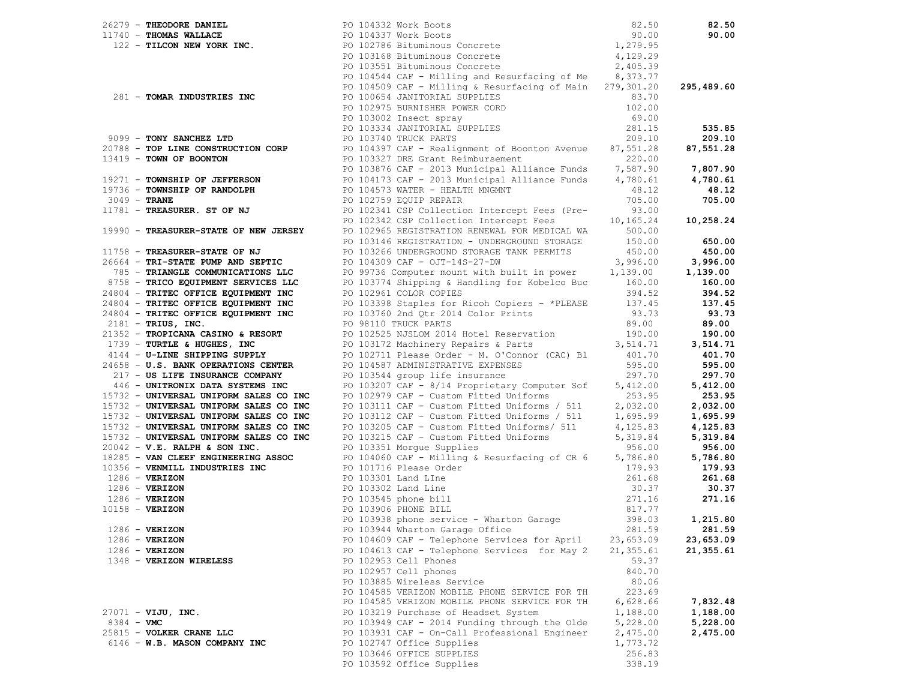|            |                                                                       | 26279 - THEODORE DANIEL PO 104332 Work Boots<br>10740 - THOMAS WALLACE PO 104337 Work Boots<br>122 - TILCON NEW YORK INC. PO 102786 Bituminous Concrete 1,279.95<br>PO 103168 Bituminous Concrete 4,129.29<br>PO 103551 Bituminous Con                                                                                                                                                                                                                                                                                           |           | 82.50      |
|------------|-----------------------------------------------------------------------|----------------------------------------------------------------------------------------------------------------------------------------------------------------------------------------------------------------------------------------------------------------------------------------------------------------------------------------------------------------------------------------------------------------------------------------------------------------------------------------------------------------------------------|-----------|------------|
|            |                                                                       |                                                                                                                                                                                                                                                                                                                                                                                                                                                                                                                                  |           | 90.00      |
|            |                                                                       |                                                                                                                                                                                                                                                                                                                                                                                                                                                                                                                                  |           |            |
|            |                                                                       |                                                                                                                                                                                                                                                                                                                                                                                                                                                                                                                                  |           |            |
|            |                                                                       |                                                                                                                                                                                                                                                                                                                                                                                                                                                                                                                                  |           |            |
|            |                                                                       | PO 104544 CAF - Milling and Resurfacing of Me 8,373.77                                                                                                                                                                                                                                                                                                                                                                                                                                                                           |           |            |
|            |                                                                       | PO 104544 CAr - miling & Resurfacing of Main 279,301.20<br>PO 104509 CAF - Milling & Resurfacing of Main 279,301.20                                                                                                                                                                                                                                                                                                                                                                                                              |           | 295,489.60 |
|            |                                                                       |                                                                                                                                                                                                                                                                                                                                                                                                                                                                                                                                  | 83.70     |            |
|            |                                                                       |                                                                                                                                                                                                                                                                                                                                                                                                                                                                                                                                  | 102.00    |            |
|            |                                                                       |                                                                                                                                                                                                                                                                                                                                                                                                                                                                                                                                  | 69.00     |            |
|            |                                                                       |                                                                                                                                                                                                                                                                                                                                                                                                                                                                                                                                  | 281.15    | 535.85     |
|            |                                                                       | 281 - TOMAR INDUSTRIES INC<br>PO 100654 JANITORIAL SUPPLIES<br>PO 102975 BURNISHER POWER CORD<br>PO 103002 Insect spray<br>PO 103334 JANITORIAL SUPPLIES<br>PO 103334 JANITORIAL SUPPLIES<br>PO 103334 JANITORIAL SUPPLIES<br>PO 103740 TRUC<br>9099 - TONY SANCHEZ LTD<br>209.10<br>209.10<br>209.10<br>209.10<br>209.10<br>209.10<br>209.10<br>209.10<br>209.10<br>209.10<br>209.10<br>209.10<br>209.10<br>209.10<br>209.10<br>209.10<br>209.10<br>209.10<br>209.10<br>209.10<br>209.10<br>209.10<br>209.10<br>209.10<br>209.1 |           |            |
|            |                                                                       |                                                                                                                                                                                                                                                                                                                                                                                                                                                                                                                                  |           |            |
|            |                                                                       |                                                                                                                                                                                                                                                                                                                                                                                                                                                                                                                                  |           |            |
|            |                                                                       |                                                                                                                                                                                                                                                                                                                                                                                                                                                                                                                                  |           |            |
|            |                                                                       | 19271 <b>– TOWNSHIP OF JEFFERSON</b><br>19736 <b>– TOWNSHIP OF RANDOLPH</b> 2014173 CAF – 2013 Municipal Alliance Funds (1,780.61 (1,780.61 (1,780.61)<br>2019 – TRANE 2019 PO 104573 WATER – HEALTH MNGMNT (1,200) (1,200) (1,200) (1,200) (1                                                                                                                                                                                                                                                                                   |           |            |
|            |                                                                       |                                                                                                                                                                                                                                                                                                                                                                                                                                                                                                                                  |           |            |
|            |                                                                       | PO 102759 EQUIP REPAIR<br>PO 102341 CSP Collection Intercept Fees (Pre-33.00 705.00<br>PO 102342 CSP Collection Intercept Fees 10,165.24 10,258.24                                                                                                                                                                                                                                                                                                                                                                               |           |            |
|            | $3049 - 1044$<br>11781 - TREASURER. ST OF NJ                          |                                                                                                                                                                                                                                                                                                                                                                                                                                                                                                                                  |           |            |
|            |                                                                       |                                                                                                                                                                                                                                                                                                                                                                                                                                                                                                                                  |           |            |
|            | 19990 - TREASURER-STATE OF NEW JERSEY                                 | PO 102965 REGISTRATION RENEWAL FOR MEDICAL WA 500.00                                                                                                                                                                                                                                                                                                                                                                                                                                                                             |           |            |
|            |                                                                       | PO 103146 REGISTRATION - UNDERGROUND STORAGE 150.00                                                                                                                                                                                                                                                                                                                                                                                                                                                                              |           | 650.00     |
|            |                                                                       |                                                                                                                                                                                                                                                                                                                                                                                                                                                                                                                                  |           | 450.00     |
|            |                                                                       |                                                                                                                                                                                                                                                                                                                                                                                                                                                                                                                                  |           | 3,996.00   |
|            |                                                                       |                                                                                                                                                                                                                                                                                                                                                                                                                                                                                                                                  |           | 1,139.00   |
|            |                                                                       |                                                                                                                                                                                                                                                                                                                                                                                                                                                                                                                                  |           | 160.00     |
|            |                                                                       |                                                                                                                                                                                                                                                                                                                                                                                                                                                                                                                                  |           | 394.52     |
|            |                                                                       |                                                                                                                                                                                                                                                                                                                                                                                                                                                                                                                                  |           | 137.45     |
|            |                                                                       |                                                                                                                                                                                                                                                                                                                                                                                                                                                                                                                                  |           | 93.73      |
|            |                                                                       |                                                                                                                                                                                                                                                                                                                                                                                                                                                                                                                                  |           | 89.00      |
|            |                                                                       |                                                                                                                                                                                                                                                                                                                                                                                                                                                                                                                                  |           | 190.00     |
|            |                                                                       |                                                                                                                                                                                                                                                                                                                                                                                                                                                                                                                                  |           | 3,514.71   |
|            |                                                                       | 1758 - TREASURER-STATE OF NJ<br>26664 - TRI-STATE PUMP AND SEPIIC<br>785 - TRIANGLE COMMUNICATIONS LLC<br>785 - TRIANGLE COMMUNICATIONS LLC<br>785 - TRIANGLE COMMUNICATIONS LLC<br>785 - TRIANGLE COMMUNICATIONS LLC<br>785 - TRIANGLE C                                                                                                                                                                                                                                                                                        |           | 401.70     |
|            | 24658 - U.S. BANK OPERATIONS CENTER PO 104587 ADMINISTRATIVE EXPENSES |                                                                                                                                                                                                                                                                                                                                                                                                                                                                                                                                  |           | 595.00     |
|            |                                                                       | 1658 - U.S. BANK OPERATIONS CENTER PO 104587 ADMINISTRATIVE EXPENSES 595.00<br>217 - US LIFE INSURANCE COMPANY PO 103544 group life insurance 297.70<br>446 - UNITRONIX DATA SYSTEMS INC PO 103207 CAF - 8/14 Proprietary Computer S                                                                                                                                                                                                                                                                                             |           | 297.70     |
|            |                                                                       |                                                                                                                                                                                                                                                                                                                                                                                                                                                                                                                                  |           | 5,412.00   |
|            |                                                                       | 15732 - UNIVERSAL UNIFORM SALES CO INC<br>15732 - UNIVERSAL UNIFORM SALES CO INC PO 103111 CAF - Custom Fitted Uniforms / 511 2,032.00                                                                                                                                                                                                                                                                                                                                                                                           |           | 253.95     |
|            |                                                                       | PO 102979 CAF - Custom Fitted Uniforms / 511 2,032.00<br>PO 103111 CAF - Custom Fitted Uniforms / 511 1,695.99<br>PO 103205 CAF - Custom Fitted Uniforms / 511 1,695.99<br>PO 103205 CAF - Custom Fitted Uniforms / 511 4,125.83                                                                                                                                                                                                                                                                                                 |           | 2,032.00   |
|            | 15732 - UNIVERSAL UNIFORM SALES CO INC                                |                                                                                                                                                                                                                                                                                                                                                                                                                                                                                                                                  |           | 1,695.99   |
|            | 15732 - UNIVERSAL UNIFORM SALES CO INC                                |                                                                                                                                                                                                                                                                                                                                                                                                                                                                                                                                  |           | 4,125.83   |
|            | 15732 - UNIVERSAL UNIFORM SALES CO INC                                | PO 103215 CAF - Custom Fitted Uniforms 5,319.84<br>PO 103351 Morgue Supplies 956.00                                                                                                                                                                                                                                                                                                                                                                                                                                              | 5,319.84  | 5,319.84   |
|            | $20042 - V.E. RALPH & SON INC.$                                       |                                                                                                                                                                                                                                                                                                                                                                                                                                                                                                                                  |           | 956.00     |
|            |                                                                       | 18285 <b>- VAN CLEEF ENGINEERING ASSOC</b><br>10356 <b>- VENMILL INDUSTRIES INC</b><br>10356 <b>- VENMILL INDUSTRIES INC</b><br>1286 <b>- VERIZON</b> PO 103301 Land LIne<br>261 60                                                                                                                                                                                                                                                                                                                                              |           | 5,786.80   |
|            |                                                                       |                                                                                                                                                                                                                                                                                                                                                                                                                                                                                                                                  |           | 179.93     |
|            |                                                                       |                                                                                                                                                                                                                                                                                                                                                                                                                                                                                                                                  |           | 261.68     |
|            |                                                                       |                                                                                                                                                                                                                                                                                                                                                                                                                                                                                                                                  |           | 30.37      |
|            |                                                                       |                                                                                                                                                                                                                                                                                                                                                                                                                                                                                                                                  |           | 271.16     |
|            |                                                                       | 1286 - <b>VERIZON</b><br>1286 - <b>VERIZON</b><br>1286 - <b>VERIZON</b><br>1286 - <b>VERIZON</b><br>1286 - <b>VERIZON</b><br>1286 - <b>VERIZON</b><br>1286 - <b>VERIZON</b><br>1286 - <b>VERIZON</b><br>1286 - <b>VERIZON</b><br>1286 - <b>VERIZON</b><br>1286 - <b>VERIZON</b><br>1286 - <b>VERIZON</b><br>1286 -                                                                                                                                                                                                               |           |            |
|            |                                                                       |                                                                                                                                                                                                                                                                                                                                                                                                                                                                                                                                  |           |            |
|            |                                                                       | PO 103938 phone service - Wharton Garage 398.03 1,215.80<br>PO 103944 Wharton Garage Office 281.59 281.59                                                                                                                                                                                                                                                                                                                                                                                                                        |           |            |
|            | $1286 - VERIZON$                                                      | PO 104609 CAF - Telephone Services for April                                                                                                                                                                                                                                                                                                                                                                                                                                                                                     | 23,653.09 | 23,653.09  |
|            | $1286 - VERIZON$                                                      | PO 104613 CAF - Telephone Services for May 2                                                                                                                                                                                                                                                                                                                                                                                                                                                                                     | 21,355.61 | 21,355.61  |
|            | 1348 - VERIZON WIRELESS                                               | PO 102953 Cell Phones                                                                                                                                                                                                                                                                                                                                                                                                                                                                                                            | 59.37     |            |
|            |                                                                       | PO 102957 Cell phones                                                                                                                                                                                                                                                                                                                                                                                                                                                                                                            | 840.70    |            |
|            |                                                                       | PO 103885 Wireless Service                                                                                                                                                                                                                                                                                                                                                                                                                                                                                                       | 80.06     |            |
|            |                                                                       | PO 104585 VERIZON MOBILE PHONE SERVICE FOR TH                                                                                                                                                                                                                                                                                                                                                                                                                                                                                    | 223.69    |            |
|            |                                                                       | PO 104585 VERIZON MOBILE PHONE SERVICE FOR TH                                                                                                                                                                                                                                                                                                                                                                                                                                                                                    | 6,628.66  | 7,832.48   |
|            | $27071 - VIJU, INC.$                                                  | PO 103219 Purchase of Headset System                                                                                                                                                                                                                                                                                                                                                                                                                                                                                             | 1,188.00  | 1,188.00   |
| 8384 - VMC |                                                                       | PO 103949 CAF - 2014 Funding through the Olde                                                                                                                                                                                                                                                                                                                                                                                                                                                                                    | 5,228.00  | 5,228.00   |
|            | 25815 - VOLKER CRANE LLC                                              | PO 103931 CAF - On-Call Professional Engineer                                                                                                                                                                                                                                                                                                                                                                                                                                                                                    | 2,475.00  | 2,475.00   |
|            | 6146 - W.B. MASON COMPANY INC                                         | PO 102747 Office Supplies                                                                                                                                                                                                                                                                                                                                                                                                                                                                                                        | 1,773.72  |            |
|            |                                                                       | PO 103646 OFFICE SUPPLIES                                                                                                                                                                                                                                                                                                                                                                                                                                                                                                        | 256.83    |            |
|            |                                                                       | PO 103592 Office Supplies                                                                                                                                                                                                                                                                                                                                                                                                                                                                                                        | 338.19    |            |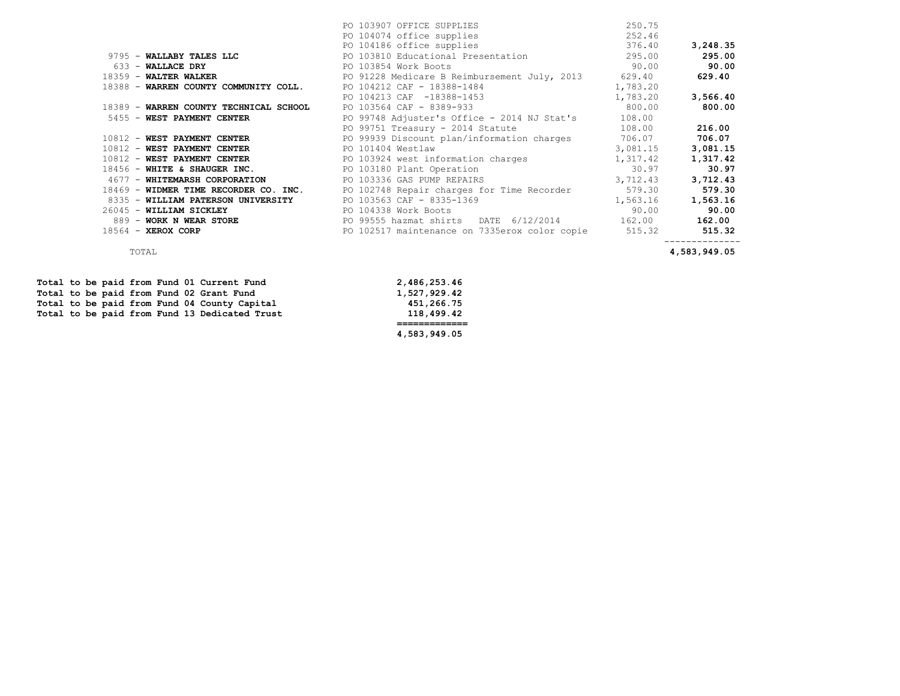|                                        | PO 103907 OFFICE SUPPLIES                                                              | 250.75   |          |
|----------------------------------------|----------------------------------------------------------------------------------------|----------|----------|
|                                        | PO 104074 office supplies                                                              | 252.46   |          |
|                                        | PO 104186 office supplies                                                              | 376.40   | 3,248.35 |
| 9795 - WALLABY TALES LLC               | PO 103810 Educational Presentation                                                     | 295.00   | 295.00   |
| 633 - WALLACE DRY                      | PO 103854 Work Boots                                                                   | 90.00    | 90.00    |
|                                        | 18359 - WALTER WALKER <b>Example 2018</b> PO 91228 Medicare B Reimbursement July, 2013 | 629.40   | 629.40   |
| 18388 - WARREN COUNTY COMMUNITY COLL.  | PO 104212 CAF - 18388-1484                                                             | 1,783.20 |          |
|                                        | PO 104213 CAF -18388-1453                                                              | 1,783.20 | 3,566.40 |
| 18389 - WARREN COUNTY TECHNICAL SCHOOL | PO 103564 CAF - 8389-933                                                               | 800.00   | 800.00   |
| 5455 - WEST PAYMENT CENTER             | PO 99748 Adjuster's Office - 2014 NJ Stat's                                            | 108.00   |          |
|                                        | PO 99751 Treasury - 2014 Statute                                                       | 108.00   | 216.00   |
| 10812 - WEST PAYMENT CENTER            | PO 99939 Discount plan/information charges                                             | 706.07   | 706.07   |
| 10812 - WEST PAYMENT CENTER            | PO 101404 Westlaw                                                                      | 3,081.15 | 3,081.15 |
| 10812 - WEST PAYMENT CENTER            | PO 103924 west information charges                                                     | 1,317.42 | 1,317.42 |
| $18456$ - WHITE & SHAUGER INC.         | PO 103180 Plant Operation                                                              | 30.97    | 30.97    |
| 4677 - WHITEMARSH CORPORATION          | PO 103336 GAS PUMP REPAIRS                                                             | 3,712.43 | 3,712.43 |
| 18469 - WIDMER TIME RECORDER CO. INC.  | PO 102748 Repair charges for Time Recorder                                             | 579.30   | 579.30   |
| 8335 - WILLIAM PATERSON UNIVERSITY     | PO 103563 CAF - 8335-1369                                                              | 1,563.16 | 1,563.16 |
| 26045 - WILLIAM SICKLEY                | PO 104338 Work Boots                                                                   | 90.00    | 90.00    |
| 889 - WORK N WEAR STORE                | PO 99555 hazmat shirts DATE 6/12/2014                                                  | 162.00   | 162.00   |
| $18564 - \text{XEROX CORP}$            | PO 102517 maintenance on 7335erox color copie 515.32                                   |          | 515.32   |
|                                        |                                                                                        |          |          |

TOTAL **4,583,949.05**

Total to be paid from Fund 01 Current Fund 2,486,253.46<br>
Total to be paid from Fund 02 Grant Fund 1,527,929.42 Total to be paid from Fund 02 Grant Fund 1,527,929.42<br>Total to be paid from Fund 04 County Capital 451,266.75 Total to be paid from Fund 04 County Capital **451,266.75**<br> **Total to be paid from Fund 13 Dedicated Trust 458.499.42** Total to be paid from Fund 13 Dedicated Trust

 **============= 4,583,949.05**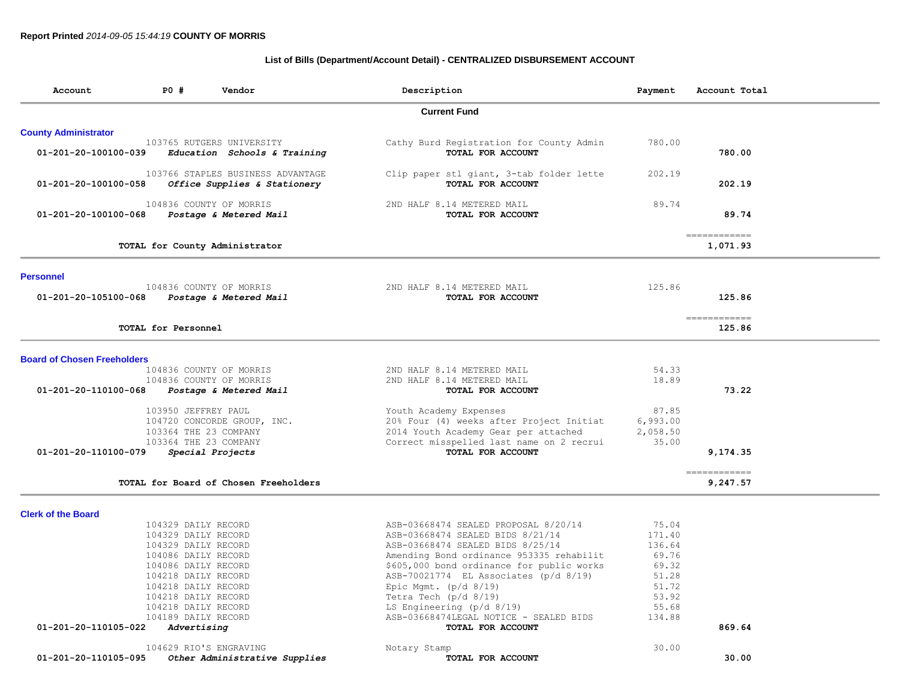# **List of Bills (Department/Account Detail) - CENTRALIZED DISBURSEMENT ACCOUNT**

| Account                            | <b>PO #</b><br>Vendor                                             | Description                                                                        | Payment        | Account Total             |
|------------------------------------|-------------------------------------------------------------------|------------------------------------------------------------------------------------|----------------|---------------------------|
|                                    |                                                                   | <b>Current Fund</b>                                                                |                |                           |
| <b>County Administrator</b>        |                                                                   |                                                                                    |                |                           |
| 01-201-20-100100-039               | 103765 RUTGERS UNIVERSITY<br>Education Schools & Training         | Cathy Burd Registration for County Admin<br>TOTAL FOR ACCOUNT                      | 780.00         | 780.00                    |
| 01-201-20-100100-058               | 103766 STAPLES BUSINESS ADVANTAGE<br>Office Supplies & Stationery | Clip paper stl giant, 3-tab folder lette<br>TOTAL FOR ACCOUNT                      | 202.19         | 202.19                    |
| 01-201-20-100100-068               | 104836 COUNTY OF MORRIS<br>Postage & Metered Mail                 | 2ND HALF 8.14 METERED MAIL<br>TOTAL FOR ACCOUNT                                    | 89.74          | 89.74                     |
|                                    | TOTAL for County Administrator                                    |                                                                                    |                | =============<br>1,071.93 |
| <b>Personnel</b>                   |                                                                   |                                                                                    |                |                           |
| 01-201-20-105100-068               | 104836 COUNTY OF MORRIS<br>Postage & Metered Mail                 | 2ND HALF 8.14 METERED MAIL<br>TOTAL FOR ACCOUNT                                    | 125.86         | 125.86                    |
|                                    | TOTAL for Personnel                                               |                                                                                    |                | ------------<br>125.86    |
| <b>Board of Chosen Freeholders</b> |                                                                   |                                                                                    |                |                           |
|                                    | 104836 COUNTY OF MORRIS                                           | 2ND HALF 8.14 METERED MAIL                                                         | 54.33          |                           |
| 01-201-20-110100-068               | 104836 COUNTY OF MORRIS<br>Postage & Metered Mail                 | 2ND HALF 8.14 METERED MAIL<br>TOTAL FOR ACCOUNT                                    | 18.89          | 73.22                     |
|                                    |                                                                   |                                                                                    |                |                           |
|                                    | 103950 JEFFREY PAUL                                               | Youth Academy Expenses                                                             | 87.85          |                           |
|                                    | 104720 CONCORDE GROUP, INC.                                       | 20% Four (4) weeks after Project Initiat                                           | 6,993.00       |                           |
|                                    | 103364 THE 23 COMPANY                                             | 2014 Youth Academy Gear per attached                                               | 2,058.50       |                           |
| 01-201-20-110100-079               | 103364 THE 23 COMPANY<br>Special Projects                         | Correct misspelled last name on 2 recrui<br>TOTAL FOR ACCOUNT                      | 35.00          | 9,174.35                  |
|                                    |                                                                   |                                                                                    |                | ============              |
|                                    | TOTAL for Board of Chosen Freeholders                             |                                                                                    |                | 9,247.57                  |
| <b>Clerk of the Board</b>          |                                                                   |                                                                                    |                |                           |
|                                    | 104329 DAILY RECORD                                               | ASB-03668474 SEALED PROPOSAL 8/20/14                                               | 75.04          |                           |
|                                    | 104329 DAILY RECORD                                               | ASB-03668474 SEALED BIDS 8/21/14                                                   | 171.40         |                           |
|                                    | 104329 DAILY RECORD                                               | ASB-03668474 SEALED BIDS 8/25/14                                                   | 136.64         |                           |
|                                    | 104086 DAILY RECORD                                               | Amending Bond ordinance 953335 rehabilit                                           | 69.76          |                           |
|                                    | 104086 DAILY RECORD<br>104218 DAILY RECORD                        | \$605,000 bond ordinance for public works<br>ASB-70021774 EL Associates (p/d 8/19) | 69.32<br>51.28 |                           |
|                                    | 104218 DAILY RECORD                                               | Epic Mgmt. $(p/d 8/19)$                                                            | 51.72          |                           |
|                                    | 104218 DAILY RECORD                                               | Tetra Tech ( $p/d$ 8/19)                                                           | 53.92          |                           |
|                                    | 104218 DAILY RECORD                                               | LS Engineering (p/d 8/19)                                                          | 55.68          |                           |
|                                    | 104189 DAILY RECORD                                               | ASB-03668474LEGAL NOTICE - SEALED BIDS                                             | 134.88         |                           |
| 01-201-20-110105-022               | Advertising                                                       | TOTAL FOR ACCOUNT                                                                  |                | 869.64                    |
|                                    | 104629 RIO'S ENGRAVING                                            | Notary Stamp                                                                       | 30.00          |                           |
| 01-201-20-110105-095               | Other Administrative Supplies                                     | TOTAL FOR ACCOUNT                                                                  |                | 30.00                     |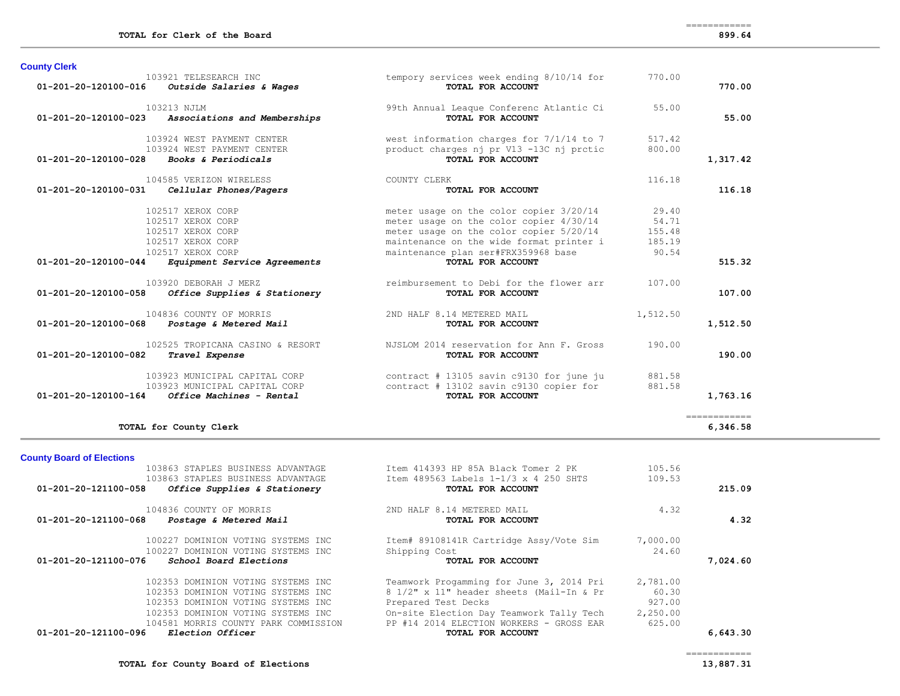============

| 01-201-20-120100-016           | 103921 TELESEARCH INC<br>Outside Salaries & Wages | tempory services week ending 8/10/14 for<br>TOTAL FOR ACCOUNT | 770.00   | 770.00       |
|--------------------------------|---------------------------------------------------|---------------------------------------------------------------|----------|--------------|
| $01 - 201 - 20 - 120100 - 023$ | 103213 NJLM<br>Associations and Memberships       | 99th Annual League Conferenc Atlantic Ci<br>TOTAL FOR ACCOUNT | 55.00    | 55.00        |
|                                |                                                   |                                                               |          |              |
|                                | 103924 WEST PAYMENT CENTER                        | west information charges for 7/1/14 to 7                      | 517.42   |              |
|                                | 103924 WEST PAYMENT CENTER                        | product charges nj pr V13-13C nj prctic                       | 800.00   |              |
| 01-201-20-120100-028           | Books & Periodicals                               | TOTAL FOR ACCOUNT                                             |          | 1,317.42     |
|                                | 104585 VERIZON WIRELESS                           | COUNTY CLERK                                                  | 116.18   |              |
| 01-201-20-120100-031           | Cellular Phones/Pagers                            | TOTAL FOR ACCOUNT                                             |          | 116.18       |
|                                | 102517 XEROX CORP                                 | meter usage on the color copier 3/20/14                       | 29.40    |              |
|                                | 102517 XEROX CORP                                 | meter usage on the color copier 4/30/14                       | 54.71    |              |
|                                | 102517 XEROX CORP                                 | meter usage on the color copier 5/20/14                       | 155.48   |              |
|                                | 102517 XEROX CORP                                 | maintenance on the wide format printer i                      | 185.19   |              |
|                                | 102517 XEROX CORP                                 | maintenance plan ser#FRX359968 base                           | 90.54    |              |
| 01-201-20-120100-044           | Equipment Service Agreements                      | TOTAL FOR ACCOUNT                                             |          | 515.32       |
|                                | 103920 DEBORAH J MERZ                             | reimbursement to Debi for the flower arr                      | 107.00   |              |
| 01-201-20-120100-058           | Office Supplies & Stationery                      | TOTAL FOR ACCOUNT                                             |          | 107.00       |
|                                | 104836 COUNTY OF MORRIS                           | 2ND HALF 8.14 METERED MAIL                                    | 1,512.50 |              |
| 01-201-20-120100-068           | Postage & Metered Mail                            | TOTAL FOR ACCOUNT                                             |          | 1,512.50     |
|                                | 102525 TROPICANA CASINO & RESORT                  | NJSLOM 2014 reservation for Ann F. Gross                      | 190.00   |              |
| 01-201-20-120100-082           | Travel Expense                                    | TOTAL FOR ACCOUNT                                             |          | 190.00       |
|                                | 103923 MUNICIPAL CAPITAL CORP                     | contract # 13105 savin c9130 for june ju                      | 881.58   |              |
|                                | 103923 MUNICIPAL CAPITAL CORP                     | contract # 13102 savin c9130 copier for                       | 881.58   |              |
| 01-201-20-120100-164           | Office Machines - Rental                          | TOTAL FOR ACCOUNT                                             |          | 1,763.16     |
|                                |                                                   |                                                               |          | ============ |
|                                | TOTAL for County Clerk                            |                                                               |          | 6,346.58     |

# **County Board of Elections**

| 103863 STAPLES BUSINESS ADVANTAGE                    | Item 414393 HP 85A Black Tomer 2 PK      | 105.56   |          |
|------------------------------------------------------|------------------------------------------|----------|----------|
| 103863 STAPLES BUSINESS ADVANTAGE                    | Item 489563 Labels 1-1/3 x 4 250 SHTS    | 109.53   |          |
| 01-201-20-121100-058<br>Office Supplies & Stationery | TOTAL FOR ACCOUNT                        |          | 215.09   |
| 104836 COUNTY OF MORRIS                              | 2ND HALF 8.14 METERED MAIL               | 4.32     |          |
| 01-201-20-121100-068<br>Postage & Metered Mail       | TOTAL FOR ACCOUNT                        |          | 4.32     |
| 100227 DOMINION VOTING SYSTEMS INC                   | Item# 89108141R Cartridge Assy/Vote Sim  | 7,000.00 |          |
| 100227 DOMINION VOTING SYSTEMS INC                   | Shipping Cost                            | 24.60    |          |
| 01-201-20-121100-076<br>School Board Elections       | TOTAL FOR ACCOUNT                        |          | 7.024.60 |
| 102353 DOMINION VOTING SYSTEMS INC                   | Teamwork Progamming for June 3, 2014 Pri | 2,781.00 |          |
| 102353 DOMINION VOTING SYSTEMS INC                   | 8 1/2" x 11" header sheets (Mail-In & Pr | 60.30    |          |
| 102353 DOMINION VOTING SYSTEMS INC                   | Prepared Test Decks                      | 927.00   |          |
| 102353 DOMINION VOTING SYSTEMS INC                   | On-site Election Day Teamwork Tally Tech | 2,250.00 |          |
| 104581 MORRIS COUNTY PARK COMMISSION                 | PP #14 2014 ELECTION WORKERS - GROSS EAR | 625.00   |          |
| 01-201-20-121100-096<br><i>Election Officer</i>      | TOTAL FOR ACCOUNT                        |          | 6,643.30 |
|                                                      |                                          |          |          |

============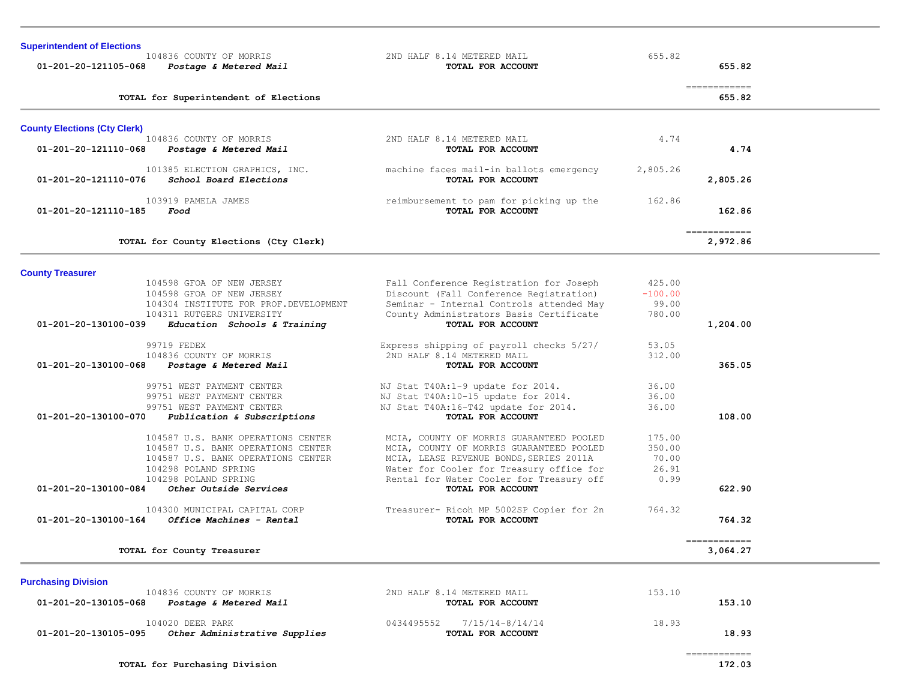| <b>Superintendent of Elections</b><br>104836 COUNTY OF MORRIS<br>01-201-20-121105-068<br>Postage & Metered Mail                                                | 2ND HALF 8.14 METERED MAIL<br>TOTAL FOR ACCOUNT                                                                                                                                                                         | 655.82                                     | 655.82                                                                                                                                                                                                                                                                                                                                                                                                                                                                                           |  |
|----------------------------------------------------------------------------------------------------------------------------------------------------------------|-------------------------------------------------------------------------------------------------------------------------------------------------------------------------------------------------------------------------|--------------------------------------------|--------------------------------------------------------------------------------------------------------------------------------------------------------------------------------------------------------------------------------------------------------------------------------------------------------------------------------------------------------------------------------------------------------------------------------------------------------------------------------------------------|--|
| TOTAL for Superintendent of Elections                                                                                                                          |                                                                                                                                                                                                                         |                                            | $\begin{array}{cccccccccc} \multicolumn{2}{c}{} & \multicolumn{2}{c}{} & \multicolumn{2}{c}{} & \multicolumn{2}{c}{} & \multicolumn{2}{c}{} & \multicolumn{2}{c}{} & \multicolumn{2}{c}{} & \multicolumn{2}{c}{} & \multicolumn{2}{c}{} & \multicolumn{2}{c}{} & \multicolumn{2}{c}{} & \multicolumn{2}{c}{} & \multicolumn{2}{c}{} & \multicolumn{2}{c}{} & \multicolumn{2}{c}{} & \multicolumn{2}{c}{} & \multicolumn{2}{c}{} & \multicolumn{2}{c}{} & \multicolumn{2}{c}{} & \mult$<br>655.82 |  |
| <b>County Elections (Cty Clerk)</b>                                                                                                                            |                                                                                                                                                                                                                         |                                            |                                                                                                                                                                                                                                                                                                                                                                                                                                                                                                  |  |
| 104836 COUNTY OF MORRIS<br>01-201-20-121110-068<br><i>Postage &amp; Metered Mail</i>                                                                           | 2ND HALF 8.14 METERED MAIL<br>TOTAL FOR ACCOUNT                                                                                                                                                                         | 4.74                                       | 4.74                                                                                                                                                                                                                                                                                                                                                                                                                                                                                             |  |
| 101385 ELECTION GRAPHICS, INC.<br>01-201-20-121110-076<br>School Board Elections                                                                               | machine faces mail-in ballots emergency<br>TOTAL FOR ACCOUNT                                                                                                                                                            | 2,805.26                                   | 2,805.26                                                                                                                                                                                                                                                                                                                                                                                                                                                                                         |  |
| 103919 PAMELA JAMES<br>01-201-20-121110-185<br>Food                                                                                                            | reimbursement to pam for picking up the<br>TOTAL FOR ACCOUNT                                                                                                                                                            | 162.86                                     | 162.86                                                                                                                                                                                                                                                                                                                                                                                                                                                                                           |  |
| TOTAL for County Elections (Cty Clerk)                                                                                                                         |                                                                                                                                                                                                                         |                                            | -------------<br>2,972.86                                                                                                                                                                                                                                                                                                                                                                                                                                                                        |  |
| <b>County Treasurer</b>                                                                                                                                        |                                                                                                                                                                                                                         |                                            |                                                                                                                                                                                                                                                                                                                                                                                                                                                                                                  |  |
| 104598 GFOA OF NEW JERSEY<br>104598 GFOA OF NEW JERSEY<br>104304 INSTITUTE FOR PROF. DEVELOPMENT<br>104311 RUTGERS UNIVERSITY                                  | Fall Conference Registration for Joseph<br>Discount (Fall Conference Registration)<br>Seminar - Internal Controls attended May<br>County Administrators Basis Certificate                                               | 425.00<br>$-100.00$<br>99.00<br>780.00     |                                                                                                                                                                                                                                                                                                                                                                                                                                                                                                  |  |
| 01-201-20-130100-039<br>Education Schools & Training                                                                                                           | TOTAL FOR ACCOUNT                                                                                                                                                                                                       |                                            | 1,204.00                                                                                                                                                                                                                                                                                                                                                                                                                                                                                         |  |
| 99719 FEDEX<br>104836 COUNTY OF MORRIS<br>01-201-20-130100-068<br>Postage & Metered Mail                                                                       | Express shipping of payroll checks 5/27/<br>2ND HALF 8.14 METERED MAIL<br>TOTAL FOR ACCOUNT                                                                                                                             | 53.05<br>312.00                            | 365.05                                                                                                                                                                                                                                                                                                                                                                                                                                                                                           |  |
| 99751 WEST PAYMENT CENTER<br>99751 WEST PAYMENT CENTER<br>99751 WEST PAYMENT CENTER<br>01-201-20-130100-070<br>Publication & Subscriptions                     | NJ Stat T40A:1-9 update for 2014.<br>NJ Stat T40A:10-15 update for 2014.<br>NJ Stat T40A:16-T42 update for 2014.<br>TOTAL FOR ACCOUNT                                                                                   | 36.00<br>36.00<br>36.00                    | 108.00                                                                                                                                                                                                                                                                                                                                                                                                                                                                                           |  |
| 104587 U.S. BANK OPERATIONS CENTER<br>104587 U.S. BANK OPERATIONS CENTER<br>104587 U.S. BANK OPERATIONS CENTER<br>104298 POLAND SPRING<br>104298 POLAND SPRING | MCIA, COUNTY OF MORRIS GUARANTEED POOLED<br>MCIA, COUNTY OF MORRIS GUARANTEED POOLED<br>MCIA, LEASE REVENUE BONDS, SERIES 2011A<br>Water for Cooler for Treasury office for<br>Rental for Water Cooler for Treasury off | 175.00<br>350.00<br>70.00<br>26.91<br>0.99 |                                                                                                                                                                                                                                                                                                                                                                                                                                                                                                  |  |
| 01-201-20-130100-084<br>Other Outside Services<br>104300 MUNICIPAL CAPITAL CORP<br>01-201-20-130100-164<br><i>Office Machines - Rental</i>                     | TOTAL FOR ACCOUNT<br>Treasurer- Ricoh MP 5002SP Copier for 2n<br>TOTAL FOR ACCOUNT                                                                                                                                      | 764.32                                     | 622.90<br>764.32                                                                                                                                                                                                                                                                                                                                                                                                                                                                                 |  |
| TOTAL for County Treasurer                                                                                                                                     |                                                                                                                                                                                                                         |                                            | ============<br>3,064.27                                                                                                                                                                                                                                                                                                                                                                                                                                                                         |  |
| <b>Purchasing Division</b>                                                                                                                                     |                                                                                                                                                                                                                         |                                            |                                                                                                                                                                                                                                                                                                                                                                                                                                                                                                  |  |
| 104836 COUNTY OF MORRIS<br>01-201-20-130105-068<br><i>Postage &amp; Metered Mail</i>                                                                           | 2ND HALF 8.14 METERED MAIL<br>TOTAL FOR ACCOUNT                                                                                                                                                                         | 153.10                                     | 153.10                                                                                                                                                                                                                                                                                                                                                                                                                                                                                           |  |
| 104020 DEER PARK                                                                                                                                               | 0434495552<br>$7/15/14-8/14/14$                                                                                                                                                                                         | 18.93                                      |                                                                                                                                                                                                                                                                                                                                                                                                                                                                                                  |  |

104020 DEER PARK 18.93<br>**18.93 18.93 01-201-20-130105-095** *Other Administrative Supplies* **TOTAL FOR ACCOUNT** 18.93

============

# **TOTAL for Purchasing Division 172.03**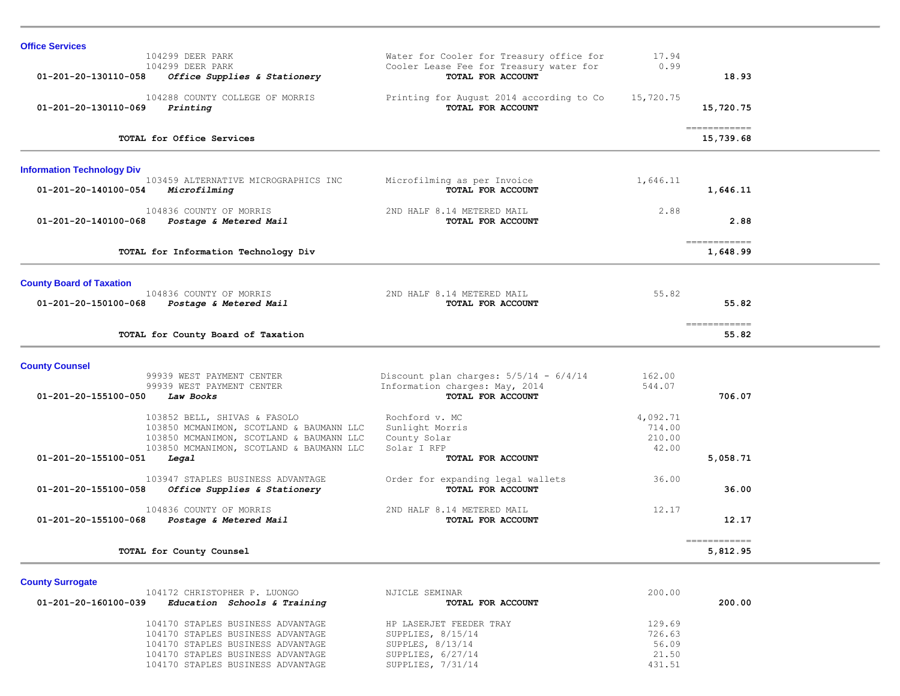| <b>Office Services</b>                                                       |                                                  |           |                                         |  |
|------------------------------------------------------------------------------|--------------------------------------------------|-----------|-----------------------------------------|--|
| 104299 DEER PARK                                                             | Water for Cooler for Treasury office for         | 17.94     |                                         |  |
| 104299 DEER PARK                                                             | Cooler Lease Fee for Treasury water for          | 0.99      |                                         |  |
| 01-201-20-130110-058<br>Office Supplies & Stationery                         | TOTAL FOR ACCOUNT                                |           | 18.93                                   |  |
| 104288 COUNTY COLLEGE OF MORRIS                                              | Printing for August 2014 according to Co         | 15,720.75 |                                         |  |
| 01-201-20-130110-069<br>Printing                                             | TOTAL FOR ACCOUNT                                |           | 15,720.75                               |  |
|                                                                              |                                                  |           | ============                            |  |
| TOTAL for Office Services                                                    |                                                  |           | 15,739.68                               |  |
| <b>Information Technology Div</b>                                            |                                                  |           |                                         |  |
| 103459 ALTERNATIVE MICROGRAPHICS INC<br>01-201-20-140100-054<br>Microfilming | Microfilming as per Invoice<br>TOTAL FOR ACCOUNT | 1,646.11  | 1,646.11                                |  |
| 104836 COUNTY OF MORRIS                                                      | 2ND HALF 8.14 METERED MAIL                       | 2.88      |                                         |  |
| Postage & Metered Mail<br>01-201-20-140100-068                               | TOTAL FOR ACCOUNT                                |           | 2.88                                    |  |
| TOTAL for Information Technology Div                                         |                                                  |           | ------------<br>1,648.99                |  |
|                                                                              |                                                  |           |                                         |  |
| <b>County Board of Taxation</b>                                              |                                                  |           |                                         |  |
| 104836 COUNTY OF MORRIS                                                      | 2ND HALF 8.14 METERED MAIL                       | 55.82     |                                         |  |
| 01-201-20-150100-068<br>Postage & Metered Mail                               | TOTAL FOR ACCOUNT                                |           | 55.82                                   |  |
| TOTAL for County Board of Taxation                                           |                                                  |           | -------------<br>55.82                  |  |
| <b>County Counsel</b>                                                        |                                                  |           |                                         |  |
| 99939 WEST PAYMENT CENTER                                                    | Discount plan charges: $5/5/14 - 6/4/14$         | 162.00    |                                         |  |
| 99939 WEST PAYMENT CENTER                                                    | Information charges: May, 2014                   | 544.07    |                                         |  |
| 01-201-20-155100-050<br>Law Books                                            | TOTAL FOR ACCOUNT                                |           | 706.07                                  |  |
| 103852 BELL, SHIVAS & FASOLO                                                 | Rochford v. MC                                   | 4,092.71  |                                         |  |
| 103850 MCMANIMON, SCOTLAND & BAUMANN LLC                                     | Sunlight Morris                                  | 714.00    |                                         |  |
| 103850 MCMANIMON, SCOTLAND & BAUMANN LLC                                     | County Solar                                     | 210.00    |                                         |  |
| 103850 MCMANIMON, SCOTLAND & BAUMANN LLC                                     | Solar I RFP                                      | 42.00     |                                         |  |
| 01-201-20-155100-051<br>Legal                                                | TOTAL FOR ACCOUNT                                |           | 5,058.71                                |  |
| 103947 STAPLES BUSINESS ADVANTAGE                                            | Order for expanding legal wallets                | 36.00     |                                         |  |
| 01-201-20-155100-058<br>Office Supplies & Stationery                         | TOTAL FOR ACCOUNT                                |           | 36.00                                   |  |
| 104836 COUNTY OF MORRIS                                                      | 2ND HALF 8.14 METERED MAIL                       | 12.17     |                                         |  |
| 01-201-20-155100-068<br>Postage & Metered Mail                               | TOTAL FOR ACCOUNT                                |           | 12.17                                   |  |
| TOTAL for County Counsel                                                     |                                                  |           | $=$ = = = = = = = = = = = =<br>5,812.95 |  |
|                                                                              |                                                  |           |                                         |  |
| <b>County Surrogate</b><br>104172 CHRISTOPHER P. LUONGO                      | NJICLE SEMINAR                                   | 200.00    |                                         |  |

|                      | TAITIS ANNIMIANTININ I. HAANAA    |  | NUILLUID UILIILINI      | 200.UU |        |
|----------------------|-----------------------------------|--|-------------------------|--------|--------|
| 01-201-20-160100-039 | Education Schools & Training      |  | TOTAL FOR ACCOUNT       |        | 200.00 |
|                      | 104170 STAPLES BUSINESS ADVANTAGE |  | HP LASERJET FEEDER TRAY | 129.69 |        |
|                      | 104170 STAPLES BUSINESS ADVANTAGE |  | SUPPLIES, $8/15/14$     | 726.63 |        |
|                      | 104170 STAPLES BUSINESS ADVANTAGE |  | SUPPLES, $8/13/14$      | 56.09  |        |
|                      | 104170 STAPLES BUSINESS ADVANTAGE |  | SUPPLIES, $6/27/14$     | 21.50  |        |
|                      | 104170 STAPLES BUSINESS ADVANTAGE |  | SUPPLIES, 7/31/14       | 431.51 |        |
|                      |                                   |  |                         |        |        |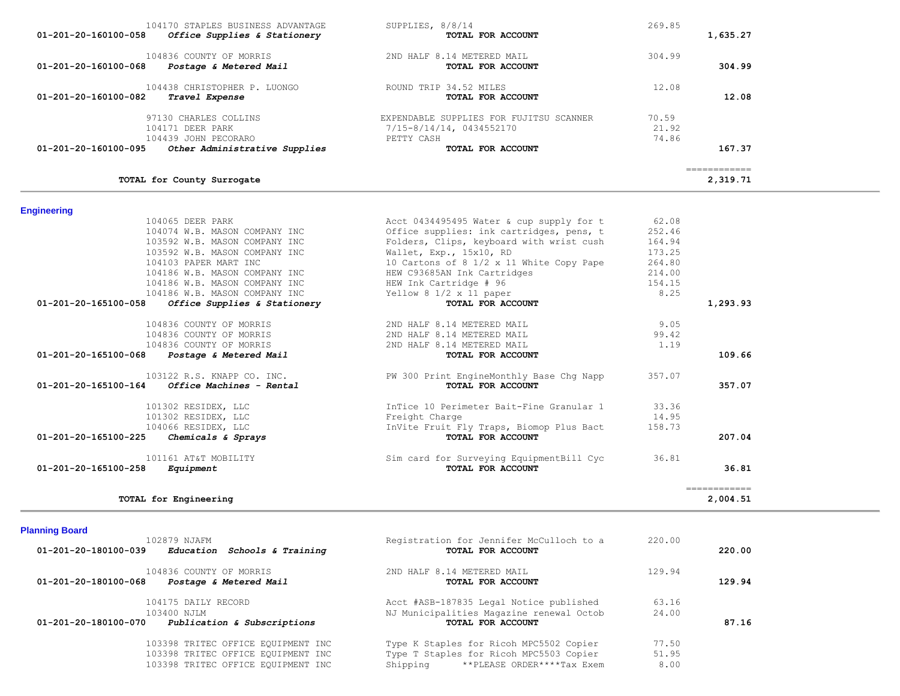| 104836 COUNTY OF MORRIS<br>01-201-20-180100-068<br>Postage & Metered Mail                                                                                                                                         | 2ND HALF 8.14 METERED MAIL<br>TOTAL FOR ACCOUNT                                                                                                                              | 129.94                                       | 129.94                   |
|-------------------------------------------------------------------------------------------------------------------------------------------------------------------------------------------------------------------|------------------------------------------------------------------------------------------------------------------------------------------------------------------------------|----------------------------------------------|--------------------------|
| 01-201-20-180100-039<br>Education Schools & Training                                                                                                                                                              | TOTAL FOR ACCOUNT                                                                                                                                                            |                                              | 220.00                   |
| <b>Planning Board</b><br>102879 NJAFM                                                                                                                                                                             | Registration for Jennifer McCulloch to a                                                                                                                                     | 220.00                                       |                          |
| TOTAL for Engineering                                                                                                                                                                                             |                                                                                                                                                                              |                                              | ============<br>2,004.51 |
| 101161 AT&T MOBILITY<br>01-201-20-165100-258<br>Equipment                                                                                                                                                         | Sim card for Surveying EquipmentBill Cyc<br>TOTAL FOR ACCOUNT                                                                                                                | 36.81                                        | 36.81                    |
| 101302 RESIDEX, LLC<br>101302 RESIDEX, LLC<br>104066 RESIDEX, LLC<br>Chemicals & Sprays<br>01-201-20-165100-225                                                                                                   | InTice 10 Perimeter Bait-Fine Granular 1<br>Freight Charge<br>InVite Fruit Fly Traps, Biomop Plus Bact<br>TOTAL FOR ACCOUNT                                                  | 33.36<br>14.95<br>158.73                     | 207.04                   |
| 103122 R.S. KNAPP CO. INC.<br>01-201-20-165100-164<br>Office Machines - Rental                                                                                                                                    | PW 300 Print EngineMonthly Base Chg Napp<br>TOTAL FOR ACCOUNT                                                                                                                | 357.07                                       | 357.07                   |
| 104836 COUNTY OF MORRIS<br>104836 COUNTY OF MORRIS<br>104836 COUNTY OF MORRIS<br>01-201-20-165100-068<br>Postage & Metered Mail                                                                                   | 2ND HALF 8.14 METERED MAIL<br>2ND HALF 8.14 METERED MAIL<br>2ND HALF 8.14 METERED MAIL<br>TOTAL FOR ACCOUNT                                                                  | 9.05<br>99.42<br>1.19                        | 109.66                   |
| 103592 W.B. MASON COMPANY INC<br>104103 PAPER MART INC<br>104186 W.B. MASON COMPANY INC<br>104186 W.B. MASON COMPANY INC<br>104186 W.B. MASON COMPANY INC<br>01-201-20-165100-058<br>Office Supplies & Stationery | Wallet, Exp., 15x10, RD<br>10 Cartons of 8 1/2 x 11 White Copy Pape<br>HEW C93685AN Ink Cartridges<br>HEW Ink Cartridge # 96<br>Yellow 8 1/2 x 11 paper<br>TOTAL FOR ACCOUNT | 173.25<br>264.80<br>214.00<br>154.15<br>8.25 | 1,293.93                 |

 104175 DAILY RECORD Acct #ASB-187835 Legal Notice published 63.16 103400 NJLM **N** NJ Municipalities Magazine renewal Octob 24.00<br> **Publication & Subscriptions NJ Municipalities Magazine renewal Octob** 24.00  **01-201-20-180100-070** *Publication & Subscriptions* **TOTAL FOR ACCOUNT 87.16**

> 103398 TRITEC OFFICE EQUIPMENT INC Type K Staples for Ricoh MPC5502 Copier 77.50 103398 TRITEC OFFICE EQUIPMENT INC Type T Staples for Ricoh MPC5503 Copier 51.95 103398 TRITEC OFFICE EQUIPMENT INC Shipping \*\*PLEASE ORDER\*\*\*\*Tax Exem 8.00

# **Engineering**

| 104170 STAPLES BUSINESS ADVANTAGE<br>01-201-20-160100-058<br>Office Supplies & Stationery | SUPPLIES, 8/8/14<br>TOTAL FOR ACCOUNT                                             | 269.85<br>1,635.27       |
|-------------------------------------------------------------------------------------------|-----------------------------------------------------------------------------------|--------------------------|
| 104836 COUNTY OF MORRIS<br>01-201-20-160100-068<br>Postage & Metered Mail                 | 2ND HALF 8.14 METERED MAIL<br>TOTAL FOR ACCOUNT                                   | 304.99<br>304.99         |
| 104438 CHRISTOPHER P. LUONGO<br>01-201-20-160100-082<br>Travel Expense                    | ROUND TRIP 34.52 MILES<br>TOTAL FOR ACCOUNT                                       | 12.08<br>12.08           |
| 97130 CHARLES COLLINS<br>104171 DEER PARK<br>104439 JOHN PECORARO                         | EXPENDABLE SUPPLIES FOR FUJITSU SCANNER<br>7/15-8/14/14, 0434552170<br>PETTY CASH | 70.59<br>21.92<br>74.86  |
| 01-201-20-160100-095<br>Other Administrative Supplies                                     | TOTAL FOR ACCOUNT                                                                 | 167.37                   |
| TOTAL for County Surrogate                                                                |                                                                                   | ============<br>2,319.71 |

Folders, Clips, keyboard with wrist cush

104065 DEER PARK 104065 DEER PARK 104065 DEER PARK 104065 DEER PARK 104074 W.B. MASON COMPANY INC 105 Office supplies: ink cartridges, pens, t 252.46 104074 W.B. MASON COMPANY INC 61 Office supplies: ink cartridges, pens, t 252.46<br>103592 W.B. MASON COMPANY INC Folders, Clips, keyboard with wrist cush 164.94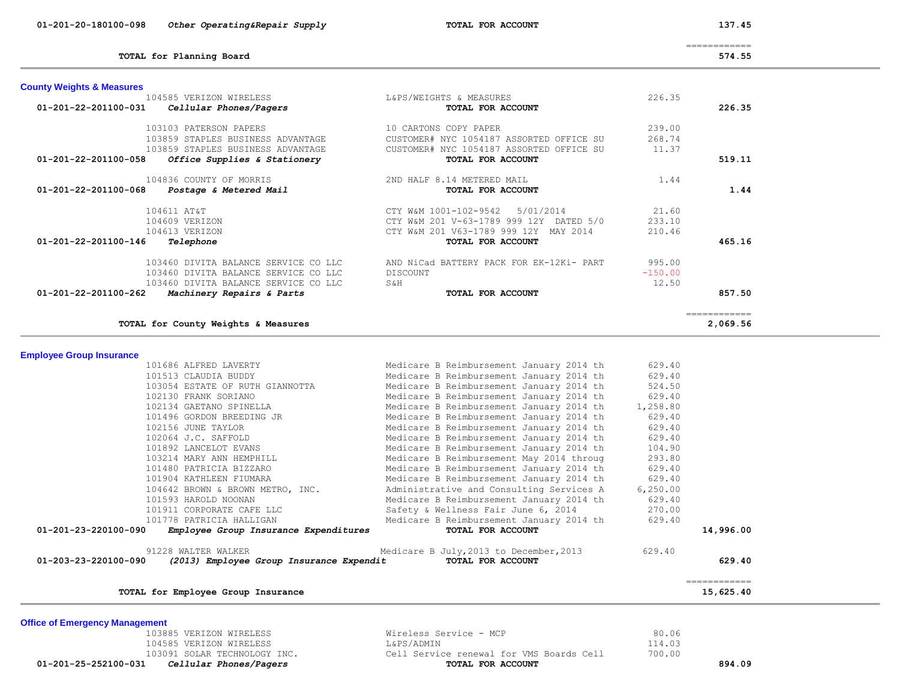| 01-201-20-180100-098 | Other Operating&Repair Supply | TOTAL FOR ACCOUNT | 137.45 |
|----------------------|-------------------------------|-------------------|--------|

**County Weights & Measures**

L&PS/WEIGHTS & MEASURES 226.35

============

**TOTAL for Planning Board 574.55**

| 104836 COUNTY OF MORRIS<br>01-201-22-201100-068<br>Postage & Metered Mail                                            | 2ND HALF 8.14 METERED MAIL<br>1.44<br>TOTAL FOR ACCOUNT                                                                                                               | 1.44                      |
|----------------------------------------------------------------------------------------------------------------------|-----------------------------------------------------------------------------------------------------------------------------------------------------------------------|---------------------------|
| 104611 AT&T<br>104609 VERIZON<br>104613 VERIZON<br>01-201-22-201100-146<br>Telephone                                 | CTY W&M 1001-102-9542 5/01/2014<br>21.60<br>233.10<br>CTY W&M 201 V-63-1789 999 12Y DATED 5/0<br>CTY W&M 201 V63-1789 999 12Y MAY 2014<br>210.46<br>TOTAL FOR ACCOUNT | 465.16                    |
| 103460 DIVITA BALANCE SERVICE CO LLC<br>103460 DIVITA BALANCE SERVICE CO LLC<br>103460 DIVITA BALANCE SERVICE CO LLC | AND NiCad BATTERY PACK FOR EK-12Ki- PART<br>995.00<br>$-150.00$<br>DISCOUNT<br>12.50<br>S&H                                                                           |                           |
| 01-201-22-201100-262<br>Machinery Repairs & Parts                                                                    | TOTAL FOR ACCOUNT                                                                                                                                                     | 857.50                    |
| TOTAL for County Weights & Measures                                                                                  |                                                                                                                                                                       | ============<br>2,069.56  |
| <b>Employee Group Insurance</b>                                                                                      |                                                                                                                                                                       |                           |
| 101686 ALFRED LAVERTY                                                                                                | Medicare B Reimbursement January 2014 th<br>629.40                                                                                                                    |                           |
| 101513 CLAUDIA BUDDY                                                                                                 | Medicare B Reimbursement January 2014 th<br>629.40                                                                                                                    |                           |
| 103054 ESTATE OF RUTH GIANNOTTA                                                                                      | Medicare B Reimbursement January 2014 th<br>524.50                                                                                                                    |                           |
| 102130 FRANK SORIANO                                                                                                 | Medicare B Reimbursement January 2014 th<br>629.40                                                                                                                    |                           |
| 102134 GAETANO SPINELLA                                                                                              | Medicare B Reimbursement January 2014 th<br>1,258.80                                                                                                                  |                           |
| 101496 GORDON BREEDING JR                                                                                            | Medicare B Reimbursement January 2014 th<br>629.40                                                                                                                    |                           |
| 102156 JUNE TAYLOR                                                                                                   | Medicare B Reimbursement January 2014 th<br>629.40                                                                                                                    |                           |
| 102064 J.C. SAFFOLD                                                                                                  | Medicare B Reimbursement January 2014 th<br>629.40                                                                                                                    |                           |
| 101892 LANCELOT EVANS                                                                                                | Medicare B Reimbursement January 2014 th<br>104.90                                                                                                                    |                           |
| 103214 MARY ANN HEMPHILL                                                                                             | Medicare B Reimbursement May 2014 throug<br>293.80                                                                                                                    |                           |
| 101480 PATRICIA BIZZARO                                                                                              | Medicare B Reimbursement January 2014 th<br>629.40                                                                                                                    |                           |
| 101904 KATHLEEN FIUMARA                                                                                              | Medicare B Reimbursement January 2014 th<br>629.40                                                                                                                    |                           |
| 104642 BROWN & BROWN METRO, INC.                                                                                     | Administrative and Consulting Services A<br>6, 250.00                                                                                                                 |                           |
| 101593 HAROLD NOONAN                                                                                                 | Medicare B Reimbursement January 2014 th<br>629.40                                                                                                                    |                           |
| 101911 CORPORATE CAFE LLC                                                                                            | Safety & Wellness Fair June 6, 2014<br>270.00                                                                                                                         |                           |
| 101778 PATRICIA HALLIGAN<br>01-201-23-220100-090<br>Employee Group Insurance Expenditures                            | Medicare B Reimbursement January 2014 th<br>629.40<br>TOTAL FOR ACCOUNT                                                                                               | 14,996.00                 |
| 91228 WALTER WALKER                                                                                                  | Medicare B July, 2013 to December, 2013<br>629.40                                                                                                                     |                           |
| 01-203-23-220100-090<br>(2013) Employee Group Insurance Expendit                                                     | TOTAL FOR ACCOUNT                                                                                                                                                     | 629.40                    |
| TOTAL for Employee Group Insurance                                                                                   |                                                                                                                                                                       | ============<br>15,625.40 |

 **01-201-22-201100-031** *Cellular Phones/Pagers* **TOTAL FOR ACCOUNT 226.35**

 **01-201-22-201100-058** *Office Supplies & Stationery* **TOTAL FOR ACCOUNT 519.11**

 103103 PATERSON PAPERS 10 CARTONS COPY PAPER 239.00 103859 STAPLES BUSINESS ADVANTAGE CUSTOMER# NYC 1054187 ASSORTED OFFICE SU 268.74 103859 STAPLES BUSINESS ADVANTAGE CUSTOMER# NYC 1054187 ASSORTED OFFICE SU 11.37

| <b>Office of Emergency Management</b> |  |  |  |
|---------------------------------------|--|--|--|
|---------------------------------------|--|--|--|

 103885 VERIZON WIRELESS Wireless Service - MCP 80.06 104585 VERIZON WIRELESS L&PS/ADMIN 114.03 103091 SOLAR TECHNOLOGY INC. Cell Service renewal for VMS Boards Cell 700.00  **01-201-25-252100-031** *Cellular Phones/Pagers* **TOTAL FOR ACCOUNT 894.09**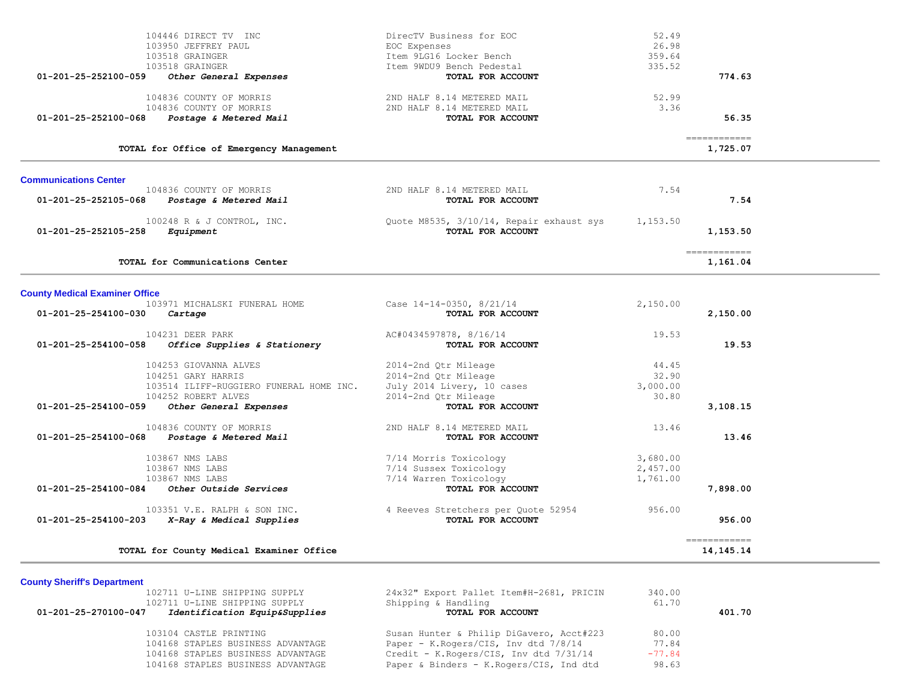| 104446 DIRECT TV INC                                 | DirecTV Business for EOC                 | 52.49    |                                                                                                                                                                                                                                                                                                                                                                                                                                                                                                       |
|------------------------------------------------------|------------------------------------------|----------|-------------------------------------------------------------------------------------------------------------------------------------------------------------------------------------------------------------------------------------------------------------------------------------------------------------------------------------------------------------------------------------------------------------------------------------------------------------------------------------------------------|
| 103950 JEFFREY PAUL                                  | EOC Expenses                             | 26.98    |                                                                                                                                                                                                                                                                                                                                                                                                                                                                                                       |
| 103518 GRAINGER                                      | Item 9LG16 Locker Bench                  | 359.64   |                                                                                                                                                                                                                                                                                                                                                                                                                                                                                                       |
| 103518 GRAINGER                                      | Item 9WDU9 Bench Pedestal                | 335.52   |                                                                                                                                                                                                                                                                                                                                                                                                                                                                                                       |
| 01-201-25-252100-059<br>Other General Expenses       | TOTAL FOR ACCOUNT                        |          | 774.63                                                                                                                                                                                                                                                                                                                                                                                                                                                                                                |
| 104836 COUNTY OF MORRIS                              | 2ND HALF 8.14 METERED MAIL               | 52.99    |                                                                                                                                                                                                                                                                                                                                                                                                                                                                                                       |
| 104836 COUNTY OF MORRIS                              | 2ND HALF 8.14 METERED MAIL               | 3.36     |                                                                                                                                                                                                                                                                                                                                                                                                                                                                                                       |
| Postage & Metered Mail<br>01-201-25-252100-068       | TOTAL FOR ACCOUNT                        |          | 56.35                                                                                                                                                                                                                                                                                                                                                                                                                                                                                                 |
| TOTAL for Office of Emergency Management             |                                          |          | $\begin{array}{cccccccccc} \multicolumn{2}{c}{} & \multicolumn{2}{c}{} & \multicolumn{2}{c}{} & \multicolumn{2}{c}{} & \multicolumn{2}{c}{} & \multicolumn{2}{c}{} & \multicolumn{2}{c}{} & \multicolumn{2}{c}{} & \multicolumn{2}{c}{} & \multicolumn{2}{c}{} & \multicolumn{2}{c}{} & \multicolumn{2}{c}{} & \multicolumn{2}{c}{} & \multicolumn{2}{c}{} & \multicolumn{2}{c}{} & \multicolumn{2}{c}{} & \multicolumn{2}{c}{} & \multicolumn{2}{c}{} & \multicolumn{2}{c}{} & \mult$<br>1,725.07    |
| <b>Communications Center</b>                         |                                          |          |                                                                                                                                                                                                                                                                                                                                                                                                                                                                                                       |
| 104836 COUNTY OF MORRIS                              | 2ND HALF 8.14 METERED MAIL               | 7.54     |                                                                                                                                                                                                                                                                                                                                                                                                                                                                                                       |
| 01-201-25-252105-068<br>Postage & Metered Mail       | TOTAL FOR ACCOUNT                        |          | 7.54                                                                                                                                                                                                                                                                                                                                                                                                                                                                                                  |
| 100248 R & J CONTROL, INC.                           | Quote M8535, 3/10/14, Repair exhaust sys | 1,153.50 |                                                                                                                                                                                                                                                                                                                                                                                                                                                                                                       |
| 01-201-25-252105-258<br>Equipment                    | TOTAL FOR ACCOUNT                        |          | 1,153.50                                                                                                                                                                                                                                                                                                                                                                                                                                                                                              |
| TOTAL for Communications Center                      |                                          |          | ============<br>1,161.04                                                                                                                                                                                                                                                                                                                                                                                                                                                                              |
|                                                      |                                          |          |                                                                                                                                                                                                                                                                                                                                                                                                                                                                                                       |
| <b>County Medical Examiner Office</b>                |                                          |          |                                                                                                                                                                                                                                                                                                                                                                                                                                                                                                       |
| 103971 MICHALSKI FUNERAL HOME                        | Case $14-14-0350$ , $8/21/14$            | 2,150.00 |                                                                                                                                                                                                                                                                                                                                                                                                                                                                                                       |
| 01-201-25-254100-030<br>Cartage                      | TOTAL FOR ACCOUNT                        |          | 2,150.00                                                                                                                                                                                                                                                                                                                                                                                                                                                                                              |
| 104231 DEER PARK                                     | AC#0434597878, 8/16/14                   | 19.53    |                                                                                                                                                                                                                                                                                                                                                                                                                                                                                                       |
| Office Supplies & Stationery<br>01-201-25-254100-058 | TOTAL FOR ACCOUNT                        |          | 19.53                                                                                                                                                                                                                                                                                                                                                                                                                                                                                                 |
| 104253 GIOVANNA ALVES                                | 2014-2nd Qtr Mileage                     | 44.45    |                                                                                                                                                                                                                                                                                                                                                                                                                                                                                                       |
| 104251 GARY HARRIS                                   | 2014-2nd Qtr Mileage                     | 32.90    |                                                                                                                                                                                                                                                                                                                                                                                                                                                                                                       |
| 103514 ILIFF-RUGGIERO FUNERAL HOME INC.              | July 2014 Livery, 10 cases               | 3,000.00 |                                                                                                                                                                                                                                                                                                                                                                                                                                                                                                       |
| 104252 ROBERT ALVES                                  | 2014-2nd Qtr Mileage                     | 30.80    |                                                                                                                                                                                                                                                                                                                                                                                                                                                                                                       |
| 01-201-25-254100-059<br>Other General Expenses       | TOTAL FOR ACCOUNT                        |          | 3,108.15                                                                                                                                                                                                                                                                                                                                                                                                                                                                                              |
| 104836 COUNTY OF MORRIS                              | 2ND HALF 8.14 METERED MAIL               | 13.46    |                                                                                                                                                                                                                                                                                                                                                                                                                                                                                                       |
| 01-201-25-254100-068 Postage & Metered Mail          | TOTAL FOR ACCOUNT                        |          | 13.46                                                                                                                                                                                                                                                                                                                                                                                                                                                                                                 |
| 103867 NMS LABS                                      | 7/14 Morris Toxicology                   | 3,680.00 |                                                                                                                                                                                                                                                                                                                                                                                                                                                                                                       |
| 103867 NMS LABS                                      | 7/14 Sussex Toxicology                   | 2,457.00 |                                                                                                                                                                                                                                                                                                                                                                                                                                                                                                       |
| 103867 NMS LABS                                      | 7/14 Warren Toxicology                   | 1,761.00 |                                                                                                                                                                                                                                                                                                                                                                                                                                                                                                       |
| 01-201-25-254100-084<br>Other Outside Services       | TOTAL FOR ACCOUNT                        |          | 7,898.00                                                                                                                                                                                                                                                                                                                                                                                                                                                                                              |
| 103351 V.E. RALPH & SON INC.                         | 4 Reeves Stretchers per Quote 52954      | 956.00   |                                                                                                                                                                                                                                                                                                                                                                                                                                                                                                       |
| 01-201-25-254100-203<br>X-Ray & Medical Supplies     | TOTAL FOR ACCOUNT                        |          | 956.00                                                                                                                                                                                                                                                                                                                                                                                                                                                                                                |
| TOTAL for County Medical Examiner Office             |                                          |          | $\begin{array}{cccccccccc} \multicolumn{2}{c}{} & \multicolumn{2}{c}{} & \multicolumn{2}{c}{} & \multicolumn{2}{c}{} & \multicolumn{2}{c}{} & \multicolumn{2}{c}{} & \multicolumn{2}{c}{} & \multicolumn{2}{c}{} & \multicolumn{2}{c}{} & \multicolumn{2}{c}{} & \multicolumn{2}{c}{} & \multicolumn{2}{c}{} & \multicolumn{2}{c}{} & \multicolumn{2}{c}{} & \multicolumn{2}{c}{} & \multicolumn{2}{c}{} & \multicolumn{2}{c}{} & \multicolumn{2}{c}{} & \multicolumn{2}{c}{} & \mult$<br>14, 145. 14 |
| <b>County Sheriff's Department</b>                   |                                          |          |                                                                                                                                                                                                                                                                                                                                                                                                                                                                                                       |
| 102711 U-LINE SHIPPING SUPPLY                        | 24x32" Export Pallet Item#H-2681, PRICIN | 340.00   |                                                                                                                                                                                                                                                                                                                                                                                                                                                                                                       |
| 102711 U-LINE SHIPPING SUPPLY                        | Shipping & Handling                      | 61.70    |                                                                                                                                                                                                                                                                                                                                                                                                                                                                                                       |

| 01-201-25-270100-047 | Identification Equip&Supplies     | TOTAL FOR ACCOUNT                        |          | 401.70 |
|----------------------|-----------------------------------|------------------------------------------|----------|--------|
|                      | 103104 CASTLE PRINTING            | Susan Hunter & Philip DiGavero, Acct#223 | 80.00    |        |
|                      | 104168 STAPLES BUSINESS ADVANTAGE | Paper - K.Rogers/CIS, Inv dtd 7/8/14     | 77.84    |        |
|                      | 104168 STAPLES BUSINESS ADVANTAGE | Credit - K.Rogers/CIS, Inv dtd 7/31/14   | $-77.84$ |        |
|                      | 104168 STAPLES BUSINESS ADVANTAGE | Paper & Binders - K.Rogers/CIS, Ind dtd  | 98.63    |        |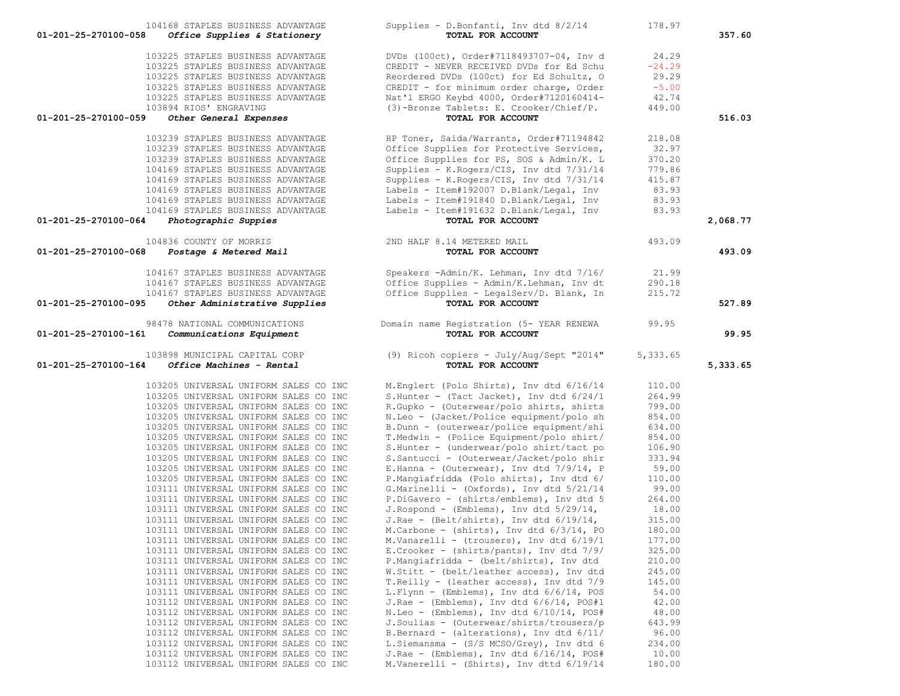|                      | 104168 STAPLES BUSINESS ADVANTAGE                                              | Supplies - D.Bonfanti, Inv dtd 8/2/14                                                   | 178.97           |          |
|----------------------|--------------------------------------------------------------------------------|-----------------------------------------------------------------------------------------|------------------|----------|
| 01-201-25-270100-058 | Office Supplies & Stationery                                                   | TOTAL FOR ACCOUNT                                                                       |                  | 357.60   |
|                      | 103225 STAPLES BUSINESS ADVANTAGE                                              | DVDs (100ct), Order#7118493707-04, Inv d                                                | 24.29            |          |
|                      | 103225 STAPLES BUSINESS ADVANTAGE                                              | CREDIT - NEVER RECEIVED DVDs for Ed Schu                                                | $-24.29$         |          |
|                      | 103225 STAPLES BUSINESS ADVANTAGE                                              | Reordered DVDs (100ct) for Ed Schultz, O                                                | 29.29            |          |
|                      | 103225 STAPLES BUSINESS ADVANTAGE                                              | CREDIT - for minimum order charge, Order                                                | $-5.00$          |          |
|                      | 103225 STAPLES BUSINESS ADVANTAGE                                              | Nat'l ERGO Keybd 4000, Order#7120160414-                                                | 42.74            |          |
|                      | 103894 RIOS' ENGRAVING                                                         | (3)-Bronze Tablets: E. Crooker/Chief/P.                                                 | 449.00           |          |
| 01-201-25-270100-059 | Other General Expenses                                                         | TOTAL FOR ACCOUNT                                                                       |                  | 516.03   |
|                      | 103239 STAPLES BUSINESS ADVANTAGE                                              | HP Toner, Saida/Warrants, Order#71194842                                                | 218.08           |          |
|                      | 103239 STAPLES BUSINESS ADVANTAGE                                              | Office Supplies for Protective Services,                                                | 32.97            |          |
|                      | 103239 STAPLES BUSINESS ADVANTAGE                                              | Office Supplies for PS, SOS & Admin/K. L                                                | 370.20           |          |
|                      | 104169 STAPLES BUSINESS ADVANTAGE                                              | Supplies - K.Rogers/CIS, Inv dtd 7/31/14                                                | 779.86           |          |
|                      | 104169 STAPLES BUSINESS ADVANTAGE                                              | Supplies - K.Rogers/CIS, Inv dtd 7/31/14                                                | 415.87           |          |
|                      | 104169 STAPLES BUSINESS ADVANTAGE                                              | Labels - Item#192007 D.Blank/Legal, Inv                                                 | 83.93            |          |
|                      | 104169 STAPLES BUSINESS ADVANTAGE                                              | Labels - Item#191840 D.Blank/Legal, Inv                                                 | 83.93            |          |
|                      | 104169 STAPLES BUSINESS ADVANTAGE                                              | Labels - Item#191632 D.Blank/Legal, Inv                                                 | 83.93            |          |
| 01-201-25-270100-064 | Photographic Suppies                                                           | TOTAL FOR ACCOUNT                                                                       |                  | 2,068.77 |
|                      | 104836 COUNTY OF MORRIS                                                        | 2ND HALF 8.14 METERED MAIL                                                              | 493.09           |          |
| 01-201-25-270100-068 | Postage & Metered Mail                                                         | TOTAL FOR ACCOUNT                                                                       |                  | 493.09   |
|                      | 104167 STAPLES BUSINESS ADVANTAGE                                              | Speakers -Admin/K. Lehman, Inv dtd 7/16/                                                | 21.99            |          |
|                      | 104167 STAPLES BUSINESS ADVANTAGE                                              | Office Supplies - Admin/K.Lehman, Inv dt                                                | 290.18           |          |
|                      | 104167 STAPLES BUSINESS ADVANTAGE                                              | Office Supplies - LegalServ/D. Blank, In                                                | 215.72           |          |
| 01-201-25-270100-095 | Other Administrative Supplies                                                  | TOTAL FOR ACCOUNT                                                                       |                  | 527.89   |
|                      | 98478 NATIONAL COMMUNICATIONS                                                  | Domain name Registration (5- YEAR RENEWA                                                | 99.95            |          |
| 01-201-25-270100-161 | Communications Equipment                                                       | TOTAL FOR ACCOUNT                                                                       |                  | 99.95    |
|                      |                                                                                |                                                                                         |                  |          |
|                      |                                                                                |                                                                                         |                  |          |
|                      | 103898 MUNICIPAL CAPITAL CORP                                                  | (9) Ricoh copiers - July/Aug/Sept "2014"                                                | 5,333.65         |          |
| 01-201-25-270100-164 | Office Machines - Rental                                                       | TOTAL FOR ACCOUNT                                                                       |                  | 5,333.65 |
|                      | 103205 UNIVERSAL UNIFORM SALES CO INC                                          | M.Englert (Polo Shirts), Inv dtd 6/16/14                                                | 110.00           |          |
|                      | 103205 UNIVERSAL UNIFORM SALES CO INC                                          | S.Hunter - (Tact Jacket), Inv dtd $6/24/1$                                              | 264.99           |          |
|                      | 103205 UNIVERSAL UNIFORM SALES CO INC                                          | R.Gupko - (Outerwear/polo shirts, shirts                                                | 799.00           |          |
|                      | 103205 UNIVERSAL UNIFORM SALES CO INC                                          | N.Leo - (Jacket/Police equipment/polo sh                                                | 854.00           |          |
|                      | 103205 UNIVERSAL UNIFORM SALES CO INC                                          | B.Dunn - (outerwear/police equipment/shi                                                | 634.00           |          |
|                      | 103205 UNIVERSAL UNIFORM SALES CO INC                                          | T.Medwin - (Police Equipment/polo shirt/                                                | 854.00           |          |
|                      | 103205 UNIVERSAL UNIFORM SALES CO INC<br>103205 UNIVERSAL UNIFORM SALES CO INC | S.Hunter - (underwear/polo shirt/tact po<br>S.Santucci - (Outerwear/Jacket/polo shir    | 106.90<br>333.94 |          |
|                      | 103205 UNIVERSAL UNIFORM SALES CO INC                                          | E.Hanna - (Outerwear), Inv dtd $7/9/14$ , P                                             | 59.00            |          |
|                      | 103205 UNIVERSAL UNIFORM SALES CO INC                                          | P.Mangiafridda (Polo shirts), Inv dtd 6/                                                | 110.00           |          |
|                      | 103111 UNIVERSAL UNIFORM SALES CO INC                                          | G.Marinelli - (Oxfords), Inv dtd 5/21/14                                                | 99.00            |          |
|                      | 103111 UNIVERSAL UNIFORM SALES CO INC                                          | P.DiGavero - (shirts/emblems), Inv dtd 5                                                | 264.00           |          |
|                      | 103111 UNIVERSAL UNIFORM SALES CO INC                                          | J.Rospond - (Emblems), Inv dtd $5/29/14$ ,                                              | 18.00            |          |
|                      | 103111 UNIVERSAL UNIFORM SALES CO INC                                          | J.Rae - (Belt/shirts), Inv dtd $6/19/14$ ,                                              | 315.00           |          |
|                      | 103111 UNIVERSAL UNIFORM SALES CO INC                                          | M.Carbone - (shirts), Inv dtd $6/3/14$ , PO                                             | 180.00           |          |
|                      | 103111 UNIVERSAL UNIFORM SALES CO INC<br>103111 UNIVERSAL UNIFORM SALES CO INC | M.Vanarelli - (trousers), Inv dtd 6/19/1<br>E. Crooker - (shirts/pants), Inv dtd $7/9/$ | 177.00           |          |
|                      | 103111 UNIVERSAL UNIFORM SALES CO INC                                          | P.Mangiafridda - (belt/shirts), Inv dtd                                                 | 325.00<br>210.00 |          |
|                      | 103111 UNIVERSAL UNIFORM SALES CO INC                                          | W.Stitt - (belt/leather access), Inv dtd                                                | 245.00           |          |
|                      | 103111 UNIVERSAL UNIFORM SALES CO INC                                          | T. Reilly - (leather access), Inv dtd 7/9                                               | 145.00           |          |
|                      | 103111 UNIVERSAL UNIFORM SALES CO INC                                          | L.Flynn - (Emblems), Inv dtd 6/6/14, POS                                                | 54.00            |          |
|                      | 103112 UNIVERSAL UNIFORM SALES CO INC                                          | J.Rae - (Emblems), Inv dtd $6/6/14$ , POS#1                                             | 42.00            |          |
|                      | 103112 UNIVERSAL UNIFORM SALES CO INC                                          | N.Leo - (Emblems), Inv dtd $6/10/14$ , POS#                                             | 48.00            |          |
|                      | 103112 UNIVERSAL UNIFORM SALES CO INC                                          | J.Soulias - (Outerwear/shirts/trousers/p                                                | 643.99           |          |
|                      | 103112 UNIVERSAL UNIFORM SALES CO INC                                          | B.Bernard - (alterations), Inv dtd $6/11/$                                              | 96.00            |          |
|                      | 103112 UNIVERSAL UNIFORM SALES CO INC<br>103112 UNIVERSAL UNIFORM SALES CO INC | L.Siemansma - (S/S MCSO/Grey), Inv dtd 6<br>J.Rae - (Emblems), Inv dtd $6/16/14$ , POS# | 234.00<br>10.00  |          |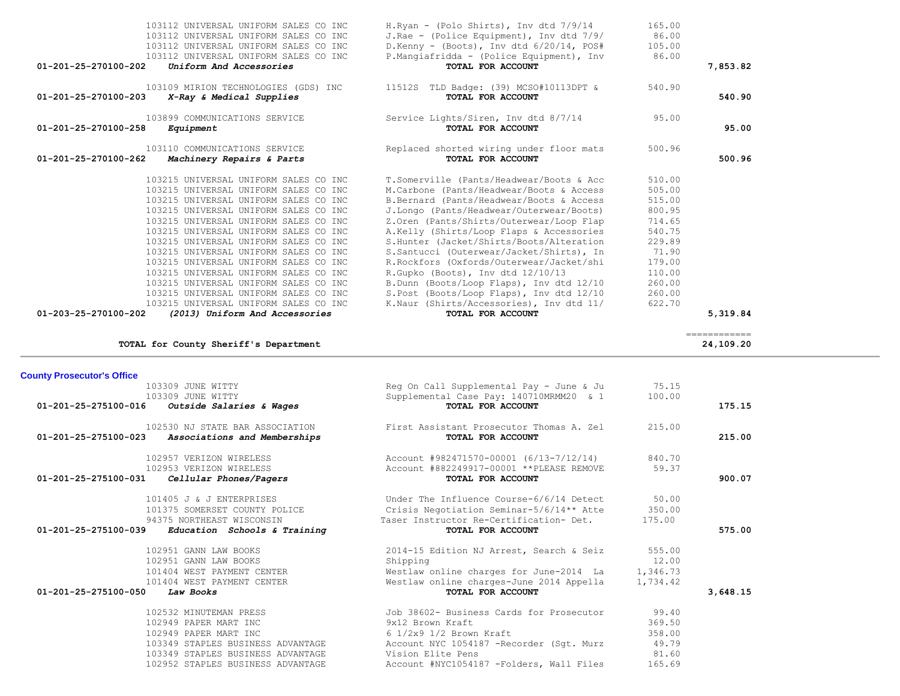| 103112 UNIVERSAL UNIFORM SALES CO INC<br>103112 UNIVERSAL UNIFORM SALES CO INC<br>103112 UNIVERSAL UNIFORM SALES CO INC<br>103112 UNIVERSAL UNIFORM SALES CO INC | H.Ryan - (Polo Shirts), Inv dtd 7/9/14<br>J.Rae - (Police Equipment), Inv dtd 7/9/<br>D.Kenny - (Boots), Inv dtd 6/20/14, POS#<br>P.Mangiafridda - (Police Equipment), Inv | 165.00<br>86.00<br>105.00<br>86.00 |                            |
|------------------------------------------------------------------------------------------------------------------------------------------------------------------|----------------------------------------------------------------------------------------------------------------------------------------------------------------------------|------------------------------------|----------------------------|
| 01-201-25-270100-202<br>Uniform And Accessories                                                                                                                  | TOTAL FOR ACCOUNT                                                                                                                                                          |                                    | 7,853.82                   |
| 103109 MIRION TECHNOLOGIES (GDS) INC<br>01-201-25-270100-203<br>X-Ray & Medical Supplies                                                                         | 11512S TLD Badge: (39) MCSO#10113DPT &<br>TOTAL FOR ACCOUNT                                                                                                                | 540.90                             | 540.90                     |
| 103899 COMMUNICATIONS SERVICE<br>01-201-25-270100-258<br>Equipment                                                                                               | Service Lights/Siren, Inv dtd 8/7/14<br>TOTAL FOR ACCOUNT                                                                                                                  | 95.00                              | 95.00                      |
| 103110 COMMUNICATIONS SERVICE<br>01-201-25-270100-262<br>Machinery Repairs & Parts                                                                               | Replaced shorted wiring under floor mats<br>TOTAL FOR ACCOUNT                                                                                                              | 500.96                             | 500.96                     |
| 103215 UNIVERSAL UNIFORM SALES CO INC                                                                                                                            | T.Somerville (Pants/Headwear/Boots & Acc                                                                                                                                   | 510.00                             |                            |
| 103215 UNIVERSAL UNIFORM SALES CO INC                                                                                                                            | M.Carbone (Pants/Headwear/Boots & Access                                                                                                                                   | 505.00                             |                            |
| 103215 UNIVERSAL UNIFORM SALES CO INC                                                                                                                            | B.Bernard (Pants/Headwear/Boots & Access                                                                                                                                   | 515.00                             |                            |
| 103215 UNIVERSAL UNIFORM SALES CO INC<br>103215 UNIVERSAL UNIFORM SALES CO INC                                                                                   | J.Longo (Pants/Headwear/Outerwear/Boots)                                                                                                                                   | 800.95<br>714.65                   |                            |
| 103215 UNIVERSAL UNIFORM SALES CO INC                                                                                                                            | Z.Oren (Pants/Shirts/Outerwear/Loop Flap<br>A.Kelly (Shirts/Loop Flaps & Accessories                                                                                       | 540.75                             |                            |
| 103215 UNIVERSAL UNIFORM SALES CO INC                                                                                                                            | S.Hunter (Jacket/Shirts/Boots/Alteration                                                                                                                                   | 229.89                             |                            |
| 103215 UNIVERSAL UNIFORM SALES CO INC                                                                                                                            | S.Santucci (Outerwear/Jacket/Shirts), In                                                                                                                                   | 71.90                              |                            |
| 103215 UNIVERSAL UNIFORM SALES CO INC                                                                                                                            | R.Rockfors (Oxfords/Outerwear/Jacket/shi                                                                                                                                   | 179.00                             |                            |
| 103215 UNIVERSAL UNIFORM SALES CO INC                                                                                                                            | R.Gupko (Boots), Inv dtd 12/10/13                                                                                                                                          | 110.00                             |                            |
| 103215 UNIVERSAL UNIFORM SALES CO INC                                                                                                                            | B.Dunn (Boots/Loop Flaps), Inv dtd 12/10                                                                                                                                   | 260.00                             |                            |
| 103215 UNIVERSAL UNIFORM SALES CO INC                                                                                                                            | S.Post (Boots/Loop Flaps), Inv dtd 12/10                                                                                                                                   | 260.00                             |                            |
| 103215 UNIVERSAL UNIFORM SALES CO INC<br>(2013) Uniform And Accessories<br>01-203-25-270100-202                                                                  | K.Naur (Shirts/Accessories), Inv dtd 11/<br>TOTAL FOR ACCOUNT                                                                                                              | 622.70                             | 5,319.84                   |
|                                                                                                                                                                  |                                                                                                                                                                            |                                    |                            |
| TOTAL for County Sheriff's Department                                                                                                                            |                                                                                                                                                                            |                                    | =============<br>24,109.20 |
|                                                                                                                                                                  |                                                                                                                                                                            |                                    |                            |
|                                                                                                                                                                  |                                                                                                                                                                            |                                    |                            |
| <b>County Prosecutor's Office</b>                                                                                                                                |                                                                                                                                                                            |                                    |                            |
| 103309 JUNE WITTY<br>103309 JUNE WITTY                                                                                                                           | Reg On Call Supplemental Pay - June & Ju                                                                                                                                   | 75.15<br>100.00                    |                            |
| 01-201-25-275100-016<br>Outside Salaries & Wages                                                                                                                 | Supplemental Case Pay: 140710MRMM20 & 1<br>TOTAL FOR ACCOUNT                                                                                                               |                                    | 175.15                     |
| 102530 NJ STATE BAR ASSOCIATION                                                                                                                                  | First Assistant Prosecutor Thomas A. Zel                                                                                                                                   | 215.00                             |                            |
| 01-201-25-275100-023<br>Associations and Memberships                                                                                                             | TOTAL FOR ACCOUNT                                                                                                                                                          |                                    | 215.00                     |
| 102957 VERIZON WIRELESS                                                                                                                                          |                                                                                                                                                                            | 840.70                             |                            |
| 102953 VERIZON WIRELESS                                                                                                                                          | Account #982471570-00001 (6/13-7/12/14)<br>Account #882249917-00001 ** PLEASE REMOVE                                                                                       | 59.37                              |                            |
| 01-201-25-275100-031<br>Cellular Phones/Pagers                                                                                                                   | TOTAL FOR ACCOUNT                                                                                                                                                          |                                    | 900.07                     |
|                                                                                                                                                                  |                                                                                                                                                                            |                                    |                            |
| 101405 J & J ENTERPRISES                                                                                                                                         | Under The Influence Course-6/6/14 Detect                                                                                                                                   | 50.00                              |                            |
| 101375 SOMERSET COUNTY POLICE<br>94375 NORTHEAST WISCONSIN                                                                                                       | Crisis Negotiation Seminar-5/6/14** Atte<br>Taser Instructor Re-Certification- Det.                                                                                        | 350.00<br>175.00                   |                            |
| 01-201-25-275100-039 Education Schools & Training                                                                                                                | TOTAL FOR ACCOUNT                                                                                                                                                          |                                    | 575.00                     |
|                                                                                                                                                                  |                                                                                                                                                                            |                                    |                            |
| 102951 GANN LAW BOOKS<br>102951 GANN LAW BOOKS                                                                                                                   | 2014-15 Edition NJ Arrest, Search & Seiz<br>Shipping                                                                                                                       | 555.00<br>12.00                    |                            |
| 101404 WEST PAYMENT CENTER                                                                                                                                       | Westlaw online charges for June-2014 La                                                                                                                                    | 1,346.73                           |                            |
| 101404 WEST PAYMENT CENTER                                                                                                                                       | Westlaw online charges-June 2014 Appella                                                                                                                                   | 1,734.42                           |                            |
| 01-201-25-275100-050<br>Law Books                                                                                                                                | TOTAL FOR ACCOUNT                                                                                                                                                          |                                    | 3,648.15                   |
|                                                                                                                                                                  |                                                                                                                                                                            | 99.40                              |                            |
| 102532 MINUTEMAN PRESS<br>102949 PAPER MART INC                                                                                                                  | Job 38602- Business Cards for Prosecutor<br>9x12 Brown Kraft                                                                                                               | 369.50                             |                            |
| 102949 PAPER MART INC                                                                                                                                            | $6$ $1/2x9$ $1/2$ Brown Kraft                                                                                                                                              | 358.00                             |                            |
| 103349 STAPLES BUSINESS ADVANTAGE                                                                                                                                | Account NYC 1054187 -Recorder (Sqt. Murz                                                                                                                                   | 49.79                              |                            |
| 103349 STAPLES BUSINESS ADVANTAGE<br>102952 STAPLES BUSINESS ADVANTAGE                                                                                           | Vision Elite Pens<br>Account #NYC1054187 -Folders, Wall Files                                                                                                              | 81.60<br>165.69                    |                            |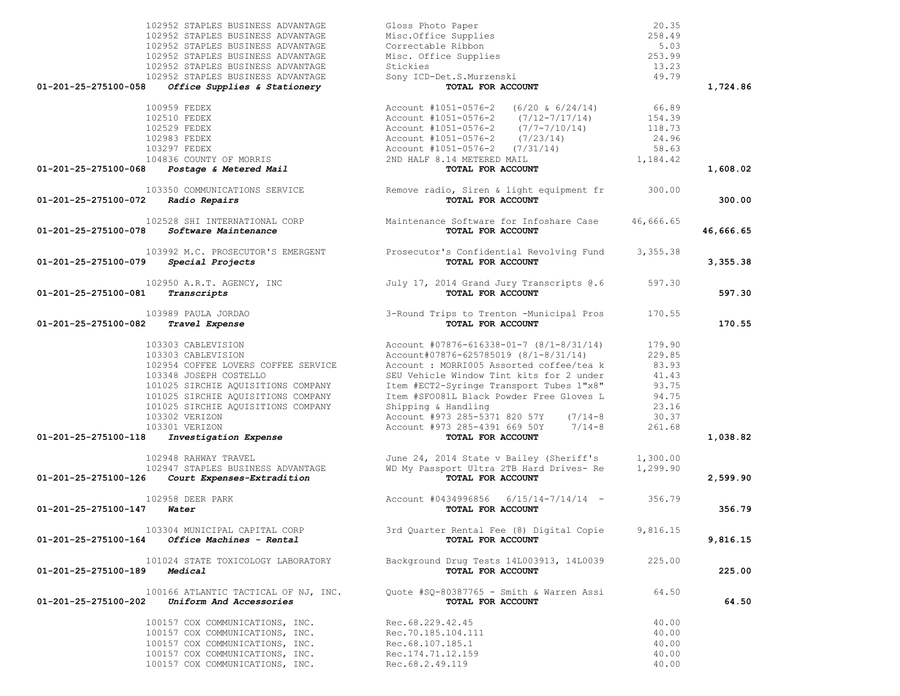| 102952 STAPLES BUSINESS ADVANTAGE                                      | Gloss Photo Paper                                                                          | 20.35     |           |
|------------------------------------------------------------------------|--------------------------------------------------------------------------------------------|-----------|-----------|
| 102952 STAPLES BUSINESS ADVANTAGE                                      | Misc.Office Supplies                                                                       | 258.49    |           |
| 102952 STAPLES BUSINESS ADVANTAGE                                      | Correctable Ribbon                                                                         | 5.03      |           |
| 102952 STAPLES BUSINESS ADVANTAGE                                      | Misc. Office Supplies                                                                      | 253.99    |           |
| 102952 STAPLES BUSINESS ADVANTAGE                                      | Stickies                                                                                   | 13.23     |           |
| 102952 STAPLES BUSINESS ADVANTAGE                                      | Sony ICD-Det.S.Murzenski                                                                   | 49.79     |           |
| 01-201-25-275100-058<br>Office Supplies & Stationery                   | TOTAL FOR ACCOUNT                                                                          |           | 1,724.86  |
|                                                                        |                                                                                            |           |           |
| 100959 FEDEX                                                           | Account #1051-0576-2 $(6/20 \& 6/24/14)$                                                   | 66.89     |           |
| 102510 FEDEX                                                           | Account #1051-0576-2 (7/12-7/17/14)                                                        | 154.39    |           |
| 102529 FEDEX                                                           | Account #1051-0576-2 (7/7-7/10/14)                                                         | 118.73    |           |
| 102983 FEDEX                                                           | Account #1051-0576-2 (7/23/14)                                                             | 24.96     |           |
| 103297 FEDEX                                                           | Account #1051-0576-2 (7/31/14)                                                             | 58.63     |           |
| 104836 COUNTY OF MORRIS<br>01-201-25-275100-068 Postage & Metered Mail | 2ND HALF 8.14 METERED MAIL<br>TOTAL FOR ACCOUNT                                            | 1,184.42  | 1,608.02  |
|                                                                        |                                                                                            |           |           |
|                                                                        | 103350 COMMUNICATIONS SERVICE Remove radio, Siren & light equipment fr                     | 300.00    |           |
| 01-201-25-275100-072<br>Radio Repairs                                  | TOTAL FOR ACCOUNT                                                                          |           | 300.00    |
|                                                                        |                                                                                            |           |           |
| 01-201-25-275100-078<br><i>Software Maintenance</i>                    | 102528 SHI INTERNATIONAL CORP Maintenance Software for Infoshare Case<br>TOTAL FOR ACCOUNT | 46,666.65 | 46,666.65 |
|                                                                        |                                                                                            |           |           |
|                                                                        | 103992 M.C. PROSECUTOR'S EMERGENT Prosecutor's Confidential Revolving Fund 3,355.38        |           |           |
| Special Projects<br>01-201-25-275100-079                               | TOTAL FOR ACCOUNT                                                                          |           | 3,355.38  |
|                                                                        |                                                                                            |           |           |
| 102950 A.R.T. AGENCY, INC                                              | July 17, 2014 Grand Jury Transcripts @.6                                                   | 597.30    |           |
| 01-201-25-275100-081<br>Transcripts                                    | TOTAL FOR ACCOUNT                                                                          |           | 597.30    |
| 103989 PAULA JORDAO                                                    | 3-Round Trips to Trenton -Municipal Pros                                                   | 170.55    |           |
| 01-201-25-275100-082<br>Travel Expense                                 | TOTAL FOR ACCOUNT                                                                          |           | 170.55    |
|                                                                        |                                                                                            |           |           |
| 103303 CABLEVISION                                                     | Account $#07876 - 616338 - 01 - 7$ (8/1-8/31/14)                                           | 179.90    |           |
| 103303 CABLEVISION                                                     | Account#07876-625785019 (8/1-8/31/14)                                                      | 229.85    |           |
| 102954 COFFEE LOVERS COFFEE SERVICE                                    | Account : MORRI005 Assorted coffee/tea k                                                   | 83.93     |           |
| 103348 JOSEPH COSTELLO                                                 | SEU Vehicle Window Tint kits for 2 under                                                   | 41.43     |           |
| 101025 SIRCHIE AQUISITIONS COMPANY                                     | Item #ECT2-Syringe Transport Tubes 1"x8"                                                   | 93.75     |           |
| 101025 SIRCHIE AQUISITIONS COMPANY                                     | Item #SFO081L Black Powder Free Gloves L                                                   | 94.75     |           |
| 101025 SIRCHIE AQUISITIONS COMPANY                                     | Shipping & Handling                                                                        | 23.16     |           |
| 103302 VERIZON                                                         | Account #973 285-5371 820 57Y (7/14-8                                                      | 30.37     |           |
| 103301 VERIZON                                                         | Account #973 285-4391 669 50Y 7/14-8                                                       | 261.68    |           |
| Investigation Expense<br>01-201-25-275100-118                          | TOTAL FOR ACCOUNT                                                                          |           | 1,038.82  |
| 102948 RAHWAY TRAVEL                                                   | June 24, 2014 State v Bailey (Sheriff's                                                    | 1,300.00  |           |
| 102947 STAPLES BUSINESS ADVANTAGE                                      | WD My Passport Ultra 2TB Hard Drives- Re                                                   | 1,299.90  |           |
| 01-201-25-275100-126 Court Expenses-Extradition                        | TOTAL FOR ACCOUNT                                                                          |           | 2,599.90  |
|                                                                        |                                                                                            |           |           |
| 102958 DEER PARK<br>$01 - 201 - 25 - 275100 - 147$ Water               | Account #0434996856 6/15/14-7/14/14 - 356.79<br>TOTAL FOR ACCOUNT                          |           | 356.79    |
|                                                                        |                                                                                            |           |           |
| 103304 MUNICIPAL CAPITAL CORP                                          | 3rd Quarter Rental Fee (8) Digital Copie                                                   | 9,816.15  |           |
| $01 - 201 - 25 - 275100 - 164$ Office Machines - Rental                | TOTAL FOR ACCOUNT                                                                          |           | 9,816.15  |
|                                                                        |                                                                                            |           |           |
| 101024 STATE TOXICOLOGY LABORATORY                                     | Background Drug Tests 14L003913, 14L0039                                                   | 225.00    |           |
| 01-201-25-275100-189<br>Medical                                        | TOTAL FOR ACCOUNT                                                                          |           | 225.00    |
| 100166 ATLANTIC TACTICAL OF NJ, INC.                                   | Ouote #SO-80387765 - Smith & Warren Assi                                                   | 64.50     |           |
| 01-201-25-275100-202<br><i>Uniform And Accessories</i>                 | TOTAL FOR ACCOUNT                                                                          |           | 64.50     |
|                                                                        |                                                                                            |           |           |
| 100157 COX COMMUNICATIONS, INC.                                        | Rec.68.229.42.45                                                                           | 40.00     |           |
| 100157 COX COMMUNICATIONS, INC.                                        | Rec.70.185.104.111                                                                         | 40.00     |           |
| 100157 COX COMMUNICATIONS, INC.                                        | Rec.68.107.185.1                                                                           | 40.00     |           |
| 100157 COX COMMUNICATIONS, INC.                                        | Rec.174.71.12.159                                                                          | 40.00     |           |
| 100157 COX COMMUNICATIONS, INC.                                        | Rec. 68.2.49.119                                                                           | 40.00     |           |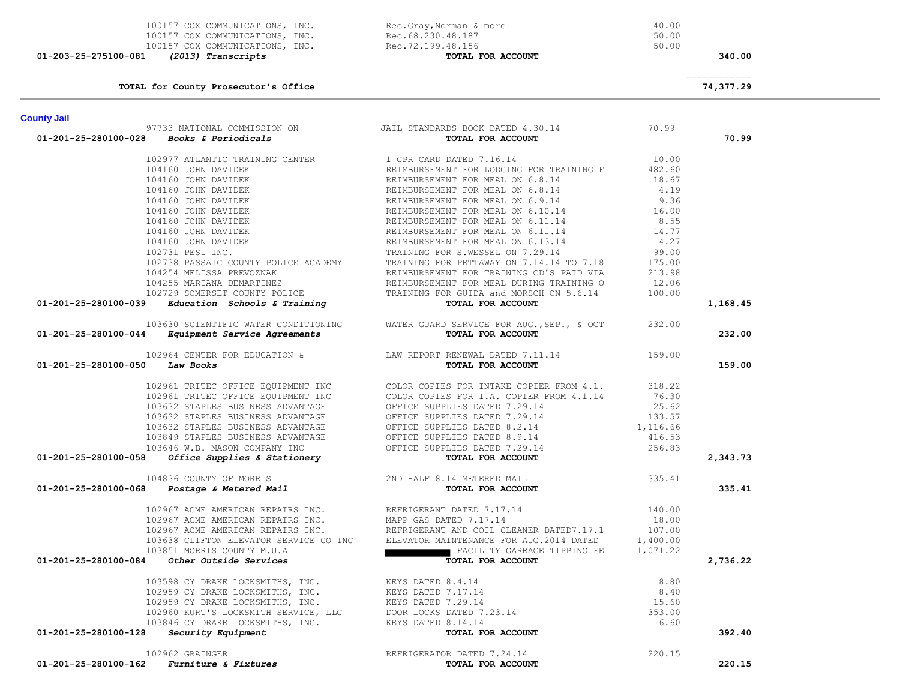| <b>County Jail</b>                                                                                                                                                                                                                                                                                                                                                      |                                                                                                                                                                                                                                                                                                                                                                                                                                       |          |
|-------------------------------------------------------------------------------------------------------------------------------------------------------------------------------------------------------------------------------------------------------------------------------------------------------------------------------------------------------------------------|---------------------------------------------------------------------------------------------------------------------------------------------------------------------------------------------------------------------------------------------------------------------------------------------------------------------------------------------------------------------------------------------------------------------------------------|----------|
| $01-201-25-280100-028$ Books & Periodicals                                                                                                                                                                                                                                                                                                                              | 97733 NATIONAL COMMISSION ON JAIL STANDARDS BOOK DATED 4.30.14 70.99                                                                                                                                                                                                                                                                                                                                                                  | 70.99    |
|                                                                                                                                                                                                                                                                                                                                                                         |                                                                                                                                                                                                                                                                                                                                                                                                                                       |          |
|                                                                                                                                                                                                                                                                                                                                                                         |                                                                                                                                                                                                                                                                                                                                                                                                                                       |          |
|                                                                                                                                                                                                                                                                                                                                                                         |                                                                                                                                                                                                                                                                                                                                                                                                                                       |          |
|                                                                                                                                                                                                                                                                                                                                                                         |                                                                                                                                                                                                                                                                                                                                                                                                                                       |          |
|                                                                                                                                                                                                                                                                                                                                                                         |                                                                                                                                                                                                                                                                                                                                                                                                                                       |          |
|                                                                                                                                                                                                                                                                                                                                                                         |                                                                                                                                                                                                                                                                                                                                                                                                                                       |          |
|                                                                                                                                                                                                                                                                                                                                                                         |                                                                                                                                                                                                                                                                                                                                                                                                                                       |          |
|                                                                                                                                                                                                                                                                                                                                                                         |                                                                                                                                                                                                                                                                                                                                                                                                                                       |          |
|                                                                                                                                                                                                                                                                                                                                                                         |                                                                                                                                                                                                                                                                                                                                                                                                                                       |          |
|                                                                                                                                                                                                                                                                                                                                                                         |                                                                                                                                                                                                                                                                                                                                                                                                                                       |          |
|                                                                                                                                                                                                                                                                                                                                                                         |                                                                                                                                                                                                                                                                                                                                                                                                                                       |          |
|                                                                                                                                                                                                                                                                                                                                                                         |                                                                                                                                                                                                                                                                                                                                                                                                                                       |          |
|                                                                                                                                                                                                                                                                                                                                                                         |                                                                                                                                                                                                                                                                                                                                                                                                                                       |          |
|                                                                                                                                                                                                                                                                                                                                                                         |                                                                                                                                                                                                                                                                                                                                                                                                                                       |          |
| $102738 PASSRIC COUNTY POLICE ACADENNX\n102738 PASSRIC COUNTY POLICE ACADENNX\n104254 MELISSA PREVOZNAK\n104255 MELISSA PREVOZNAK\n104255 MELISSA PREVOZNAK\n104255 MELISSA PREVOZNAK\n104255 MELISSA PREVOZNAK\n104259 SOMERSET COUNTY POLICE\n102729 SOMERSET COUNTY POLICE\n102729 SOMERSET COUNTY POLICE\n102729 SOMERSET COUNTY POLICE\n10201-201-25-280100-039\n$ |                                                                                                                                                                                                                                                                                                                                                                                                                                       | 1,168.45 |
|                                                                                                                                                                                                                                                                                                                                                                         | 103630 SCIENTIFIC WATER CONDITIONING WATER GUARD SERVICE FOR AUG., SEP., & OCT 232.00                                                                                                                                                                                                                                                                                                                                                 |          |
| 01-201-25-280100-044 Equipment Service Agreements                                                                                                                                                                                                                                                                                                                       | TOTAL FOR ACCOUNT                                                                                                                                                                                                                                                                                                                                                                                                                     | 232.00   |
|                                                                                                                                                                                                                                                                                                                                                                         |                                                                                                                                                                                                                                                                                                                                                                                                                                       |          |
| 01-201-25-280100-050 Law Books                                                                                                                                                                                                                                                                                                                                          | 102964 CENTER FOR EDUCATION & LAW REPORT RENEWAL DATED 7.11.14 159.00<br><b>EXAMPLE 159.00</b>                                                                                                                                                                                                                                                                                                                                        | 159.00   |
|                                                                                                                                                                                                                                                                                                                                                                         |                                                                                                                                                                                                                                                                                                                                                                                                                                       |          |
|                                                                                                                                                                                                                                                                                                                                                                         |                                                                                                                                                                                                                                                                                                                                                                                                                                       |          |
|                                                                                                                                                                                                                                                                                                                                                                         |                                                                                                                                                                                                                                                                                                                                                                                                                                       |          |
|                                                                                                                                                                                                                                                                                                                                                                         |                                                                                                                                                                                                                                                                                                                                                                                                                                       |          |
|                                                                                                                                                                                                                                                                                                                                                                         |                                                                                                                                                                                                                                                                                                                                                                                                                                       |          |
|                                                                                                                                                                                                                                                                                                                                                                         |                                                                                                                                                                                                                                                                                                                                                                                                                                       |          |
|                                                                                                                                                                                                                                                                                                                                                                         |                                                                                                                                                                                                                                                                                                                                                                                                                                       |          |
| 01-201-25-280100-058                                                                                                                                                                                                                                                                                                                                                    | $\begin{tabular}{lllllllllllllllllllllll} \textbf{102961}\ &\textbf{TRITEC OFFICE EQUIPMENT INC} &\textbf{COLOR COPIES FOR INTAKE COPIER FROM 4.1.} & 318.22\\ \textbf{102961}\ &\textbf{TRITEC OFFICE EQUIPMENT INC} &\textbf{COLOR COPIES FOR I.A. COPIER FROM 4.1.14} & 76.30\\ \textbf{103632 STAPLES BUSINES ADVANTAGE} & \textbf{OFFICE SUPPLIES DATED 7.29.14} & 25.62\\ \textbf{103632 STAPLES BUSINES ADVANTAGE} & \textbf{$ | 2,343.73 |
|                                                                                                                                                                                                                                                                                                                                                                         |                                                                                                                                                                                                                                                                                                                                                                                                                                       |          |
| 104836 COUNTY OF MORRIS<br>2ND HALF 8.14 METERED MAIL 335.41<br><b>TOTAL FOR ACCOUNT</b>                                                                                                                                                                                                                                                                                |                                                                                                                                                                                                                                                                                                                                                                                                                                       | 335.41   |
|                                                                                                                                                                                                                                                                                                                                                                         |                                                                                                                                                                                                                                                                                                                                                                                                                                       |          |
|                                                                                                                                                                                                                                                                                                                                                                         |                                                                                                                                                                                                                                                                                                                                                                                                                                       |          |
|                                                                                                                                                                                                                                                                                                                                                                         |                                                                                                                                                                                                                                                                                                                                                                                                                                       |          |
|                                                                                                                                                                                                                                                                                                                                                                         |                                                                                                                                                                                                                                                                                                                                                                                                                                       |          |
|                                                                                                                                                                                                                                                                                                                                                                         |                                                                                                                                                                                                                                                                                                                                                                                                                                       |          |
| 01-201-25-280100-084                                                                                                                                                                                                                                                                                                                                                    | $\begin{tabular}{lllllllllllllll} 102967 \text{ ACME AMERTCAN REPAIRS INC.} & \text{REFRIGERANT DATED 7.17.14} & 140.00 \\ 102967 \text{ ACME AMERTCAN REPAIRS INC.} & \text{MAPP GAS DATED 7.17.14} & 18.00 \\ 102967 \text{ ACME AMERTCAN REPAIRS INC.} & \text{REFRIGERANT AND COL CLEANER DATED7.17.1} & 18.00 \\ 103638 \text{CLIFTON ELEVATOR SERVICE CO INC} & \text{ELEVATOR MAINTERIANCE FOR AUG.2014 DATED} & 1,400.$       | 2,736.22 |
|                                                                                                                                                                                                                                                                                                                                                                         |                                                                                                                                                                                                                                                                                                                                                                                                                                       |          |
|                                                                                                                                                                                                                                                                                                                                                                         |                                                                                                                                                                                                                                                                                                                                                                                                                                       |          |
|                                                                                                                                                                                                                                                                                                                                                                         |                                                                                                                                                                                                                                                                                                                                                                                                                                       |          |
|                                                                                                                                                                                                                                                                                                                                                                         |                                                                                                                                                                                                                                                                                                                                                                                                                                       |          |
|                                                                                                                                                                                                                                                                                                                                                                         |                                                                                                                                                                                                                                                                                                                                                                                                                                       |          |
| 103598 CY DRAKE LOCKSMITHS, INC.<br>102959 CY DRAKE LOCKSMITHS, INC.<br>102959 CY DRAKE LOCKSMITHS, INC.<br>102960 KURT'S LOCKSMITH SERVICE, LLC<br>103846 CY DRAKE LOCKSMITHS, INC.<br>103846 CY DRAKE LOCKSMITHS, INC.<br>103846 CY DRAK                                                                                                                              |                                                                                                                                                                                                                                                                                                                                                                                                                                       | 392.40   |
| 102962 GRAINGER                                                                                                                                                                                                                                                                                                                                                         | 962 GRAINGER<br><b>Furniture &amp; Fixtures Exercise Example 220.15</b><br><b>Furniture &amp; Fixtures Exercise Example 220.15</b>                                                                                                                                                                                                                                                                                                    |          |
| 01-201-25-280100-162                                                                                                                                                                                                                                                                                                                                                    |                                                                                                                                                                                                                                                                                                                                                                                                                                       | 220.15   |

**TOTAL for County Prosecutor's Office 74,377.29**

# ============

100157 COX COMMUNICATIONS, INC.<br>100157 COX COMMUNICATIONS, INC. Rec.72.199.48.156 50.00 100157 COX COMMUNICATIONS, INC. Rec.72.199.48.156<br>1 (2013) Transcripts 50.0000 TOTAL FOR ACCOUNT  **01-203-25-275100-081** *(2013) Transcripts* **TOTAL FOR ACCOUNT 340.00**

# 100157 COX COMMUNICATIONS, INC.<br>100157 COX COMMUNICATIONS, INC.<br>Rec.68.230.48.187 COX COMMUNICATIONS, INC.<br>100157 COX COMMUNICATIONS, INC.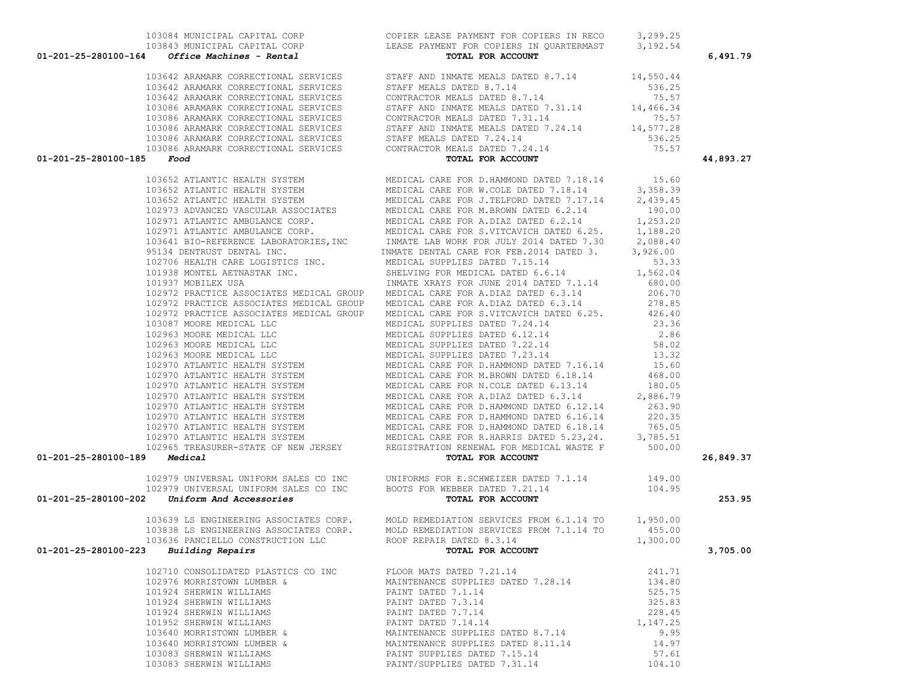|                                                 | $01-201-25-280100-164$ Office Machines - Rental | TOTAL FOR ACCOUNT                                                                                                                                                                                                                   |          | 6,491.79  |
|-------------------------------------------------|-------------------------------------------------|-------------------------------------------------------------------------------------------------------------------------------------------------------------------------------------------------------------------------------------|----------|-----------|
|                                                 |                                                 | 64 OFFICE MARINE PARTIE DETAILS TOTAL TOTAL TRANSPORT (1991 ALSO 2002)<br>1993 ARAWAY CONSECTIONAL SERVICUS STATE AND MANUS DATE ACT (1993 ARAWAY CONSECTIONAL SERVICUS STATE 11, 14 (1995)<br>1994 ARAWAY CONSECTIONAL SERVICUS    |          |           |
|                                                 |                                                 |                                                                                                                                                                                                                                     |          |           |
|                                                 |                                                 |                                                                                                                                                                                                                                     |          |           |
|                                                 |                                                 |                                                                                                                                                                                                                                     |          |           |
|                                                 |                                                 |                                                                                                                                                                                                                                     |          |           |
|                                                 |                                                 |                                                                                                                                                                                                                                     |          |           |
|                                                 |                                                 |                                                                                                                                                                                                                                     |          |           |
|                                                 |                                                 |                                                                                                                                                                                                                                     |          |           |
| $01 - 201 - 25 - 280100 - 185$ Food             |                                                 |                                                                                                                                                                                                                                     |          | 44,893.27 |
|                                                 |                                                 |                                                                                                                                                                                                                                     |          |           |
|                                                 |                                                 |                                                                                                                                                                                                                                     |          |           |
|                                                 |                                                 |                                                                                                                                                                                                                                     |          |           |
|                                                 |                                                 |                                                                                                                                                                                                                                     |          |           |
|                                                 |                                                 |                                                                                                                                                                                                                                     |          |           |
|                                                 |                                                 |                                                                                                                                                                                                                                     |          |           |
|                                                 |                                                 |                                                                                                                                                                                                                                     |          |           |
|                                                 |                                                 |                                                                                                                                                                                                                                     |          |           |
|                                                 |                                                 |                                                                                                                                                                                                                                     |          |           |
|                                                 |                                                 |                                                                                                                                                                                                                                     |          |           |
|                                                 |                                                 |                                                                                                                                                                                                                                     |          |           |
|                                                 |                                                 |                                                                                                                                                                                                                                     |          |           |
|                                                 |                                                 |                                                                                                                                                                                                                                     |          |           |
|                                                 |                                                 |                                                                                                                                                                                                                                     |          |           |
|                                                 |                                                 |                                                                                                                                                                                                                                     |          |           |
|                                                 |                                                 |                                                                                                                                                                                                                                     |          |           |
|                                                 |                                                 |                                                                                                                                                                                                                                     |          |           |
|                                                 |                                                 |                                                                                                                                                                                                                                     |          |           |
|                                                 |                                                 |                                                                                                                                                                                                                                     |          |           |
|                                                 |                                                 |                                                                                                                                                                                                                                     |          |           |
|                                                 |                                                 |                                                                                                                                                                                                                                     |          |           |
|                                                 |                                                 |                                                                                                                                                                                                                                     |          |           |
|                                                 |                                                 |                                                                                                                                                                                                                                     |          |           |
|                                                 |                                                 |                                                                                                                                                                                                                                     |          |           |
|                                                 |                                                 |                                                                                                                                                                                                                                     |          |           |
|                                                 |                                                 |                                                                                                                                                                                                                                     |          |           |
|                                                 |                                                 |                                                                                                                                                                                                                                     |          |           |
| $01 - 201 - 25 - 280100 - 189$ Medical          |                                                 |                                                                                                                                                                                                                                     |          | 26,849.37 |
|                                                 |                                                 |                                                                                                                                                                                                                                     |          |           |
|                                                 |                                                 |                                                                                                                                                                                                                                     |          |           |
|                                                 |                                                 | 102979 UNIVERSAL UNIFORM SALES CO INC<br>102979 UNIVERSAL UNIFORM SALES CO INC BOOTS FOR WEBBER DATED 7.21.14<br><b>01-201-25-280100-202</b> Uniform And Accessories<br><b>TOTAL FOR ACCOUNT</b>                                    |          | 253.95    |
|                                                 |                                                 |                                                                                                                                                                                                                                     |          |           |
|                                                 |                                                 |                                                                                                                                                                                                                                     |          |           |
|                                                 |                                                 |                                                                                                                                                                                                                                     |          |           |
|                                                 |                                                 |                                                                                                                                                                                                                                     |          |           |
| $01 - 201 - 25 - 280100 - 223$ Building Repairs |                                                 | 103639 LS ENGINEERING ASSOCIATES CORP. MOLD REMEDIATION SERVICES FROM 6.1.14 TO 1,950.00<br>103838 LS ENGINEERING ASSOCIATES CORP. MOLD REMEDIATION SERVICES FROM 7.1.14 TO 455.00<br>103636 PANCIELLO CONSTRUCTION LLC ROOF REPAIR |          | 3,705.00  |
|                                                 | 102710 CONSOLIDATED PLASTICS CO INC             | FLOOR MATS DATED 7.21.14                                                                                                                                                                                                            | 241.71   |           |
|                                                 | 102976 MORRISTOWN LUMBER &                      | MAINTENANCE SUPPLIES DATED 7.28.14                                                                                                                                                                                                  | 134.80   |           |
|                                                 | 101924 SHERWIN WILLIAMS                         | PAINT DATED 7.1.14                                                                                                                                                                                                                  | 525.75   |           |
|                                                 | 101924 SHERWIN WILLIAMS                         | PAINT DATED 7.3.14                                                                                                                                                                                                                  | 325.83   |           |
|                                                 | 101924 SHERWIN WILLIAMS                         | PAINT DATED 7.7.14                                                                                                                                                                                                                  | 228.45   |           |
|                                                 | 101952 SHERWIN WILLIAMS                         | PAINT DATED 7.14.14                                                                                                                                                                                                                 | 1,147.25 |           |
|                                                 | 103640 MORRISTOWN LUMBER &                      | MAINTENANCE SUPPLIES DATED 8.7.14                                                                                                                                                                                                   | 9.95     |           |
|                                                 | 103640 MORRISTOWN LUMBER &                      | MAINTENANCE SUPPLIES DATED 8.11.14                                                                                                                                                                                                  | 14.97    |           |
|                                                 | 103083 SHERWIN WILLIAMS                         | PAINT SUPPLIES DATED 7.15.14                                                                                                                                                                                                        | 57.61    |           |
|                                                 | 103083 SHERWIN WILLIAMS                         | PAINT/SUPPLIES DATED 7.31.14                                                                                                                                                                                                        | 104.10   |           |

 103084 MUNICIPAL CAPITAL CORP COPIER LEASE PAYMENT FOR COPIERS IN RECO 3,299.25 103843 MUNICIPAL CAPITAL CORP LEASE PAYMENT FOR COPIERS IN QUARTERMAST 3,192.54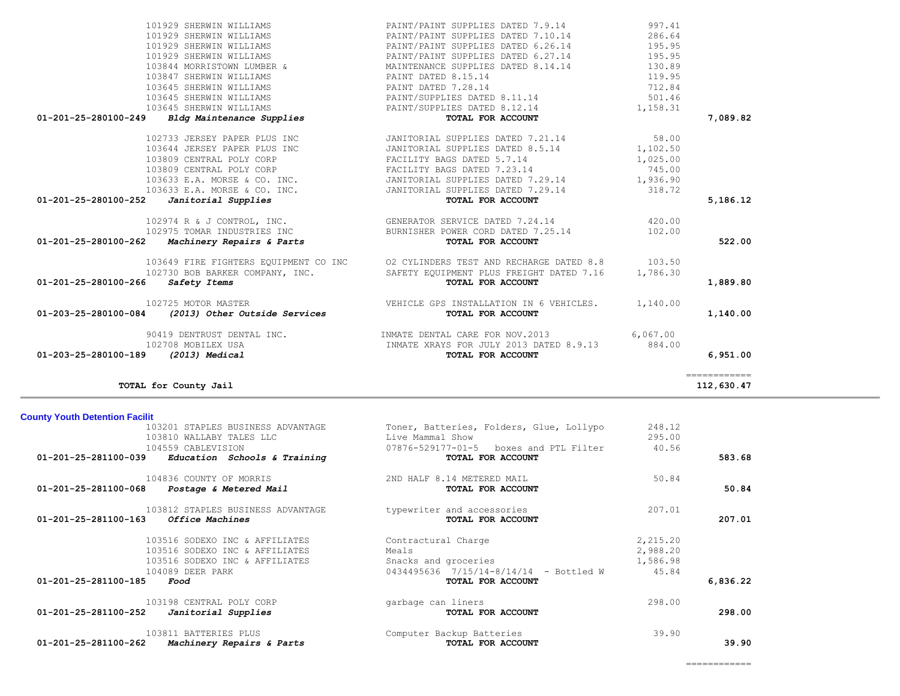| 103201 STAPLES BUSINESS ADVANTAGE                    | Toner, Batteries, Folders, Glue, Lollypo | 248.12   |          |
|------------------------------------------------------|------------------------------------------|----------|----------|
| 103810 WALLABY TALES LLC                             | Live Mammal Show                         | 295.00   |          |
| 104559 CABLEVISION                                   | 07876-529177-01-5 boxes and PTL Filter   | 40.56    |          |
| 01-201-25-281100-039<br>Education Schools & Training | TOTAL FOR ACCOUNT                        |          | 583.68   |
| 104836 COUNTY OF MORRIS                              | 2ND HALF 8.14 METERED MAIL               | 50.84    |          |
| 01-201-25-281100-068<br>Postage & Metered Mail       | TOTAL FOR ACCOUNT                        |          | 50.84    |
| 103812 STAPLES BUSINESS ADVANTAGE                    | typewriter and accessories               | 207.01   |          |
| 01-201-25-281100-163<br>Office Machines              | TOTAL FOR ACCOUNT                        |          | 207.01   |
| 103516 SODEXO INC & AFFILIATES                       | Contractural Charge                      | 2,215.20 |          |
| 103516 SODEXO INC & AFFILIATES                       | Meals                                    | 2,988.20 |          |
| 103516 SODEXO INC & AFFILIATES                       | Snacks and groceries                     | 1,586.98 |          |
| 104089 DEER PARK                                     | 0434495636 7/15/14-8/14/14 - Bottled W   | 45.84    |          |
| 01-201-25-281100-185<br>Food                         | TOTAL FOR ACCOUNT                        |          | 6,836.22 |
| 103198 CENTRAL POLY CORP                             | garbage can liners                       | 298.00   |          |
| 01-201-25-281100-252<br>Janitorial Supplies          | TOTAL FOR ACCOUNT                        |          | 298.00   |
| 103811 BATTERIES PLUS                                | Computer Backup Batteries                | 39.90    |          |
| 01-201-25-281100-262<br>Machinery Repairs & Parts    | TOTAL FOR ACCOUNT                        |          | 39.90    |

**County Youth Detention Facilit**

|                                   | 103645 SHERWIN WILLIAMS                            | PAINT DATED 7.28.14                                                                   | 712.84   |               |
|-----------------------------------|----------------------------------------------------|---------------------------------------------------------------------------------------|----------|---------------|
|                                   | 103645 SHERWIN WILLIAMS                            | PAINT/SUPPLIES DATED 8.11.14                                                          | 501.46   |               |
|                                   | 103645 SHERWIN WILLIAMS                            | PAINT/SUPPLIES DATED 8.12.14                                                          | 1,158.31 |               |
|                                   | 01-201-25-280100-249 Bldg Maintenance Supplies     | TOTAL FOR ACCOUNT                                                                     |          | 7,089.82      |
|                                   | 102733 JERSEY PAPER PLUS INC                       | JANITORIAL SUPPLIES DATED 7.21.14                                                     | 58.00    |               |
|                                   | 103644 JERSEY PAPER PLUS INC                       | JANITORIAL SUPPLIES DATED 8.5.14 1,102.50                                             |          |               |
|                                   | 103809 CENTRAL POLY CORP                           | FACILITY BAGS DATED 5.7.14                                                            | 1,025.00 |               |
|                                   | 103809 CENTRAL POLY CORP                           | FACILITY BAGS DATED 7.23.14                                                           | 745.00   |               |
|                                   |                                                    | 103633 E.A. MORSE & CO. INC. JANITORIAL SUPPLIES DATED 7.29.14 1,936.90               |          |               |
|                                   | 103633 E.A. MORSE & CO. INC.                       | JANITORIAL SUPPLIES DATED 7.29.14                                                     | 318.72   |               |
|                                   | $01-201-25-280100-252$ <i>Janitorial Supplies</i>  | TOTAL FOR ACCOUNT                                                                     |          | 5,186.12      |
|                                   |                                                    | 102974 R & J CONTROL, INC. GENERATOR SERVICE DATED 7.24.14                            | 420.00   |               |
|                                   |                                                    | 102975 TOMAR INDUSTRIES INC BURNISHER POWER CORD DATED 7.25.14                        | 102.00   |               |
|                                   | $01-201-25-280100-262$ Machinery Repairs & Parts   | TOTAL FOR ACCOUNT                                                                     |          | 522.00        |
|                                   |                                                    | 103649 FIRE FIGHTERS EQUIPMENT CO INC 02 CYLINDERS TEST AND RECHARGE DATED 8.8 103.50 |          |               |
|                                   |                                                    | 102730 BOB BARKER COMPANY, INC. SAFETY EQUIPMENT PLUS FREIGHT DATED 7.16              | 1,786.30 |               |
| 01-201-25-280100-266 Safety Items |                                                    | TOTAL FOR ACCOUNT                                                                     |          | 1,889.80      |
|                                   | 102725 MOTOR MASTER                                | VEHICLE GPS INSTALLATION IN 6 VEHICLES. 1,140.00                                      |          |               |
|                                   | 01-203-25-280100-084 (2013) Other Outside Services | TOTAL FOR ACCOUNT                                                                     |          | 1,140.00      |
|                                   | 90419 DENTRUST DENTAL INC.                         | INMATE DENTAL CARE FOR NOV.2013 6,067.00                                              |          |               |
|                                   | 102708 MOBILEX USA                                 | INMATE XRAYS FOR JULY 2013 DATED 8.9.13                                               | 884.00   |               |
| 01-203-25-280100-189              | (2013) Medical                                     | TOTAL FOR ACCOUNT                                                                     |          | 6,951.00      |
|                                   |                                                    |                                                                                       |          | ============= |
|                                   | TOTAL for County Jail                              |                                                                                       |          | 112,630.47    |

 101929 SHERWIN WILLIAMS PAINT/PAINT SUPPLIES DATED 7.9.14 997.41 101929 SHERWIN WILLIAMS PAINT/PAINT SUPPLIES DATED 7.10.14 286.64

101929 SHERWIN WILLIAMS PAINT/PAINT SUPPLIES DATED 6.27.14 195.95

103847 SHERWIN WILLIAMS PAINT DATED 8.15.14 119.95

PAINT/PAINT SUPPLIES DATED 6.26.14 195.95<br>PAINT/PAINT SUPPLIES DATED 6.27.14 195.95

MAINTENANCE SUPPLIES DATED 8.14.14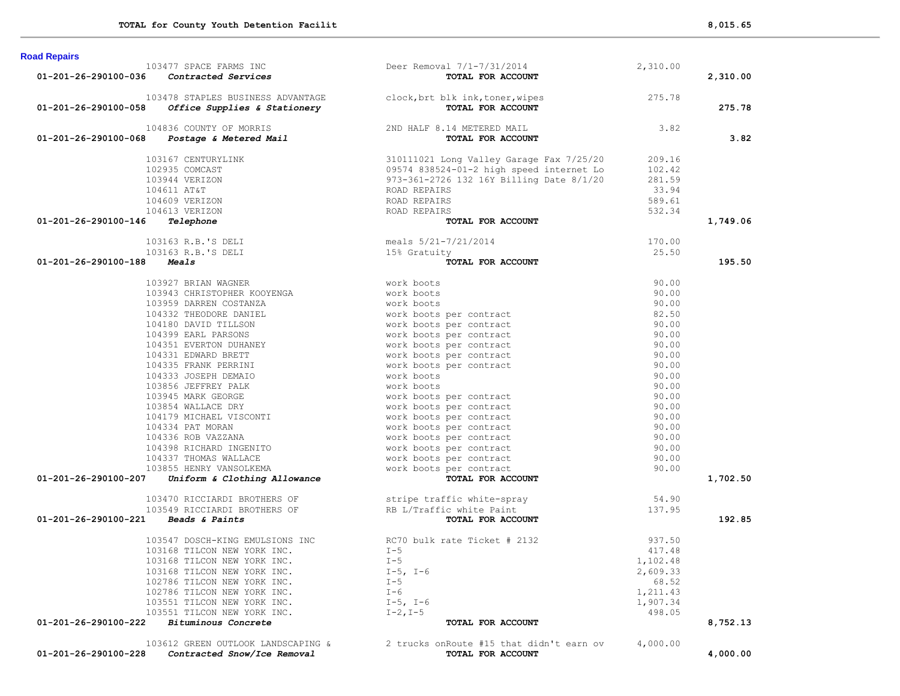|                                          | 103477 SPACE FARMS INC                     | Deer Removal 7/1-7/31/2014                                                                                             | 2,310.00        |          |
|------------------------------------------|--------------------------------------------|------------------------------------------------------------------------------------------------------------------------|-----------------|----------|
| 01-201-26-290100-036 Contracted Services |                                            | TOTAL FOR ACCOUNT                                                                                                      |                 | 2,310.00 |
|                                          |                                            |                                                                                                                        | 275.78          |          |
| 01-201-26-290100-058                     |                                            | 103478 STAPLES BUSINESS ADVANTAGE clock, brt blk ink, toner, wipes<br>B office Supplies & Stationery TOTAL FOR ACCOUNT |                 | 275.78   |
|                                          | 104836 COUNTY OF MORRIS                    | 2ND HALF 8.14 METERED MAIL                                                                                             | 3.82            |          |
| 01-201-26-290100-068                     | <b>Postage &amp; Metered Mail</b>          | TOTAL FOR ACCOUNT                                                                                                      |                 | 3.82     |
|                                          |                                            |                                                                                                                        |                 |          |
|                                          | 103167 CENTURYLINK                         | 310111021 Long Valley Garage Fax 7/25/20                                                                               | 209.16          |          |
|                                          | 102935 COMCAST                             | 09574 838524-01-2 high speed internet Lo                                                                               | 102.42          |          |
|                                          | 103944 VERIZON                             | 973-361-2726 132 16Y Billing Date 8/1/20                                                                               | 281.59<br>33.94 |          |
|                                          | 104611 AT&T<br>104609 VERIZON              | ROAD REPAIRS                                                                                                           |                 |          |
|                                          |                                            | ROAD REPAIRS                                                                                                           | 589.61          |          |
| 01-201-26-290100-146                     | 104613 VERIZON<br>Telephone                | ROAD REPAIRS<br>TOTAL FOR ACCOUNT                                                                                      | 532.34          | 1,749.06 |
|                                          |                                            |                                                                                                                        |                 |          |
|                                          | 103163 R.B.'S DELI                         | meals $5/21-7/21/2014$                                                                                                 | 170.00          |          |
|                                          | 103163 R.B.'S DELI                         | 15% Gratuity                                                                                                           | 25.50           |          |
| 01-201-26-290100-188                     | <i><b>Meals</b></i>                        | TOTAL FOR ACCOUNT                                                                                                      |                 | 195.50   |
|                                          | 103927 BRIAN WAGNER                        | work boots                                                                                                             | 90.00           |          |
|                                          | 103943 CHRISTOPHER KOOYENGA                | work boots                                                                                                             | 90.00           |          |
|                                          | 103959 DARREN COSTANZA                     | work boots                                                                                                             | 90.00           |          |
|                                          | 104332 THEODORE DANIEL                     | work boots per contract                                                                                                | 82.50           |          |
|                                          | 104180 DAVID TILLSON                       | work boots per contract                                                                                                | 90.00           |          |
|                                          | 104399 EARL PARSONS                        | work boots per contract                                                                                                | 90.00           |          |
|                                          | 104351 EVERTON DUHANEY                     | work boots per contract                                                                                                | 90.00           |          |
|                                          | 104331 EDWARD BRETT                        | work boots per contract                                                                                                | 90.00           |          |
|                                          | 104335 FRANK PERRINI                       | work boots per contract                                                                                                | 90.00           |          |
|                                          | 104333 JOSEPH DEMAIO                       | work boots                                                                                                             | 90.00           |          |
|                                          | 103056 JEFFREY PALK<br>103856 JEFFREY PALK | work boots                                                                                                             | 90.00           |          |
|                                          | 103945 MARK GEORGE                         | work boots per contract                                                                                                | 90.00           |          |
|                                          | 103854 WALLACE DRY                         | work boots per contract<br>work boots per contract                                                                     | 90.00           |          |
|                                          | 104179 MICHAEL VISCONTI                    | work boots per contract                                                                                                | 90.00           |          |
|                                          | 104334 PAT MORAN                           | work boots per contract                                                                                                | 90.00           |          |
|                                          | 104336 ROB VAZZANA                         | work boots per contract                                                                                                | 90.00           |          |
|                                          | 104398 RICHARD INGENITO                    | work boots per contract                                                                                                | 90.00           |          |
|                                          | 104337 THOMAS WALLACE                      | work boots per contract                                                                                                | 90.00           |          |
|                                          | 103855 HENRY VANSOLKEMA                    | work boots per contract                                                                                                | 90.00           |          |
| 01-201-26-290100-207                     | Uniform & Clothing Allowance               | TOTAL FOR ACCOUNT                                                                                                      |                 | 1,702.50 |
|                                          | 103470 RICCIARDI BROTHERS OF               |                                                                                                                        | 54.90           |          |
|                                          | 103549 RICCIARDI BROTHERS OF               | stripe traffic white-spray<br>RB L/Traffic white Paint                                                                 | 137.95          |          |
| 01-201-26-290100-221 Beads & Paints      |                                            | TOTAL FOR ACCOUNT                                                                                                      |                 | 192.85   |
|                                          |                                            |                                                                                                                        |                 |          |
|                                          | 103547 DOSCH-KING EMULSIONS INC            | RC70 bulk rate Ticket # 2132                                                                                           | 937.50          |          |
|                                          | 103168 TILCON NEW YORK INC.                | $I - 5$                                                                                                                | 417.48          |          |
|                                          | 103168 TILCON NEW YORK INC.                | $T-5$                                                                                                                  | 1,102.48        |          |
|                                          | 103168 TILCON NEW YORK INC.                | $I-5$ , $I-6$                                                                                                          | 2,609.33        |          |
|                                          | 102786 TILCON NEW YORK INC.                | $I - 5$                                                                                                                | 68.52           |          |
|                                          | 102786 TILCON NEW YORK INC.                | $I - 6$                                                                                                                | 1,211.43        |          |
|                                          | 103551 TILCON NEW YORK INC.                | $I-5$ , $I-6$                                                                                                          | 1,907.34        |          |
|                                          | 103551 TILCON NEW YORK INC.                | $I-2, I-5$                                                                                                             | 498.05          |          |
| 01-201-26-290100-222                     | Bituminous Concrete                        | TOTAL FOR ACCOUNT                                                                                                      |                 | 8,752.13 |
|                                          | 103612 GREEN OUTLOOK LANDSCAPING &         | 2 trucks on Route #15 that didn't earn ov                                                                              | 4,000.00        |          |
| 01-201-26-290100-228                     | Contracted Snow/Ice Removal                | TOTAL FOR ACCOUNT                                                                                                      |                 | 4,000.00 |

**Road Repairs**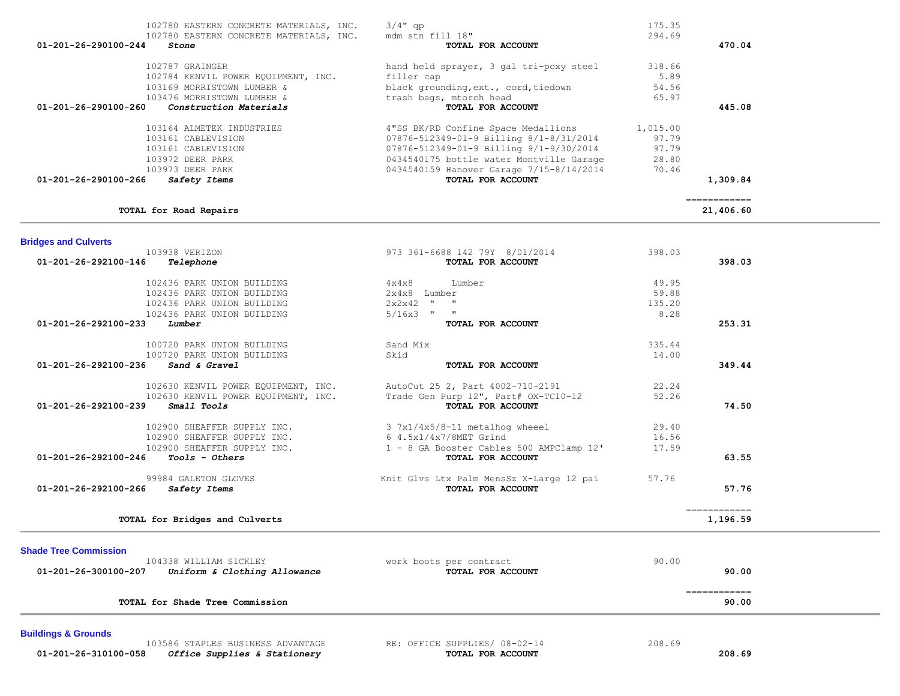| 01-201-26-292100-239<br><i>Small Tools</i>           | TOTAL FOR ACCOUNT                        | 74.50        |  |
|------------------------------------------------------|------------------------------------------|--------------|--|
| 102900 SHEAFFER SUPPLY INC.                          | 3 7x1/4x5/8-11 metalhog wheeel           | 29.40        |  |
| 102900 SHEAFFER SUPPLY INC.                          | 6 4.5x1/4x7/8MET Grind                   | 16.56        |  |
| 102900 SHEAFFER SUPPLY INC.                          | 1 - 8 GA Booster Cables 500 AMPClamp 12' | 17.59        |  |
| 01-201-26-292100-246<br><i>Tools - Others</i>        | TOTAL FOR ACCOUNT                        | 63.55        |  |
| 99984 GALETON GLOVES                                 | Knit Glvs Ltx Palm MensSz X-Large 12 pai | 57.76        |  |
| 01-201-26-292100-266<br>Safety Items                 | TOTAL FOR ACCOUNT                        | 57.76        |  |
|                                                      |                                          | ============ |  |
| TOTAL for Bridges and Culverts                       |                                          | 1,196.59     |  |
| <b>Shade Tree Commission</b>                         |                                          |              |  |
| 104338 WILLIAM SICKLEY                               | work boots per contract                  | 90.00        |  |
| 01-201-26-300100-207<br>Uniform & Clothing Allowance | TOTAL FOR ACCOUNT                        | 90.00        |  |
|                                                      |                                          | ============ |  |
| TOTAL for Shade Tree Commission                      |                                          | 90.00        |  |
| <b>Buildings &amp; Grounds</b>                       |                                          |              |  |

# 103938 VERIZON 973 361-6688 142 79Y 8/01/2014 398.03  **01-201-26-292100-146** *Telephone* **TOTAL FOR ACCOUNT 398.03** 102436 PARK UNION BUILDING 4x4x8 Lumber 49.95

# **Bridges and Culverts**

| $3/4$ " qp<br>mdm stn fill 18"           | 175.35<br>294.69                                             |           |
|------------------------------------------|--------------------------------------------------------------|-----------|
|                                          |                                                              | 470.04    |
|                                          |                                                              |           |
| filler cap                               | 5.89                                                         |           |
| black grounding, ext., cord, tiedown     | 54.56                                                        |           |
| trash bags, mtorch head                  | 65.97                                                        |           |
| TOTAL FOR ACCOUNT                        |                                                              | 445.08    |
| 4"SS BK/RD Confine Space Medallions      | 1,015.00                                                     |           |
| 07876-512349-01-9 Billing 8/1-8/31/2014  | 97.79                                                        |           |
| 07876-512349-01-9 Billing 9/1-9/30/2014  | 97.79                                                        |           |
| 0434540175 bottle water Montville Garage | 28.80                                                        |           |
| 0434540159 Hanover Garage 7/15-8/14/2014 | 70.46                                                        |           |
| TOTAL FOR ACCOUNT                        |                                                              | 1,309.84  |
|                                          |                                                              |           |
|                                          |                                                              | 21,406.60 |
|                                          | TOTAL FOR ACCOUNT<br>hand held sprayer, 3 gal tri-poxy steel | 318.66    |

102436 PARK UNION BUILDING 2x4x8 Lumber 59.88

 100720 PARK UNION BUILDING Sand Mix 335.44 100720 PARK UNION BUILDING Skid Sand & Gravel 14.00  **01-201-26-292100-236** *Sand & Gravel* **TOTAL FOR ACCOUNT 349.44**

102630 KENVIL POWER EQUIPMENT, INC.<br>102630 KENVIL POWER EOUIPMENT, INC. Trade Gen Purp 12", Part# OX-TC10-12 52.26

 103586 STAPLES BUSINESS ADVANTAGE RE: OFFICE SUPPLIES/ 08-02-14 208.69  **01-201-26-310100-058** *Office Supplies & Stationery* **TOTAL FOR ACCOUNT 208.69**

 **01-201-26-292100-233** *Lumber* **TOTAL FOR ACCOUNT 253.31**

 102436 PARK UNION BUILDING 2x2x42 " " 135.20 102436 PARK UNION BUILDING 5/16x3 " " 8.28

102630 KENVIL POWER EQUIPMENT, INC. Trade Gen Purp 12", Part# OX-TC10-12 52.26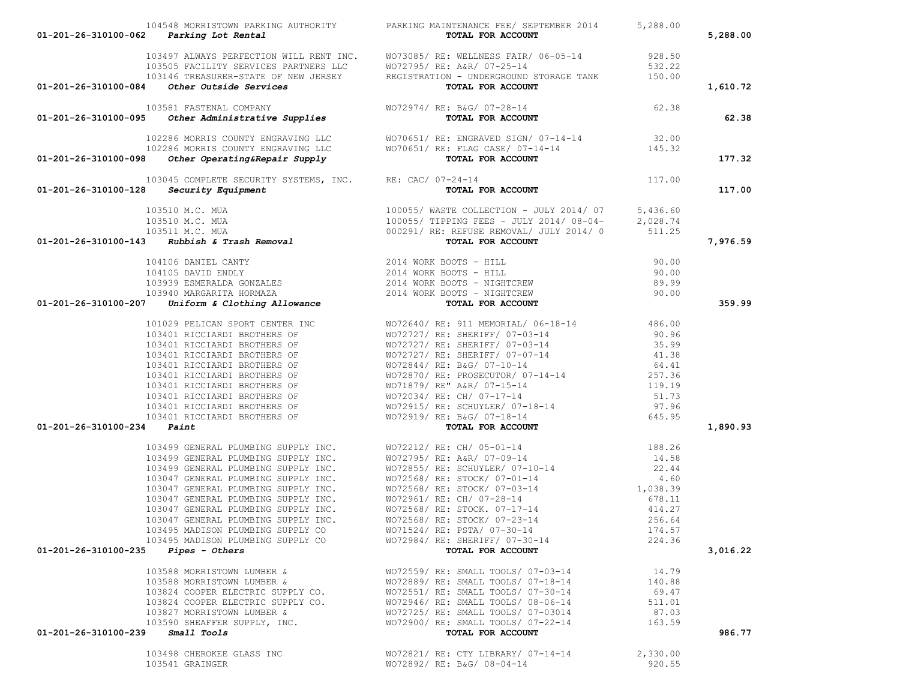|                                            | 01-201-26-310100-062 Parking Lot Rental                          | 104548 MORRISTOWN PARKING AUTHORITY PARKING MAINTENANCE FEE/ SEPTEMBER 2014<br>TOTAL FOR ACCOUNT                                                                                                                                       | 5,288.00 | 5,288.00 |
|--------------------------------------------|------------------------------------------------------------------|----------------------------------------------------------------------------------------------------------------------------------------------------------------------------------------------------------------------------------------|----------|----------|
|                                            |                                                                  | 103497 ALWAYS PERFECTION WILL RENT INC. WO73085/ RE: WELLNESS FAIR/06-05-14 928.50<br>103505 FACILITY SERVICES PARTNERS LLC WO72795/ RE: A&R/07-25-14 532.22<br>103146 TREASURER-STATE OF NEW JERSEY REGISTRATION - UNDERGROUND STOR   |          |          |
|                                            |                                                                  |                                                                                                                                                                                                                                        |          |          |
|                                            |                                                                  | TOTAL FOR ACCOUNT                                                                                                                                                                                                                      |          | 1,610.72 |
|                                            |                                                                  | 01-201-26-310100-084 Other Outside Services<br>103581 FASTENAL COMPANY WO72974/ RE: B&G/07-28-14<br>103-201-26-310100-095 Other Administrative Supplies<br>TOTAL FOR ACCOUNT                                                           | 62.38    |          |
|                                            |                                                                  |                                                                                                                                                                                                                                        |          | 62.38    |
|                                            |                                                                  | 102286 MORRIS COUNTY ENGRAVING LLC WO70651/RE: ENGRAVED SIGN/07-14-14 32.00<br>102286 MORRIS COUNTY ENGRAVING LLC WO70651/RE: FLAG CASE/07-14-14 145.32<br><b>8</b> Other Operating&Repair Supply <b>TOTAL FOR ACCOUNT</b>             |          |          |
|                                            |                                                                  |                                                                                                                                                                                                                                        |          |          |
| 01-201-26-310100-098                       |                                                                  |                                                                                                                                                                                                                                        |          | 177.32   |
|                                            | 103045 COMPLETE SECURITY SYSTEMS, INC. RE: CAC/ 07-24-14         |                                                                                                                                                                                                                                        | 117.00   |          |
|                                            | $01-201-26-310100-128$ Security Equipment                        | TOTAL FOR ACCOUNT                                                                                                                                                                                                                      |          | 117.00   |
|                                            | 103510 M.C. MUA                                                  | 100055/WASTE COLLECTION - JULY 2014/07 5,436.60<br>100055/TIPPING FEES - JULY 2014/08-04-<br>1000291/RE: REFUSE REMOVAL/JULY 2014/08-04-<br>Rubbish & Trash Removal 2014/05 11.25<br>Rubbish & Trash Removal 2014/05 11.25             |          |          |
|                                            | 103510 M.C. MUA                                                  |                                                                                                                                                                                                                                        |          |          |
|                                            | 103511 M.C. MUA                                                  |                                                                                                                                                                                                                                        |          |          |
| 01-201-26-310100-143                       |                                                                  |                                                                                                                                                                                                                                        |          | 7,976.59 |
|                                            |                                                                  | AMADE CANNEL CANTY (AND 1990)<br>104105 DANIE CANTY (2014 WORK BOOTS - HILL 1990, 00<br>104105 DANIE CANTY (2014 WORK BOOTS - HILL 1990, 00<br>103940 MARGARITA HORMAZA (2014 WORK BOOTS - NIGHTCREW (89.99<br>2014 WORK BOOTS - NIGHT |          |          |
|                                            |                                                                  |                                                                                                                                                                                                                                        |          |          |
|                                            |                                                                  |                                                                                                                                                                                                                                        |          |          |
|                                            |                                                                  |                                                                                                                                                                                                                                        |          |          |
| 01-201-26-310100-207                       |                                                                  |                                                                                                                                                                                                                                        |          | 359.99   |
|                                            |                                                                  |                                                                                                                                                                                                                                        |          |          |
|                                            |                                                                  |                                                                                                                                                                                                                                        |          |          |
|                                            |                                                                  |                                                                                                                                                                                                                                        |          |          |
|                                            |                                                                  |                                                                                                                                                                                                                                        |          |          |
|                                            |                                                                  |                                                                                                                                                                                                                                        |          |          |
|                                            |                                                                  |                                                                                                                                                                                                                                        |          |          |
|                                            |                                                                  |                                                                                                                                                                                                                                        |          |          |
|                                            |                                                                  |                                                                                                                                                                                                                                        |          |          |
|                                            |                                                                  |                                                                                                                                                                                                                                        |          |          |
| 01-201-26-310100-234                       |                                                                  |                                                                                                                                                                                                                                        |          | 1,890.93 |
|                                            |                                                                  |                                                                                                                                                                                                                                        |          |          |
|                                            |                                                                  |                                                                                                                                                                                                                                        |          |          |
|                                            |                                                                  |                                                                                                                                                                                                                                        |          |          |
|                                            |                                                                  |                                                                                                                                                                                                                                        |          |          |
|                                            |                                                                  |                                                                                                                                                                                                                                        |          |          |
|                                            |                                                                  |                                                                                                                                                                                                                                        |          |          |
|                                            |                                                                  |                                                                                                                                                                                                                                        |          |          |
|                                            |                                                                  |                                                                                                                                                                                                                                        |          |          |
|                                            | 103495 MADISON PLUMBING SUPPLY CO                                | WO71524/RE: PSTA/07-30-14 174.57                                                                                                                                                                                                       |          |          |
|                                            | 103495 MADISON PLUMBING SUPPLY CO WO72984/ RE: SHERIFF/ 07-30-14 |                                                                                                                                                                                                                                        | 224.36   |          |
| $01-201-26-310100-235$ Pipes - Others      |                                                                  | TOTAL FOR ACCOUNT                                                                                                                                                                                                                      |          | 3,016.22 |
|                                            | 103588 MORRISTOWN LUMBER &                                       | WO72559/ RE: SMALL TOOLS/ 07-03-14                                                                                                                                                                                                     | 14.79    |          |
|                                            |                                                                  |                                                                                                                                                                                                                                        | 140.88   |          |
|                                            |                                                                  | 103588 MORRISTOWN LUMBER & WO72889/RE: SMALL TOOLS/07-18-14<br>103824 COOPER ELECTRIC SUPPLY CO. WO72551/RE: SMALL TOOLS/07-30-14                                                                                                      | 69.47    |          |
|                                            |                                                                  | 103824 COOPER ELECTRIC SUPPLY CO.<br>103824 COOPER ELECTRIC SUPPLY CO. WO72946/RE: SMALL TOOLS/08-06-14<br>103827 MORRISTOWN LUMBER & WO72725/RE: SMALL TOOLS/07-03014                                                                 | 511.01   |          |
|                                            |                                                                  |                                                                                                                                                                                                                                        | 87.03    |          |
|                                            |                                                                  | 103590 SHEAFFER SUPPLY, INC. WO72900/RE: SMALL TOOLS/07-22-14 163.59                                                                                                                                                                   |          |          |
| $01 - 201 - 26 - 310100 - 239$ Small Tools |                                                                  | TOTAL FOR ACCOUNT                                                                                                                                                                                                                      |          | 986.77   |
|                                            | 103498 CHEROKEE GLASS INC                                        | WO72821/ RE: CTY LIBRARY/ 07-14-14                                                                                                                                                                                                     | 2,330.00 |          |
|                                            | 103541 GRAINGER                                                  | WO72892/ RE: B&G/ 08-04-14                                                                                                                                                                                                             | 920.55   |          |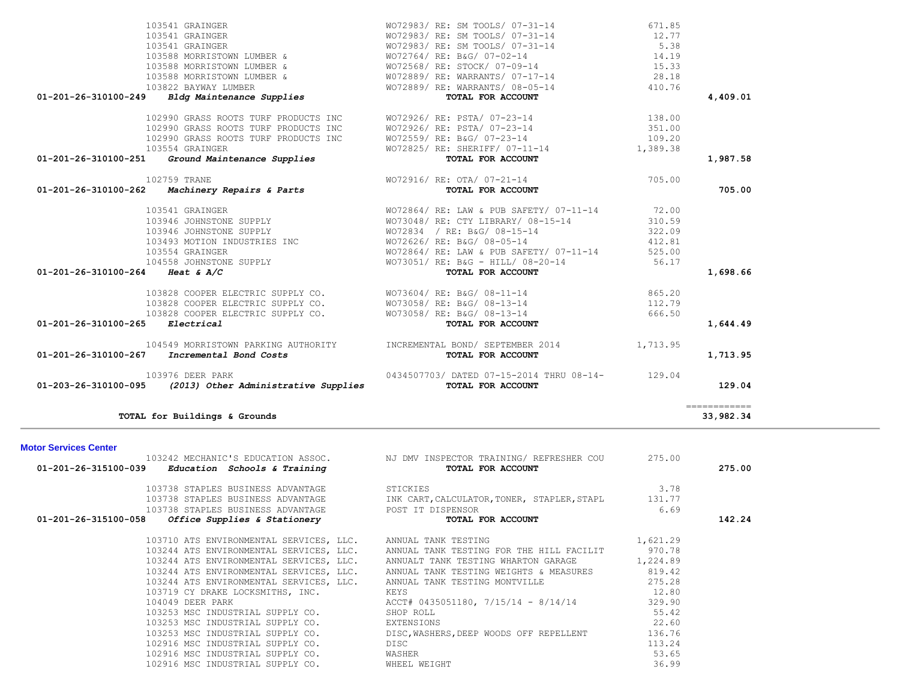| $01-201-26-315100-039$ Education Schools & Training |                  |                                                         | <b>TOTAL FOR ACCOUNT</b>                                                                 |          | 275.00 |
|-----------------------------------------------------|------------------|---------------------------------------------------------|------------------------------------------------------------------------------------------|----------|--------|
|                                                     |                  | 103738 STAPLES BUSINESS ADVANTAGE STICKIES              |                                                                                          | 3.78     |        |
|                                                     |                  |                                                         | 103738 STAPLES BUSINESS ADVANTAGE THE TAK CART, CALCULATOR, TONER, STAPLER, STAPL 131.77 |          |        |
|                                                     |                  | 103738 STAPLES BUSINESS ADVANTAGE THE POST IT DISPENSOR |                                                                                          | 6.69     |        |
| $01-201-26-315100-058$ Office Supplies & Stationery |                  |                                                         | TOTAL FOR ACCOUNT                                                                        |          | 142.24 |
|                                                     |                  |                                                         | 103710 ATS ENVIRONMENTAL SERVICES, LLC. ANNUAL TANK TESTING                              | 1,621.29 |        |
|                                                     |                  |                                                         | 103244 ATS ENVIRONMENTAL SERVICES, LLC. ANNUAL TANK TESTING FOR THE HILL FACILIT 970.78  |          |        |
|                                                     |                  |                                                         | 103244 ATS ENVIRONMENTAL SERVICES, LLC. ANNUALT TANK TESTING WHARTON GARAGE 1,224.89     |          |        |
|                                                     |                  |                                                         | 103244 ATS ENVIRONMENTAL SERVICES, LLC. ANNUAL TANK TESTING WEIGHTS & MEASURES 819.42    |          |        |
|                                                     |                  |                                                         | 103244 ATS ENVIRONMENTAL SERVICES, LLC. ANNUAL TANK TESTING MONTVILLE                    | 275.28   |        |
|                                                     |                  | 103719 CY DRAKE LOCKSMITHS, INC.                        | KEYS                                                                                     | 12.80    |        |
|                                                     | 104049 DEER PARK |                                                         | ACCT# 0435051180, 7/15/14 - 8/14/14                                                      | 329.90   |        |
|                                                     |                  | 103253 MSC INDUSTRIAL SUPPLY CO. SHOP ROLL              |                                                                                          | 55.42    |        |
|                                                     |                  | 103253 MSC INDUSTRIAL SUPPLY CO.                        | EXTENSIONS                                                                               | 22.60    |        |
|                                                     |                  |                                                         | 103253 MSC INDUSTRIAL SUPPLY CO. DISC, WASHERS, DEEP WOODS OFF REPELLENT                 | 136.76   |        |
|                                                     |                  | 102916 MSC INDUSTRIAL SUPPLY CO.                        | DISC                                                                                     | 113.24   |        |
|                                                     |                  | 102916 MSC INDUSTRIAL SUPPLY CO.                        | WASHER                                                                                   | 53.65    |        |
|                                                     |                  | 102916 MSC INDUSTRIAL SUPPLY CO.                        | WHEEL WEIGHT                                                                             | 36.99    |        |
|                                                     |                  |                                                         |                                                                                          |          |        |

### **Motor Services Center**

| TUZYYU GRASS ROOTS TURF PRODUCTS INC                | WO/Z9Z6/ RE: PSTA/ 0/-Z3-14             | 351.00   |          |
|-----------------------------------------------------|-----------------------------------------|----------|----------|
| 102990 GRASS ROOTS TURF PRODUCTS INC                | WO72559/ RE: B&G/ 07-23-14              | 109.20   |          |
| 103554 GRAINGER                                     | WO72825/ RE: SHERIFF/ 07-11-14          | 1,389.38 |          |
| 01-201-26-310100-251<br>Ground Maintenance Supplies | TOTAL FOR ACCOUNT                       |          | 1,987.58 |
| 102759 TRANE                                        | WO72916/ RE: OTA/ 07-21-14              | 705.00   |          |
| 01-201-26-310100-262<br>Machinery Repairs & Parts   | TOTAL FOR ACCOUNT                       |          | 705.00   |
| 103541 GRAINGER                                     | WO72864/ RE: LAW & PUB SAFETY/ 07-11-14 | 72.00    |          |
| 103946 JOHNSTONE SUPPLY                             | WO73048/ RE: CTY LIBRARY/ 08-15-14      | 310.59   |          |
| 103946 JOHNSTONE SUPPLY                             | WO72834 / RE: B&G/ 08-15-14             | 322.09   |          |
| 103493 MOTION INDUSTRIES INC                        | WO72626/ RE: B&G/ 08-05-14              | 412.81   |          |
| 103554 GRAINGER                                     | WO72864/ RE: LAW & PUB SAFETY/ 07-11-14 | 525.00   |          |
| 104558 JOHNSTONE SUPPLY                             | WO73051/ RE: B&G - HILL/ 08-20-14       | 56.17    |          |
| 01-201-26-310100-264<br>Heat & $A/C$                | TOTAL FOR ACCOUNT                       |          | 1,698.66 |
| 103828 COOPER ELECTRIC SUPPLY CO.                   | WO73604/ RE: B&G/ 08-11-14              | 865.20   |          |
| 103828 COOPER ELECTRIC SUPPLY CO.                   | WO73058/ RE: B&G/ 08-13-14              | 112.79   |          |
| 103828 COOPER ELECTRIC SUPPLY CO.                   | WO73058/ RE: B&G/ 08-13-14              | 666.50   |          |
| 01-201-26-310100-265<br>Electrical                  | TOTAL FOR ACCOUNT                       |          | 1,644.49 |

104549 MORRISTOWN PARKING AUTHORITY INCREMENTAL BOND/ SEPTEMBER 2014 1,713.95

103976 DEER PARK 0434507703/ DATED 07-15-2014 THRU 08-14- 129.04

103242 MECHANIC'S EDUCATION ASSOC. NJ DMV INSPECTOR TRAINING/ REFRESHER COU 275.00

**TOTAL for Buildings & Grounds 33,982.34**

 **01-201-26-310100-267** *Incremental Bond Costs* **TOTAL FOR ACCOUNT 1,713.95**

 **01-203-26-310100-095** *(2013) Other Administrative Supplies* **TOTAL FOR ACCOUNT 129.04** ============

# 103541 GRAINGER WO72983/ RE: SM TOOLS/ 07-31-14 671.85 103541 GRAINGER WO72983/ RE: SM TOOLS/ 07-31-14 12.77 072983/ RE: SM TOOLS/ 07-31-14<br>072764/ RE: B&G/ 07-02-14 103541 GRAINGER<br>103588 MORRISTOWN LUMBER & WO72764/ RE: B&G/ 07-02-14<br>103588 MORRISTOWN LUMBER & WO72568/ RE: STOCK/ 07-09-14 15.33 WO72568/ RE: STOCK/ 07-09-14 103588 MORRISTOWN LUMBER & W072889/ RE: WARRANTS/ 07-17-14 28.18 103822 BAYWAY LUMBER WO72889/ RE: WARRANTS/ 08-05-14 410.76  **01-201-26-310100-249** *Bldg Maintenance Supplies* **TOTAL FOR ACCOUNT 4,409.01** 102990 GRASS ROOTS TURF PRODUCTS INC WO72926/ RE: PSTA/ 07-23-14 138.00 102990 GRASS ROOTS TURF PRODUCTS INC WO72926/ RE: PSTA/ 07-23-14 351.00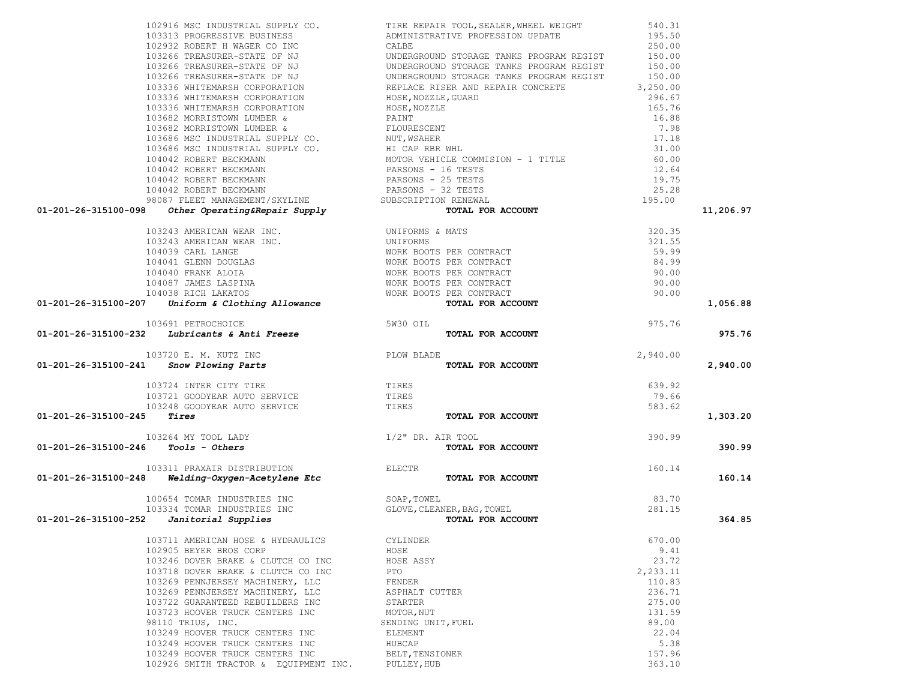| 102916 MSC INDUSTRIAL SUPPLY CO.                                                                       | TIRE REPAIR TOOL, SEALER, WHEEL WEIGHT                                                                                                                                                                                                              | 540.31   |           |
|--------------------------------------------------------------------------------------------------------|-----------------------------------------------------------------------------------------------------------------------------------------------------------------------------------------------------------------------------------------------------|----------|-----------|
|                                                                                                        | 103313 PROGRESSIVE BUSINESS<br>102932 ROBERT H WAGER CO INC CALBE 250.00<br>103266 TREASURER-STATE OF NJ UNDERGROUND STORAGE TANKS PROGRAM REGIST 150.00<br>103266 TREASURER-STATE OF NJ UNDERGROUND STORAGE TANKS PROGRAM REGIST 15                |          |           |
|                                                                                                        |                                                                                                                                                                                                                                                     |          |           |
|                                                                                                        |                                                                                                                                                                                                                                                     |          |           |
|                                                                                                        |                                                                                                                                                                                                                                                     |          |           |
|                                                                                                        |                                                                                                                                                                                                                                                     |          |           |
|                                                                                                        |                                                                                                                                                                                                                                                     |          |           |
|                                                                                                        |                                                                                                                                                                                                                                                     |          |           |
|                                                                                                        |                                                                                                                                                                                                                                                     |          |           |
|                                                                                                        |                                                                                                                                                                                                                                                     |          |           |
|                                                                                                        |                                                                                                                                                                                                                                                     |          |           |
|                                                                                                        |                                                                                                                                                                                                                                                     |          |           |
|                                                                                                        |                                                                                                                                                                                                                                                     |          |           |
|                                                                                                        |                                                                                                                                                                                                                                                     |          |           |
|                                                                                                        |                                                                                                                                                                                                                                                     |          |           |
|                                                                                                        |                                                                                                                                                                                                                                                     |          |           |
|                                                                                                        |                                                                                                                                                                                                                                                     |          |           |
|                                                                                                        |                                                                                                                                                                                                                                                     |          |           |
| 01-201-26-315100-098                                                                                   |                                                                                                                                                                                                                                                     |          | 11,206.97 |
|                                                                                                        | 103243 AMERICAN WEAR INC.<br>103243 AMERICAN WEAR INC.<br>104039 CARL LANGE WORK BOOTS PER CONTRACT<br>104040 FRANK ALOIA<br>104040 FRANK ALOIA<br>104087 JAMES LASPINA<br>104087 JAMES LASPINA<br>104038 RICH LAKATOS<br><b>7</b> Uniform & Clothi | 320.35   |           |
|                                                                                                        |                                                                                                                                                                                                                                                     | 321.55   |           |
|                                                                                                        |                                                                                                                                                                                                                                                     | 59.99    |           |
|                                                                                                        |                                                                                                                                                                                                                                                     | 84.99    |           |
|                                                                                                        |                                                                                                                                                                                                                                                     | 90.00    |           |
|                                                                                                        |                                                                                                                                                                                                                                                     | 90.00    |           |
|                                                                                                        |                                                                                                                                                                                                                                                     | 90.00    |           |
| 01-201-26-315100-207                                                                                   |                                                                                                                                                                                                                                                     |          | 1,056.88  |
|                                                                                                        |                                                                                                                                                                                                                                                     |          |           |
|                                                                                                        |                                                                                                                                                                                                                                                     | 975.76   |           |
| 103691 PETROCHOICE<br><b>01-201-26-315100-232</b> Lubricants & Anti Freeze<br>Lubricants & Anti Freeze | TOTAL FOR ACCOUNT                                                                                                                                                                                                                                   |          | 975.76    |
| 103720 E. M. KUTZ INC<br>1 Snow Plowing Parts                                                          |                                                                                                                                                                                                                                                     | 2,940.00 |           |
| 01-201-26-315100-241                                                                                   | TOTAL FOR ACCOUNT                                                                                                                                                                                                                                   |          | 2,940.00  |
|                                                                                                        |                                                                                                                                                                                                                                                     |          |           |
| 103724 INTER CITY TIRE<br>103721 GOODYEAR AUTO SERVICE TIRES<br>103248 GOODYEAR AUTO SERVICE TIRES     |                                                                                                                                                                                                                                                     | 639.92   |           |
|                                                                                                        |                                                                                                                                                                                                                                                     | 79.66    |           |
|                                                                                                        |                                                                                                                                                                                                                                                     | 583.62   |           |
| 01-201-26-315100-245<br>Tires                                                                          | TOTAL FOR ACCOUNT                                                                                                                                                                                                                                   |          | 1,303.20  |
| 103264 MY TOOL LADY $1/2$ " DR. AIR TOOL 5 Tools - Others TOTAL FORE                                   | 390.99                                                                                                                                                                                                                                              |          |           |
| 01-201-26-315100-246                                                                                   | TOTAL FOR ACCOUNT                                                                                                                                                                                                                                   |          | 390.99    |
|                                                                                                        |                                                                                                                                                                                                                                                     |          |           |
| 103311 PRAXAIR DISTRIBUTION ELECTR<br><b>Welding-Oxygen-Acetylene Etc</b> Electric                     |                                                                                                                                                                                                                                                     | 160.14   |           |
| 01-201-26-315100-248                                                                                   | TOTAL FOR ACCOUNT                                                                                                                                                                                                                                   |          | 160.14    |
| 100654 TOMAR INDUSTRIES INC                                                                            |                                                                                                                                                                                                                                                     | 83.70    |           |
| 103334 TOMAR INDUSTRIES INC                                                                            | SOAP,TOWEL<br>GLOVE,CLEANER,BAG,TOWEL                                                                                                                                                                                                               | 281.15   |           |
| 01-201-26-315100-252<br>Janitorial Supplies                                                            | TOTAL FOR ACCOUNT                                                                                                                                                                                                                                   |          | 364.85    |
| 103711 AMERICAN HOSE & HYDRAULICS                                                                      | <b>CYLINDER</b>                                                                                                                                                                                                                                     | 670.00   |           |
| 102905 BEYER BROS CORP                                                                                 | HOSE                                                                                                                                                                                                                                                | 9.41     |           |
| 103246 DOVER BRAKE & CLUTCH CO INC                                                                     | HOSE ASSY                                                                                                                                                                                                                                           | 23.72    |           |
| 103718 DOVER BRAKE & CLUTCH CO INC                                                                     | PTO                                                                                                                                                                                                                                                 | 2,233.11 |           |
| 103269 PENNJERSEY MACHINERY, LLC                                                                       | FENDER                                                                                                                                                                                                                                              | 110.83   |           |
| 103269 PENNJERSEY MACHINERY, LLC                                                                       | ASPHALT CUTTER                                                                                                                                                                                                                                      | 236.71   |           |
| 103722 GUARANTEED REBUILDERS INC                                                                       | STARTER                                                                                                                                                                                                                                             | 275.00   |           |
| 103723 HOOVER TRUCK CENTERS INC                                                                        | MOTOR, NUT                                                                                                                                                                                                                                          | 131.59   |           |
| 98110 TRIUS, INC.                                                                                      | SENDING UNIT, FUEL                                                                                                                                                                                                                                  | 89.00    |           |
| 103249 HOOVER TRUCK CENTERS INC                                                                        | ELEMENT                                                                                                                                                                                                                                             | 22.04    |           |
| 103249 HOOVER TRUCK CENTERS INC                                                                        | HUBCAP                                                                                                                                                                                                                                              | 5.38     |           |
| 103249 HOOVER TRUCK CENTERS INC                                                                        | BELT, TENSIONER                                                                                                                                                                                                                                     | 157.96   |           |

102926 SMITH TRACTOR & EQUIPMENT INC. PULLEY,HUB 363.10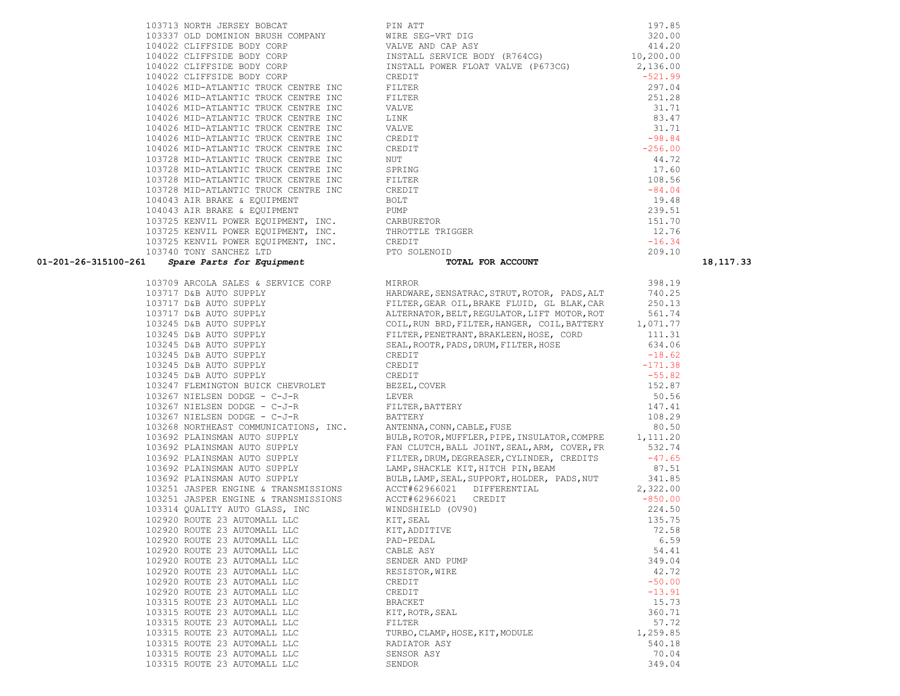| 103709 ARCOLA SALES & SERVICE CORP                               | MIRROR                                                                                                                                                                                                                                      | 398.19    |
|------------------------------------------------------------------|---------------------------------------------------------------------------------------------------------------------------------------------------------------------------------------------------------------------------------------------|-----------|
| 103717 D&B AUTO SUPPLY                                           | HARDWARE, SENSATRAC, STRUT, ROTOR, PADS, ALT                                                                                                                                                                                                | 740.25    |
| 103717 D&B AUTO SUPPLY                                           | FILTER, GEAR OIL, BRAKE FLUID, GL BLAK, CAR                                                                                                                                                                                                 | 250.13    |
| 103717 D&B AUTO SUPPLY                                           | ALTERNATOR, BELT, REGULATOR, LIFT MOTOR, ROT                                                                                                                                                                                                | 561.74    |
| 103245 D&B AUTO SUPPLY                                           | COIL, RUN BRD, FILTER, HANGER, COIL, BATTERY 1,071.77                                                                                                                                                                                       |           |
| 103245 D&B AUTO SUPPLY                                           | FILTER, PENETRANT, BRAKLEEN, HOSE, CORD                                                                                                                                                                                                     | 111.31    |
| 103245 D&B AUTO SUPPLY                                           | SEAL, ROOTR, PADS, DRUM, FILTER, HOSE                                                                                                                                                                                                       | 634.06    |
| 103245 D&B AUTO SUPPLY                                           | CREDIT                                                                                                                                                                                                                                      | $-18.62$  |
| 103245 D&B AUTO SUPPLY                                           | CREDIT                                                                                                                                                                                                                                      | $-171.38$ |
| 103245 D&B AUTO SUPPLY                                           | CREDIT                                                                                                                                                                                                                                      | $-55.82$  |
| 103247 FLEMINGTON BUICK CHEVROLET BEZEL, COVER                   |                                                                                                                                                                                                                                             | 152.87    |
| 103267 NIELSEN DODGE - C-J-R<br><b>EXERUPTER</b>                 |                                                                                                                                                                                                                                             | 50.56     |
| 103267 NIELSEN DODGE - C-J-R                                     | FILTER, BATTERY                                                                                                                                                                                                                             | 147.41    |
| 103267 NIELSEN DODGE - C-J-R                                     | BATTERY                                                                                                                                                                                                                                     | 108.29    |
| 103268 NORTHEAST COMMUNICATIONS, INC. ANTENNA, CONN, CABLE, FUSE |                                                                                                                                                                                                                                             | 80.50     |
| 103692 PLAINSMAN AUTO SUPPLY                                     | BULB, ROTOR, MUFFLER, PIPE, INSULATOR, COMPRE 1, 111.20                                                                                                                                                                                     |           |
| 103692 PLAINSMAN AUTO SUPPLY                                     | FAN CLUTCH, BALL JOINT, SEAL, ARM, COVER, FR                                                                                                                                                                                                | 532.74    |
| 103692 PLAINSMAN AUTO SUPPLY                                     | FILTER, DRUM, DEGREASER, CYLINDER, CREDITS                                                                                                                                                                                                  | $-47.65$  |
| 103692 PLAINSMAN AUTO SUPPLY                                     | LAMP, SHACKLE KIT, HITCH PIN, BEAM                                                                                                                                                                                                          | 87.51     |
| 103692 PLAINSMAN AUTO SUPPLY                                     | BULB, LAMP, SEAL, SUPPORT, HOLDER, PADS, NUT 341.85                                                                                                                                                                                         |           |
| 103251 JASPER ENGINE & TRANSMISSIONS                             | $ACCT#62966021$ $DIFFERENTIAL$<br>$2.227$ $2.227$ $2.227$ $2.227$ $2.227$ $2.227$ $2.27$ $2.27$ $2.27$ $2.27$ $2.27$ $2.27$ $2.27$ $2.27$ $2.27$ $2.27$ $2.27$ $2.27$ $2.27$ $2.27$ $2.27$ $2.27$ $2.27$ $2.27$ $2.27$ $2.27$ $2.27$ $2.27$ | 2,322.00  |
| 103251 JASPER ENGINE & TRANSMISSIONS                             | ACCT#62966021 CREDIT                                                                                                                                                                                                                        | $-850.00$ |
| 103314 OUALITY AUTO GLASS, INC                                   | WINDSHIELD (OV90)                                                                                                                                                                                                                           | 224.50    |
| 102920 ROUTE 23 AUTOMALL LLC                                     | KIT, SEAL                                                                                                                                                                                                                                   | 135.75    |
| 102920 ROUTE 23 AUTOMALL LLC                                     | KIT, ADDITIVE                                                                                                                                                                                                                               | 72.58     |
| 102920 ROUTE 23 AUTOMALL LLC                                     | PAD-PEDAL                                                                                                                                                                                                                                   | 6.59      |
| 102920 ROUTE 23 AUTOMALL LLC CABLE ASY                           |                                                                                                                                                                                                                                             | 54.41     |
| 102920 ROUTE 23 AUTOMALL LLC SENDER AND PUMP                     |                                                                                                                                                                                                                                             | 349.04    |
| 102920 ROUTE 23 AUTOMALL LLC<br>RESISTOR, WIRE                   |                                                                                                                                                                                                                                             | 42.72     |
| 102920 ROUTE 23 AUTOMALL LLC                                     | CREDIT                                                                                                                                                                                                                                      | $-50.00$  |
| 102920 ROUTE 23 AUTOMALL LLC                                     | CREDIT                                                                                                                                                                                                                                      | $-13.91$  |
| 103315 ROUTE 23 AUTOMALL LLC                                     | BRACKET                                                                                                                                                                                                                                     | 15.73     |
| 103315 ROUTE 23 AUTOMALL LLC<br>KIT, ROTR, SEAL                  |                                                                                                                                                                                                                                             | 360.71    |
| 103315 ROUTE 23 AUTOMALL LLC                                     | FILTER                                                                                                                                                                                                                                      | 57.72     |
| 103315 ROUTE 23 AUTOMALL LLC                                     | TURBO, CLAMP, HOSE, KIT, MODULE                                                                                                                                                                                                             | 1,259.85  |
| 103315 ROUTE 23 AUTOMALL LLC                                     | RADIATOR ASY                                                                                                                                                                                                                                | 540.18    |
| 103315 ROUTE 23 AUTOMALL LLC                                     | SENSOR ASY                                                                                                                                                                                                                                  | 70.04     |
| 103315 ROUTE 23 AUTOMALL LLC                                     | SENDOR                                                                                                                                                                                                                                      | 349.04    |

|                      | 103740 TONY SANCHEZ LTD            |                                                                                                                                                                                                                                      | 209.10 |             |
|----------------------|------------------------------------|--------------------------------------------------------------------------------------------------------------------------------------------------------------------------------------------------------------------------------------|--------|-------------|
| 01-201-26-315100-261 |                                    | TOTAL FOR ACCOUNT                                                                                                                                                                                                                    |        | 18, 117. 33 |
|                      | 103709 ARCOLA SALES & SERVICE CORP | MIRROR                                                                                                                                                                                                                               | 398.19 |             |
|                      |                                    |                                                                                                                                                                                                                                      |        |             |
|                      |                                    |                                                                                                                                                                                                                                      |        |             |
|                      |                                    |                                                                                                                                                                                                                                      |        |             |
|                      |                                    |                                                                                                                                                                                                                                      |        |             |
|                      |                                    |                                                                                                                                                                                                                                      |        |             |
|                      |                                    |                                                                                                                                                                                                                                      |        |             |
|                      |                                    |                                                                                                                                                                                                                                      |        |             |
|                      |                                    |                                                                                                                                                                                                                                      |        |             |
|                      |                                    |                                                                                                                                                                                                                                      |        |             |
|                      |                                    |                                                                                                                                                                                                                                      |        |             |
|                      |                                    |                                                                                                                                                                                                                                      |        |             |
|                      |                                    |                                                                                                                                                                                                                                      |        |             |
|                      |                                    |                                                                                                                                                                                                                                      |        |             |
|                      |                                    |                                                                                                                                                                                                                                      |        |             |
|                      |                                    |                                                                                                                                                                                                                                      |        |             |
|                      |                                    | 103692 PLAINSMAN AUTO SUPPLY BULB, ROTOR, MUFFLER, PIPE, INSULATOR, COMPRE 1, 111.20<br>103692 PLAINSMAN AUTO SUPPLY FAN CLUTCH, BALL JOINT, SEAL, ARM, COVER, FR 532.74<br>103692 PLAINSMAN AUTO SUPPLY FILTER, DRUM, DEGREASER, CY |        |             |
|                      |                                    |                                                                                                                                                                                                                                      |        |             |
|                      |                                    |                                                                                                                                                                                                                                      |        |             |
|                      |                                    |                                                                                                                                                                                                                                      |        |             |
|                      |                                    |                                                                                                                                                                                                                                      |        |             |
|                      |                                    |                                                                                                                                                                                                                                      |        |             |
|                      |                                    |                                                                                                                                                                                                                                      |        |             |
|                      |                                    |                                                                                                                                                                                                                                      |        |             |
|                      |                                    |                                                                                                                                                                                                                                      |        |             |
|                      |                                    |                                                                                                                                                                                                                                      |        |             |
|                      |                                    |                                                                                                                                                                                                                                      |        |             |
|                      |                                    |                                                                                                                                                                                                                                      |        |             |
|                      |                                    |                                                                                                                                                                                                                                      |        |             |
|                      |                                    |                                                                                                                                                                                                                                      |        |             |
|                      |                                    |                                                                                                                                                                                                                                      |        |             |
|                      |                                    |                                                                                                                                                                                                                                      |        |             |
|                      |                                    |                                                                                                                                                                                                                                      |        |             |
|                      |                                    |                                                                                                                                                                                                                                      |        |             |
|                      |                                    |                                                                                                                                                                                                                                      |        |             |
|                      |                                    |                                                                                                                                                                                                                                      |        |             |
|                      |                                    |                                                                                                                                                                                                                                      |        |             |
|                      |                                    |                                                                                                                                                                                                                                      |        |             |

103713 NORTH JERSEY BOBCAT PIN ATT PIN ATT PIN ATTENT ON PIN ATTENTION RELIST COMPANY 103337 OLD DOMINION BRUSH COMPANY WIRE<br>104022 CLIFFSIDE BODY CORP WALVE 104022 CLIFFSIDE BODY CORP 104022 CLIFFSIDE BODY CORP INSTA<br>104022 CLIFFSIDE BODY CORP INSTA 104022 CLIFFSIDE BODY CORP 104022 CLIFFSIDE BODY CORP CREDIT CREDIT 104026 MID-ATLANTIC TRUCK CENTRE INC FILTE 104026 MID-ATLANTIC TRUCK CENTRE INC FILTE 104026 MID-ATLANTIC TRUCK CENTRE INC VALVE 104026 MID-ATLANTIC TRUCK CENTRE INC LINK 104026 MID-ATLANTIC TRUCK CENTRE INC VALVE 104026 MID-ATLANTIC TRUCK CENTRE INC CREDI 104026 MID-ATLANTIC TRUCK CENTRE INC CREDIT CONSERVATION CREDIT -256.000 MIT 103728 MID-ATLANTIC TRUCK CENTRE INC 103728 MID-ATLANTIC TRUCK CENTRE INC SPRIN 103728 MID-ATLANTIC TRUCK CENTRE INC FILTE 103728 MID-ATLANTIC TRUCK CENTRE INC CREDI 104043 AIR BRAKE & EQUIPMENT BOLT 104043 AIR BRAKE & EQUIPMENT PUMP 103725 KENVIL POWER EQUIPMENT, INC. CARBURET 103725 KENVIL POWER EQUIPMENT, INC. THROT 103725 KENVIL POWER EQUIPMENT, INC. CREDI 103740 TONY SANCHEZ LTD PTO

| ATT                            | 197.85    |
|--------------------------------|-----------|
| SEG-VRT DIG                    | 320.00    |
| E AND CAP ASY                  | 414.20    |
| ALL SERVICE BODY (R764CG)      | 10,200.00 |
| ALL POWER FLOAT VALVE (P673CG) | 2,136.00  |
| IΤ                             | $-521.99$ |
| ΞR                             | 297.04    |
| ΞR                             | 251.28    |
| Ŧ,                             | 31.71     |
|                                | 83.47     |
| ť                              | 31.71     |
| ĪΤ                             | $-98.84$  |
| ĪΤ                             | $-256.00$ |
|                                | 44.72     |
| ЛG                             | 17.60     |
| ΞR                             | 108.56    |
| ĪΤ                             | $-84.04$  |
|                                | 19.48     |
|                                | 239.51    |
| JRETOR                         | 151.70    |
| <b>TTLE TRIGGER</b>            | 12.76     |
| IΤ                             | $-16.34$  |
| SOLENOID                       | 209.10    |
| <b>TOTAL TOR ACCOUNT</b>       |           |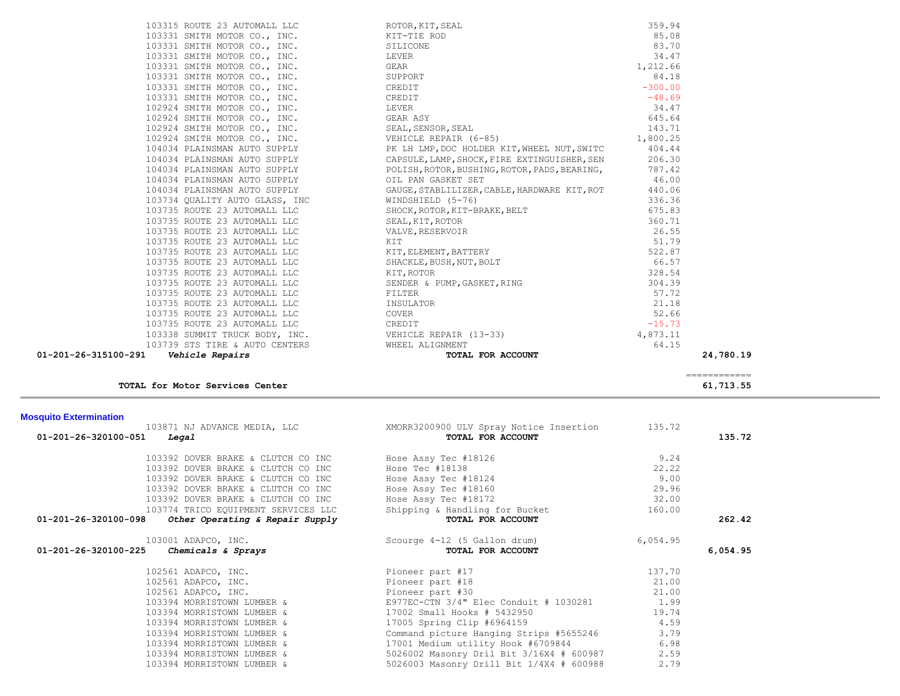| <b>Mosquito Extermination</b>                                     |                                                                        |          |          |
|-------------------------------------------------------------------|------------------------------------------------------------------------|----------|----------|
| 103871 NJ ADVANCE MEDIA, LLC<br>01-201-26-320100-051<br>Legal     | XMORR3200900 ULV Spray Notice Insertion<br>TOTAL FOR ACCOUNT           | 135.72   | 135.72   |
| 103392 DOVER BRAKE & CLUTCH CO INC                                | Hose Assy Tec #18126                                                   | 9.24     |          |
| 103392 DOVER BRAKE & CLUTCH CO INC                                | Hose Tec #18138                                                        | 22.22    |          |
| 103392 DOVER BRAKE & CLUTCH CO INC                                | Hose Assy Tec #18124                                                   | 9.00     |          |
| 103392 DOVER BRAKE & CLUTCH CO INC                                | Hose Assy Tec #18160                                                   | 29.96    |          |
| 103392 DOVER BRAKE & CLUTCH CO INC                                | Hose Assy Tec #18172                                                   | 32.00    |          |
| 103774 TRICO EQUIPMENT SERVICES LLC                               | Shipping & Handling for Bucket                                         | 160.00   |          |
| $01 - 201 - 26 - 320100 - 098$<br>Other Operating & Repair Supply | TOTAL FOR ACCOUNT                                                      |          | 262.42   |
| 103001 ADAPCO, INC.                                               | Scourge 4-12 (5 Gallon drum)                                           | 6,054.95 |          |
| 01-201-26-320100-225<br>Chemicals & Sprays                        | TOTAL FOR ACCOUNT                                                      |          | 6.054.95 |
| 102561 ADAPCO, INC.                                               | Pioneer part #17                                                       | 137.70   |          |
| 102561 ADAPCO, INC.                                               | Pioneer part #18                                                       | 21.00    |          |
| 102561 ADAPCO, INC.                                               | Pioneer part #30                                                       | 21.00    |          |
|                                                                   | 103394 MORRISTOWN LUMBER & B977EC-CTN 3/4" Elec Conduit # 1030281 1.99 |          |          |
| 103394 MORRISTOWN LUMBER &                                        | 17002 Small Hooks # 5432950                                            | 19.74    |          |
| 103394 MORRISTOWN LUMBER &                                        | 17005 Spring Clip #6964159                                             | 4.59     |          |
| 103394 MORRISTOWN LUMBER &                                        | Command picture Hanging Strips #5655246                                | 3.79     |          |
| 103394 MORRISTOWN LUMBER &                                        | 17001 Medium utility Hook #6709844                                     | 6.98     |          |
| 103394 MORRISTOWN LUMBER &                                        | 5026002 Masonry Dril Bit 3/16X4 # 600987                               | 2.59     |          |
| 103394 MORRISTOWN LUMBER &                                        | 5026003 Masonry Drill Bit 1/4X4 # 600988                               | 2.79     |          |

#### **Mosqui**

| 01-201-26-315100-291                                             |       | 24,780.19 |
|------------------------------------------------------------------|-------|-----------|
|                                                                  |       |           |
|                                                                  |       |           |
|                                                                  |       |           |
|                                                                  |       |           |
|                                                                  |       |           |
|                                                                  |       |           |
|                                                                  |       |           |
|                                                                  |       |           |
|                                                                  |       |           |
|                                                                  |       |           |
|                                                                  |       |           |
|                                                                  |       |           |
|                                                                  |       |           |
|                                                                  |       |           |
|                                                                  |       |           |
|                                                                  |       |           |
| 104034 PLAINSMAN AUTO SUPPLY <b>104034 PLAINSMAN AUTO SUPPLY</b> | 46.00 |           |
|                                                                  |       |           |
|                                                                  |       |           |
|                                                                  |       |           |
|                                                                  |       |           |
|                                                                  |       |           |
|                                                                  |       |           |
|                                                                  |       |           |
|                                                                  |       |           |
|                                                                  |       |           |
|                                                                  |       |           |
|                                                                  |       |           |
|                                                                  |       |           |
|                                                                  |       |           |
|                                                                  |       |           |
|                                                                  |       |           |

**TOTAL for Motor Services Center 61,713.55**

============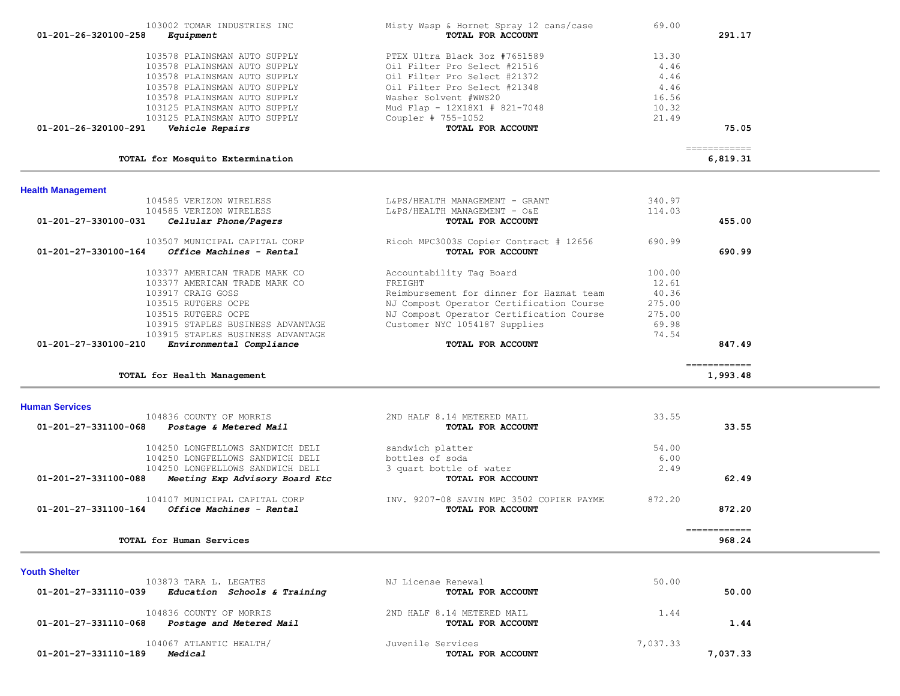| 103578 PLAINSMAN AUTO SUPPLY<br>103578 PLAINSMAN AUTO SUPPLY<br>103578 PLAINSMAN AUTO SUPPLY<br>103578 PLAINSMAN AUTO SUPPLY<br>103578 PLAINSMAN AUTO SUPPLY | PTEX Ultra Black 3oz #7651589<br>Oil Filter Pro Select #21516<br>Oil Filter Pro Select #21372<br>Oil Filter Pro Select #21348<br>Washer Solvent #WWS20 | 13.30<br>4.46<br>4.46<br>4.46<br>16.56 |                           |
|--------------------------------------------------------------------------------------------------------------------------------------------------------------|--------------------------------------------------------------------------------------------------------------------------------------------------------|----------------------------------------|---------------------------|
| 103125 PLAINSMAN AUTO SUPPLY<br>103125 PLAINSMAN AUTO SUPPLY                                                                                                 | Mud Flap - 12X18X1 # 821-7048                                                                                                                          | 10.32<br>21.49                         |                           |
| 01-201-26-320100-291<br>Vehicle Repairs                                                                                                                      | Coupler # 755-1052<br>TOTAL FOR ACCOUNT                                                                                                                |                                        | 75.05                     |
| TOTAL for Mosquito Extermination                                                                                                                             |                                                                                                                                                        |                                        | =============<br>6,819.31 |
| <b>Health Management</b>                                                                                                                                     |                                                                                                                                                        |                                        |                           |
| 104585 VERIZON WIRELESS                                                                                                                                      | L&PS/HEALTH MANAGEMENT - GRANT                                                                                                                         | 340.97                                 |                           |
| 104585 VERIZON WIRELESS<br>01-201-27-330100-031<br>Cellular Phone/Pagers                                                                                     | L&PS/HEALTH MANAGEMENT - O&E<br>TOTAL FOR ACCOUNT                                                                                                      | 114.03                                 | 455.00                    |
| 103507 MUNICIPAL CAPITAL CORP                                                                                                                                | Ricoh MPC3003S Copier Contract # 12656                                                                                                                 | 690.99                                 |                           |
| Office Machines - Rental<br>01-201-27-330100-164                                                                                                             | TOTAL FOR ACCOUNT                                                                                                                                      |                                        | 690.99                    |
| 103377 AMERICAN TRADE MARK CO                                                                                                                                | Accountability Tag Board                                                                                                                               | 100.00                                 |                           |
| 103377 AMERICAN TRADE MARK CO                                                                                                                                | FREIGHT                                                                                                                                                | 12.61                                  |                           |
| 103917 CRAIG GOSS                                                                                                                                            | Reimbursement for dinner for Hazmat team                                                                                                               | 40.36                                  |                           |
| 103515 RUTGERS OCPE                                                                                                                                          | NJ Compost Operator Certification Course                                                                                                               | 275.00                                 |                           |
| 103515 RUTGERS OCPE<br>103915 STAPLES BUSINESS ADVANTAGE                                                                                                     | NJ Compost Operator Certification Course<br>Customer NYC 1054187 Supplies                                                                              | 275.00<br>69.98                        |                           |
| 103915 STAPLES BUSINESS ADVANTAGE                                                                                                                            |                                                                                                                                                        | 74.54                                  |                           |
| 01-201-27-330100-210<br>Environmental Compliance                                                                                                             | TOTAL FOR ACCOUNT                                                                                                                                      |                                        | 847.49                    |
| TOTAL for Health Management                                                                                                                                  |                                                                                                                                                        |                                        | ============<br>1,993.48  |
| <b>Human Services</b>                                                                                                                                        |                                                                                                                                                        |                                        |                           |
| 104836 COUNTY OF MORRIS                                                                                                                                      | 2ND HALF 8.14 METERED MAIL                                                                                                                             | 33.55                                  |                           |
| 01-201-27-331100-068<br>Postage & Metered Mail                                                                                                               | TOTAL FOR ACCOUNT                                                                                                                                      |                                        | 33.55                     |
| 104250 LONGFELLOWS SANDWICH DELI                                                                                                                             | sandwich platter                                                                                                                                       | 54.00                                  |                           |
| 104250 LONGFELLOWS SANDWICH DELI                                                                                                                             | bottles of soda                                                                                                                                        | 6.00                                   |                           |
| 104250 LONGFELLOWS SANDWICH DELI                                                                                                                             | 3 quart bottle of water                                                                                                                                | 2.49                                   |                           |
| 01-201-27-331100-088<br>Meeting Exp Advisory Board Etc                                                                                                       | TOTAL FOR ACCOUNT                                                                                                                                      |                                        | 62.49                     |
| 104107 MUNICIPAL CAPITAL CORP<br>01-201-27-331100-164<br>Office Machines - Rental                                                                            | INV. 9207-08 SAVIN MPC 3502 COPIER PAYME<br>TOTAL FOR ACCOUNT                                                                                          | 872.20                                 | 872.20                    |
| TOTAL for Human Services                                                                                                                                     |                                                                                                                                                        |                                        | ============<br>968.24    |
| <b>Youth Shelter</b>                                                                                                                                         |                                                                                                                                                        |                                        |                           |
| 103873 TARA L. LEGATES<br>01-201-27-331110-039<br>Education Schools & Training                                                                               | NJ License Renewal<br>TOTAL FOR ACCOUNT                                                                                                                | 50.00                                  | 50.00                     |
|                                                                                                                                                              |                                                                                                                                                        |                                        |                           |

103002 TOMAR INDUSTRIES INC<br> **103002 TOMAR INDUSTRIES INC** Misty Wasp & Hornet Spray 12 cans/case 69.00  **01-201-26-320100-258** *Equipment* **TOTAL FOR ACCOUNT 291.17**

 104067 ATLANTIC HEALTH/ Juvenile Services 7,037.33  **01-201-27-331110-189** *Medical* **TOTAL FOR ACCOUNT 7,037.33**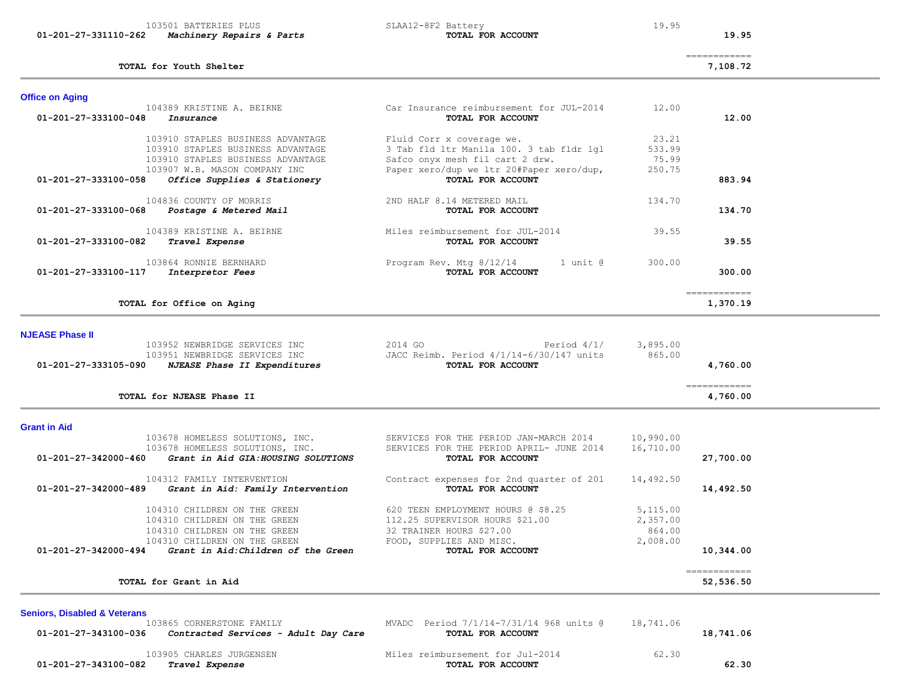| 103501 BATTERIES PLUS<br>01-201-27-331110-262<br>Machinery Repairs & Parts                                                        | SLAA12-8F2 Battery<br>TOTAL FOR ACCOUNT                                                                                       | 19.95                                      | 19.95                                                                                                                                                                                                                                                                                                                                                                                                                                                                                              |
|-----------------------------------------------------------------------------------------------------------------------------------|-------------------------------------------------------------------------------------------------------------------------------|--------------------------------------------|----------------------------------------------------------------------------------------------------------------------------------------------------------------------------------------------------------------------------------------------------------------------------------------------------------------------------------------------------------------------------------------------------------------------------------------------------------------------------------------------------|
| TOTAL for Youth Shelter                                                                                                           |                                                                                                                               |                                            | $\begin{array}{cccccccccc} \multicolumn{2}{c}{} & \multicolumn{2}{c}{} & \multicolumn{2}{c}{} & \multicolumn{2}{c}{} & \multicolumn{2}{c}{} & \multicolumn{2}{c}{} & \multicolumn{2}{c}{} & \multicolumn{2}{c}{} & \multicolumn{2}{c}{} & \multicolumn{2}{c}{} & \multicolumn{2}{c}{} & \multicolumn{2}{c}{} & \multicolumn{2}{c}{} & \multicolumn{2}{c}{} & \multicolumn{2}{c}{} & \multicolumn{2}{c}{} & \multicolumn{2}{c}{} & \multicolumn{2}{c}{} & \multicolumn{2}{c}{} & \mult$<br>7,108.72 |
| <b>Office on Aging</b>                                                                                                            |                                                                                                                               |                                            |                                                                                                                                                                                                                                                                                                                                                                                                                                                                                                    |
| 104389 KRISTINE A. BEIRNE<br>01-201-27-333100-048<br>Insurance                                                                    | Car Insurance reimbursement for JUL-2014<br>TOTAL FOR ACCOUNT                                                                 | 12.00                                      | 12.00                                                                                                                                                                                                                                                                                                                                                                                                                                                                                              |
| 103910 STAPLES BUSINESS ADVANTAGE<br>103910 STAPLES BUSINESS ADVANTAGE                                                            | Fluid Corr x coverage we.<br>3 Tab fld ltr Manila 100. 3 tab fldr lgl                                                         | 23.21<br>533.99                            |                                                                                                                                                                                                                                                                                                                                                                                                                                                                                                    |
| 103910 STAPLES BUSINESS ADVANTAGE<br>103907 W.B. MASON COMPANY INC                                                                | Safco onyx mesh fil cart 2 drw.<br>Paper xero/dup we ltr 20#Paper xero/dup,                                                   | 75.99<br>250.75                            |                                                                                                                                                                                                                                                                                                                                                                                                                                                                                                    |
| Office Supplies & Stationery<br>01-201-27-333100-058                                                                              | TOTAL FOR ACCOUNT                                                                                                             |                                            | 883.94                                                                                                                                                                                                                                                                                                                                                                                                                                                                                             |
| 104836 COUNTY OF MORRIS<br>01-201-27-333100-068<br>Postage & Metered Mail                                                         | 2ND HALF 8.14 METERED MAIL<br>TOTAL FOR ACCOUNT                                                                               | 134.70                                     | 134.70                                                                                                                                                                                                                                                                                                                                                                                                                                                                                             |
| 104389 KRISTINE A. BEIRNE<br>01-201-27-333100-082<br>Travel Expense                                                               | Miles reimbursement for JUL-2014<br>TOTAL FOR ACCOUNT                                                                         | 39.55                                      | 39.55                                                                                                                                                                                                                                                                                                                                                                                                                                                                                              |
| 103864 RONNIE BERNHARD<br>01-201-27-333100-117<br>Interpretor Fees                                                                | Program Rev. Mtg 8/12/14<br>1 unit @<br>TOTAL FOR ACCOUNT                                                                     | 300.00                                     | 300.00                                                                                                                                                                                                                                                                                                                                                                                                                                                                                             |
| TOTAL for Office on Aging                                                                                                         |                                                                                                                               |                                            | =============<br>1,370.19                                                                                                                                                                                                                                                                                                                                                                                                                                                                          |
| <b>NJEASE Phase II</b>                                                                                                            |                                                                                                                               |                                            |                                                                                                                                                                                                                                                                                                                                                                                                                                                                                                    |
| 103952 NEWBRIDGE SERVICES INC<br>103951 NEWBRIDGE SERVICES INC<br>01-201-27-333105-090<br>NJEASE Phase II Expenditures            | 2014 GO<br>Period $4/1/$<br>JACC Reimb. Period 4/1/14-6/30/147 units<br>TOTAL FOR ACCOUNT                                     | 3,895.00<br>865.00                         | 4,760.00                                                                                                                                                                                                                                                                                                                                                                                                                                                                                           |
| TOTAL for NJEASE Phase II                                                                                                         |                                                                                                                               |                                            | ============<br>4,760.00                                                                                                                                                                                                                                                                                                                                                                                                                                                                           |
| <b>Grant in Aid</b>                                                                                                               |                                                                                                                               |                                            |                                                                                                                                                                                                                                                                                                                                                                                                                                                                                                    |
| 103678 HOMELESS SOLUTIONS, INC.<br>103678 HOMELESS SOLUTIONS, INC.<br>Grant in Aid GIA: HOUSING SOLUTIONS<br>01-201-27-342000-460 | SERVICES FOR THE PERIOD JAN-MARCH 2014<br>SERVICES FOR THE PERIOD APRIL- JUNE 2014<br>TOTAL FOR ACCOUNT                       | 10,990.00<br>16,710.00                     | 27,700.00                                                                                                                                                                                                                                                                                                                                                                                                                                                                                          |
| 104312 FAMILY INTERVENTION<br>01-201-27-342000-489<br>Grant in Aid: Family Intervention                                           | Contract expenses for 2nd quarter of 201<br>TOTAL FOR ACCOUNT                                                                 | 14,492.50                                  | 14,492.50                                                                                                                                                                                                                                                                                                                                                                                                                                                                                          |
| 104310 CHILDREN ON THE GREEN<br>104310 CHILDREN ON THE GREEN<br>104310 CHILDREN ON THE GREEN<br>104310 CHILDREN ON THE GREEN      | 620 TEEN EMPLOYMENT HOURS @ \$8.25<br>112.25 SUPERVISOR HOURS \$21.00<br>32 TRAINER HOURS \$27.00<br>FOOD, SUPPLIES AND MISC. | 5,115.00<br>2,357.00<br>864.00<br>2,008.00 |                                                                                                                                                                                                                                                                                                                                                                                                                                                                                                    |
| Grant in Aid: Children of the Green<br>01-201-27-342000-494                                                                       | TOTAL FOR ACCOUNT                                                                                                             |                                            | 10,344.00                                                                                                                                                                                                                                                                                                                                                                                                                                                                                          |
| TOTAL for Grant in Aid                                                                                                            |                                                                                                                               |                                            | ============<br>52,536.50                                                                                                                                                                                                                                                                                                                                                                                                                                                                          |
| <b>Seniors, Disabled &amp; Veterans</b>                                                                                           |                                                                                                                               |                                            |                                                                                                                                                                                                                                                                                                                                                                                                                                                                                                    |
| 103865 CORNERSTONE FAMILY<br>01-201-27-343100-036<br>Contracted Services - Adult Day Care                                         | MVADC Period 7/1/14-7/31/14 968 units @<br>TOTAL FOR ACCOUNT                                                                  | 18,741.06                                  | 18,741.06                                                                                                                                                                                                                                                                                                                                                                                                                                                                                          |
| 103905 CHARLES JURGENSEN<br>01-201-27-343100-082<br>Travel Expense                                                                | Miles reimbursement for Jul-2014<br>TOTAL FOR ACCOUNT                                                                         | 62.30                                      | 62.30                                                                                                                                                                                                                                                                                                                                                                                                                                                                                              |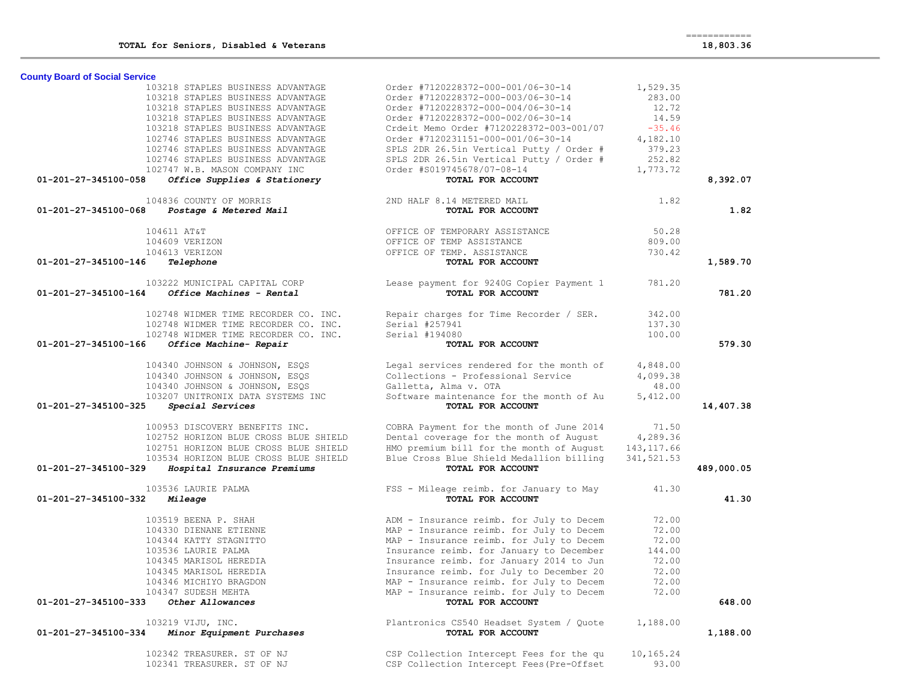| <b>County Board of Social Service</b>                           |                                                               |             |            |
|-----------------------------------------------------------------|---------------------------------------------------------------|-------------|------------|
| 103218 STAPLES BUSINESS ADVANTAGE                               | Order #7120228372-000-001/06-30-14                            | 1,529.35    |            |
| 103218 STAPLES BUSINESS ADVANTAGE                               | Order #7120228372-000-003/06-30-14                            | 283.00      |            |
| 103218 STAPLES BUSINESS ADVANTAGE                               | Order #7120228372-000-004/06-30-14                            | 12.72       |            |
| 103218 STAPLES BUSINESS ADVANTAGE                               | Order #7120228372-000-002/06-30-14                            | 14.59       |            |
| 103218 STAPLES BUSINESS ADVANTAGE                               | Crdeit Memo Order #7120228372-003-001/07                      | $-35.46$    |            |
| 102746 STAPLES BUSINESS ADVANTAGE                               | Order #7120231151-000-001/06-30-14                            | 4,182.10    |            |
| 102746 STAPLES BUSINESS ADVANTAGE                               |                                                               | 379.23      |            |
|                                                                 | SPLS 2DR 26.5in Vertical Putty / Order #                      |             |            |
| 102746 STAPLES BUSINESS ADVANTAGE                               | SPLS 2DR 26.5in Vertical Putty / Order #                      | 252.82      |            |
| 102747 W.B. MASON COMPANY INC                                   | Order #S019745678/07-08-14                                    | 1,773.72    |            |
| Office Supplies & Stationery<br>01-201-27-345100-058            | TOTAL FOR ACCOUNT                                             |             | 8,392.07   |
| 104836 COUNTY OF MORRIS                                         | 2ND HALF 8.14 METERED MAIL                                    | 1.82        |            |
| 01-201-27-345100-068<br>Postage & Metered Mail                  | TOTAL FOR ACCOUNT                                             |             | 1.82       |
| 104611 AT&T                                                     | OFFICE OF TEMPORARY ASSISTANCE                                | 50.28       |            |
| 104609 VERIZON                                                  | OFFICE OF TEMP ASSISTANCE                                     | 809.00      |            |
| 104613 VERIZON                                                  | OFFICE OF TEMP. ASSISTANCE                                    | 730.42      |            |
| 01-201-27-345100-146<br>Telephone                               | TOTAL FOR ACCOUNT                                             |             | 1,589.70   |
| 103222 MUNICIPAL CAPITAL CORP                                   | Lease payment for 9240G Copier Payment 1 781.20               |             |            |
| Office Machines - Rental<br>01-201-27-345100-164                | TOTAL FOR ACCOUNT                                             |             | 781.20     |
|                                                                 |                                                               |             |            |
| 102748 WIDMER TIME RECORDER CO. INC.                            | Repair charges for Time Recorder / SER.                       | 342.00      |            |
| 102748 WIDMER TIME RECORDER CO. INC.                            | Serial #257941                                                | 137.30      |            |
| 102748 WIDMER TIME RECORDER CO. INC.                            | Serial #194080                                                | 100.00      |            |
| 01-201-27-345100-166<br>Office Machine- Repair                  | TOTAL FOR ACCOUNT                                             |             | 579.30     |
|                                                                 |                                                               |             |            |
| 104340 JOHNSON & JOHNSON, ESQS                                  | Legal services rendered for the month of                      | 4,848.00    |            |
| 104340 JOHNSON & JOHNSON, ESOS                                  | Collections - Professional Service                            | 4,099.38    |            |
| 104340 JOHNSON & JOHNSON, ESQS                                  | Galletta, Alma v. OTA                                         | 48.00       |            |
| 103207 UNITRONIX DATA SYSTEMS INC                               | Software maintenance for the month of Au                      | 5,412.00    |            |
| 01-201-27-345100-325<br>Special Services                        | TOTAL FOR ACCOUNT                                             |             | 14,407.38  |
| 100953 DISCOVERY BENEFITS INC.                                  | COBRA Payment for the month of June 2014                      | 71.50       |            |
| 102752 HORIZON BLUE CROSS BLUE SHIELD                           | Dental coverage for the month of August                       | 4,289.36    |            |
| 102751 HORIZON BLUE CROSS BLUE SHIELD                           | HMO premium bill for the month of August                      | 143, 117.66 |            |
| 103534 HORIZON BLUE CROSS BLUE SHIELD                           | Blue Cross Blue Shield Medallion billing                      | 341, 521.53 |            |
| 01-201-27-345100-329<br>Hospital Insurance Premiums             | TOTAL FOR ACCOUNT                                             |             | 489,000.05 |
|                                                                 |                                                               |             |            |
| 103536 LAURIE PALMA                                             | FSS - Mileage reimb. for January to May                       | 41.30       |            |
| 01-201-27-345100-332<br>Mileage                                 | TOTAL FOR ACCOUNT                                             |             | 41.30      |
| 103519 BEENA P. SHAH                                            | ADM - Insurance reimb. for July to Decem                      | 72.00       |            |
| 104330 DIENANE ETIENNE                                          | MAP - Insurance reimb. for July to Decem                      | 72.00       |            |
| 104344 KATTY STAGNITTO                                          | MAP - Insurance reimb. for July to Decem                      | 72.00       |            |
| 103536 LAURIE PALMA                                             | Insurance reimb. for January to December                      | 144.00      |            |
| 104345 MARISOL HEREDIA                                          | Insurance reimb. for January 2014 to Jun                      | 72.00       |            |
| 104345 MARISOL HEREDIA                                          | Insurance reimb. for July to December 20                      | 72.00       |            |
| 104346 MICHIYO BRAGDON                                          | MAP - Insurance reimb. for July to Decem                      | 72.00       |            |
|                                                                 | MAP - Insurance reimb. for July to Decem                      |             |            |
| 104347 SUDESH MEHTA<br>Other Allowances<br>01-201-27-345100-333 | TOTAL FOR ACCOUNT                                             | 72.00       | 648.00     |
|                                                                 |                                                               |             |            |
| 103219 VIJU, INC.<br>Minor Equipment Purchases                  | Plantronics CS540 Headset System / Quote<br>TOTAL FOR ACCOUNT | 1,188.00    |            |
| 01-201-27-345100-334                                            |                                                               |             | 1,188.00   |
| 102342 TREASURER. ST OF NJ                                      | CSP Collection Intercept Fees for the qu                      | 10,165.24   |            |
| 102341 TREASURER. ST OF NJ                                      | CSP Collection Intercept Fees (Pre-Offset                     | 93.00       |            |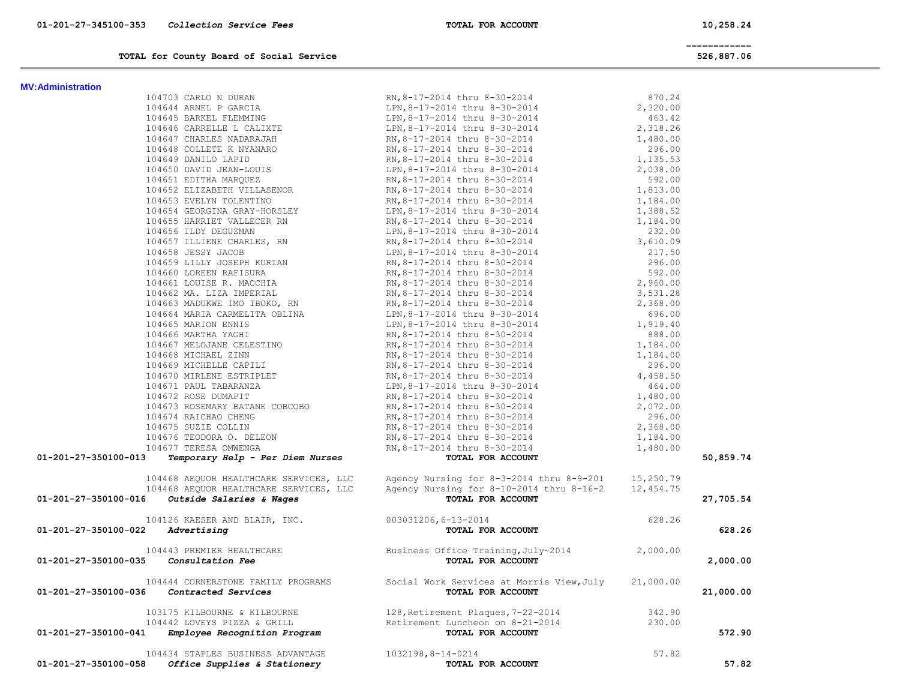============

| TOTAL for County Board of Social Service<br><u>a serie de la construcción de la construcción de la construcción de la construcción de la construcción de la c</u> | 526,887.06 |
|-------------------------------------------------------------------------------------------------------------------------------------------------------------------|------------|
|-------------------------------------------------------------------------------------------------------------------------------------------------------------------|------------|

| <b>MV:Administration</b> |  |
|--------------------------|--|

| <b>MV:Administration</b>                                                                                                                                                                                |                                                                                                                                                                                       |        |           |
|---------------------------------------------------------------------------------------------------------------------------------------------------------------------------------------------------------|---------------------------------------------------------------------------------------------------------------------------------------------------------------------------------------|--------|-----------|
|                                                                                                                                                                                                         |                                                                                                                                                                                       |        |           |
|                                                                                                                                                                                                         |                                                                                                                                                                                       |        |           |
|                                                                                                                                                                                                         |                                                                                                                                                                                       |        |           |
|                                                                                                                                                                                                         |                                                                                                                                                                                       |        |           |
|                                                                                                                                                                                                         |                                                                                                                                                                                       |        |           |
|                                                                                                                                                                                                         |                                                                                                                                                                                       |        |           |
|                                                                                                                                                                                                         |                                                                                                                                                                                       |        |           |
|                                                                                                                                                                                                         |                                                                                                                                                                                       |        |           |
|                                                                                                                                                                                                         |                                                                                                                                                                                       |        |           |
|                                                                                                                                                                                                         |                                                                                                                                                                                       |        |           |
|                                                                                                                                                                                                         |                                                                                                                                                                                       |        |           |
|                                                                                                                                                                                                         |                                                                                                                                                                                       |        |           |
|                                                                                                                                                                                                         |                                                                                                                                                                                       |        |           |
|                                                                                                                                                                                                         |                                                                                                                                                                                       |        |           |
|                                                                                                                                                                                                         |                                                                                                                                                                                       |        |           |
|                                                                                                                                                                                                         |                                                                                                                                                                                       |        |           |
|                                                                                                                                                                                                         |                                                                                                                                                                                       |        |           |
|                                                                                                                                                                                                         |                                                                                                                                                                                       |        |           |
|                                                                                                                                                                                                         |                                                                                                                                                                                       |        |           |
|                                                                                                                                                                                                         |                                                                                                                                                                                       |        |           |
|                                                                                                                                                                                                         |                                                                                                                                                                                       |        |           |
|                                                                                                                                                                                                         |                                                                                                                                                                                       |        |           |
|                                                                                                                                                                                                         |                                                                                                                                                                                       |        |           |
|                                                                                                                                                                                                         |                                                                                                                                                                                       |        |           |
|                                                                                                                                                                                                         |                                                                                                                                                                                       |        |           |
|                                                                                                                                                                                                         |                                                                                                                                                                                       |        |           |
|                                                                                                                                                                                                         |                                                                                                                                                                                       |        |           |
|                                                                                                                                                                                                         |                                                                                                                                                                                       |        |           |
|                                                                                                                                                                                                         |                                                                                                                                                                                       |        |           |
|                                                                                                                                                                                                         |                                                                                                                                                                                       |        |           |
|                                                                                                                                                                                                         |                                                                                                                                                                                       |        |           |
|                                                                                                                                                                                                         |                                                                                                                                                                                       |        |           |
|                                                                                                                                                                                                         |                                                                                                                                                                                       |        |           |
|                                                                                                                                                                                                         |                                                                                                                                                                                       |        |           |
|                                                                                                                                                                                                         |                                                                                                                                                                                       |        |           |
|                                                                                                                                                                                                         |                                                                                                                                                                                       |        |           |
| 01-201-27-350100-013                                                                                                                                                                                    |                                                                                                                                                                                       |        | 50,859.74 |
|                                                                                                                                                                                                         |                                                                                                                                                                                       |        |           |
|                                                                                                                                                                                                         |                                                                                                                                                                                       |        |           |
| 01-201-27-350100-016 Outside Salaries & Wages                                                                                                                                                           | 104468 AEQUOR HEALTHCARE SERVICES, LLC<br>104468 AEQUOR HEALTHCARE SERVICES, LLC<br>6 Outside Salaries & Wages<br>12,454.75<br>TOTAL FOR ACCOUNT<br>TOTAL FOR ACCOUNT                 |        | 27,705.54 |
|                                                                                                                                                                                                         |                                                                                                                                                                                       | 628.26 |           |
| $01 - 201 - 27 - 350100 - 022$ Advertising                                                                                                                                                              | TOTAL FOR ACCOUNT                                                                                                                                                                     |        | 628.26    |
|                                                                                                                                                                                                         |                                                                                                                                                                                       |        |           |
|                                                                                                                                                                                                         |                                                                                                                                                                                       |        |           |
| 01 201 2. 2001.<br>104443 PREMIER HEALTHCARE Business Office Training, July~2014 2,000.00<br>101-201-27-350100-035 <i>Consultation Fee</i> <b>Example 101-201-27-350100-035</b> <i>Consultation Fee</i> |                                                                                                                                                                                       |        | 2,000.00  |
|                                                                                                                                                                                                         |                                                                                                                                                                                       |        |           |
| 104444 CORNERSTONE FAMILY PROGRAMS<br><b>350100-036</b> Contracted Services of Social Work Services at Morris View, July 21,000.00<br><b>101-201-27-350100-036</b> Contracted Services                  |                                                                                                                                                                                       |        | 21,000.00 |
|                                                                                                                                                                                                         |                                                                                                                                                                                       |        |           |
|                                                                                                                                                                                                         |                                                                                                                                                                                       |        |           |
| 01-201-27-350100-041                                                                                                                                                                                    | 103175 KILBOURNE & KILBOURNE 128, Retirement Plaques, 7-22-2014<br>104442 LOVEYS PIZZA & GRILL Retirement Luncheon on 8-21-2014<br>1 Employee Recognition Program 1 TOTAL FOR ACCOUNT |        | 572.90    |
|                                                                                                                                                                                                         |                                                                                                                                                                                       |        |           |

104434 STAPLES BUSINESS ADVANTAGE 1032198,8-14-0214<br> **1032198,8-14-0214 FOR ACCOUNT** 57.82  **01-201-27-350100-058** *Office Supplies & Stationery* **TOTAL FOR ACCOUNT 57.82**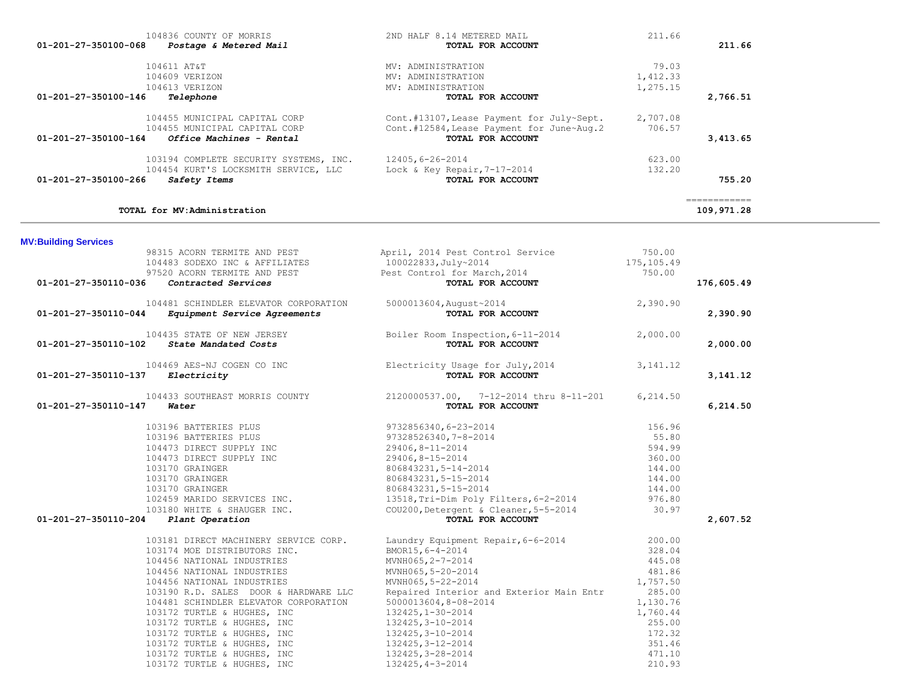| 01-201-27-350100-266        | 103194 COMPLETE SECURITY SYSTEMS, INC. 12405, 6-26-2014<br>Safety Items                                       | 104454 KURT'S LOCKSMITH SERVICE, LLC Lock & Key Repair, 7-17-2014<br>TOTAL FOR ACCOUNT              | 623.00<br>132.20               | 755.20                                                                                                                                                                                                                                                                                                                                                                                                                                                                                               |
|-----------------------------|---------------------------------------------------------------------------------------------------------------|-----------------------------------------------------------------------------------------------------|--------------------------------|------------------------------------------------------------------------------------------------------------------------------------------------------------------------------------------------------------------------------------------------------------------------------------------------------------------------------------------------------------------------------------------------------------------------------------------------------------------------------------------------------|
|                             | TOTAL for MV:Administration                                                                                   |                                                                                                     |                                | $\begin{array}{cccccccccc} \multicolumn{2}{c}{} & \multicolumn{2}{c}{} & \multicolumn{2}{c}{} & \multicolumn{2}{c}{} & \multicolumn{2}{c}{} & \multicolumn{2}{c}{} & \multicolumn{2}{c}{} & \multicolumn{2}{c}{} & \multicolumn{2}{c}{} & \multicolumn{2}{c}{} & \multicolumn{2}{c}{} & \multicolumn{2}{c}{} & \multicolumn{2}{c}{} & \multicolumn{2}{c}{} & \multicolumn{2}{c}{} & \multicolumn{2}{c}{} & \multicolumn{2}{c}{} & \multicolumn{2}{c}{} & \multicolumn{2}{c}{} & \mult$<br>109,971.28 |
| <b>MV:Building Services</b> |                                                                                                               |                                                                                                     |                                |                                                                                                                                                                                                                                                                                                                                                                                                                                                                                                      |
|                             | 98315 ACORN TERMITE AND PEST<br>104483 SODEXO INC & AFFILIATES<br>97520 ACORN TERMITE AND PEST                | April, 2014 Pest Control Service<br>100022833, July~2014<br>Pest Control for March, 2014            | 750.00<br>175,105.49<br>750.00 |                                                                                                                                                                                                                                                                                                                                                                                                                                                                                                      |
| 01-201-27-350110-036        | Contracted Services                                                                                           | TOTAL FOR ACCOUNT                                                                                   |                                | 176,605.49                                                                                                                                                                                                                                                                                                                                                                                                                                                                                           |
| 01-201-27-350110-044        | 104481 SCHINDLER ELEVATOR CORPORATION<br>Equipment Service Agreements                                         | 5000013604, August~2014<br>TOTAL FOR ACCOUNT                                                        | 2,390.90                       | 2,390.90                                                                                                                                                                                                                                                                                                                                                                                                                                                                                             |
| 01-201-27-350110-102        | 104435 STATE OF NEW JERSEY<br>State Mandated Costs                                                            | Boiler Room Inspection, 6-11-2014<br>TOTAL FOR ACCOUNT                                              | 2,000.00                       | 2,000.00                                                                                                                                                                                                                                                                                                                                                                                                                                                                                             |
| 01-201-27-350110-137        | 104469 AES-NJ COGEN CO INC<br>Electricity                                                                     | Electricity Usage for July, 2014<br>TOTAL FOR ACCOUNT                                               | 3, 141. 12                     | 3, 141. 12                                                                                                                                                                                                                                                                                                                                                                                                                                                                                           |
| 01-201-27-350110-147        | Water                                                                                                         | 104433 SOUTHEAST MORRIS COUNTY 2120000537.00, 7-12-2014 thru 8-11-201<br>TOTAL FOR ACCOUNT          | 6,214.50                       | 6,214.50                                                                                                                                                                                                                                                                                                                                                                                                                                                                                             |
|                             | 103196 BATTERIES PLUS<br>103196 BATTERIES PLUS                                                                | 9732856340,6-23-2014<br>97328526340, 7-8-2014                                                       | 156.96<br>55.80                |                                                                                                                                                                                                                                                                                                                                                                                                                                                                                                      |
|                             | 104473 DIRECT SUPPLY INC<br>104473 DIRECT SUPPLY INC<br>103170 GRAINGER                                       | 29406,8-11-2014<br>29406,8-15-2014<br>806843231,5-14-2014                                           | 594.99<br>360.00<br>144.00     |                                                                                                                                                                                                                                                                                                                                                                                                                                                                                                      |
|                             | 103170 GRAINGER<br>103170 GRAINGER                                                                            | 806843231, 5-15-2014<br>806843231,5-15-2014                                                         | 144.00<br>144.00               |                                                                                                                                                                                                                                                                                                                                                                                                                                                                                                      |
| 01-201-27-350110-204        | 102459 MARIDO SERVICES INC.<br>103180 WHITE & SHAUGER INC.<br>Plant Operation                                 | 13518, Tri-Dim Poly Filters, 6-2-2014<br>COU200, Detergent & Cleaner, 5-5-2014<br>TOTAL FOR ACCOUNT | 976.80<br>30.97                | 2,607.52                                                                                                                                                                                                                                                                                                                                                                                                                                                                                             |
|                             | 103181 DIRECT MACHINERY SERVICE CORP.<br>103174 MOE DISTRIBUTORS INC.                                         | Laundry Equipment Repair, 6-6-2014<br>BMOR15, 6-4-2014                                              | 200.00<br>328.04               |                                                                                                                                                                                                                                                                                                                                                                                                                                                                                                      |
|                             | 104456 NATIONAL INDUSTRIES<br>104456 NATIONAL INDUSTRIES<br>104456 NATIONAL INDUSTRIES                        | MVNH065, 2-7-2014<br>MVNH065,5-20-2014<br>MVNH065,5-22-2014                                         | 445.08<br>481.86<br>1,757.50   |                                                                                                                                                                                                                                                                                                                                                                                                                                                                                                      |
|                             | 103190 R.D. SALES DOOR & HARDWARE LLC<br>104481 SCHINDLER ELEVATOR CORPORATION<br>103172 TURTLE & HUGHES, INC | Repaired Interior and Exterior Main Entr<br>5000013604,8-08-2014<br>132425, 1-30-2014               | 285.00<br>1,130.76<br>1,760.44 |                                                                                                                                                                                                                                                                                                                                                                                                                                                                                                      |
|                             | 103172 TURTLE & HUGHES, INC<br>103172 TURTLE & HUGHES, INC<br>103172 TURTLE & HUGHES, INC                     | 132425, 3-10-2014<br>132425, 3-10-2014<br>132425, 3-12-2014                                         | 255.00<br>172.32<br>351.46     |                                                                                                                                                                                                                                                                                                                                                                                                                                                                                                      |
|                             | 103172 TURTLE & HUGHES, INC<br>103172 TURTLE & HUGHES, INC                                                    | 132425, 3-28-2014<br>132425, 4-3-2014                                                               | 471.10<br>210.93               |                                                                                                                                                                                                                                                                                                                                                                                                                                                                                                      |

| 104836 COUNTY OF MORRIS                          | 2ND HALF 8.14 METERED MAIL                | 211.66   |            |
|--------------------------------------------------|-------------------------------------------|----------|------------|
| 01-201-27-350100-068<br>Postage & Metered Mail   | TOTAL FOR ACCOUNT                         |          | 211.66     |
| 104611 AT&T                                      | MV: ADMINISTRATION                        | 79.03    |            |
| 104609 VERIZON                                   | MV: ADMINISTRATION                        | 1,412.33 |            |
| 104613 VERIZON                                   | MV: ADMINISTRATION                        | 1,275.15 |            |
| 01-201-27-350100-146<br>Telephone                | TOTAL FOR ACCOUNT                         |          | 2,766.51   |
| 104455 MUNICIPAL CAPITAL CORP                    | Cont.#13107, Lease Payment for July~Sept. | 2,707.08 |            |
| 104455 MUNICIPAL CAPITAL CORP                    | Cont.#12584, Lease Payment for June~Aug.2 | 706.57   |            |
| 01-201-27-350100-164<br>Office Machines - Rental | TOTAL FOR ACCOUNT                         |          | 3,413.65   |
| 103194 COMPLETE SECURITY SYSTEMS, INC.           | 12405,6-26-2014                           | 623.00   |            |
| 104454 KURT'S LOCKSMITH SERVICE, LLC             | Lock & Key Repair, $7-17-2014$            | 132.20   |            |
| 01-201-27-350100-266<br>Safety Items             | TOTAL FOR ACCOUNT                         |          | 755.20     |
|                                                  |                                           |          |            |
| <b>TOTAL for MV</b> Administration               |                                           |          | 109 971 28 |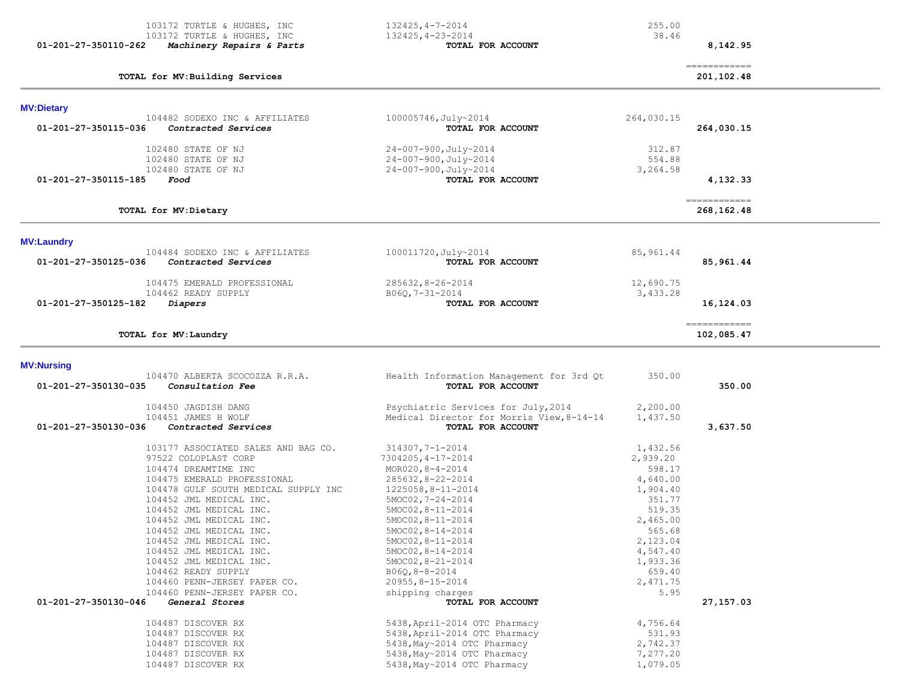| 01-201-27-350110-262 | 103172 TURTLE & HUGHES, INC<br>103172 TURTLE & HUGHES, INC<br>Machinery Repairs & Parts                                                                                                                                                                                                                                                                                                                                                                                                                                                                                        | $132425, 4 - 7 - 2014$<br>132425, 4-23-2014<br>TOTAL FOR ACCOUNT                                                                                                                                                                                                                                                                                                                                                                                                                                                                                 | 255.00<br>38.46                                                                                                                                                                                                              | 8,142.95                    |
|----------------------|--------------------------------------------------------------------------------------------------------------------------------------------------------------------------------------------------------------------------------------------------------------------------------------------------------------------------------------------------------------------------------------------------------------------------------------------------------------------------------------------------------------------------------------------------------------------------------|--------------------------------------------------------------------------------------------------------------------------------------------------------------------------------------------------------------------------------------------------------------------------------------------------------------------------------------------------------------------------------------------------------------------------------------------------------------------------------------------------------------------------------------------------|------------------------------------------------------------------------------------------------------------------------------------------------------------------------------------------------------------------------------|-----------------------------|
|                      | TOTAL for MV: Building Services                                                                                                                                                                                                                                                                                                                                                                                                                                                                                                                                                |                                                                                                                                                                                                                                                                                                                                                                                                                                                                                                                                                  |                                                                                                                                                                                                                              | -------------<br>201,102.48 |
| <b>MV:Dietary</b>    |                                                                                                                                                                                                                                                                                                                                                                                                                                                                                                                                                                                |                                                                                                                                                                                                                                                                                                                                                                                                                                                                                                                                                  |                                                                                                                                                                                                                              |                             |
| 01-201-27-350115-036 | 104482 SODEXO INC & AFFILIATES<br>Contracted Services                                                                                                                                                                                                                                                                                                                                                                                                                                                                                                                          | $100005746, \text{July~2014}$<br>TOTAL FOR ACCOUNT                                                                                                                                                                                                                                                                                                                                                                                                                                                                                               | 264,030.15                                                                                                                                                                                                                   | 264,030.15                  |
| 01-201-27-350115-185 | 102480 STATE OF NJ<br>102480 STATE OF NJ<br>102480 STATE OF NJ<br>Food                                                                                                                                                                                                                                                                                                                                                                                                                                                                                                         | 24-007-900, July~2014<br>24-007-900, July~2014<br>24-007-900, July~2014<br>TOTAL FOR ACCOUNT                                                                                                                                                                                                                                                                                                                                                                                                                                                     | 312.87<br>554.88<br>3,264.58                                                                                                                                                                                                 | 4,132.33                    |
|                      | TOTAL for MV:Dietary                                                                                                                                                                                                                                                                                                                                                                                                                                                                                                                                                           |                                                                                                                                                                                                                                                                                                                                                                                                                                                                                                                                                  |                                                                                                                                                                                                                              | ============<br>268,162.48  |
| <b>MV:Laundry</b>    |                                                                                                                                                                                                                                                                                                                                                                                                                                                                                                                                                                                |                                                                                                                                                                                                                                                                                                                                                                                                                                                                                                                                                  |                                                                                                                                                                                                                              |                             |
| 01-201-27-350125-036 | 104484 SODEXO INC & AFFILIATES<br>Contracted Services                                                                                                                                                                                                                                                                                                                                                                                                                                                                                                                          | 100011720, July~2014<br>TOTAL FOR ACCOUNT                                                                                                                                                                                                                                                                                                                                                                                                                                                                                                        | 85, 961.44                                                                                                                                                                                                                   | 85,961.44                   |
| 01-201-27-350125-182 | 104475 EMERALD PROFESSIONAL<br>104462 READY SUPPLY<br>Diapers                                                                                                                                                                                                                                                                                                                                                                                                                                                                                                                  | $285632, 8 - 26 - 2014$<br>B06Q, 7-31-2014<br>TOTAL FOR ACCOUNT                                                                                                                                                                                                                                                                                                                                                                                                                                                                                  | 12,690.75<br>3,433.28                                                                                                                                                                                                        | 16,124.03                   |
|                      | TOTAL for MV: Laundry                                                                                                                                                                                                                                                                                                                                                                                                                                                                                                                                                          |                                                                                                                                                                                                                                                                                                                                                                                                                                                                                                                                                  |                                                                                                                                                                                                                              | -------------<br>102,085.47 |
| <b>MV:Nursing</b>    |                                                                                                                                                                                                                                                                                                                                                                                                                                                                                                                                                                                |                                                                                                                                                                                                                                                                                                                                                                                                                                                                                                                                                  |                                                                                                                                                                                                                              |                             |
| 01-201-27-350130-035 | 104470 ALBERTA SCOCOZZA R.R.A.<br>Consultation Fee                                                                                                                                                                                                                                                                                                                                                                                                                                                                                                                             | Health Information Management for 3rd Qt<br>TOTAL FOR ACCOUNT                                                                                                                                                                                                                                                                                                                                                                                                                                                                                    | 350.00                                                                                                                                                                                                                       | 350.00                      |
| 01-201-27-350130-036 | 104450 JAGDISH DANG<br>104451 JAMES H WOLF<br>Contracted Services                                                                                                                                                                                                                                                                                                                                                                                                                                                                                                              | Psychiatric Services for July, 2014<br>Medical Director for Morris View, 8-14-14<br>TOTAL FOR ACCOUNT                                                                                                                                                                                                                                                                                                                                                                                                                                            | 2,200.00<br>1,437.50                                                                                                                                                                                                         | 3,637.50                    |
| 01-201-27-350130-046 | 103177 ASSOCIATED SALES AND BAG CO.<br>97522 COLOPLAST CORP<br>104474 DREAMTIME INC<br>104475 EMERALD PROFESSIONAL<br>104478 GULF SOUTH MEDICAL SUPPLY INC<br>104452 JML MEDICAL INC.<br>104452 JML MEDICAL INC.<br>104452 JML MEDICAL INC.<br>104452 JML MEDICAL INC.<br>104452 JML MEDICAL INC.<br>104452 JML MEDICAL INC.<br>104452 JML MEDICAL INC.<br>104462 READY SUPPLY<br>104460 PENN-JERSEY PAPER CO.<br>104460 PENN-JERSEY PAPER CO.<br>General Stores<br>104487 DISCOVER RX<br>104487 DISCOVER RX<br>104487 DISCOVER RX<br>104487 DISCOVER RX<br>104487 DISCOVER RX | $314307, 7 - 1 - 2014$<br>7304205, 4-17-2014<br>MOR020, $8 - 4 - 2014$<br>$285632, 8 - 22 - 2014$<br>$1225058, 8 - 11 - 2014$<br>$5MOC02, 7-24-2014$<br>$5MOC02, 8-11-2014$<br>$5MOCO2, 8-11-2014$<br>$5MOCO2, 8-14-2014$<br>$5MOCO2, 8-11-2014$<br>$5MOC02, 8-14-2014$<br>5MOC02, 8-21-2014<br>B06Q, 8-8-2014<br>$20955, 8 - 15 - 2014$<br>shipping charges<br>TOTAL FOR ACCOUNT<br>5438, April~2014 OTC Pharmacy<br>5438, April~2014 OTC Pharmacy<br>5438, May~2014 OTC Pharmacy<br>5438, May~2014 OTC Pharmacy<br>5438, May~2014 OTC Pharmacy | 1,432.56<br>2,939.20<br>598.17<br>4,640.00<br>1,904.40<br>351.77<br>519.35<br>2,465.00<br>565.68<br>2,123.04<br>4,547.40<br>1,933.36<br>659.40<br>2,471.75<br>5.95<br>4,756.64<br>531.93<br>2,742.37<br>7,277.20<br>1,079.05 | 27, 157.03                  |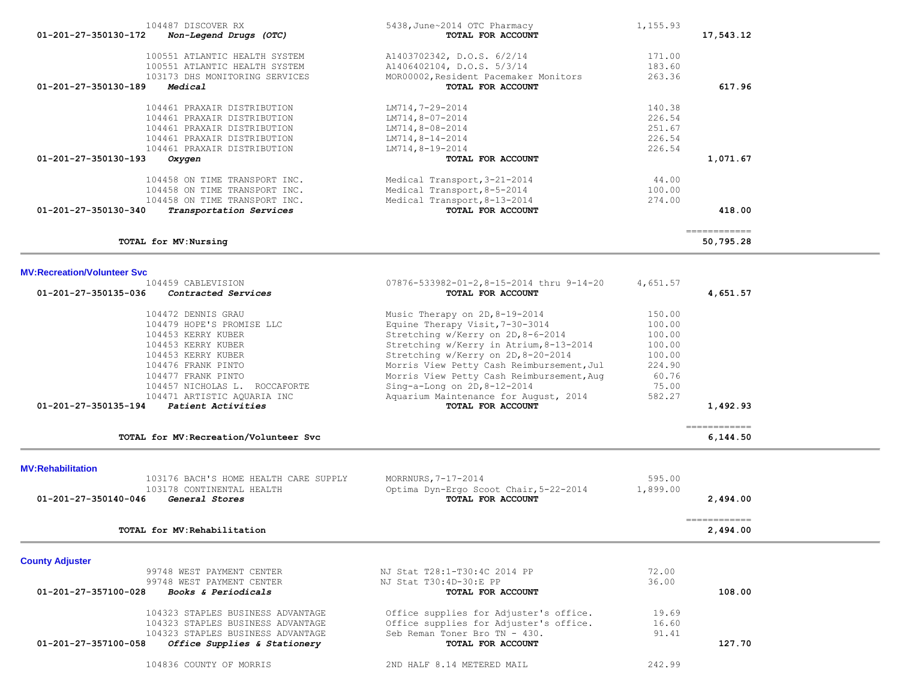| 100551 ATLANTIC HEALTH SYSTEM<br>100551 ATLANTIC HEALTH SYSTEM<br>103173 DHS MONITORING SERVICES                                                                                                                                                                            | A1403702342, D.O.S. 6/2/14<br>A1406402104, D.O.S. 5/3/14<br>MOR00002, Resident Pacemaker Monitors                                                                                                                                                                                                                                                                                   | 171.00<br>183.60<br>263.36                                                           |                                         |  |
|-----------------------------------------------------------------------------------------------------------------------------------------------------------------------------------------------------------------------------------------------------------------------------|-------------------------------------------------------------------------------------------------------------------------------------------------------------------------------------------------------------------------------------------------------------------------------------------------------------------------------------------------------------------------------------|--------------------------------------------------------------------------------------|-----------------------------------------|--|
| 01-201-27-350130-189<br>Medical                                                                                                                                                                                                                                             | TOTAL FOR ACCOUNT                                                                                                                                                                                                                                                                                                                                                                   |                                                                                      | 617.96                                  |  |
| 104461 PRAXAIR DISTRIBUTION<br>104461 PRAXAIR DISTRIBUTION<br>104461 PRAXAIR DISTRIBUTION<br>104461 PRAXAIR DISTRIBUTION<br>104461 PRAXAIR DISTRIBUTION                                                                                                                     | LM714,7-29-2014<br>LM714,8-07-2014<br>LM714,8-08-2014<br>$LM714, 8-14-2014$<br>LM714,8-19-2014                                                                                                                                                                                                                                                                                      | 140.38<br>226.54<br>251.67<br>226.54<br>226.54                                       |                                         |  |
| 01-201-27-350130-193<br>Oxygen                                                                                                                                                                                                                                              | TOTAL FOR ACCOUNT                                                                                                                                                                                                                                                                                                                                                                   |                                                                                      | 1,071.67                                |  |
| 104458 ON TIME TRANSPORT INC.<br>104458 ON TIME TRANSPORT INC.<br>104458 ON TIME TRANSPORT INC.<br>01-201-27-350130-340<br>Transportation Services                                                                                                                          | Medical Transport, 3-21-2014<br>Medical Transport, 8-5-2014<br>Medical Transport, 8-13-2014<br>TOTAL FOR ACCOUNT                                                                                                                                                                                                                                                                    | 44.00<br>100.00<br>274.00                                                            | 418.00                                  |  |
| TOTAL for MV: Nursing                                                                                                                                                                                                                                                       |                                                                                                                                                                                                                                                                                                                                                                                     |                                                                                      | ============<br>50,795.28               |  |
| <b>MV:Recreation/Volunteer Svc</b>                                                                                                                                                                                                                                          |                                                                                                                                                                                                                                                                                                                                                                                     |                                                                                      |                                         |  |
| 104459 CABLEVISION<br>01-201-27-350135-036<br>Contracted Services                                                                                                                                                                                                           | 07876-533982-01-2,8-15-2014 thru 9-14-20<br>TOTAL FOR ACCOUNT                                                                                                                                                                                                                                                                                                                       | 4,651.57                                                                             | 4,651.57                                |  |
| 104472 DENNIS GRAU<br>104479 HOPE'S PROMISE LLC<br>104453 KERRY KUBER<br>104453 KERRY KUBER<br>104453 KERRY KUBER<br>104476 FRANK PINTO<br>104477 FRANK PINTO<br>104457 NICHOLAS L. ROCCAFORTE<br>104471 ARTISTIC AQUARIA INC<br>Patient Activities<br>01-201-27-350135-194 | Music Therapy on 2D, 8-19-2014<br>Equine Therapy Visit, 7-30-3014<br>Stretching w/Kerry on 2D, 8-6-2014<br>Stretching w/Kerry in Atrium, 8-13-2014<br>Stretching w/Kerry on 2D, 8-20-2014<br>Morris View Petty Cash Reimbursement, Jul<br>Morris View Petty Cash Reimbursement, Aug<br>Sing-a-Long on $2D, 8-12-2014$<br>Aquarium Maintenance for August, 2014<br>TOTAL FOR ACCOUNT | 150.00<br>100.00<br>100.00<br>100.00<br>100.00<br>224.90<br>60.76<br>75.00<br>582.27 | 1,492.93<br>$=$ = = = = = = = = = = = = |  |
| TOTAL for MV: Recreation/Volunteer Svc                                                                                                                                                                                                                                      |                                                                                                                                                                                                                                                                                                                                                                                     |                                                                                      | 6,144.50                                |  |
| <b>MV:Rehabilitation</b><br>103176 BACH'S HOME HEALTH CARE SUPPLY<br>103178 CONTINENTAL HEALTH<br>01-201-27-350140-046<br>General Stores                                                                                                                                    | MORRNURS, 7-17-2014<br>Optima Dyn-Ergo Scoot Chair, 5-22-2014<br>TOTAL FOR ACCOUNT                                                                                                                                                                                                                                                                                                  | 595.00<br>1,899.00                                                                   | 2,494.00                                |  |
| TOTAL for MV: Rehabilitation                                                                                                                                                                                                                                                |                                                                                                                                                                                                                                                                                                                                                                                     |                                                                                      | -------------<br>2,494.00               |  |
| <b>County Adjuster</b><br>99748 WEST PAYMENT CENTER<br>99748 WEST PAYMENT CENTER                                                                                                                                                                                            | NJ Stat T28:1-T30:4C 2014 PP<br>NJ Stat T30:4D-30:E PP                                                                                                                                                                                                                                                                                                                              | 72.00<br>36.00                                                                       |                                         |  |
| 01-201-27-357100-028<br>Books & Periodicals                                                                                                                                                                                                                                 | TOTAL FOR ACCOUNT                                                                                                                                                                                                                                                                                                                                                                   |                                                                                      | 108.00                                  |  |
| 104323 STAPLES BUSINESS ADVANTAGE<br>104323 STAPLES BUSINESS ADVANTAGE<br>104323 STAPLES BUSINESS ADVANTAGE<br>01-201-27-357100-058<br>Office Supplies & Stationery                                                                                                         | Office supplies for Adjuster's office.<br>Office supplies for Adjuster's office.<br>Seb Reman Toner Bro TN - 430.<br>TOTAL FOR ACCOUNT                                                                                                                                                                                                                                              | 19.69<br>16.60<br>91.41                                                              | 127.70                                  |  |
| 104836 COUNTY OF MORRIS                                                                                                                                                                                                                                                     | 2ND HALF 8.14 METERED MAIL                                                                                                                                                                                                                                                                                                                                                          | 242.99                                                                               |                                         |  |

104487 DISCOVER RX 5438, June~2014 OTC Pharmacy 1,155.93<br>2 **Non-Legend Drugs (OTC)** 5438, June~2014 **OTCL FOR ACCOUNT 01-201-27-350130-172** *Non-Legend Drugs (OTC)* **TOTAL FOR ACCOUNT 17,543.12**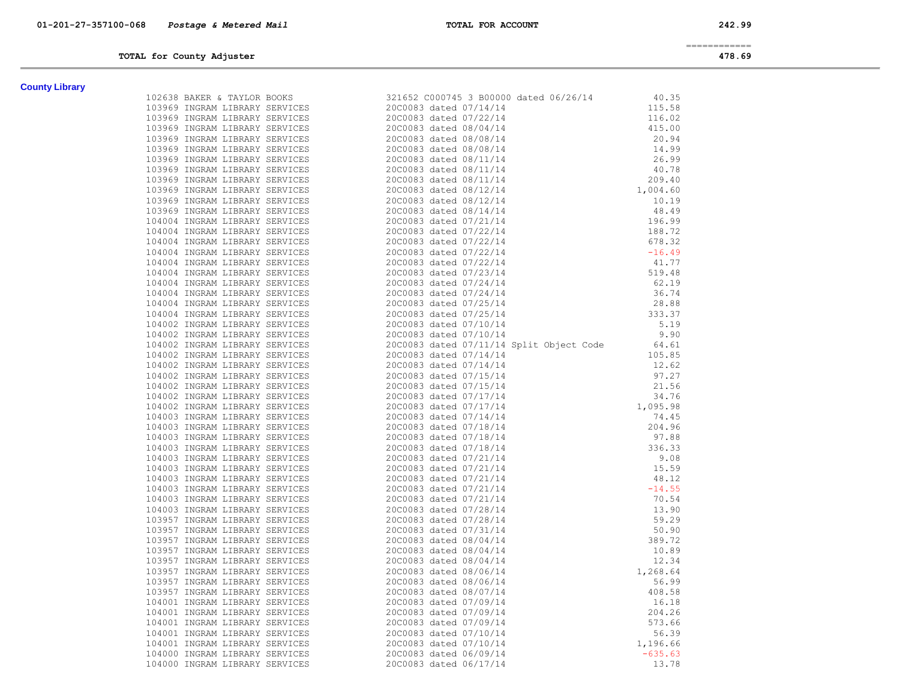============

# **TOTAL for County Adjuster 478.69**

| <b>County Library</b> |  |
|-----------------------|--|
|-----------------------|--|

| <b>County Library</b> |                                                                                                                                                                                                                                                                                                                                                  |  |
|-----------------------|--------------------------------------------------------------------------------------------------------------------------------------------------------------------------------------------------------------------------------------------------------------------------------------------------------------------------------------------------|--|
|                       | $\begin{tabular}{llllllll} \hline & \textbf{5.8332} & \textbf{5.84333} & \textbf{5.83434} & \textbf{5.83434} & \textbf{5.83434} & \textbf{5.83434} & \textbf{5.83434} & \textbf{5.83434} & \textbf{5.83434} & \textbf{5.83434} & \textbf{5.83434} & \textbf{5.83434} & \textbf{5.83434} & \textbf{5.83434} & \textbf{5.83434} & \textbf{5.83434$ |  |
|                       |                                                                                                                                                                                                                                                                                                                                                  |  |
|                       |                                                                                                                                                                                                                                                                                                                                                  |  |
|                       |                                                                                                                                                                                                                                                                                                                                                  |  |
|                       |                                                                                                                                                                                                                                                                                                                                                  |  |
|                       |                                                                                                                                                                                                                                                                                                                                                  |  |
|                       |                                                                                                                                                                                                                                                                                                                                                  |  |
|                       |                                                                                                                                                                                                                                                                                                                                                  |  |
|                       |                                                                                                                                                                                                                                                                                                                                                  |  |
|                       |                                                                                                                                                                                                                                                                                                                                                  |  |
|                       |                                                                                                                                                                                                                                                                                                                                                  |  |
|                       |                                                                                                                                                                                                                                                                                                                                                  |  |
|                       |                                                                                                                                                                                                                                                                                                                                                  |  |
|                       |                                                                                                                                                                                                                                                                                                                                                  |  |
|                       |                                                                                                                                                                                                                                                                                                                                                  |  |
|                       |                                                                                                                                                                                                                                                                                                                                                  |  |
|                       |                                                                                                                                                                                                                                                                                                                                                  |  |
|                       |                                                                                                                                                                                                                                                                                                                                                  |  |
|                       |                                                                                                                                                                                                                                                                                                                                                  |  |
|                       |                                                                                                                                                                                                                                                                                                                                                  |  |
|                       |                                                                                                                                                                                                                                                                                                                                                  |  |
|                       |                                                                                                                                                                                                                                                                                                                                                  |  |
|                       |                                                                                                                                                                                                                                                                                                                                                  |  |
|                       |                                                                                                                                                                                                                                                                                                                                                  |  |
|                       |                                                                                                                                                                                                                                                                                                                                                  |  |
|                       |                                                                                                                                                                                                                                                                                                                                                  |  |
|                       |                                                                                                                                                                                                                                                                                                                                                  |  |
|                       |                                                                                                                                                                                                                                                                                                                                                  |  |
|                       |                                                                                                                                                                                                                                                                                                                                                  |  |
|                       |                                                                                                                                                                                                                                                                                                                                                  |  |
|                       |                                                                                                                                                                                                                                                                                                                                                  |  |
|                       |                                                                                                                                                                                                                                                                                                                                                  |  |
|                       |                                                                                                                                                                                                                                                                                                                                                  |  |
|                       |                                                                                                                                                                                                                                                                                                                                                  |  |
|                       |                                                                                                                                                                                                                                                                                                                                                  |  |
|                       |                                                                                                                                                                                                                                                                                                                                                  |  |
|                       |                                                                                                                                                                                                                                                                                                                                                  |  |
|                       |                                                                                                                                                                                                                                                                                                                                                  |  |
|                       |                                                                                                                                                                                                                                                                                                                                                  |  |
|                       |                                                                                                                                                                                                                                                                                                                                                  |  |
|                       |                                                                                                                                                                                                                                                                                                                                                  |  |
|                       |                                                                                                                                                                                                                                                                                                                                                  |  |
|                       |                                                                                                                                                                                                                                                                                                                                                  |  |
|                       |                                                                                                                                                                                                                                                                                                                                                  |  |
|                       |                                                                                                                                                                                                                                                                                                                                                  |  |
|                       |                                                                                                                                                                                                                                                                                                                                                  |  |
|                       |                                                                                                                                                                                                                                                                                                                                                  |  |
|                       |                                                                                                                                                                                                                                                                                                                                                  |  |
|                       |                                                                                                                                                                                                                                                                                                                                                  |  |
|                       |                                                                                                                                                                                                                                                                                                                                                  |  |
|                       |                                                                                                                                                                                                                                                                                                                                                  |  |
|                       |                                                                                                                                                                                                                                                                                                                                                  |  |
|                       |                                                                                                                                                                                                                                                                                                                                                  |  |
|                       |                                                                                                                                                                                                                                                                                                                                                  |  |
|                       |                                                                                                                                                                                                                                                                                                                                                  |  |
|                       |                                                                                                                                                                                                                                                                                                                                                  |  |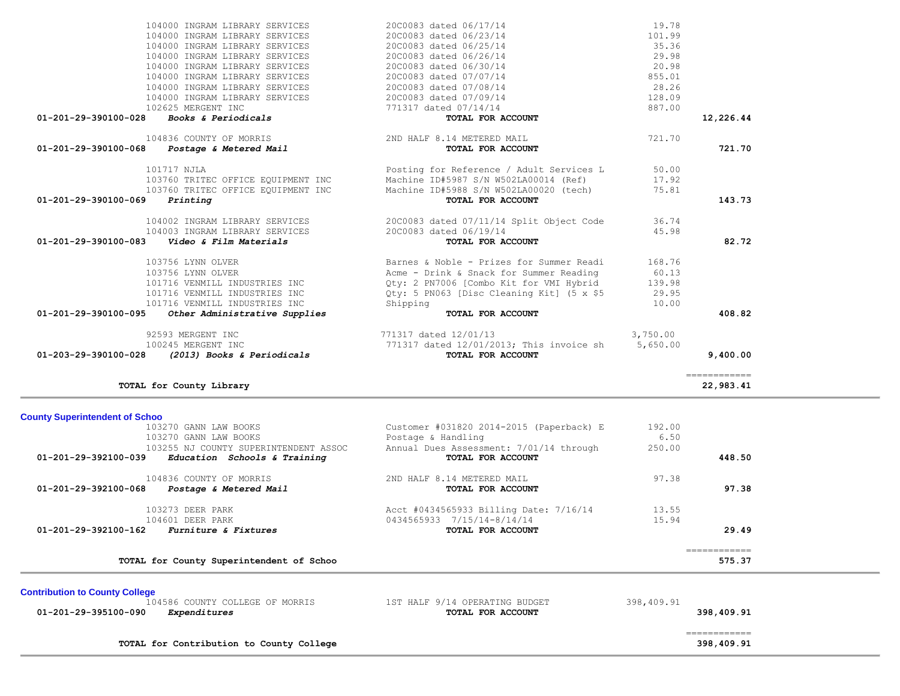| 104000 INGRAM LIBRARY SERVICES                                    | 20C0083 dated 06/25/14                    | 35.36      |                           |  |
|-------------------------------------------------------------------|-------------------------------------------|------------|---------------------------|--|
| 104000 INGRAM LIBRARY SERVICES                                    | 20C0083 dated 06/26/14                    | 29.98      |                           |  |
| 104000 INGRAM LIBRARY SERVICES                                    | 20C0083 dated 06/30/14                    | 20.98      |                           |  |
| 104000 INGRAM LIBRARY SERVICES                                    | 20C0083 dated 07/07/14                    | 855.01     |                           |  |
| 104000 INGRAM LIBRARY SERVICES                                    | 20C0083 dated 07/08/14                    | 28.26      |                           |  |
| 104000 INGRAM LIBRARY SERVICES                                    | 20C0083 dated 07/09/14                    | 128.09     |                           |  |
| 102625 MERGENT INC                                                | 771317 dated 07/14/14                     | 887.00     |                           |  |
| 01-201-29-390100-028<br><i>Books &amp; Periodicals</i>            | TOTAL FOR ACCOUNT                         |            | 12,226.44                 |  |
| 104836 COUNTY OF MORRIS                                           | 2ND HALF 8.14 METERED MAIL                | 721.70     |                           |  |
| 01-201-29-390100-068<br><i>Postage &amp; Metered Mail</i>         | TOTAL FOR ACCOUNT                         |            | 721.70                    |  |
| 101717 NJLA                                                       | Posting for Reference / Adult Services L  | 50.00      |                           |  |
| 103760 TRITEC OFFICE EQUIPMENT INC                                | Machine ID#5987 S/N W502LA00014 (Ref)     | 17.92      |                           |  |
| 103760 TRITEC OFFICE EQUIPMENT INC                                | Machine ID#5988 S/N W502LA00020 (tech)    | 75.81      |                           |  |
| 01-201-29-390100-069<br>Printing                                  | TOTAL FOR ACCOUNT                         |            | 143.73                    |  |
|                                                                   |                                           |            |                           |  |
| 104002 INGRAM LIBRARY SERVICES                                    | 20C0083 dated 07/11/14 Split Object Code  | 36.74      |                           |  |
| 104003 INGRAM LIBRARY SERVICES                                    | 20C0083 dated 06/19/14                    | 45.98      |                           |  |
| 01-201-29-390100-083<br>Video & Film Materials                    | TOTAL FOR ACCOUNT                         |            | 82.72                     |  |
| 103756 LYNN OLVER                                                 | Barnes & Noble - Prizes for Summer Readi  | 168.76     |                           |  |
| 103756 LYNN OLVER                                                 | Acme - Drink & Snack for Summer Reading   | 60.13      |                           |  |
| 101716 VENMILL INDUSTRIES INC                                     | Qty: 2 PN7006 [Combo Kit for VMI Hybrid   | 139.98     |                           |  |
| 101716 VENMILL INDUSTRIES INC                                     | Qty: 5 PN063 [Disc Cleaning Kit] (5 x \$5 | 29.95      |                           |  |
| 101716 VENMILL INDUSTRIES INC                                     | Shipping                                  | 10.00      |                           |  |
| 01-201-29-390100-095<br>Other Administrative Supplies             | TOTAL FOR ACCOUNT                         |            | 408.82                    |  |
| 92593 MERGENT INC                                                 | 771317 dated 12/01/13                     | 3,750.00   |                           |  |
| 100245 MERGENT INC                                                | 771317 dated 12/01/2013; This invoice sh  | 5,650.00   |                           |  |
| $01-203-29-390100-028$ (2013) Books & Periodicals                 | TOTAL FOR ACCOUNT                         |            | 9,400.00                  |  |
|                                                                   |                                           |            |                           |  |
| TOTAL for County Library                                          |                                           |            | ------------<br>22,983.41 |  |
|                                                                   |                                           |            |                           |  |
| <b>County Superintendent of Schoo</b>                             |                                           |            |                           |  |
| 103270 GANN LAW BOOKS                                             | Customer #031820 2014-2015 (Paperback) E  | 192.00     |                           |  |
| 103270 GANN LAW BOOKS                                             | Postage & Handling                        | 6.50       |                           |  |
| 103255 NJ COUNTY SUPERINTENDENT ASSOC                             | Annual Dues Assessment: 7/01/14 through   | 250.00     |                           |  |
| $01-201-29-392100-039$ Education Schools & Training               | TOTAL FOR ACCOUNT                         |            | 448.50                    |  |
| 104836 COUNTY OF MORRIS                                           | 2ND HALF 8.14 METERED MAIL                | 97.38      |                           |  |
| 01-201-29-392100-068                                              |                                           |            |                           |  |
| Postage & Metered Mail                                            | TOTAL FOR ACCOUNT                         |            | 97.38                     |  |
| 103273 DEER PARK                                                  | Acct #0434565933 Billing Date: 7/16/14    | 13.55      |                           |  |
| 104601 DEER PARK                                                  | 0434565933 7/15/14-8/14/14                | 15.94      |                           |  |
| <b>Furniture &amp; Fixtures</b><br>$01 - 201 - 29 - 392100 - 162$ | TOTAL FOR ACCOUNT                         |            | 29.49                     |  |
|                                                                   |                                           |            | ============              |  |
| TOTAL for County Superintendent of Schoo                          |                                           |            | 575.37                    |  |
|                                                                   |                                           |            |                           |  |
| <b>Contribution to County College</b>                             |                                           |            |                           |  |
| 104586 COUNTY COLLEGE OF MORRIS                                   | 1ST HALF 9/14 OPERATING BUDGET            | 398,409.91 |                           |  |
| 01-201-29-395100-090<br>Expenditures                              | TOTAL FOR ACCOUNT                         |            | 398,409.91                |  |
|                                                                   |                                           |            | ============              |  |
| TOTAL for Contribution to County College                          |                                           |            | 398,409.91                |  |
|                                                                   |                                           |            |                           |  |

104000 INGRAM LIBRARY SERVICES 20C0083 dated 06/17/14 19.78

104000 INGRAM LIBRARY SERVICES 20C0083 dated 06/23/14 101.99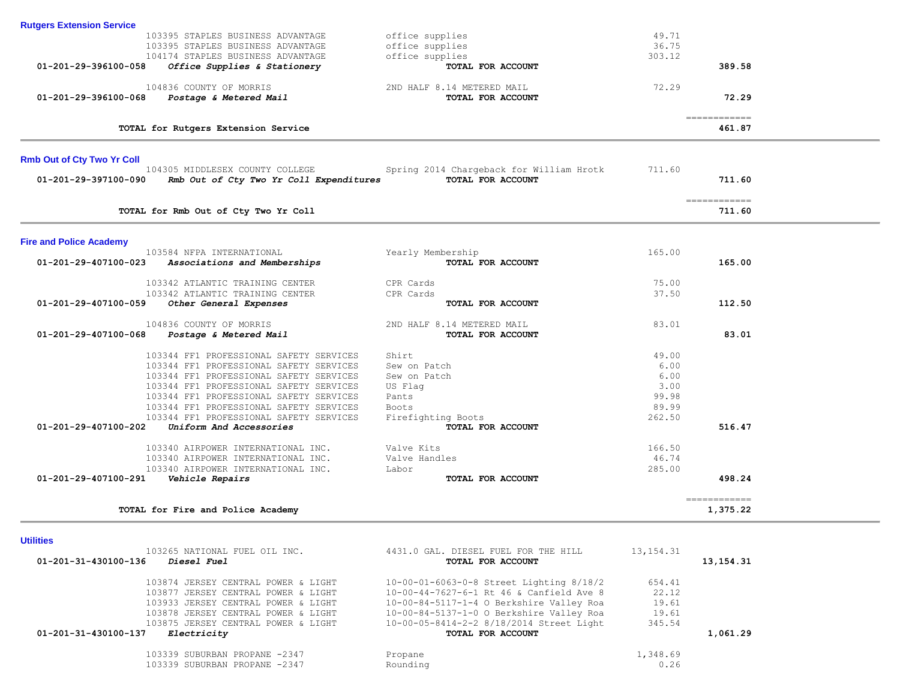| 01-201-29-396100-058              | 104174 STAPLES BUSINESS ADVANTAGE<br>Office Supplies & Stationery                  | office supplies<br>TOTAL FOR ACCOUNT                                                 | 303.12          | 389.58                   |  |
|-----------------------------------|------------------------------------------------------------------------------------|--------------------------------------------------------------------------------------|-----------------|--------------------------|--|
| 01-201-29-396100-068              | 104836 COUNTY OF MORRIS<br>Postage & Metered Mail                                  | 2ND HALF 8.14 METERED MAIL<br>TOTAL FOR ACCOUNT                                      | 72.29           | 72.29                    |  |
|                                   | TOTAL for Rutgers Extension Service                                                |                                                                                      |                 | ============<br>461.87   |  |
| <b>Rmb Out of Cty Two Yr Coll</b> |                                                                                    |                                                                                      |                 |                          |  |
| 01-201-29-397100-090              | 104305 MIDDLESEX COUNTY COLLEGE<br>Rmb Out of Cty Two Yr Coll Expenditures         | Spring 2014 Chargeback for William Hrotk<br>TOTAL FOR ACCOUNT                        | 711.60          | 711.60                   |  |
|                                   | TOTAL for Rmb Out of Cty Two Yr Coll                                               |                                                                                      |                 | ------------<br>711.60   |  |
| <b>Fire and Police Academy</b>    |                                                                                    |                                                                                      |                 |                          |  |
| 01-201-29-407100-023              | 103584 NFPA INTERNATIONAL<br>Associations and Memberships                          | Yearly Membership<br>TOTAL FOR ACCOUNT                                               | 165.00          | 165.00                   |  |
|                                   | 103342 ATLANTIC TRAINING CENTER                                                    | CPR Cards                                                                            | 75.00           |                          |  |
| 01-201-29-407100-059              | 103342 ATLANTIC TRAINING CENTER<br>Other General Expenses                          | CPR Cards<br>TOTAL FOR ACCOUNT                                                       | 37.50           | 112.50                   |  |
|                                   |                                                                                    |                                                                                      |                 |                          |  |
| 01-201-29-407100-068              | 104836 COUNTY OF MORRIS<br>Postage & Metered Mail                                  | 2ND HALF 8.14 METERED MAIL<br>TOTAL FOR ACCOUNT                                      | 83.01           | 83.01                    |  |
|                                   | 103344 FF1 PROFESSIONAL SAFETY SERVICES                                            | Shirt                                                                                | 49.00           |                          |  |
|                                   | 103344 FF1 PROFESSIONAL SAFETY SERVICES                                            | Sew on Patch                                                                         | 6.00            |                          |  |
|                                   | 103344 FF1 PROFESSIONAL SAFETY SERVICES<br>103344 FF1 PROFESSIONAL SAFETY SERVICES | Sew on Patch<br>US Flag                                                              | 6.00<br>3.00    |                          |  |
|                                   | 103344 FF1 PROFESSIONAL SAFETY SERVICES                                            | Pants                                                                                | 99.98           |                          |  |
|                                   | 103344 FF1 PROFESSIONAL SAFETY SERVICES                                            | <b>Boots</b>                                                                         | 89.99           |                          |  |
| 01-201-29-407100-202              | 103344 FF1 PROFESSIONAL SAFETY SERVICES<br>Uniform And Accessories                 | Firefighting Boots<br>TOTAL FOR ACCOUNT                                              | 262.50          | 516.47                   |  |
|                                   |                                                                                    |                                                                                      |                 |                          |  |
|                                   | 103340 AIRPOWER INTERNATIONAL INC.<br>103340 AIRPOWER INTERNATIONAL INC.           | Valve Kits<br>Valve Handles                                                          | 166.50<br>46.74 |                          |  |
|                                   | 103340 AIRPOWER INTERNATIONAL INC.                                                 | Labor                                                                                | 285.00          |                          |  |
| 01-201-29-407100-291              | Vehicle Repairs                                                                    | TOTAL FOR ACCOUNT                                                                    |                 | 498.24                   |  |
|                                   | TOTAL for Fire and Police Academy                                                  |                                                                                      |                 | ============<br>1,375.22 |  |
|                                   |                                                                                    |                                                                                      |                 |                          |  |
| <b>Utilities</b>                  |                                                                                    |                                                                                      |                 |                          |  |
|                                   | 103265 NATIONAL FUEL OIL INC.                                                      | 4431.0 GAL. DIESEL FUEL FOR THE HILL<br>TOTAL FOR ACCOUNT                            | 13, 154. 31     | 13, 154. 31              |  |
|                                   | 103874 JERSEY CENTRAL POWER & LIGHT                                                | 10-00-01-6063-0-8 Street Lighting 8/18/2                                             | 654.41          |                          |  |
|                                   | 103877 JERSEY CENTRAL POWER & LIGHT                                                | 10-00-44-7627-6-1 Rt 46 & Canfield Ave 8                                             | 22.12           |                          |  |
|                                   | 103933 JERSEY CENTRAL POWER & LIGHT<br>103878 JERSEY CENTRAL POWER & LIGHT         | 10-00-84-5117-1-4 O Berkshire Valley Roa<br>10-00-84-5137-1-0 O Berkshire Valley Roa | 19.61<br>19.61  |                          |  |
|                                   | 103875 JERSEY CENTRAL POWER & LIGHT                                                | 10-00-05-8414-2-2 8/18/2014 Street Light                                             | 345.54          |                          |  |
| 01-201-31-430100-137              | Electricity                                                                        | TOTAL FOR ACCOUNT                                                                    |                 | 1,061.29                 |  |
|                                   | 103339 SUBURBAN PROPANE -2347                                                      | Propane                                                                              | 1,348.69        |                          |  |
|                                   | 103339 SUBURBAN PROPANE -2347                                                      | Rounding                                                                             | 0.26            |                          |  |

103395 STAPLES BUSINESS ADVANTAGE office supplies (103395 STAPLES BUSINESS ADVANTAGE office supplies (103395 STAPLES BUSINESS ADVANTAGE

 $\overline{\phantom{0}}$ 

**Rutgers Extension Service**

103395 STAPLES BUSINESS ADVANTAGE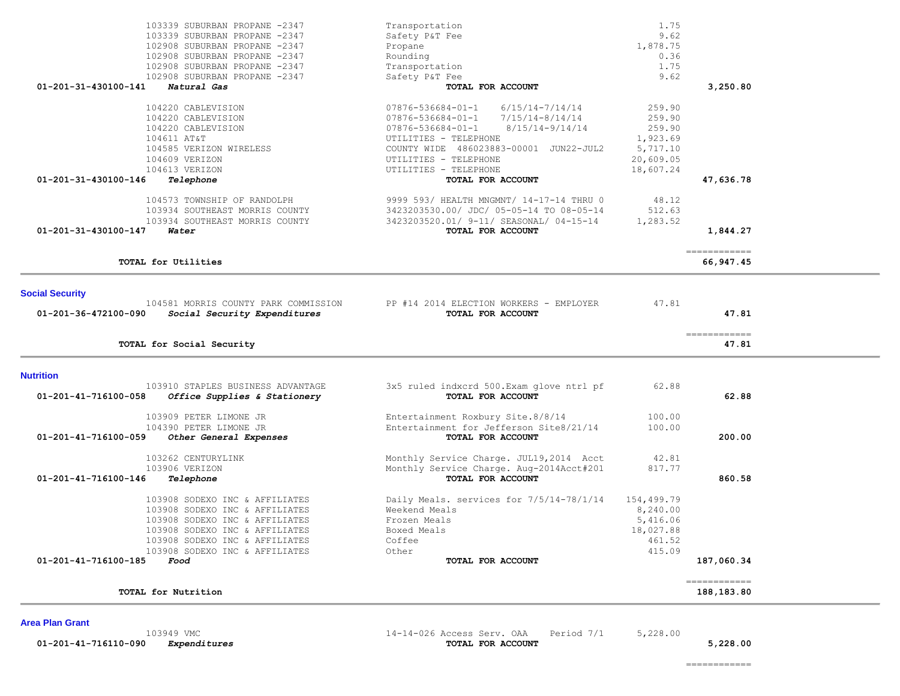| <b>Social Security</b><br>104581 MORRIS COUNTY PARK COMMISSION<br>$01 - 201 - 36 - 472100 - 090$<br>Social Security Expenditures | PP #14 2014 ELECTION WORKERS - EMPLOYER<br>TOTAL FOR ACCOUNT   | 47.81      | 47.81      |
|----------------------------------------------------------------------------------------------------------------------------------|----------------------------------------------------------------|------------|------------|
| TOTAL for Social Security                                                                                                        |                                                                |            | 47.81      |
| <b>Nutrition</b>                                                                                                                 |                                                                |            |            |
| 103910 STAPLES BUSINESS ADVANTAGE<br>01-201-41-716100-058<br>Office Supplies & Stationery                                        | 3x5 ruled indxcrd 500. Exam glove ntrl pf<br>TOTAL FOR ACCOUNT | 62.88      | 62.88      |
| 103909 PETER LIMONE JR                                                                                                           | Entertainment Roxbury Site.8/8/14                              | 100.00     |            |
| 104390 PETER LIMONE JR                                                                                                           | Entertainment for Jefferson Site8/21/14                        | 100.00     |            |
| $01 - 201 - 41 - 716100 - 059$<br>Other General Expenses                                                                         | <b>TOTAL FOR ACCOUNT</b>                                       |            | 200.00     |
| 103262 CENTURYLINK                                                                                                               | Monthly Service Charge. JUL19,2014 Acct                        | 42.81      |            |
| 103906 VERIZON                                                                                                                   | Monthly Service Charge. Aug-2014Acct#201                       | 817.77     |            |
| 01-201-41-716100-146<br>Telephone                                                                                                | TOTAL FOR ACCOUNT                                              |            | 860.58     |
| 103908 SODEXO INC & AFFILIATES                                                                                                   | Daily Meals. services for 7/5/14-78/1/14                       | 154,499.79 |            |
| 103908 SODEXO INC & AFFILIATES                                                                                                   | Weekend Meals                                                  | 8,240.00   |            |
| 103908 SODEXO INC & AFFILIATES                                                                                                   | Frozen Meals                                                   | 5,416.06   |            |
| 103908 SODEXO INC & AFFILIATES                                                                                                   | Boxed Meals                                                    | 18,027.88  |            |
| 103908 SODEXO INC & AFFILIATES                                                                                                   | Coffee                                                         | 461.52     |            |
| 103908 SODEXO INC & AFFILIATES                                                                                                   | Other                                                          | 415.09     |            |
| $01 - 201 - 41 - 716100 - 185$<br>Food                                                                                           | TOTAL FOR ACCOUNT                                              |            | 187,060.34 |

**TOTAL for Nutrition 188,183.80**

============

# 103934 SOUTHEAST MORRIS COUNTY 3423203520.01/ 9-11/ SEASONAL/ 04-15-14 1,283.52<br> **Water Water 01-201-31-430100-147** *Water* **TOTAL FOR ACCOUNT 1,844.27** ============ **TOTAL for Utilities 66,947.45**

| 103339 SUBURBAN PROPANE -2347       | Transportation                           | 1.75      |           |
|-------------------------------------|------------------------------------------|-----------|-----------|
| 103339 SUBURBAN PROPANE -2347       | Safety P&T Fee                           | 9.62      |           |
| 102908 SUBURBAN PROPANE -2347       | Propane                                  | 1,878.75  |           |
| 102908 SUBURBAN PROPANE -2347       | Rounding                                 | 0.36      |           |
| 102908 SUBURBAN PROPANE -2347       | Transportation                           | 1.75      |           |
| 102908 SUBURBAN PROPANE -2347       | Safety P&T Fee                           | 9.62      |           |
| 01-201-31-430100-141<br>Natural Gas | TOTAL FOR ACCOUNT                        |           | 3,250.80  |
| 104220 CABLEVISION                  | 6/15/14-7/14/14<br>07876-536684-01-1     | 259.90    |           |
| 104220 CABLEVISION                  | 07876-536684-01-1<br>7/15/14-8/14/14     | 259.90    |           |
| 104220 CABLEVISION                  | 8/15/14-9/14/14<br>07876-536684-01-1     | 259.90    |           |
| 104611 AT&T                         | UTILITIES - TELEPHONE                    | 1,923.69  |           |
| 104585 VERIZON WIRELESS             | COUNTY WIDE 486023883-00001 JUN22-JUL2   | 5,717.10  |           |
| 104609 VERIZON                      | UTILITIES - TELEPHONE                    | 20,609.05 |           |
| 104613 VERIZON                      | UTILITIES - TELEPHONE                    | 18,607.24 |           |
| 01-201-31-430100-146<br>Telephone   | TOTAL FOR ACCOUNT                        |           | 47,636.78 |
| 104573 TOWNSHIP OF RANDOLPH         | 9999 593/ HEALTH MNGMNT/ 14-17-14 THRU 0 | 48.12     |           |
| 103934 SOUTHEAST MORRIS COUNTY      | 3423203530.00/ JDC/ 05-05-14 TO 08-05-14 | 512.63    |           |

103949 VMC 14-14-026 Access Serv. OAA Period 7/1 5,228.00

 **01-201-41-716110-090** *Expenditures* **TOTAL FOR ACCOUNT 5,228.00**

**Area Plan Grant** 

============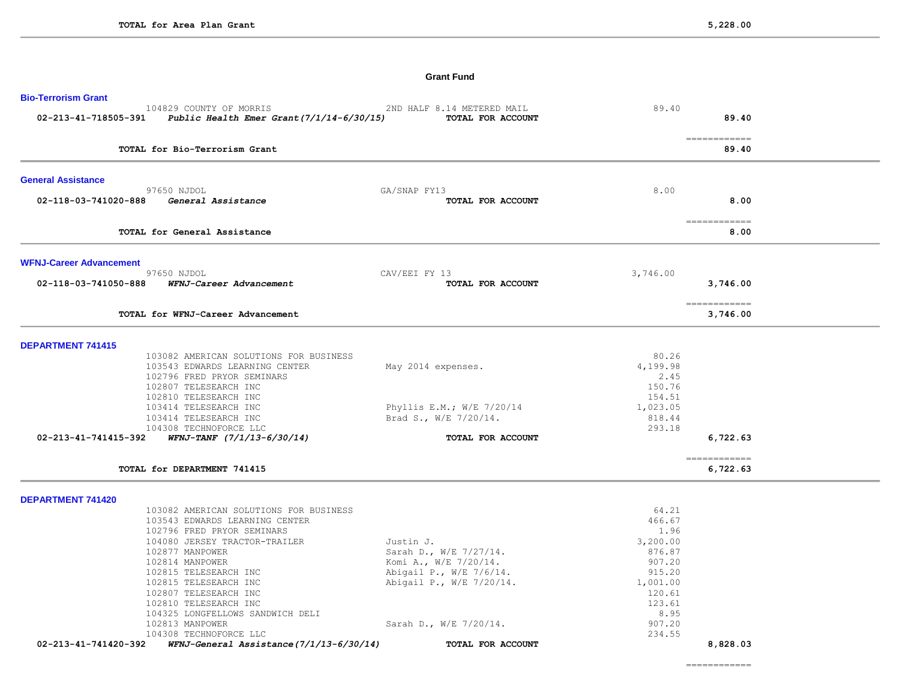## **Grant Fund**

| <b>Bio-Terrorism Grant</b>          |                                                     |                                                                                                                |                    |                                        |
|-------------------------------------|-----------------------------------------------------|----------------------------------------------------------------------------------------------------------------|--------------------|----------------------------------------|
|                                     | 104829 COUNTY OF MORRIS                             | 2ND HALF 8.14 METERED MAIL<br>02-213-41-718505-391 Public Health Emer Grant (7/1/14-6/30/15) TOTAL FOR ACCOUNT | 89.40              | 89.40                                  |
|                                     | TOTAL for Bio-Terrorism Grant                       |                                                                                                                |                    | $=$ = = = = = = = = = = = = =<br>89.40 |
|                                     |                                                     |                                                                                                                |                    |                                        |
| <b>General Assistance</b>           |                                                     |                                                                                                                |                    |                                        |
| 97650 NJDOL<br>02-118-03-741020-888 | General Assistance                                  | GA/SNAP FY13<br>TOTAL FOR ACCOUNT                                                                              | 8.00               | 8.00                                   |
|                                     | TOTAL for General Assistance                        |                                                                                                                |                    | ============<br>8.00                   |
| <b>WFNJ-Career Advancement</b>      |                                                     |                                                                                                                |                    |                                        |
| 97650 NJDOL<br>02-118-03-741050-888 | WFNJ-Career Advancement                             | CAV/EEI FY 13<br>TOTAL FOR ACCOUNT                                                                             | 3,746.00           | 3,746.00                               |
|                                     | TOTAL for WFNJ-Career Advancement                   |                                                                                                                |                    | =============<br>3,746.00              |
| <b>DEPARTMENT 741415</b>            |                                                     |                                                                                                                |                    |                                        |
|                                     | 103082 AMERICAN SOLUTIONS FOR BUSINESS              |                                                                                                                | 80.26              |                                        |
|                                     | 103543 EDWARDS LEARNING CENTER                      | May 2014 expenses.                                                                                             | 4,199.98           |                                        |
|                                     | 102796 FRED PRYOR SEMINARS<br>102807 TELESEARCH INC |                                                                                                                | 2.45<br>150.76     |                                        |
|                                     | 102810 TELESEARCH INC                               |                                                                                                                | 154.51             |                                        |
|                                     | 103414 TELESEARCH INC                               | Phyllis E.M.; W/E 7/20/14                                                                                      | 1,023.05           |                                        |
|                                     | 103414 TELESEARCH INC                               | Brad S., W/E 7/20/14.                                                                                          | 818.44             |                                        |
|                                     | 104308 TECHNOFORCE LLC                              |                                                                                                                | 293.18             |                                        |
| 02-213-41-741415-392                | $WFNJ-TANF$ $(7/1/13-6/30/14)$                      | TOTAL FOR ACCOUNT                                                                                              |                    | 6,722.63                               |
| TOTAL for DEPARTMENT 741415         |                                                     |                                                                                                                |                    | =============<br>6,722.63              |
| <b>DEPARTMENT 741420</b>            |                                                     |                                                                                                                |                    |                                        |
|                                     | 103082 AMERICAN SOLUTIONS FOR BUSINESS              |                                                                                                                | 64.21              |                                        |
|                                     | 103543 EDWARDS LEARNING CENTER                      |                                                                                                                | 466.67             |                                        |
|                                     | 102796 FRED PRYOR SEMINARS                          |                                                                                                                | 1.96               |                                        |
|                                     | 104080 JERSEY TRACTOR-TRAILER                       | Justin J.                                                                                                      | 3,200.00           |                                        |
| 102877 MANPOWER                     |                                                     | Sarah D., W/E 7/27/14.                                                                                         | 876.87             |                                        |
| 102814 MANPOWER                     |                                                     | Komi A., W/E 7/20/14.                                                                                          | 907.20             |                                        |
|                                     | 102815 TELESEARCH INC<br>102815 TELESEARCH INC      | Abigail P., W/E 7/6/14.<br>Abigail P., W/E 7/20/14.                                                            | 915.20<br>1,001.00 |                                        |
|                                     | 102807 TELESEARCH INC                               |                                                                                                                | 120.61             |                                        |
|                                     | 102810 TELESEARCH INC                               |                                                                                                                | 123.61             |                                        |
|                                     | 104325 LONGFELLOWS SANDWICH DELI                    |                                                                                                                | 8.95               |                                        |
| 102813 MANPOWER                     |                                                     | Sarah D., W/E 7/20/14.                                                                                         | 907.20             |                                        |
|                                     | 104308 TECHNOFORCE LLC                              |                                                                                                                | 234.55             |                                        |
| 02-213-41-741420-392                | WFNJ-General Assistance (7/1/13-6/30/14)            | TOTAL FOR ACCOUNT                                                                                              |                    | 8,828.03                               |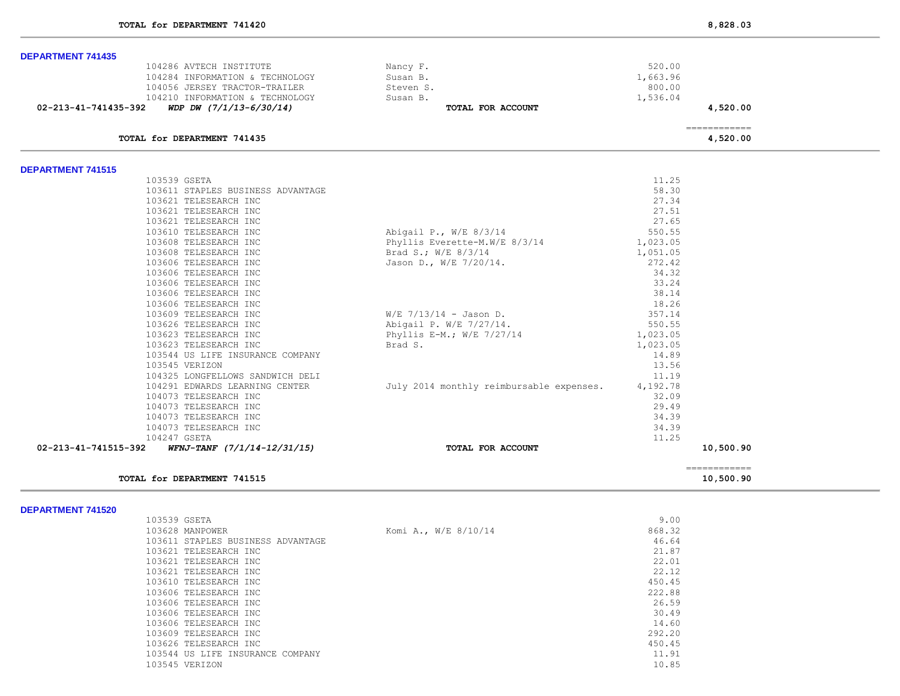| <b>DEPARTMENT 741435</b>                                |                                          |                                                                                                                                                                                                                                                                                                                                                                                                                                                                                        |  |
|---------------------------------------------------------|------------------------------------------|----------------------------------------------------------------------------------------------------------------------------------------------------------------------------------------------------------------------------------------------------------------------------------------------------------------------------------------------------------------------------------------------------------------------------------------------------------------------------------------|--|
| 104286 AVTECH INSTITUTE                                 | Nancy F.                                 | 520.00                                                                                                                                                                                                                                                                                                                                                                                                                                                                                 |  |
| 104284 INFORMATION & TECHNOLOGY                         | Susan B.                                 | 1,663.96                                                                                                                                                                                                                                                                                                                                                                                                                                                                               |  |
| 104056 JERSEY TRACTOR-TRAILER                           | Steven S.                                | 800.00                                                                                                                                                                                                                                                                                                                                                                                                                                                                                 |  |
| 104210 INFORMATION & TECHNOLOGY                         | Susan B.                                 | 1,536.04                                                                                                                                                                                                                                                                                                                                                                                                                                                                               |  |
| WDP DW $(7/1/13-6/30/14)$<br>02-213-41-741435-392       | TOTAL FOR ACCOUNT                        | 4,520.00                                                                                                                                                                                                                                                                                                                                                                                                                                                                               |  |
|                                                         |                                          | $\begin{array}{cccccccccc} \multicolumn{2}{c}{} & \multicolumn{2}{c}{} & \multicolumn{2}{c}{} & \multicolumn{2}{c}{} & \multicolumn{2}{c}{} & \multicolumn{2}{c}{} & \multicolumn{2}{c}{} & \multicolumn{2}{c}{} & \multicolumn{2}{c}{} & \multicolumn{2}{c}{} & \multicolumn{2}{c}{} & \multicolumn{2}{c}{} & \multicolumn{2}{c}{} & \multicolumn{2}{c}{} & \multicolumn{2}{c}{} & \multicolumn{2}{c}{} & \multicolumn{2}{c}{} & \multicolumn{2}{c}{} & \multicolumn{2}{c}{} & \mult$ |  |
| TOTAL for DEPARTMENT 741435                             |                                          | 4,520.00                                                                                                                                                                                                                                                                                                                                                                                                                                                                               |  |
| <b>DEPARTMENT 741515</b>                                |                                          |                                                                                                                                                                                                                                                                                                                                                                                                                                                                                        |  |
| 103539 GSETA                                            |                                          | 11.25                                                                                                                                                                                                                                                                                                                                                                                                                                                                                  |  |
| 103611 STAPLES BUSINESS ADVANTAGE                       |                                          | 58.30                                                                                                                                                                                                                                                                                                                                                                                                                                                                                  |  |
| 103621 TELESEARCH INC                                   |                                          | 27.34                                                                                                                                                                                                                                                                                                                                                                                                                                                                                  |  |
| 103621 TELESEARCH INC                                   |                                          | 27.51                                                                                                                                                                                                                                                                                                                                                                                                                                                                                  |  |
| 103621 TELESEARCH INC                                   |                                          | 27.65                                                                                                                                                                                                                                                                                                                                                                                                                                                                                  |  |
| 103610 TELESEARCH INC                                   | Abigail P., W/E 8/3/14                   | 550.55                                                                                                                                                                                                                                                                                                                                                                                                                                                                                 |  |
| 103608 TELESEARCH INC                                   | Phyllis Everette-M.W/E 8/3/14            | 1,023.05                                                                                                                                                                                                                                                                                                                                                                                                                                                                               |  |
| 103608 TELESEARCH INC                                   | Brad S.; W/E 8/3/14                      | 1,051.05                                                                                                                                                                                                                                                                                                                                                                                                                                                                               |  |
| 103606 TELESEARCH INC                                   | Jason D., W/E 7/20/14.                   | 272.42                                                                                                                                                                                                                                                                                                                                                                                                                                                                                 |  |
| 103606 TELESEARCH INC                                   |                                          | 34.32                                                                                                                                                                                                                                                                                                                                                                                                                                                                                  |  |
| 103606 TELESEARCH INC                                   |                                          | 33.24                                                                                                                                                                                                                                                                                                                                                                                                                                                                                  |  |
| 103606 TELESEARCH INC                                   |                                          | 38.14                                                                                                                                                                                                                                                                                                                                                                                                                                                                                  |  |
| 103606 TELESEARCH INC                                   |                                          | 18.26                                                                                                                                                                                                                                                                                                                                                                                                                                                                                  |  |
| 103609 TELESEARCH INC                                   | $W/E$ 7/13/14 - Jason D.                 | 357.14                                                                                                                                                                                                                                                                                                                                                                                                                                                                                 |  |
| 103626 TELESEARCH INC                                   | Abigail P. W/E 7/27/14.                  | 550.55                                                                                                                                                                                                                                                                                                                                                                                                                                                                                 |  |
| 103623 TELESEARCH INC                                   | Phyllis E-M.; $W/E$ 7/27/14              | 1,023.05                                                                                                                                                                                                                                                                                                                                                                                                                                                                               |  |
| 103623 TELESEARCH INC                                   | Brad S.                                  | 1,023.05                                                                                                                                                                                                                                                                                                                                                                                                                                                                               |  |
| 103544 US LIFE INSURANCE COMPANY                        |                                          | 14.89                                                                                                                                                                                                                                                                                                                                                                                                                                                                                  |  |
| 103545 VERIZON                                          |                                          | 13.56                                                                                                                                                                                                                                                                                                                                                                                                                                                                                  |  |
| 104325 LONGFELLOWS SANDWICH DELI                        |                                          | 11.19                                                                                                                                                                                                                                                                                                                                                                                                                                                                                  |  |
| 104291 EDWARDS LEARNING CENTER                          | July 2014 monthly reimbursable expenses. | 4,192.78                                                                                                                                                                                                                                                                                                                                                                                                                                                                               |  |
| 104073 TELESEARCH INC                                   |                                          | 32.09                                                                                                                                                                                                                                                                                                                                                                                                                                                                                  |  |
| 104073 TELESEARCH INC                                   |                                          | 29.49                                                                                                                                                                                                                                                                                                                                                                                                                                                                                  |  |
| 104073 TELESEARCH INC                                   |                                          | 34.39                                                                                                                                                                                                                                                                                                                                                                                                                                                                                  |  |
| 104073 TELESEARCH INC                                   |                                          | 34.39                                                                                                                                                                                                                                                                                                                                                                                                                                                                                  |  |
| 104247 GSETA                                            |                                          | 11.25                                                                                                                                                                                                                                                                                                                                                                                                                                                                                  |  |
| $WFNJ-TANF$ $(7/1/14-12/31/15)$<br>02-213-41-741515-392 | TOTAL FOR ACCOUNT                        | 10,500.90                                                                                                                                                                                                                                                                                                                                                                                                                                                                              |  |
|                                                         |                                          | -------------                                                                                                                                                                                                                                                                                                                                                                                                                                                                          |  |
| TOTAL for DEPARTMENT 741515                             |                                          | 10,500.90                                                                                                                                                                                                                                                                                                                                                                                                                                                                              |  |

| 103539 GSETA                      |                      | 9.00   |
|-----------------------------------|----------------------|--------|
| 103628 MANPOWER                   | Komi A., W/E 8/10/14 | 868.32 |
| 103611 STAPLES BUSINESS ADVANTAGE |                      | 46.64  |
| 103621 TELESEARCH INC             |                      | 21.87  |
| 103621 TELESEARCH INC             |                      | 22.01  |
| 103621 TELESEARCH INC             |                      | 22.12  |
| 103610 TELESEARCH INC             |                      | 450.45 |
| 103606 TELESEARCH INC             |                      | 222.88 |
| 103606 TELESEARCH INC             |                      | 26.59  |
| 103606 TELESEARCH INC             |                      | 30.49  |
| 103606 TELESEARCH INC             |                      | 14.60  |
| 103609 TELESEARCH INC             |                      | 292.20 |
| 103626 TELESEARCH INC             |                      | 450.45 |
| 103544 US LIFE INSURANCE COMPANY  |                      | 11.91  |
| 103545 VERIZON                    |                      | 10.85  |
|                                   |                      |        |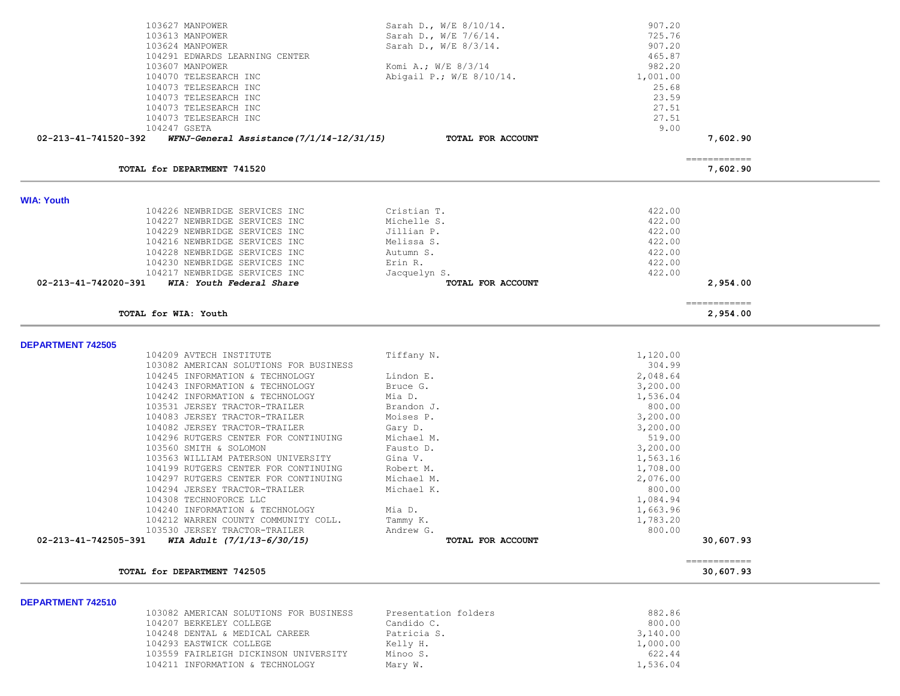| 103627 MANPOWER                                                   | Sarah D., W/E 8/10/14.   | 907.20   |                           |  |
|-------------------------------------------------------------------|--------------------------|----------|---------------------------|--|
| 103613 MANPOWER                                                   | Sarah D., W/E 7/6/14.    | 725.76   |                           |  |
| 103624 MANPOWER                                                   | Sarah D., W/E 8/3/14.    | 907.20   |                           |  |
| 104291 EDWARDS LEARNING CENTER                                    |                          | 465.87   |                           |  |
| 103607 MANPOWER                                                   | Komi A.; $W/E$ 8/3/14    | 982.20   |                           |  |
| 104070 TELESEARCH INC                                             | Abigail P.; W/E 8/10/14. | 1,001.00 |                           |  |
| 104073 TELESEARCH INC                                             |                          | 25.68    |                           |  |
| 104073 TELESEARCH INC                                             |                          | 23.59    |                           |  |
| 104073 TELESEARCH INC                                             |                          | 27.51    |                           |  |
| 104073 TELESEARCH INC                                             |                          | 27.51    |                           |  |
| 104247 GSETA                                                      |                          | 9.00     |                           |  |
| 02-213-41-741520-392<br>WFNJ-General Assistance (7/1/14-12/31/15) | TOTAL FOR ACCOUNT        |          | 7,602.90                  |  |
| TOTAL for DEPARTMENT 741520                                       |                          |          | -------------<br>7,602.90 |  |
|                                                                   |                          |          |                           |  |
| <b>WIA: Youth</b>                                                 |                          |          |                           |  |
| 104226 NEWBRIDGE SERVICES INC                                     | Cristian T.              | 422.00   |                           |  |
| 104227 NEWBRIDGE SERVICES INC                                     | Michelle S.              | 422.00   |                           |  |
| 104229 NEWBRIDGE SERVICES INC                                     | Jillian P.               | 422.00   |                           |  |
| 104216 NEWBRIDGE SERVICES INC                                     | Melissa S.               | 422.00   |                           |  |
| 104228 NEWBRIDGE SERVICES INC                                     | Autumn S.                | 422.00   |                           |  |
| 104230 NEWBRIDGE SERVICES INC                                     | Erin R.                  | 422.00   |                           |  |
| 104217 NEWBRIDGE SERVICES INC                                     | Jacquelyn S.             | 422.00   |                           |  |
| 02-213-41-742020-391<br>WIA: Youth Federal Share                  | TOTAL FOR ACCOUNT        |          | 2,954.00                  |  |
| TOTAL for WIA: Youth                                              |                          |          | ============<br>2,954.00  |  |
|                                                                   |                          |          |                           |  |
| <b>DEPARTMENT 742505</b>                                          |                          |          |                           |  |
| 104209 AVTECH INSTITUTE                                           | Tiffany N.               | 1,120.00 |                           |  |
| 103082 AMERICAN SOLUTIONS FOR BUSINESS                            |                          | 304.99   |                           |  |
| 104245 INFORMATION & TECHNOLOGY                                   | Lindon E.                | 2,048.64 |                           |  |
| 104243 INFORMATION & TECHNOLOGY                                   | Bruce G.                 | 3,200.00 |                           |  |
| 104242 INFORMATION & TECHNOLOGY                                   | Mia D.                   | 1,536.04 |                           |  |
| 103531 JERSEY TRACTOR-TRAILER                                     | Brandon J.               | 800.00   |                           |  |
| 104083 JERSEY TRACTOR-TRAILER                                     | Moises P.                | 3,200.00 |                           |  |
| 104082 JERSEY TRACTOR-TRAILER                                     | Gary D.                  | 3,200.00 |                           |  |
| 104296 RUTGERS CENTER FOR CONTINUING                              | Michael M.               | 519.00   |                           |  |
| 103560 SMITH & SOLOMON                                            | Fausto D.                | 3,200.00 |                           |  |
| 103563 WILLIAM PATERSON UNIVERSITY                                | Gina V.                  | 1,563.16 |                           |  |
| 104199 RUTGERS CENTER FOR CONTINUING                              | Robert M.                | 1,708.00 |                           |  |
| 104297 RUTGERS CENTER FOR CONTINUING                              | Michael M.               | 2,076.00 |                           |  |
| 104294 JERSEY TRACTOR-TRAILER                                     | Michael K.               | 800.00   |                           |  |
| 104308 TECHNOFORCE LLC                                            |                          | 1,084.94 |                           |  |
| 104240 INFORMATION & TECHNOLOGY                                   | Mia D.                   | 1,663.96 |                           |  |
| 104212 WARREN COUNTY COMMUNITY COLL.                              | Tammy K.                 | 1,783.20 |                           |  |
| 103530 JERSEY TRACTOR-TRAILER                                     | Andrew G.                | 800.00   |                           |  |
| 02-213-41-742505-391<br>WIA Adult (7/1/13-6/30/15)                | TOTAL FOR ACCOUNT        |          | 30,607.93                 |  |
| TOTAL for DEPARTMENT 742505                                       |                          |          | ============<br>30,607.93 |  |
|                                                                   |                          |          |                           |  |
| DEPARTMENT 742510<br>103082 AMERICAN SOLUTIONS FOR BUSINESS       | Presentation folders     | 882.86   |                           |  |
| 104207 BERKELEY COLLEGE                                           | Candido C.               | 800.00   |                           |  |
|                                                                   |                          |          |                           |  |

104248 DENTAL & MEDICAL CAREER Patricia S. 2,140.00 104293 EASTWICK COLLEGE Kelly H. 1,000.00

104211 INFORMATION & TECHNOLOGY Mary W.

103559 FAIRLEIGH DICKINSON UNIVERSITY Minoo S. 622.44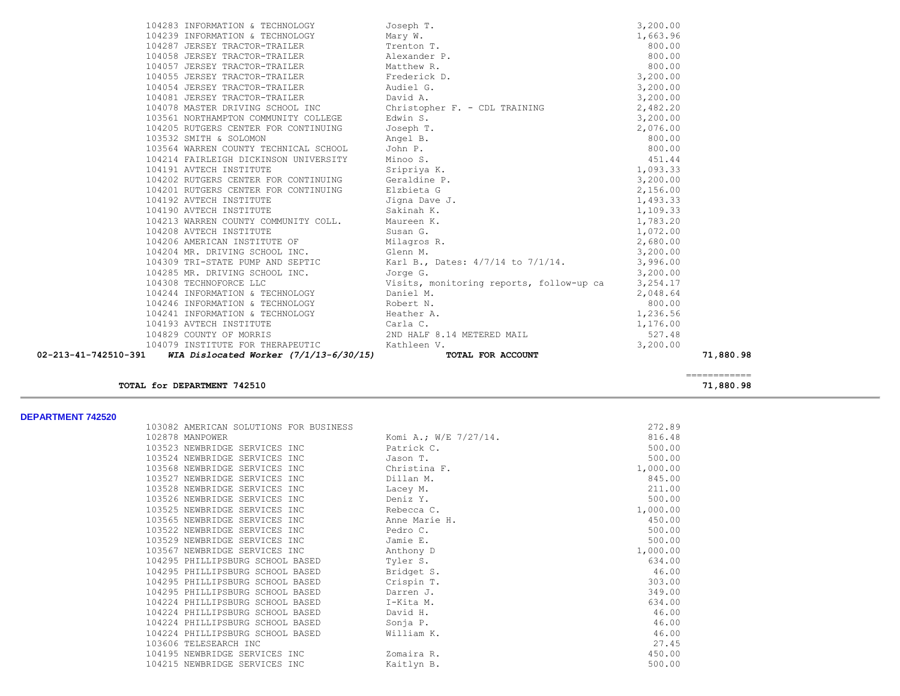| 02-213-41-742510-391 | WIA Dislocated Worker (7/1/13-6/30/15)                                                                                                                                                                                                       | TOTAL FOR ACCOUNT                                                                                                                                                                                                                       |          | 71,880.98 |
|----------------------|----------------------------------------------------------------------------------------------------------------------------------------------------------------------------------------------------------------------------------------------|-----------------------------------------------------------------------------------------------------------------------------------------------------------------------------------------------------------------------------------------|----------|-----------|
|                      | 104079 INSTITUTE FOR THERAPEUTIC Kathleen V.                                                                                                                                                                                                 |                                                                                                                                                                                                                                         | 3,200.00 |           |
|                      | 104193 AVTECH INSTITUTE<br>104193 AVTECH INSTITUTE<br>104829 COUNTY OF MORRIS (2ND HALF 8.14 METERED MAIL                                                                                                                                    |                                                                                                                                                                                                                                         | 527.48   |           |
|                      |                                                                                                                                                                                                                                              |                                                                                                                                                                                                                                         | 1,176.00 |           |
|                      | 104241 INFORMATION & TECHNOLOGY Heather A.                                                                                                                                                                                                   |                                                                                                                                                                                                                                         | 1,236.56 |           |
|                      | 104246 INFORMATION & TECHNOLOGY Robert N.                                                                                                                                                                                                    |                                                                                                                                                                                                                                         | 800.00   |           |
|                      |                                                                                                                                                                                                                                              | 104308 TECHNOFORCE LLC<br>104244 INFORMATION & TECHNOLOGY Usits, monitoring reports, follow-up ca 3,254.17<br>104046 INFORMATION : TROUNGERY CONFIDENT PRODUCED Daniel M.<br>104046 INFORMATION : TROUNGERY CONFIDENT                   |          |           |
|                      |                                                                                                                                                                                                                                              |                                                                                                                                                                                                                                         |          |           |
|                      |                                                                                                                                                                                                                                              |                                                                                                                                                                                                                                         |          |           |
|                      |                                                                                                                                                                                                                                              | 104206 AMERICAN INSTITUTE OF Milagros R. 2,680.00<br>104204 MR. DRIVING SCHOOL INC. Glenn M. 3,200.00<br>104309 TRI-STATE PUMP AND SEPTIC Karl B., Dates: 4/7/14 to 7/1/14. 3,996.00<br>104285 MR. DRIVING SCHOOL INC. Jorge G. 3,200.0 |          |           |
|                      |                                                                                                                                                                                                                                              |                                                                                                                                                                                                                                         |          |           |
|                      |                                                                                                                                                                                                                                              |                                                                                                                                                                                                                                         |          |           |
|                      | 104208 AVTECH INSTITUTE Susan G.                                                                                                                                                                                                             | 1,072.00                                                                                                                                                                                                                                |          |           |
|                      |                                                                                                                                                                                                                                              | 1,783.20                                                                                                                                                                                                                                |          |           |
|                      | 104190 AVTECH INSTITUTE 5 Sakinah K.<br>104213 WARREN COUNTY COMMUNITY COLL. Maureen K.                                                                                                                                                      |                                                                                                                                                                                                                                         | 1,109.33 |           |
|                      | 104192 AVTECH INSTITUTE THE STATE STATE STATE STATE STATES STATES                                                                                                                                                                            |                                                                                                                                                                                                                                         | 1,493.33 |           |
|                      | 104201 RUTGERS CENTER FOR CONTINUING Elzbieta G                                                                                                                                                                                              |                                                                                                                                                                                                                                         | 2,156.00 |           |
|                      |                                                                                                                                                                                                                                              |                                                                                                                                                                                                                                         | 3,200.00 |           |
|                      | 104191 AVTECH INSTITUTE 5 Sripriya K.<br>104202 RUTGERS CENTER FOR CONTINUING 6eraldine P.                                                                                                                                                   |                                                                                                                                                                                                                                         | 1,093.33 |           |
|                      | 104214 FAIRLEIGH DICKINSON UNIVERSITY Minoo S.                                                                                                                                                                                               |                                                                                                                                                                                                                                         | 451.44   |           |
|                      | 103532 SMITH & SOLOMON Angel B.<br>103564 WARREN COUNTY TECHNICAL SCHOOL John P.                                                                                                                                                             |                                                                                                                                                                                                                                         | 800.00   |           |
|                      |                                                                                                                                                                                                                                              |                                                                                                                                                                                                                                         |          |           |
|                      | 104205 RUTGERS CENTER FOR CONTINUING Joseph T.                                                                                                                                                                                               | $2,076.00$<br>800.00                                                                                                                                                                                                                    |          |           |
|                      | 103561 NORTHAMPTON COMMUNITY COLLEGE                                                                                                                                                                                                         | Edwin S.<br>3,200.00                                                                                                                                                                                                                    |          |           |
|                      |                                                                                                                                                                                                                                              | 104078 MASTER DRIVING SCHOOL INC Christopher F. - CDL TRAINING 2,482.20                                                                                                                                                                 |          |           |
|                      | 104081 JERSEY TRACTOR-TRAILER David A.                                                                                                                                                                                                       |                                                                                                                                                                                                                                         | 3,200.00 |           |
|                      | 104054 JERSEY TRACTOR-TRAILER Audiel G.                                                                                                                                                                                                      | 3,200.00                                                                                                                                                                                                                                |          |           |
|                      | 104058 JERSEY TRACTOR-TRAILER<br>104057 JERSEY TRACTOR-TRAILER<br>104055 JERSEY TRACTOR-TRAILER<br>104055 JERSEY TRACTOR-TRAILER<br>104054 TERRIT TRACTOR-TRAILER<br>Frederick D.                                                            |                                                                                                                                                                                                                                         | 3,200.00 |           |
|                      |                                                                                                                                                                                                                                              |                                                                                                                                                                                                                                         | 800.00   |           |
|                      |                                                                                                                                                                                                                                              |                                                                                                                                                                                                                                         | 800.00   |           |
|                      |                                                                                                                                                                                                                                              |                                                                                                                                                                                                                                         | 800.00   |           |
|                      | 104283 INFORMATION & TECHNOLOGY<br>104239 INFORMATION & TECHNOLOGY<br>104287 JERSEY TRACTOR-TRAILER<br>104058 JERSEY TRACTOR-TRAILER<br>104057 JERSEY TRACTOR-TRAILER<br>104055 JERSEY TRACTOR-TRAILER<br>104055 JERSEY TRACTOR-TRAILER<br>1 |                                                                                                                                                                                                                                         | 1,663.96 |           |
|                      |                                                                                                                                                                                                                                              |                                                                                                                                                                                                                                         | 3,200.00 |           |

# **TOTAL for DEPARTMENT 742510 71,880.98**

============

| 103082 AMERICAN SOLUTIONS FOR BUSINESS       |                       | 272.89   |
|----------------------------------------------|-----------------------|----------|
| 102878 MANPOWER                              | Komi A.; W/E 7/27/14. | 816.48   |
| 103523 NEWBRIDGE SERVICES INC                | Patrick C.            | 500.00   |
| 103524 NEWBRIDGE SERVICES INC                | Jason T.              | 500.00   |
| 103568 NEWBRIDGE SERVICES INC                | Christina F.          | 1,000.00 |
| 103527 NEWBRIDGE SERVICES INC                | Dillan M.             | 845.00   |
| 103528 NEWBRIDGE SERVICES INC                | Lacey M.              | 211.00   |
| 103526 NEWBRIDGE SERVICES INC                | Deniz Y.              | 500.00   |
| 103525 NEWBRIDGE SERVICES INC THE Rebecca C. |                       | 1,000.00 |
| 103565 NEWBRIDGE SERVICES INC                | Anne Marie H.         | 450.00   |
| 103522 NEWBRIDGE SERVICES INC                | Pedro C.              | 500.00   |
| 103529 NEWBRIDGE SERVICES INC                | Jamie E.              | 500.00   |
| 103567 NEWBRIDGE SERVICES INC                | Anthony D             | 1,000.00 |
| 104295 PHILLIPSBURG SCHOOL BASED             | Tyler S.              | 634.00   |
| 104295 PHILLIPSBURG SCHOOL BASED             | Bridget S.            | 46.00    |
| 104295 PHILLIPSBURG SCHOOL BASED             | Crispin T.            | 303.00   |
| 104295 PHILLIPSBURG SCHOOL BASED             | Darren J.             | 349.00   |
| 104224 PHILLIPSBURG SCHOOL BASED             | I-Kita M.             | 634.00   |
| 104224 PHILLIPSBURG SCHOOL BASED             | David H.              | 46.00    |
| 104224 PHILLIPSBURG SCHOOL BASED             | Sonja P.              | 46.00    |
| 104224 PHILLIPSBURG SCHOOL BASED             | William K.            | 46.00    |
| 103606 TELESEARCH INC                        |                       | 27.45    |
| 104195 NEWBRIDGE SERVICES INC                | Zomaira R.            | 450.00   |
| 104215 NEWBRIDGE SERVICES INC                | Kaitlyn B.            | 500.00   |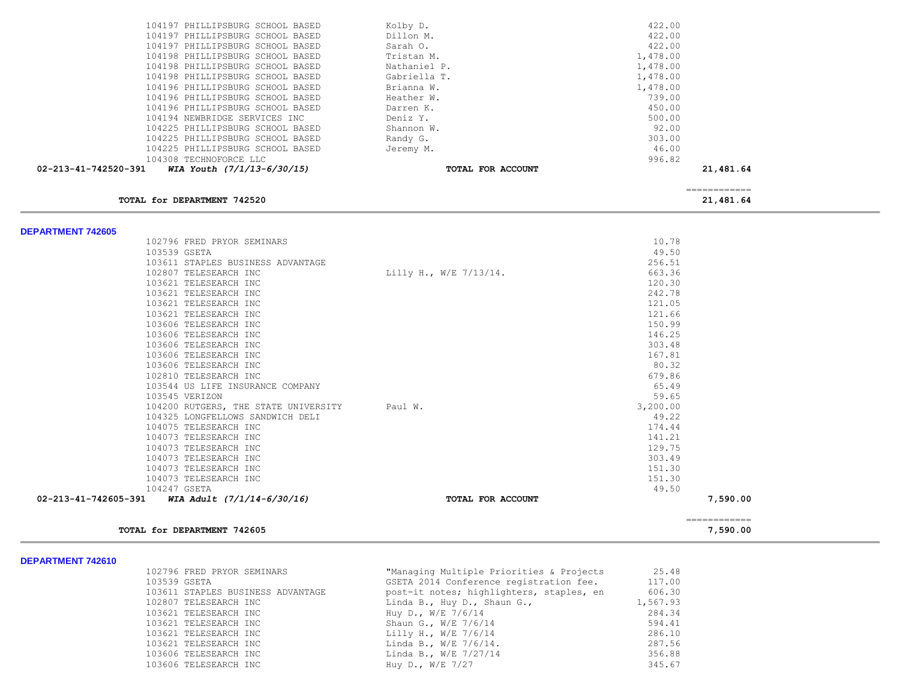| 104197 PHILLIPSBURG SCHOOL BASED                       | Kolby D.               | 422.00       |  |
|--------------------------------------------------------|------------------------|--------------|--|
| 104197 PHILLIPSBURG SCHOOL BASED                       | Dillon M.              | 422.00       |  |
| 104197 PHILLIPSBURG SCHOOL BASED                       | Sarah O.               | 422.00       |  |
| 104198 PHILLIPSBURG SCHOOL BASED                       | Tristan M.             | 1,478.00     |  |
| 104198 PHILLIPSBURG SCHOOL BASED                       | Nathaniel P.           | 1,478.00     |  |
| 104198 PHILLIPSBURG SCHOOL BASED                       | Gabriella T.           | 1,478.00     |  |
| 104196 PHILLIPSBURG SCHOOL BASED                       | Brianna W.             | 1,478.00     |  |
| 104196 PHILLIPSBURG SCHOOL BASED                       | Heather W.             | 739.00       |  |
| 104196 PHILLIPSBURG SCHOOL BASED                       | Darren K.              | 450.00       |  |
| 104194 NEWBRIDGE SERVICES INC                          | Deniz Y.               | 500.00       |  |
| 104225 PHILLIPSBURG SCHOOL BASED                       | Shannon W.             | 92.00        |  |
| 104225 PHILLIPSBURG SCHOOL BASED                       | Randy G.               | 303.00       |  |
| 104225 PHILLIPSBURG SCHOOL BASED                       | Jeremy M.              | 46.00        |  |
| 104308 TECHNOFORCE LLC                                 |                        | 996.82       |  |
| 02-213-41-742520-391<br>WIA Youth $(7/1/13-6/30/15)$   | TOTAL FOR ACCOUNT      | 21,481.64    |  |
|                                                        |                        | ============ |  |
| TOTAL for DEPARTMENT 742520                            |                        | 21,481.64    |  |
|                                                        |                        |              |  |
| <b>DEPARTMENT 742605</b><br>102796 FRED PRYOR SEMINARS |                        | 10.78        |  |
| 103539 GSETA                                           |                        | 49.50        |  |
| 103611 STAPLES BUSINESS ADVANTAGE                      |                        | 256.51       |  |
| 102807 TELESEARCH INC                                  | Lilly H., W/E 7/13/14. | 663.36       |  |
| 103621 TELESEARCH INC                                  |                        | 120.30       |  |
| 103621 TELESEARCH INC                                  |                        | 242.78       |  |
| 103621 TELESEARCH INC                                  |                        | 121.05       |  |
| 103621 TELESEARCH INC                                  |                        | 121.66       |  |
| 103606 TELESEARCH INC                                  |                        | 150.99       |  |
| 103606 TELESEARCH INC                                  |                        | 146.25       |  |
| 103606 TELESEARCH INC                                  |                        | 303.48       |  |
| 103606 TELESEARCH INC                                  |                        | 167.81       |  |
| 103606 TELESEARCH INC                                  |                        | 80.32        |  |
| 102810 TELESEARCH INC                                  |                        | 679.86       |  |
| 103544 US LIFE INSURANCE COMPANY                       |                        | 65.49        |  |
| 103545 VERIZON                                         |                        | 59.65        |  |
| 104200 RUTGERS, THE STATE UNIVERSITY                   | Paul W.                | 3,200.00     |  |
| 104325 LONGFELLOWS SANDWICH DELI                       |                        | 49.22        |  |
| 104075 TELESEARCH INC                                  |                        | 174.44       |  |
| 104073 TELESEARCH INC                                  |                        | 141.21       |  |
| 104073 TELESEARCH INC                                  |                        | 129.75       |  |
| 104073 TELESEARCH INC                                  |                        | 303.49       |  |
| 104073 TELESEARCH INC                                  |                        | 151.30       |  |
| 104073 TELESEARCH INC                                  |                        | 151.30       |  |

104073 TELESEARCH INC 151.30<br>104247 GSETA 104247 GSETA 1051.30 104247 GSETA<br>**1 WIA Adult (7/1/14-6/30/16) 19.500 CONSETANT POTAL FOR ACCOUNT 02-213-41-742605-391** *WIA Adult (7/1/14-6/30/16)* **TOTAL FOR ACCOUNT 7,590.00** ============

**TOTAL for DEPARTMENT 742605 7,590.00**

|                       | 102796 FRED PRYOR SEMINARS        | "Managing Multiple Priorities & Projects | 25.48    |
|-----------------------|-----------------------------------|------------------------------------------|----------|
| 103539 GSETA          |                                   | GSETA 2014 Conference registration fee.  | 117.00   |
|                       | 103611 STAPLES BUSINESS ADVANTAGE | post-it notes; highlighters, staples, en | 606.30   |
| 102807 TELESEARCH INC |                                   | Linda B., Huy D., Shaun G.,              | 1,567.93 |
| 103621 TELESEARCH INC |                                   | Huy D., $W/E$ 7/6/14                     | 284.34   |
| 103621 TELESEARCH INC |                                   | Shaun G., W/E 7/6/14                     | 594.41   |
| 103621 TELESEARCH INC |                                   | Lilly H., W/E $7/6/14$                   | 286.10   |
| 103621 TELESEARCH INC |                                   | Linda B., W/E 7/6/14.                    | 287.56   |
| 103606 TELESEARCH INC |                                   | Linda B., W/E 7/27/14                    | 356.88   |
| 103606 TELESEARCH INC |                                   | Huy D., $W/E$ 7/27                       | 345.67   |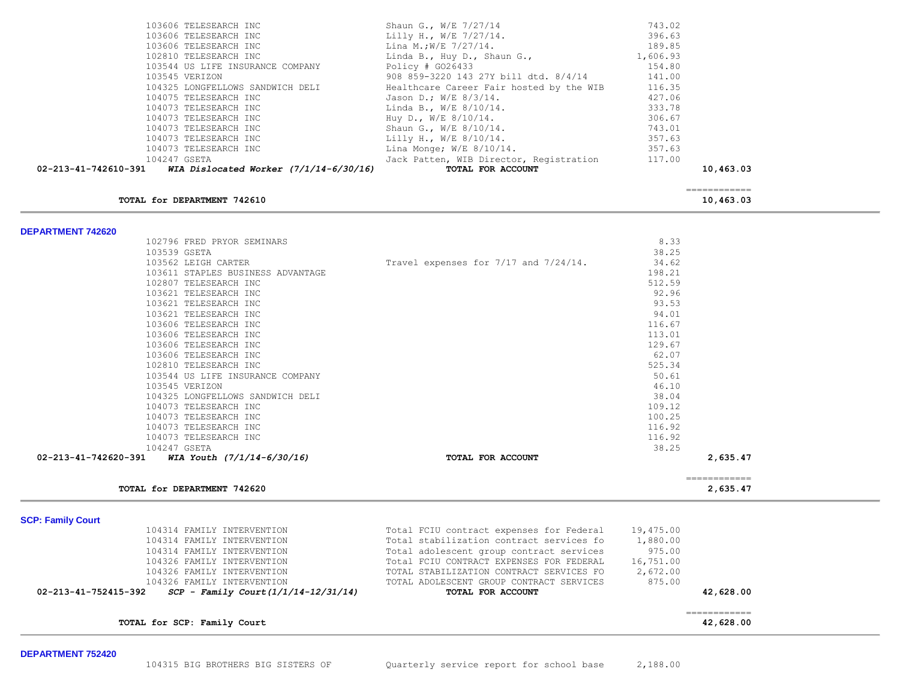|                          | TOTAL for DEPARTMENT 742620                               |                                                                       |                  | 2,635.47                 |
|--------------------------|-----------------------------------------------------------|-----------------------------------------------------------------------|------------------|--------------------------|
| 02-213-41-742620-391     | WIA Youth $(7/1/14-6/30/16)$                              | TOTAL FOR ACCOUNT                                                     |                  | 2,635.47<br>============ |
|                          | 104247 GSETA                                              |                                                                       | 38.25            |                          |
|                          | 104073 TELESEARCH INC                                     |                                                                       | 116.92           |                          |
|                          | 104073 TELESEARCH INC<br>104073 TELESEARCH INC            |                                                                       | 100.25<br>116.92 |                          |
|                          | 104073 TELESEARCH INC                                     |                                                                       | 109.12           |                          |
|                          | 104325 LONGFELLOWS SANDWICH DELI                          |                                                                       | 38.04            |                          |
|                          | 103545 VERIZON                                            |                                                                       | 46.10            |                          |
|                          | 102810 TELESEARCH INC<br>103544 US LIFE INSURANCE COMPANY |                                                                       | 525.34<br>50.61  |                          |
|                          | 103606 TELESEARCH INC                                     |                                                                       | 62.07            |                          |
|                          | 103606 TELESEARCH INC                                     |                                                                       | 129.67           |                          |
|                          | 103606 TELESEARCH INC                                     |                                                                       | 113.01           |                          |
|                          | 103606 TELESEARCH INC                                     |                                                                       | 116.67           |                          |
|                          | 103621 TELESEARCH INC<br>103621 TELESEARCH INC            |                                                                       | 93.53<br>94.01   |                          |
|                          | 103621 TELESEARCH INC                                     |                                                                       | 92.96            |                          |
|                          | 102807 TELESEARCH INC                                     |                                                                       | 512.59           |                          |
|                          | 103611 STAPLES BUSINESS ADVANTAGE                         |                                                                       | 198.21           |                          |
|                          | 103562 LEIGH CARTER                                       | Travel expenses for 7/17 and 7/24/14.                                 | 34.62            |                          |
|                          | 102796 FRED PRYOR SEMINARS<br>103539 GSETA                |                                                                       | 8.33<br>38.25    |                          |
| <b>DEPARTMENT 742620</b> |                                                           |                                                                       |                  |                          |
|                          | TOTAL for DEPARTMENT 742610                               |                                                                       |                  | 10,463.03                |
|                          |                                                           |                                                                       |                  | ============             |
| 02-213-41-742610-391     | WIA Dislocated Worker $(7/1/14-6/30/16)$                  | TOTAL FOR ACCOUNT                                                     |                  | 10,463.03                |
|                          | 104073 TELESEARCH INC<br>104247 GSETA                     | Lina Monge; $W/E$ 8/10/14.<br>Jack Patten, WIB Director, Registration | 357.63<br>117.00 |                          |
|                          | 104073 TELESEARCH INC                                     | Lilly H., W/E $8/10/14$ .                                             | 357.63           |                          |
|                          | 104073 TELESEARCH INC                                     | Shaun G., W/E 8/10/14.                                                | 743.01           |                          |
|                          | 104073 TELESEARCH INC                                     | Huy D., W/E 8/10/14.                                                  | 306.67           |                          |
|                          | 104073 TELESEARCH INC                                     | Jason D.; W/E $8/3/14$ .<br>Linda B., W/E 8/10/14.                    | 333.78           |                          |
|                          | 104325 LONGFELLOWS SANDWICH DELI<br>104075 TELESEARCH INC | Healthcare Career Fair hosted by the WIB                              | 116.35<br>427.06 |                          |
|                          | 103545 VERIZON                                            | 908 859-3220 143 27Y bill dtd. 8/4/14                                 | 141.00           |                          |
|                          | 103544 US LIFE INSURANCE COMPANY                          | Policy $# GO26433$                                                    | 154.80           |                          |
|                          | 102810 TELESEARCH INC                                     | Linda B., Huy D., Shaun G.,                                           | 1,606.93         |                          |
|                          | 103606 TELESEARCH INC                                     | Lilly H., W/E $7/27/14$ .<br>Lina M.;W/E 7/27/14.                     | 189.85           |                          |
|                          | 103606 TELESEARCH INC                                     |                                                                       | 396.63           |                          |

**SCP: Family Court** 

| 104314 FAMILY INTERVENTION                                     | Total FCIU contract expenses for Federal | 19,475.00 |           |
|----------------------------------------------------------------|------------------------------------------|-----------|-----------|
| 104314 FAMILY INTERVENTION                                     | Total stabilization contract services fo | 1,880.00  |           |
| 104314 FAMILY INTERVENTION                                     | Total adolescent group contract services | 975.00    |           |
| 104326 FAMILY INTERVENTION                                     | Total FCIU CONTRACT EXPENSES FOR FEDERAL | 16,751.00 |           |
| 104326 FAMILY INTERVENTION                                     | TOTAL STABILIZATION CONTRACT SERVICES FO | 2,672.00  |           |
| 104326 FAMILY INTERVENTION                                     | TOTAL ADOLESCENT GROUP CONTRACT SERVICES | 875.00    |           |
| $SCP - Family Court (1/1/14-12/31/14)$<br>02-213-41-752415-392 | TOTAL FOR ACCOUNT                        |           | 42,628.00 |
|                                                                |                                          |           |           |

============

**TOTAL for SCP: Family Court 42,628.00**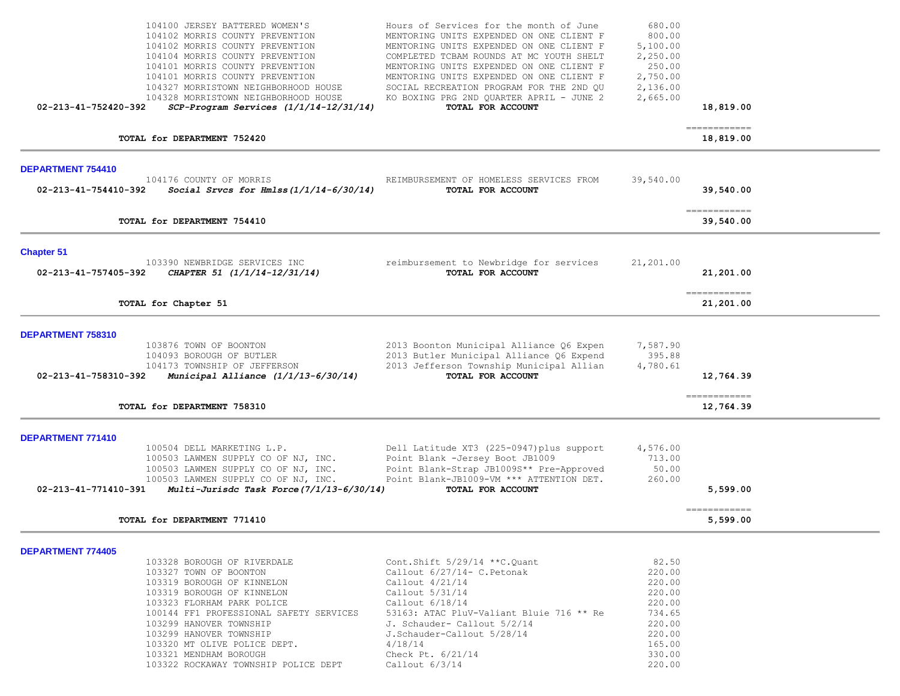| 104100 JERSEY BATTERED WOMEN'S<br>104102 MORRIS COUNTY PREVENTION<br>104102 MORRIS COUNTY PREVENTION<br>104104 MORRIS COUNTY PREVENTION<br>104101 MORRIS COUNTY PREVENTION<br>104101 MORRIS COUNTY PREVENTION<br>104327 MORRISTOWN NEIGHBORHOOD HOUSE<br>104328 MORRISTOWN NEIGHBORHOOD HOUSE<br>02-213-41-752420-392<br>$SCP-Program$ Services $(1/1/14-12/31/14)$            | Hours of Services for the month of June<br>MENTORING UNITS EXPENDED ON ONE CLIENT F<br>MENTORING UNITS EXPENDED ON ONE CLIENT F<br>COMPLETED TCBAM ROUNDS AT MC YOUTH SHELT<br>MENTORING UNITS EXPENDED ON ONE CLIENT F<br>MENTORING UNITS EXPENDED ON ONE CLIENT F<br>SOCIAL RECREATION PROGRAM FOR THE 2ND QU<br>KO BOXING PRG 2ND QUARTER APRIL - JUNE 2<br>TOTAL FOR ACCOUNT | 680.00<br>800.00<br>5,100.00<br>2,250.00<br>250.00<br>2,750.00<br>2,136.00<br>2,665.00                    | 18,819.00                                |  |
|--------------------------------------------------------------------------------------------------------------------------------------------------------------------------------------------------------------------------------------------------------------------------------------------------------------------------------------------------------------------------------|----------------------------------------------------------------------------------------------------------------------------------------------------------------------------------------------------------------------------------------------------------------------------------------------------------------------------------------------------------------------------------|-----------------------------------------------------------------------------------------------------------|------------------------------------------|--|
| TOTAL for DEPARTMENT 752420                                                                                                                                                                                                                                                                                                                                                    |                                                                                                                                                                                                                                                                                                                                                                                  |                                                                                                           | ------------<br>18,819.00                |  |
| DEPARTMENT 754410<br>104176 COUNTY OF MORRIS<br>02-213-41-754410-392<br>Social Srvcs for Hmlss $(1/1/14-6/30/14)$                                                                                                                                                                                                                                                              | REIMBURSEMENT OF HOMELESS SERVICES FROM<br>TOTAL FOR ACCOUNT                                                                                                                                                                                                                                                                                                                     | 39,540.00                                                                                                 | 39,540.00                                |  |
| TOTAL for DEPARTMENT 754410                                                                                                                                                                                                                                                                                                                                                    |                                                                                                                                                                                                                                                                                                                                                                                  |                                                                                                           | $=$ = = = = = = = = = = = =<br>39,540.00 |  |
| <b>Chapter 51</b><br>103390 NEWBRIDGE SERVICES INC<br>CHAPTER 51 (1/1/14-12/31/14)<br>02-213-41-757405-392                                                                                                                                                                                                                                                                     | reimbursement to Newbridge for services<br>TOTAL FOR ACCOUNT                                                                                                                                                                                                                                                                                                                     | 21,201.00                                                                                                 | 21,201.00                                |  |
| TOTAL for Chapter 51                                                                                                                                                                                                                                                                                                                                                           |                                                                                                                                                                                                                                                                                                                                                                                  |                                                                                                           | -------------<br>21,201.00               |  |
| DEPARTMENT 758310<br>103876 TOWN OF BOONTON<br>104093 BOROUGH OF BUTLER<br>104173 TOWNSHIP OF JEFFERSON<br>02-213-41-758310-392<br>Municipal Alliance $(1/1/13-6/30/14)$<br>TOTAL for DEPARTMENT 758310                                                                                                                                                                        | 2013 Boonton Municipal Alliance Q6 Expen<br>2013 Butler Municipal Alliance Q6 Expend<br>2013 Jefferson Township Municipal Allian<br>TOTAL FOR ACCOUNT                                                                                                                                                                                                                            | 7,587.90<br>395.88<br>4,780.61                                                                            | 12,764.39<br>============<br>12,764.39   |  |
| <b>DEPARTMENT 771410</b><br>100504 DELL MARKETING L.P.<br>100503 LAWMEN SUPPLY CO OF NJ, INC.<br>100503 LAWMEN SUPPLY CO OF NJ, INC.<br>100503 LAWMEN SUPPLY CO OF NJ, INC.<br>Multi-Jurisdc Task Force (7/1/13-6/30/14)<br>02-213-41-771410-391<br>TOTAL for DEPARTMENT 771410                                                                                                | Dell Latitude XT3 (225-0947) plus support<br>Point Blank -Jersey Boot JB1009<br>Point Blank-Strap JB1009S** Pre-Approved<br>Point Blank-JB1009-VM *** ATTENTION DET.<br>TOTAL FOR ACCOUNT                                                                                                                                                                                        | 4,576.00<br>713.00<br>50.00<br>260.00                                                                     | 5,599.00<br>-------------<br>5,599.00    |  |
| <b>DEPARTMENT 774405</b><br>103328 BOROUGH OF RIVERDALE<br>103327 TOWN OF BOONTON<br>103319 BOROUGH OF KINNELON<br>103319 BOROUGH OF KINNELON<br>103323 FLORHAM PARK POLICE<br>100144 FF1 PROFESSIONAL SAFETY SERVICES<br>103299 HANOVER TOWNSHIP<br>103299 HANOVER TOWNSHIP<br>103320 MT OLIVE POLICE DEPT.<br>103321 MENDHAM BOROUGH<br>103322 ROCKAWAY TOWNSHIP POLICE DEPT | Cont. Shift $5/29/14$ **C. Quant<br>Callout 6/27/14- C. Petonak<br>Callout $4/21/14$<br>Callout 5/31/14<br>Callout $6/18/14$<br>53163: ATAC PluV-Valiant Bluie 716 ** Re<br>J. Schauder- Callout 5/2/14<br>J.Schauder-Callout 5/28/14<br>4/18/14<br>Check Pt. 6/21/14<br>Callout $6/3/14$                                                                                        | 82.50<br>220.00<br>220.00<br>220.00<br>220.00<br>734.65<br>220.00<br>220.00<br>165.00<br>330.00<br>220.00 |                                          |  |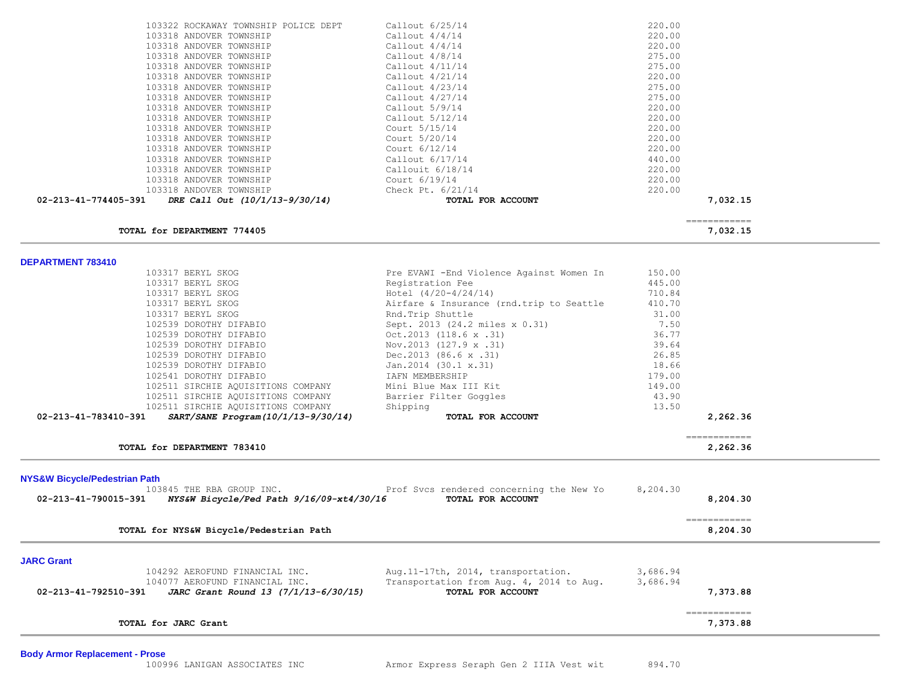| 103322 ROCKAWAY TOWNSHIP POLICE DEPT                    | Callout 6/25/14   | 220.00       |
|---------------------------------------------------------|-------------------|--------------|
| 103318 ANDOVER TOWNSHIP                                 | Callout $4/4/14$  | 220.00       |
| 103318 ANDOVER TOWNSHIP                                 | Callout $4/4/14$  | 220.00       |
| 103318 ANDOVER TOWNSHIP                                 | Callout 4/8/14    | 275.00       |
| 103318 ANDOVER TOWNSHIP                                 | Callout 4/11/14   | 275.00       |
| 103318 ANDOVER TOWNSHIP                                 | Callout 4/21/14   | 220.00       |
| 103318 ANDOVER TOWNSHIP                                 | Callout 4/23/14   | 275.00       |
| 103318 ANDOVER TOWNSHIP                                 | Callout 4/27/14   | 275.00       |
| 103318 ANDOVER TOWNSHIP                                 | Callout 5/9/14    | 220.00       |
| 103318 ANDOVER TOWNSHIP                                 | Callout 5/12/14   | 220.00       |
| 103318 ANDOVER TOWNSHIP                                 | Court 5/15/14     | 220.00       |
| 103318 ANDOVER TOWNSHIP                                 | Court 5/20/14     | 220.00       |
| 103318 ANDOVER TOWNSHIP                                 | Court 6/12/14     | 220.00       |
| 103318 ANDOVER TOWNSHIP                                 | Callout 6/17/14   | 440.00       |
| 103318 ANDOVER TOWNSHIP                                 | Callouit 6/18/14  | 220.00       |
| 103318 ANDOVER TOWNSHIP                                 | Court 6/19/14     | 220.00       |
| 103318 ANDOVER TOWNSHIP                                 | Check Pt. 6/21/14 | 220.00       |
| $02-213-41-774405-391$ DRE Call Out $(10/1/13-9/30/14)$ | TOTAL FOR ACCOUNT | 7,032.15     |
|                                                         |                   |              |
|                                                         |                   | ============ |

**TOTAL for DEPARTMENT 774405 7,032.15** 

**DEPARTMENT 783410** 

|                                                                  | Pre EVAWI - End Violence Against Women In                     | 150.00   |                                                                                                                                                                                                                                                                                                                                                                                                                                                                                        |  |
|------------------------------------------------------------------|---------------------------------------------------------------|----------|----------------------------------------------------------------------------------------------------------------------------------------------------------------------------------------------------------------------------------------------------------------------------------------------------------------------------------------------------------------------------------------------------------------------------------------------------------------------------------------|--|
| 103317 BERYL SKOG                                                | Registration Fee                                              | 445.00   |                                                                                                                                                                                                                                                                                                                                                                                                                                                                                        |  |
| 103317 BERYL SKOG                                                | Hotel $(4/20-4/24/14)$                                        | 710.84   |                                                                                                                                                                                                                                                                                                                                                                                                                                                                                        |  |
| 103317 BERYL SKOG                                                | Airfare & Insurance (rnd.trip to Seattle                      | 410.70   |                                                                                                                                                                                                                                                                                                                                                                                                                                                                                        |  |
| 103317 BERYL SKOG                                                | Rnd. Trip Shuttle                                             | 31.00    |                                                                                                                                                                                                                                                                                                                                                                                                                                                                                        |  |
| 102539 DOROTHY DIFABIO                                           | Sept. 2013 (24.2 miles x 0.31)                                | 7.50     |                                                                                                                                                                                                                                                                                                                                                                                                                                                                                        |  |
| 102539 DOROTHY DIFABIO                                           | $Oct.2013$ $(118.6 \times .31)$                               | 36.77    |                                                                                                                                                                                                                                                                                                                                                                                                                                                                                        |  |
| 102539 DOROTHY DIFABIO                                           | Nov.2013 (127.9 x .31)                                        | 39.64    |                                                                                                                                                                                                                                                                                                                                                                                                                                                                                        |  |
| 102539 DOROTHY DIFABIO                                           | Dec.2013 $(86.6 \times .31)$                                  | 26.85    |                                                                                                                                                                                                                                                                                                                                                                                                                                                                                        |  |
| 102539 DOROTHY DIFABIO                                           | Jan.2014 (30.1 x.31)                                          | 18.66    |                                                                                                                                                                                                                                                                                                                                                                                                                                                                                        |  |
| 102541 DOROTHY DIFABIO                                           | IAFN MEMBERSHIP                                               | 179.00   |                                                                                                                                                                                                                                                                                                                                                                                                                                                                                        |  |
| 102511 SIRCHIE AQUISITIONS COMPANY                               | Mini Blue Max III Kit                                         | 149.00   |                                                                                                                                                                                                                                                                                                                                                                                                                                                                                        |  |
| 102511 SIRCHIE AQUISITIONS COMPANY                               | Barrier Filter Goggles                                        | 43.90    |                                                                                                                                                                                                                                                                                                                                                                                                                                                                                        |  |
| 102511 SIRCHIE AQUISITIONS COMPANY                               | Shipping                                                      | 13.50    |                                                                                                                                                                                                                                                                                                                                                                                                                                                                                        |  |
| SART/SANE Program(10/1/13-9/30/14)<br>02-213-41-783410-391       | TOTAL FOR ACCOUNT                                             |          | 2,262.36                                                                                                                                                                                                                                                                                                                                                                                                                                                                               |  |
|                                                                  |                                                               |          |                                                                                                                                                                                                                                                                                                                                                                                                                                                                                        |  |
|                                                                  |                                                               |          | ============                                                                                                                                                                                                                                                                                                                                                                                                                                                                           |  |
| TOTAL for DEPARTMENT 783410                                      |                                                               |          | 2,262.36                                                                                                                                                                                                                                                                                                                                                                                                                                                                               |  |
|                                                                  |                                                               |          |                                                                                                                                                                                                                                                                                                                                                                                                                                                                                        |  |
|                                                                  |                                                               |          |                                                                                                                                                                                                                                                                                                                                                                                                                                                                                        |  |
|                                                                  |                                                               |          |                                                                                                                                                                                                                                                                                                                                                                                                                                                                                        |  |
| <b>NYS&amp;W Bicycle/Pedestrian Path</b>                         |                                                               |          |                                                                                                                                                                                                                                                                                                                                                                                                                                                                                        |  |
| 103845 THE RBA GROUP INC.                                        | Prof Svcs rendered concerning the New Yo                      | 8,204.30 |                                                                                                                                                                                                                                                                                                                                                                                                                                                                                        |  |
| 02-213-41-790015-391 NYS&W Bicycle/Ped Path $9/16/09$ -xt4/30/16 | TOTAL FOR ACCOUNT                                             |          | 8,204.30                                                                                                                                                                                                                                                                                                                                                                                                                                                                               |  |
|                                                                  |                                                               |          |                                                                                                                                                                                                                                                                                                                                                                                                                                                                                        |  |
|                                                                  |                                                               |          | $\begin{array}{cccccccccc} \multicolumn{2}{c}{} & \multicolumn{2}{c}{} & \multicolumn{2}{c}{} & \multicolumn{2}{c}{} & \multicolumn{2}{c}{} & \multicolumn{2}{c}{} & \multicolumn{2}{c}{} & \multicolumn{2}{c}{} & \multicolumn{2}{c}{} & \multicolumn{2}{c}{} & \multicolumn{2}{c}{} & \multicolumn{2}{c}{} & \multicolumn{2}{c}{} & \multicolumn{2}{c}{} & \multicolumn{2}{c}{} & \multicolumn{2}{c}{} & \multicolumn{2}{c}{} & \multicolumn{2}{c}{} & \multicolumn{2}{c}{} & \mult$ |  |
| TOTAL for NYS&W Bicycle/Pedestrian Path                          |                                                               |          | 8,204.30                                                                                                                                                                                                                                                                                                                                                                                                                                                                               |  |
|                                                                  |                                                               |          |                                                                                                                                                                                                                                                                                                                                                                                                                                                                                        |  |
| <b>JARC Grant</b>                                                |                                                               |          |                                                                                                                                                                                                                                                                                                                                                                                                                                                                                        |  |
| 104292 AEROFUND FINANCIAL INC.                                   | Aug.11-17th, 2014, transportation.                            | 3,686.94 |                                                                                                                                                                                                                                                                                                                                                                                                                                                                                        |  |
| 104077 AEROFUND FINANCIAL INC.                                   |                                                               | 3,686.94 |                                                                                                                                                                                                                                                                                                                                                                                                                                                                                        |  |
| 02-213-41-792510-391<br>JARC Grant Round 13 (7/1/13-6/30/15)     | Transportation from Aug. 4, 2014 to Aug.<br>TOTAL FOR ACCOUNT |          | 7,373.88                                                                                                                                                                                                                                                                                                                                                                                                                                                                               |  |
|                                                                  |                                                               |          |                                                                                                                                                                                                                                                                                                                                                                                                                                                                                        |  |

**TOTAL for JARC Grant 7,373.88**

**Body Armor Replacement - Prose**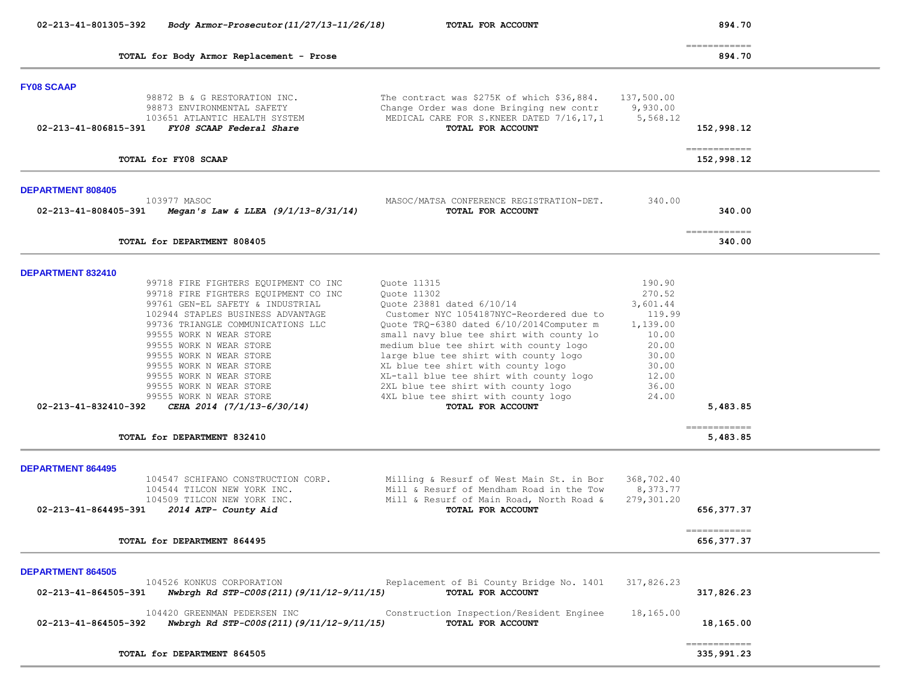| 02-213-41-801305-392<br>Body Armor-Prosecutor (11/27/13-11/26/18)                                                                                                                                                                                                                                                                                                                                                                                                                                        | TOTAL FOR ACCOUNT                                                                                                                                                                                                                                                                                                                                                                                                                                                  |                                                                                                                   | 894.70                                   |
|----------------------------------------------------------------------------------------------------------------------------------------------------------------------------------------------------------------------------------------------------------------------------------------------------------------------------------------------------------------------------------------------------------------------------------------------------------------------------------------------------------|--------------------------------------------------------------------------------------------------------------------------------------------------------------------------------------------------------------------------------------------------------------------------------------------------------------------------------------------------------------------------------------------------------------------------------------------------------------------|-------------------------------------------------------------------------------------------------------------------|------------------------------------------|
| TOTAL for Body Armor Replacement - Prose                                                                                                                                                                                                                                                                                                                                                                                                                                                                 |                                                                                                                                                                                                                                                                                                                                                                                                                                                                    |                                                                                                                   | $=$ = = = = = = = = = = = =<br>894.70    |
| <b>FY08 SCAAP</b><br>98872 B & G RESTORATION INC.<br>98873 ENVIRONMENTAL SAFETY<br>103651 ATLANTIC HEALTH SYSTEM<br>FY08 SCAAP Federal Share<br>02-213-41-806815-391                                                                                                                                                                                                                                                                                                                                     | The contract was \$275K of which \$36,884.<br>Change Order was done Bringing new contr<br>MEDICAL CARE FOR S.KNEER DATED 7/16,17,1<br>TOTAL FOR ACCOUNT                                                                                                                                                                                                                                                                                                            | 137,500.00<br>9,930.00<br>5,568.12                                                                                | 152,998.12                               |
| TOTAL for FY08 SCAAP                                                                                                                                                                                                                                                                                                                                                                                                                                                                                     |                                                                                                                                                                                                                                                                                                                                                                                                                                                                    |                                                                                                                   | ------------<br>152,998.12               |
| <b>DEPARTMENT 808405</b><br>103977 MASOC<br>Megan's Law & LLEA $(9/1/13-8/31/14)$<br>02-213-41-808405-391                                                                                                                                                                                                                                                                                                                                                                                                | MASOC/MATSA CONFERENCE REGISTRATION-DET.<br>TOTAL FOR ACCOUNT                                                                                                                                                                                                                                                                                                                                                                                                      | 340.00                                                                                                            | 340.00<br>$=$ = = = = = = = = = = = =    |
| TOTAL for DEPARTMENT 808405                                                                                                                                                                                                                                                                                                                                                                                                                                                                              |                                                                                                                                                                                                                                                                                                                                                                                                                                                                    |                                                                                                                   | 340.00                                   |
| <b>DEPARTMENT 832410</b><br>99718 FIRE FIGHTERS EQUIPMENT CO INC<br>99718 FIRE FIGHTERS EQUIPMENT CO INC<br>99761 GEN-EL SAFETY & INDUSTRIAL<br>102944 STAPLES BUSINESS ADVANTAGE<br>99736 TRIANGLE COMMUNICATIONS LLC<br>99555 WORK N WEAR STORE<br>99555 WORK N WEAR STORE<br>99555 WORK N WEAR STORE<br>99555 WORK N WEAR STORE<br>99555 WORK N WEAR STORE<br>99555 WORK N WEAR STORE<br>99555 WORK N WEAR STORE<br>02-213-41-832410-392<br>CEHA 2014 (7/1/13-6/30/14)<br>TOTAL for DEPARTMENT 832410 | Quote 11315<br>Quote 11302<br>Quote 23881 dated 6/10/14<br>Customer NYC 1054187NYC-Reordered due to<br>Quote TRQ-6380 dated 6/10/2014Computer m<br>small navy blue tee shirt with county lo<br>medium blue tee shirt with county logo<br>large blue tee shirt with county logo<br>XL blue tee shirt with county logo<br>XL-tall blue tee shirt with county logo<br>2XL blue tee shirt with county logo<br>4XL blue tee shirt with county logo<br>TOTAL FOR ACCOUNT | 190.90<br>270.52<br>3,601.44<br>119.99<br>1,139.00<br>10.00<br>20.00<br>30.00<br>30.00<br>12.00<br>36.00<br>24.00 | 5,483.85<br>=============<br>5,483.85    |
| <b>DEPARTMENT 864495</b><br>104547 SCHIFANO CONSTRUCTION CORP.<br>104544 TILCON NEW YORK INC.<br>104509 TILCON NEW YORK INC.<br>02-213-41-864495-391<br>2014 ATP- County Aid                                                                                                                                                                                                                                                                                                                             | Milling & Resurf of West Main St. in Bor<br>Mill & Resurf of Mendham Road in the Tow<br>Mill & Resurf of Main Road, North Road &<br>TOTAL FOR ACCOUNT                                                                                                                                                                                                                                                                                                              | 368,702.40<br>8,373.77<br>279,301.20                                                                              | 656, 377.37<br>============              |
| TOTAL for DEPARTMENT 864495                                                                                                                                                                                                                                                                                                                                                                                                                                                                              |                                                                                                                                                                                                                                                                                                                                                                                                                                                                    |                                                                                                                   | 656, 377.37                              |
| <b>DEPARTMENT 864505</b><br>104526 KONKUS CORPORATION<br>Nwbrgh Rd STP-C00S(211)(9/11/12-9/11/15)<br>02-213-41-864505-391<br>104420 GREENMAN PEDERSEN INC                                                                                                                                                                                                                                                                                                                                                | Replacement of Bi County Bridge No. 1401<br>TOTAL FOR ACCOUNT<br>Construction Inspection/Resident Enginee                                                                                                                                                                                                                                                                                                                                                          | 317,826.23<br>18,165.00                                                                                           | 317,826.23                               |
| 02-213-41-864505-392<br>Nwbrgh Rd STP-C00S(211)(9/11/12-9/11/15)<br>TOTAL for DEPARTMENT 864505                                                                                                                                                                                                                                                                                                                                                                                                          | TOTAL FOR ACCOUNT                                                                                                                                                                                                                                                                                                                                                                                                                                                  |                                                                                                                   | 18,165.00<br>-------------<br>335,991.23 |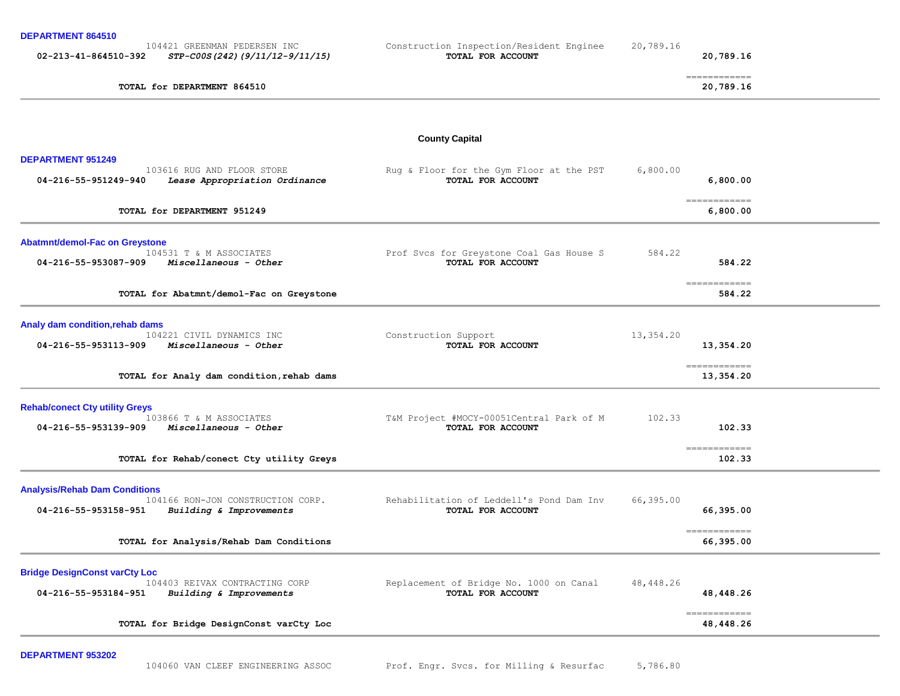| DEPARTMENT 864510 |  |
|-------------------|--|
|-------------------|--|

| <b>DEPARTMENT 0043TU</b>              |                                                                |                                                               |           |                                                                                                                                                                                                                                                                                                                                                                                                                                                                                                  |  |
|---------------------------------------|----------------------------------------------------------------|---------------------------------------------------------------|-----------|--------------------------------------------------------------------------------------------------------------------------------------------------------------------------------------------------------------------------------------------------------------------------------------------------------------------------------------------------------------------------------------------------------------------------------------------------------------------------------------------------|--|
| 02-213-41-864510-392                  | 104421 GREENMAN PEDERSEN INC<br>STP-C00S(242)(9/11/12-9/11/15) | Construction Inspection/Resident Enginee<br>TOTAL FOR ACCOUNT | 20,789.16 | 20,789.16                                                                                                                                                                                                                                                                                                                                                                                                                                                                                        |  |
|                                       | TOTAL for DEPARTMENT 864510                                    |                                                               |           | ============<br>20,789.16                                                                                                                                                                                                                                                                                                                                                                                                                                                                        |  |
|                                       |                                                                | <b>County Capital</b>                                         |           |                                                                                                                                                                                                                                                                                                                                                                                                                                                                                                  |  |
| <b>DEPARTMENT 951249</b>              |                                                                |                                                               |           |                                                                                                                                                                                                                                                                                                                                                                                                                                                                                                  |  |
| 04-216-55-951249-940                  | 103616 RUG AND FLOOR STORE<br>Lease Appropriation Ordinance    | Rug & Floor for the Gym Floor at the PST<br>TOTAL FOR ACCOUNT | 6,800.00  | 6,800.00                                                                                                                                                                                                                                                                                                                                                                                                                                                                                         |  |
|                                       | TOTAL for DEPARTMENT 951249                                    |                                                               |           | $=$ = = = = = = = = = = = =<br>6,800.00                                                                                                                                                                                                                                                                                                                                                                                                                                                          |  |
| <b>Abatmnt/demol-Fac on Greystone</b> |                                                                |                                                               |           |                                                                                                                                                                                                                                                                                                                                                                                                                                                                                                  |  |
| 04-216-55-953087-909                  | 104531 T & M ASSOCIATES<br>Miscellaneous - Other               | Prof Svcs for Greystone Coal Gas House S<br>TOTAL FOR ACCOUNT | 584.22    | 584.22                                                                                                                                                                                                                                                                                                                                                                                                                                                                                           |  |
|                                       | TOTAL for Abatmnt/demol-Fac on Greystone                       |                                                               |           | $\begin{array}{cccccccccc} \multicolumn{2}{c}{} & \multicolumn{2}{c}{} & \multicolumn{2}{c}{} & \multicolumn{2}{c}{} & \multicolumn{2}{c}{} & \multicolumn{2}{c}{} & \multicolumn{2}{c}{} & \multicolumn{2}{c}{} & \multicolumn{2}{c}{} & \multicolumn{2}{c}{} & \multicolumn{2}{c}{} & \multicolumn{2}{c}{} & \multicolumn{2}{c}{} & \multicolumn{2}{c}{} & \multicolumn{2}{c}{} & \multicolumn{2}{c}{} & \multicolumn{2}{c}{} & \multicolumn{2}{c}{} & \multicolumn{2}{c}{} & \mult$<br>584.22 |  |
| Analy dam condition, rehab dams       |                                                                |                                                               |           |                                                                                                                                                                                                                                                                                                                                                                                                                                                                                                  |  |
| 04-216-55-953113-909                  | 104221 CIVIL DYNAMICS INC<br>Miscellaneous - Other             | Construction Support<br>TOTAL FOR ACCOUNT                     | 13,354.20 | 13,354.20                                                                                                                                                                                                                                                                                                                                                                                                                                                                                        |  |
|                                       | TOTAL for Analy dam condition, rehab dams                      |                                                               |           | ============<br>13,354.20                                                                                                                                                                                                                                                                                                                                                                                                                                                                        |  |
| <b>Rehab/conect Cty utility Greys</b> |                                                                |                                                               |           |                                                                                                                                                                                                                                                                                                                                                                                                                                                                                                  |  |
| 04-216-55-953139-909                  | 103866 T & M ASSOCIATES<br>Miscellaneous - Other               | T&M Project #MOCY-00051Central Park of M<br>TOTAL FOR ACCOUNT | 102.33    | 102.33                                                                                                                                                                                                                                                                                                                                                                                                                                                                                           |  |
|                                       | TOTAL for Rehab/conect Cty utility Greys                       |                                                               |           | ============<br>102.33                                                                                                                                                                                                                                                                                                                                                                                                                                                                           |  |
| <b>Analysis/Rehab Dam Conditions</b>  |                                                                |                                                               |           |                                                                                                                                                                                                                                                                                                                                                                                                                                                                                                  |  |
| 04-216-55-953158-951                  | 104166 RON-JON CONSTRUCTION CORP.<br>Building & Improvements   | Rehabilitation of Leddell's Pond Dam Inv<br>TOTAL FOR ACCOUNT | 66,395.00 | 66,395.00                                                                                                                                                                                                                                                                                                                                                                                                                                                                                        |  |
|                                       | TOTAL for Analysis/Rehab Dam Conditions                        |                                                               |           | ============<br>66,395.00                                                                                                                                                                                                                                                                                                                                                                                                                                                                        |  |
| <b>Bridge DesignConst varCty Loc</b>  |                                                                |                                                               |           |                                                                                                                                                                                                                                                                                                                                                                                                                                                                                                  |  |
| 04-216-55-953184-951                  | 104403 REIVAX CONTRACTING CORP<br>Building & Improvements      | Replacement of Bridge No. 1000 on Canal<br>TOTAL FOR ACCOUNT  | 48,448.26 | 48,448.26                                                                                                                                                                                                                                                                                                                                                                                                                                                                                        |  |
|                                       | TOTAL for Bridge DesignConst varCty Loc                        |                                                               |           | =============<br>48, 448.26                                                                                                                                                                                                                                                                                                                                                                                                                                                                      |  |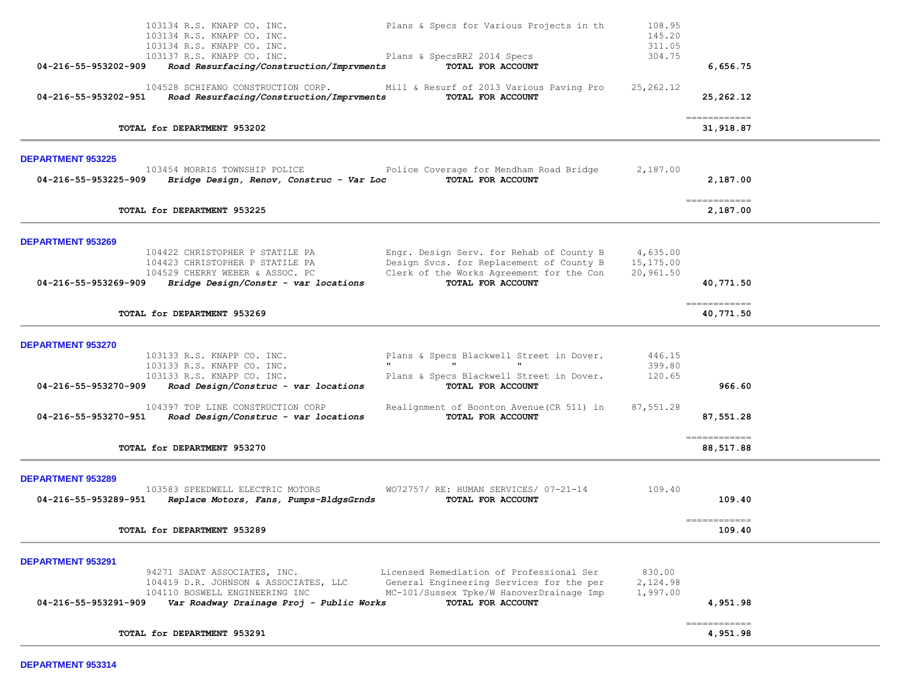| 103134 R.S. KNAPP CO. INC.<br>103134 R.S. KNAPP CO. INC.<br>103134 R.S. KNAPP CO. INC.                                                                                      | Plans & Specs for Various Projects in th                                                                                                              | 108.95<br>145.20<br>311.05         |                                          |  |
|-----------------------------------------------------------------------------------------------------------------------------------------------------------------------------|-------------------------------------------------------------------------------------------------------------------------------------------------------|------------------------------------|------------------------------------------|--|
| 103137 R.S. KNAPP CO. INC.<br>04-216-55-953202-909<br>Road Resurfacing/Construction/Imprvments                                                                              | Plans & SpecsRR2 2014 Specs<br>TOTAL FOR ACCOUNT                                                                                                      | 304.75                             | 6,656.75                                 |  |
| 104528 SCHIFANO CONSTRUCTION CORP.<br>04-216-55-953202-951<br>Road Resurfacing/Construction/Imprvments                                                                      | Mill & Resurf of 2013 Various Paving Pro<br>TOTAL FOR ACCOUNT                                                                                         | 25, 262.12                         | 25,262.12                                |  |
| TOTAL for DEPARTMENT 953202                                                                                                                                                 |                                                                                                                                                       |                                    | $=$ = = = = = = = = = = = =<br>31,918.87 |  |
| <b>DEPARTMENT 953225</b>                                                                                                                                                    |                                                                                                                                                       |                                    |                                          |  |
| 103454 MORRIS TOWNSHIP POLICE<br>04-216-55-953225-909<br>Bridge Design, Renov, Construc - Var Loc                                                                           | Police Coverage for Mendham Road Bridge<br>TOTAL FOR ACCOUNT                                                                                          | 2,187.00                           | 2,187.00                                 |  |
| TOTAL for DEPARTMENT 953225                                                                                                                                                 |                                                                                                                                                       |                                    | $=$ = = = = = = = = = = = =<br>2,187.00  |  |
| <b>DEPARTMENT 953269</b>                                                                                                                                                    |                                                                                                                                                       |                                    |                                          |  |
| 104422 CHRISTOPHER P STATILE PA<br>104423 CHRISTOPHER P STATILE PA<br>104529 CHERRY WEBER & ASSOC. PC<br>Bridge Design/Constr - var locations<br>04-216-55-953269-909       | Engr. Design Serv. for Rehab of County B<br>Design Svcs. for Replacement of County B<br>Clerk of the Works Agreement for the Con<br>TOTAL FOR ACCOUNT | 4,635.00<br>15,175.00<br>20,961.50 | 40,771.50                                |  |
|                                                                                                                                                                             |                                                                                                                                                       |                                    | ============                             |  |
| TOTAL for DEPARTMENT 953269                                                                                                                                                 |                                                                                                                                                       |                                    | 40,771.50                                |  |
| <b>DEPARTMENT 953270</b><br>103133 R.S. KNAPP CO. INC.<br>103133 R.S. KNAPP CO. INC.<br>103133 R.S. KNAPP CO. INC.                                                          | Plans & Specs Blackwell Street in Dover.<br>$\mathbf{u}$<br>Plans & Specs Blackwell Street in Dover.                                                  | 446.15<br>399.80<br>120.65         |                                          |  |
| 04-216-55-953270-909<br>Road Design/Construc - var locations                                                                                                                | TOTAL FOR ACCOUNT                                                                                                                                     |                                    | 966.60                                   |  |
| 104397 TOP LINE CONSTRUCTION CORP<br>Road Design/Construc - var locations<br>04-216-55-953270-951                                                                           | Realignment of Boonton Avenue (CR 511) in<br>TOTAL FOR ACCOUNT                                                                                        | 87,551.28                          | 87,551.28                                |  |
| TOTAL for DEPARTMENT 953270                                                                                                                                                 |                                                                                                                                                       |                                    | -------------<br>88,517.88               |  |
| <b>DEPARTMENT 953289</b><br>103583 SPEEDWELL ELECTRIC MOTORS                                                                                                                | WO72757/ RE: HUMAN SERVICES/ 07-21-14                                                                                                                 | 109.40                             |                                          |  |
| 04-216-55-953289-951<br>Replace Motors, Fans, Pumps-BldgsGrnds                                                                                                              | TOTAL FOR ACCOUNT                                                                                                                                     |                                    | 109.40<br>============                   |  |
| TOTAL for DEPARTMENT 953289                                                                                                                                                 |                                                                                                                                                       |                                    | 109.40                                   |  |
| DEPARTMENT 953291                                                                                                                                                           |                                                                                                                                                       |                                    |                                          |  |
| 94271 SADAT ASSOCIATES, INC.<br>104419 D.R. JOHNSON & ASSOCIATES, LLC<br>104110 BOSWELL ENGINEERING INC<br>04-216-55-953291-909<br>Var Roadway Drainage Proj - Public Works | Licensed Remediation of Professional Ser<br>General Engineering Services for the per<br>MC-101/Sussex Tpke/W HanoverDrainage Imp<br>TOTAL FOR ACCOUNT | 830.00<br>2,124.98<br>1,997.00     | 4,951.98                                 |  |
| TOTAL for DEPARTMENT 953291                                                                                                                                                 |                                                                                                                                                       |                                    | -------------<br>4,951.98                |  |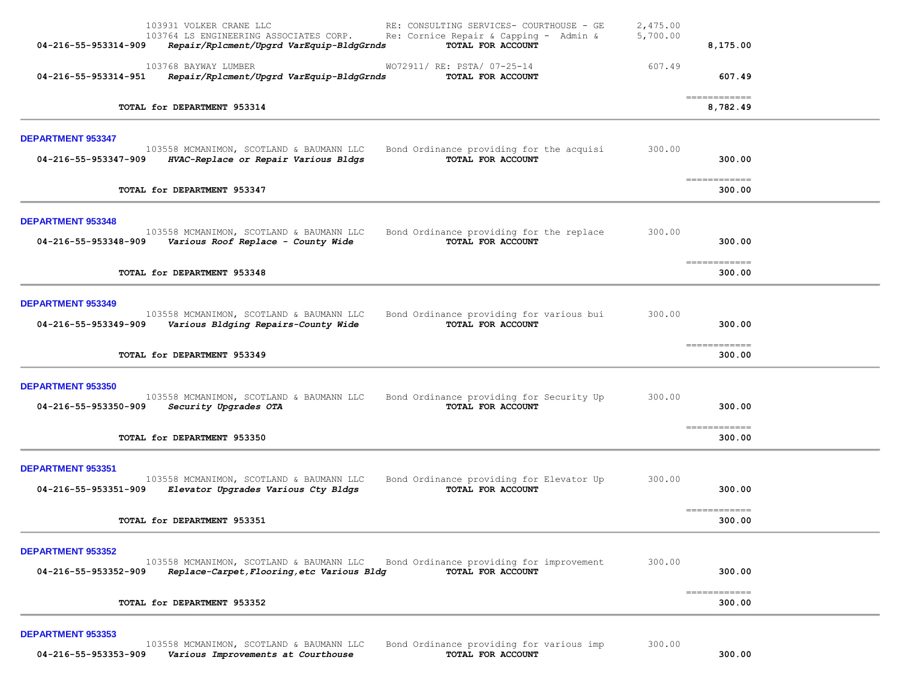| 04-216-55-953314-909                             | 103931 VOLKER CRANE LLC<br>103764 LS ENGINEERING ASSOCIATES CORP.<br>Repair/Rplcment/Upgrd VarEquip-BldgGrnds         | RE: CONSULTING SERVICES- COURTHOUSE - GE<br>Re: Cornice Repair & Capping - Admin &<br>TOTAL FOR ACCOUNT | 2,475.00<br>5,700.00 | 8,175.00                         |  |
|--------------------------------------------------|-----------------------------------------------------------------------------------------------------------------------|---------------------------------------------------------------------------------------------------------|----------------------|----------------------------------|--|
| 04-216-55-953314-951                             | 103768 BAYWAY LUMBER<br>Repair/Rplcment/Upgrd VarEquip-BldgGrnds                                                      | WO72911/ RE: PSTA/ 07-25-14<br>TOTAL FOR ACCOUNT                                                        | 607.49               | 607.49                           |  |
|                                                  | TOTAL for DEPARTMENT 953314                                                                                           |                                                                                                         |                      | =============<br>8,782.49        |  |
| <b>DEPARTMENT 953347</b><br>04-216-55-953347-909 | 103558 MCMANIMON, SCOTLAND & BAUMANN LLC<br>HVAC-Replace or Repair Various Bldgs                                      | Bond Ordinance providing for the acquisi<br>TOTAL FOR ACCOUNT                                           | 300.00               | 300.00                           |  |
|                                                  | TOTAL for DEPARTMENT 953347                                                                                           |                                                                                                         |                      | =============<br>300.00          |  |
| <b>DEPARTMENT 953348</b><br>04-216-55-953348-909 | 103558 MCMANIMON, SCOTLAND & BAUMANN LLC<br>Various Roof Replace - County Wide                                        | Bond Ordinance providing for the replace<br>TOTAL FOR ACCOUNT                                           | 300.00               | 300.00<br>============           |  |
|                                                  | TOTAL for DEPARTMENT 953348                                                                                           |                                                                                                         |                      | 300.00                           |  |
| <b>DEPARTMENT 953349</b><br>04-216-55-953349-909 | 103558 MCMANIMON, SCOTLAND & BAUMANN LLC<br>Various Bldging Repairs-County Wide                                       | Bond Ordinance providing for various bui<br>TOTAL FOR ACCOUNT                                           | 300.00               | 300.00                           |  |
|                                                  | TOTAL for DEPARTMENT 953349                                                                                           |                                                                                                         |                      | ============<br>300.00           |  |
| <b>DEPARTMENT 953350</b><br>04-216-55-953350-909 | 103558 MCMANIMON, SCOTLAND & BAUMANN LLC<br>Security Upgrades OTA                                                     | Bond Ordinance providing for Security Up<br>TOTAL FOR ACCOUNT                                           | 300.00               | 300.00<br>============           |  |
|                                                  | TOTAL for DEPARTMENT 953350                                                                                           |                                                                                                         |                      | 300.00                           |  |
| DEPARTMENT 953351<br>04-216-55-953351-909        | 103558 MCMANIMON, SCOTLAND & BAUMANN LLC<br>Elevator Upgrades Various Cty Bldgs                                       | Bond Ordinance providing for Elevator Up<br>TOTAL FOR ACCOUNT                                           | 300.00               | 300.00                           |  |
|                                                  | TOTAL for DEPARTMENT 953351                                                                                           |                                                                                                         |                      | ------------<br>300.00           |  |
| DEPARTMENT 953352<br>04-216-55-953352-909        | 103558 MCMANIMON, SCOTLAND & BAUMANN LLC<br>Replace-Carpet, Flooring, etc Various Bldg<br>TOTAL for DEPARTMENT 953352 | Bond Ordinance providing for improvement<br>TOTAL FOR ACCOUNT                                           | 300.00               | 300.00<br>============<br>300.00 |  |
| <b>DEPARTMENT 953353</b><br>04-216-55-953353-909 | 103558 MCMANIMON, SCOTLAND & BAUMANN LLC<br>Various Improvements at Courthouse                                        | Bond Ordinance providing for various imp<br>TOTAL FOR ACCOUNT                                           | 300.00               | 300.00                           |  |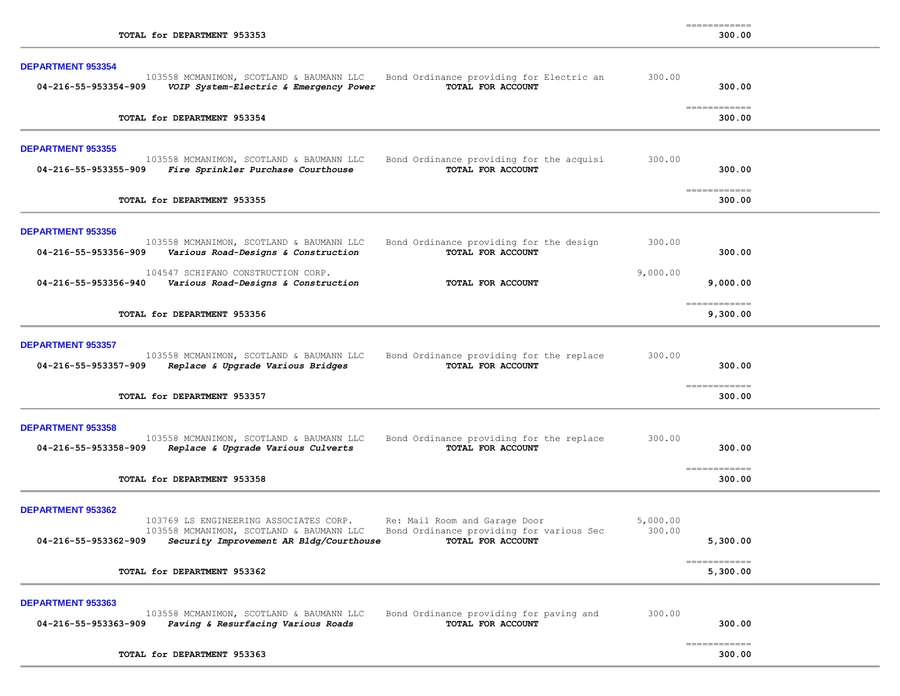| 300 |  | იი |  |
|-----|--|----|--|
|     |  |    |  |

| <b>DEPARTMENT 953354</b>                         |                                                                                                                               |                                                                                                |                    |                                                                                                                                                                                                                                                                                                                                                                                                                                                                                                  |  |
|--------------------------------------------------|-------------------------------------------------------------------------------------------------------------------------------|------------------------------------------------------------------------------------------------|--------------------|--------------------------------------------------------------------------------------------------------------------------------------------------------------------------------------------------------------------------------------------------------------------------------------------------------------------------------------------------------------------------------------------------------------------------------------------------------------------------------------------------|--|
| 04-216-55-953354-909                             | 103558 MCMANIMON, SCOTLAND & BAUMANN LLC<br>VOIP System-Electric & Emergency Power                                            | Bond Ordinance providing for Electric an<br>TOTAL FOR ACCOUNT                                  | 300.00             | 300.00                                                                                                                                                                                                                                                                                                                                                                                                                                                                                           |  |
| TOTAL for DEPARTMENT 953354                      |                                                                                                                               |                                                                                                |                    | $\begin{array}{cccccccccc} \multicolumn{2}{c}{} & \multicolumn{2}{c}{} & \multicolumn{2}{c}{} & \multicolumn{2}{c}{} & \multicolumn{2}{c}{} & \multicolumn{2}{c}{} & \multicolumn{2}{c}{} & \multicolumn{2}{c}{} & \multicolumn{2}{c}{} & \multicolumn{2}{c}{} & \multicolumn{2}{c}{} & \multicolumn{2}{c}{} & \multicolumn{2}{c}{} & \multicolumn{2}{c}{} & \multicolumn{2}{c}{} & \multicolumn{2}{c}{} & \multicolumn{2}{c}{} & \multicolumn{2}{c}{} & \multicolumn{2}{c}{} & \mult$<br>300.00 |  |
| <b>DEPARTMENT 953355</b><br>04-216-55-953355-909 | 103558 MCMANIMON, SCOTLAND & BAUMANN LLC<br>Fire Sprinkler Purchase Courthouse                                                | Bond Ordinance providing for the acquisi<br>TOTAL FOR ACCOUNT                                  | 300.00             | 300.00                                                                                                                                                                                                                                                                                                                                                                                                                                                                                           |  |
| TOTAL for DEPARTMENT 953355                      |                                                                                                                               |                                                                                                |                    | =============<br>300.00                                                                                                                                                                                                                                                                                                                                                                                                                                                                          |  |
| <b>DEPARTMENT 953356</b><br>04-216-55-953356-909 | 103558 MCMANIMON, SCOTLAND & BAUMANN LLC<br>Various Road-Designs & Construction                                               | Bond Ordinance providing for the design<br>TOTAL FOR ACCOUNT                                   | 300.00             | 300.00                                                                                                                                                                                                                                                                                                                                                                                                                                                                                           |  |
| 04-216-55-953356-940                             | 104547 SCHIFANO CONSTRUCTION CORP.<br>Various Road-Designs & Construction                                                     | TOTAL FOR ACCOUNT                                                                              | 9,000.00           | 9,000.00                                                                                                                                                                                                                                                                                                                                                                                                                                                                                         |  |
| TOTAL for DEPARTMENT 953356                      |                                                                                                                               |                                                                                                |                    | $\begin{array}{cccccc} \texttt{m} & \texttt{m} & \texttt{m} & \texttt{m} & \texttt{m} & \texttt{m} & \texttt{m} & \texttt{m} & \texttt{m} & \texttt{m} & \texttt{m} & \texttt{m} & \texttt{m} & \texttt{m} & \texttt{m} & \texttt{m} & \texttt{m} & \texttt{m} & \texttt{m} & \texttt{m} & \texttt{m} & \texttt{m} & \texttt{m} & \texttt{m} & \texttt{m} & \texttt{m} & \texttt{m} & \texttt{m} & \texttt{m} & \texttt{m} & \text$<br>9,300.00                                                  |  |
| <b>DEPARTMENT 953357</b><br>04-216-55-953357-909 | 103558 MCMANIMON, SCOTLAND & BAUMANN LLC<br>Replace & Upgrade Various Bridges                                                 | Bond Ordinance providing for the replace<br>TOTAL FOR ACCOUNT                                  | 300.00             | 300.00<br>=============                                                                                                                                                                                                                                                                                                                                                                                                                                                                          |  |
| TOTAL for DEPARTMENT 953357                      |                                                                                                                               |                                                                                                |                    | 300.00                                                                                                                                                                                                                                                                                                                                                                                                                                                                                           |  |
| <b>DEPARTMENT 953358</b><br>04-216-55-953358-909 | 103558 MCMANIMON, SCOTLAND & BAUMANN LLC<br>Replace & Upgrade Various Culverts                                                | Bond Ordinance providing for the replace<br>TOTAL FOR ACCOUNT                                  | 300.00             | 300.00                                                                                                                                                                                                                                                                                                                                                                                                                                                                                           |  |
| TOTAL for DEPARTMENT 953358                      |                                                                                                                               |                                                                                                |                    | $\begin{array}{cccccccccc} \multicolumn{2}{c}{} & \multicolumn{2}{c}{} & \multicolumn{2}{c}{} & \multicolumn{2}{c}{} & \multicolumn{2}{c}{} & \multicolumn{2}{c}{} & \multicolumn{2}{c}{} & \multicolumn{2}{c}{} & \multicolumn{2}{c}{} & \multicolumn{2}{c}{} & \multicolumn{2}{c}{} & \multicolumn{2}{c}{} & \multicolumn{2}{c}{} & \multicolumn{2}{c}{} & \multicolumn{2}{c}{} & \multicolumn{2}{c}{} & \multicolumn{2}{c}{} & \multicolumn{2}{c}{} & \multicolumn{2}{c}{} & \mult$<br>300.00 |  |
| DEPARTMENT 953362<br>04-216-55-953362-909        | 103769 LS ENGINEERING ASSOCIATES CORP.<br>103558 MCMANIMON, SCOTLAND & BAUMANN LLC<br>Security Improvement AR Bldg/Courthouse | Re: Mail Room and Garage Door<br>Bond Ordinance providing for various Sec<br>TOTAL FOR ACCOUNT | 5,000.00<br>300.00 | 5,300.00                                                                                                                                                                                                                                                                                                                                                                                                                                                                                         |  |
| TOTAL for DEPARTMENT 953362                      |                                                                                                                               |                                                                                                |                    | $=$ = = = = = = = = = = = = =<br>5,300.00                                                                                                                                                                                                                                                                                                                                                                                                                                                        |  |
| <b>DEPARTMENT 953363</b><br>04-216-55-953363-909 | 103558 MCMANIMON, SCOTLAND & BAUMANN LLC<br>Paving & Resurfacing Various Roads                                                | Bond Ordinance providing for paving and<br>TOTAL FOR ACCOUNT                                   | 300.00             | 300.00                                                                                                                                                                                                                                                                                                                                                                                                                                                                                           |  |
| TOTAL for DEPARTMENT 953363                      |                                                                                                                               |                                                                                                |                    | essessessess<br>300.00                                                                                                                                                                                                                                                                                                                                                                                                                                                                           |  |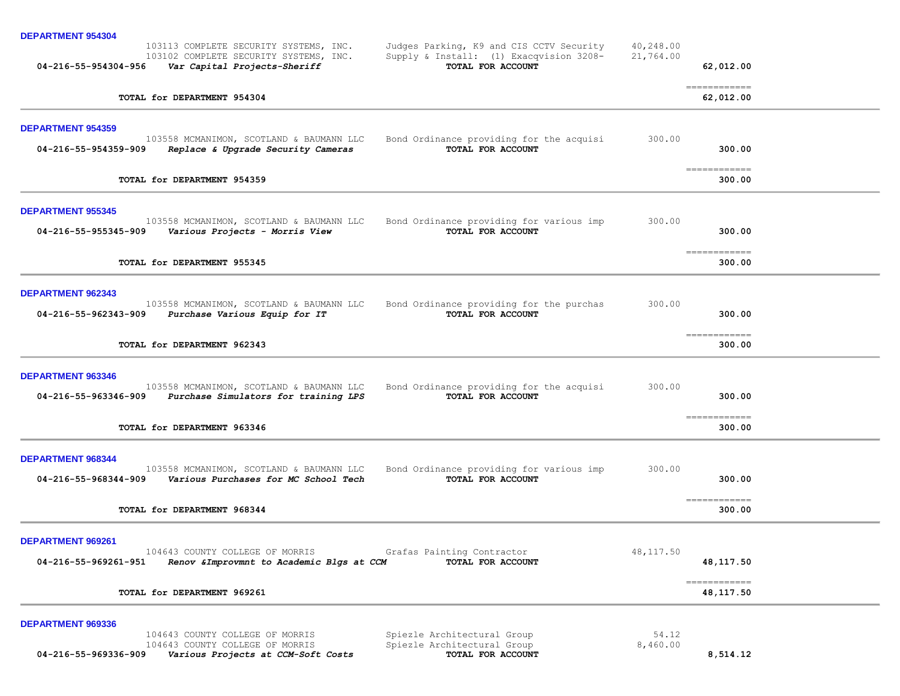| <b>DEPARTMENT 954304</b><br>103113 COMPLETE SECURITY SYSTEMS, INC.<br>Judges Parking, K9 and CIS CCTV Security<br>Supply & Install: (1) Exacqvision 3208-<br>103102 COMPLETE SECURITY SYSTEMS, INC.                                             | 40,248.00<br>21,764.00 |                                                                                                                                                                                                                                                                                                                                                                                                                                                                                                     |  |
|-------------------------------------------------------------------------------------------------------------------------------------------------------------------------------------------------------------------------------------------------|------------------------|-----------------------------------------------------------------------------------------------------------------------------------------------------------------------------------------------------------------------------------------------------------------------------------------------------------------------------------------------------------------------------------------------------------------------------------------------------------------------------------------------------|--|
| TOTAL FOR ACCOUNT<br>04-216-55-954304-956<br>Var Capital Projects-Sheriff                                                                                                                                                                       |                        | 62,012.00                                                                                                                                                                                                                                                                                                                                                                                                                                                                                           |  |
| TOTAL for DEPARTMENT 954304                                                                                                                                                                                                                     |                        | $\begin{array}{cccccccccc} \multicolumn{2}{c}{} & \multicolumn{2}{c}{} & \multicolumn{2}{c}{} & \multicolumn{2}{c}{} & \multicolumn{2}{c}{} & \multicolumn{2}{c}{} & \multicolumn{2}{c}{} & \multicolumn{2}{c}{} & \multicolumn{2}{c}{} & \multicolumn{2}{c}{} & \multicolumn{2}{c}{} & \multicolumn{2}{c}{} & \multicolumn{2}{c}{} & \multicolumn{2}{c}{} & \multicolumn{2}{c}{} & \multicolumn{2}{c}{} & \multicolumn{2}{c}{} & \multicolumn{2}{c}{} & \multicolumn{2}{c}{} & \mult$<br>62,012.00 |  |
| <b>DEPARTMENT 954359</b><br>Bond Ordinance providing for the acquisi<br>103558 MCMANIMON, SCOTLAND & BAUMANN LLC<br>TOTAL FOR ACCOUNT<br>04-216-55-954359-909<br>Replace & Upgrade Security Cameras                                             | 300.00                 | 300.00                                                                                                                                                                                                                                                                                                                                                                                                                                                                                              |  |
| TOTAL for DEPARTMENT 954359                                                                                                                                                                                                                     |                        | ============<br>300.00                                                                                                                                                                                                                                                                                                                                                                                                                                                                              |  |
| <b>DEPARTMENT 955345</b><br>103558 MCMANIMON, SCOTLAND & BAUMANN LLC<br>Bond Ordinance providing for various imp<br>TOTAL FOR ACCOUNT<br>04-216-55-955345-909<br>Various Projects - Morris View                                                 | 300.00                 | 300.00                                                                                                                                                                                                                                                                                                                                                                                                                                                                                              |  |
| TOTAL for DEPARTMENT 955345                                                                                                                                                                                                                     |                        | $\begin{array}{cccccccccc} \multicolumn{2}{c}{} & \multicolumn{2}{c}{} & \multicolumn{2}{c}{} & \multicolumn{2}{c}{} & \multicolumn{2}{c}{} & \multicolumn{2}{c}{} & \multicolumn{2}{c}{} & \multicolumn{2}{c}{} & \multicolumn{2}{c}{} & \multicolumn{2}{c}{} & \multicolumn{2}{c}{} & \multicolumn{2}{c}{} & \multicolumn{2}{c}{} & \multicolumn{2}{c}{} & \multicolumn{2}{c}{} & \multicolumn{2}{c}{} & \multicolumn{2}{c}{} & \multicolumn{2}{c}{} & \multicolumn{2}{c}{} & \mult$<br>300.00    |  |
| <b>DEPARTMENT 962343</b><br>103558 MCMANIMON, SCOTLAND & BAUMANN LLC<br>Bond Ordinance providing for the purchas<br>TOTAL FOR ACCOUNT<br>04-216-55-962343-909<br>Purchase Various Equip for IT                                                  | 300.00                 | 300.00                                                                                                                                                                                                                                                                                                                                                                                                                                                                                              |  |
| TOTAL for DEPARTMENT 962343                                                                                                                                                                                                                     |                        | -------------<br>300.00                                                                                                                                                                                                                                                                                                                                                                                                                                                                             |  |
| <b>DEPARTMENT 963346</b><br>103558 MCMANIMON, SCOTLAND & BAUMANN LLC<br>Bond Ordinance providing for the acquisi<br>Purchase Simulators for training LPS<br>TOTAL FOR ACCOUNT<br>04-216-55-963346-909                                           | 300.00                 | 300.00                                                                                                                                                                                                                                                                                                                                                                                                                                                                                              |  |
| TOTAL for DEPARTMENT 963346                                                                                                                                                                                                                     |                        | -------------<br>300.00                                                                                                                                                                                                                                                                                                                                                                                                                                                                             |  |
| <b>DEPARTMENT 968344</b><br>Bond Ordinance providing for various imp<br>103558 MCMANIMON, SCOTLAND & BAUMANN LLC<br>Various Purchases for MC School Tech<br>TOTAL FOR ACCOUNT<br>04-216-55-968344-909<br>TOTAL for DEPARTMENT 968344            | 300.00                 | 300.00<br>$=$ = = = = = = = = = = = = =<br>300.00                                                                                                                                                                                                                                                                                                                                                                                                                                                   |  |
|                                                                                                                                                                                                                                                 |                        |                                                                                                                                                                                                                                                                                                                                                                                                                                                                                                     |  |
| DEPARTMENT 969261<br>104643 COUNTY COLLEGE OF MORRIS<br>Grafas Painting Contractor<br>Renov & Improvmnt to Academic Blgs at CCM<br>TOTAL FOR ACCOUNT<br>04-216-55-969261-951                                                                    | 48,117.50              | 48,117.50                                                                                                                                                                                                                                                                                                                                                                                                                                                                                           |  |
| TOTAL for DEPARTMENT 969261                                                                                                                                                                                                                     |                        | =============<br>48,117.50                                                                                                                                                                                                                                                                                                                                                                                                                                                                          |  |
| <b>DEPARTMENT 969336</b><br>104643 COUNTY COLLEGE OF MORRIS<br>Spiezle Architectural Group<br>Spiezle Architectural Group<br>104643 COUNTY COLLEGE OF MORRIS<br>TOTAL FOR ACCOUNT<br>04-216-55-969336-909<br>Various Projects at CCM-Soft Costs | 54.12<br>8,460.00      | 8,514.12                                                                                                                                                                                                                                                                                                                                                                                                                                                                                            |  |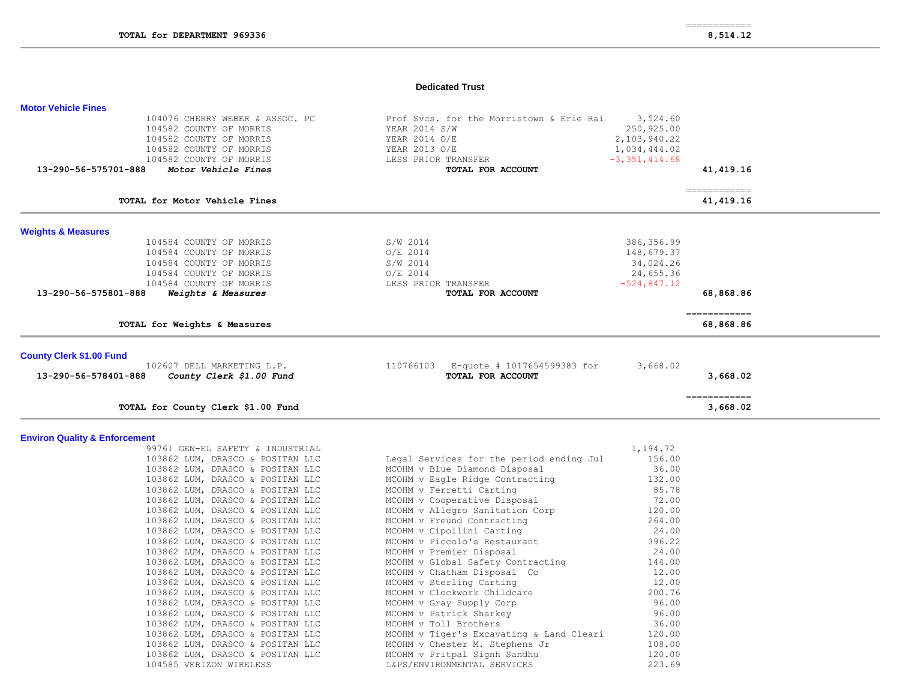# **Dedicated Trust**

| 104076 CHERRY WEBER & ASSOC. PC                  | Prof Sycs. for the Morristown & Erie Rai | 3,524.60          |                           |  |
|--------------------------------------------------|------------------------------------------|-------------------|---------------------------|--|
| 104582 COUNTY OF MORRIS                          |                                          |                   |                           |  |
|                                                  | YEAR 2014 S/W                            | 250,925.00        |                           |  |
| 104582 COUNTY OF MORRIS                          | YEAR 2014 O/E                            | 2,103,940.22      |                           |  |
| 104582 COUNTY OF MORRIS                          | YEAR 2013 O/E                            | 1,034,444.02      |                           |  |
| 104582 COUNTY OF MORRIS                          | LESS PRIOR TRANSFER                      | $-3, 351, 414.68$ |                           |  |
| Motor Vehicle Fines<br>13-290-56-575701-888      | TOTAL FOR ACCOUNT                        |                   | 41,419.16                 |  |
| TOTAL for Motor Vehicle Fines                    |                                          |                   | ============<br>41,419.16 |  |
| <b>Weights &amp; Measures</b>                    |                                          |                   |                           |  |
| 104584 COUNTY OF MORRIS                          | S/W 2014                                 | 386,356.99        |                           |  |
| 104584 COUNTY OF MORRIS                          | $O/E$ 2014                               | 148,679.37        |                           |  |
| 104584 COUNTY OF MORRIS                          | S/W 2014                                 | 34,024.26         |                           |  |
| 104584 COUNTY OF MORRIS                          | $O/E$ 2014                               | 24,655.36         |                           |  |
| 104584 COUNTY OF MORRIS                          | LESS PRIOR TRANSFER                      | $-524.847.12$     |                           |  |
| 13-290-56-575801-888<br>Weights & Measures       | TOTAL FOR ACCOUNT                        |                   | 68,868.86                 |  |
| TOTAL for Weights & Measures                     |                                          |                   | ============<br>68,868.86 |  |
|                                                  |                                          |                   |                           |  |
| <b>County Clerk \$1.00 Fund</b>                  |                                          |                   |                           |  |
| 102607 DELL MARKETING L.P.                       | E-quote # 1017654599383 for<br>110766103 | 3,668.02          |                           |  |
| 13-290-56-578401-888<br>County Clerk \$1.00 Fund | TOTAL FOR ACCOUNT                        |                   | 3,668.02                  |  |
| TOTAL for County Clerk \$1.00 Fund               |                                          |                   | 3,668.02                  |  |

# **Environ Quality & Enforcement**

**Motor Vehicle Fines** 

| 99761 GEN-EL SAFETY & INDUSTRIAL |                                          | 1,194.72 |
|----------------------------------|------------------------------------------|----------|
| 103862 LUM, DRASCO & POSITAN LLC | Legal Services for the period ending Jul | 156.00   |
| 103862 LUM, DRASCO & POSITAN LLC | MCOHM v Blue Diamond Disposal            | 36.00    |
| 103862 LUM, DRASCO & POSITAN LLC | MCOHM v Eagle Ridge Contracting          | 132.00   |
| 103862 LUM, DRASCO & POSITAN LLC | MCOHM v Ferretti Carting                 | 85.78    |
| 103862 LUM, DRASCO & POSITAN LLC | MCOHM v Cooperative Disposal             | 72.00    |
| 103862 LUM, DRASCO & POSITAN LLC | MCOHM v Allegro Sanitation Corp          | 120.00   |
| 103862 LUM, DRASCO & POSITAN LLC | MCOHM v Freund Contracting               | 264.00   |
| 103862 LUM, DRASCO & POSITAN LLC | MCOHM v Cipollini Carting                | 24.00    |
| 103862 LUM, DRASCO & POSITAN LLC | MCOHM v Piccolo's Restaurant             | 396.22   |
| 103862 LUM, DRASCO & POSITAN LLC | MCOHM v Premier Disposal                 | 24.00    |
| 103862 LUM, DRASCO & POSITAN LLC | MCOHM v Global Safety Contracting        | 144.00   |
| 103862 LUM, DRASCO & POSITAN LLC | MCOHM v Chatham Disposal Co              | 12.00    |
| 103862 LUM, DRASCO & POSITAN LLC | MCOHM v Sterling Carting                 | 12.00    |
| 103862 LUM, DRASCO & POSITAN LLC | MCOHM v Clockwork Childcare              | 200.76   |
| 103862 LUM, DRASCO & POSITAN LLC | MCOHM v Gray Supply Corp                 | 96.00    |
| 103862 LUM, DRASCO & POSITAN LLC | MCOHM v Patrick Sharkey                  | 96.00    |
| 103862 LUM, DRASCO & POSITAN LLC | MCOHM v Toll Brothers                    | 36.00    |
| 103862 LUM, DRASCO & POSITAN LLC | MCOHM v Tiger's Excavating & Land Cleari | 120.00   |
| 103862 LUM, DRASCO & POSITAN LLC | MCOHM v Chester M. Stephens Jr           | 108.00   |
| 103862 LUM, DRASCO & POSITAN LLC | MCOHM v Pritpal Signh Sandhu             | 120.00   |
| 104585 VERIZON WIRELESS          | L&PS/ENVIRONMENTAL SERVICES              | 223.69   |